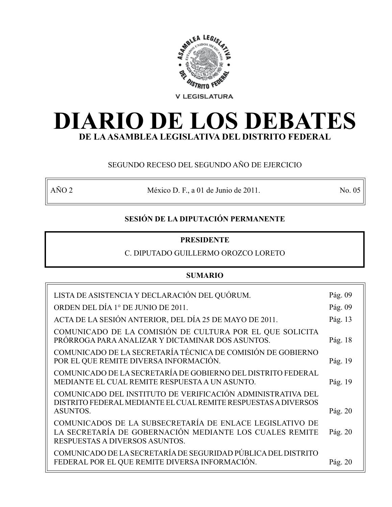

# **DIARIO DE LOS DEBATES DE LA ASAMBLEA LEGISLATIVA DEL DISTRITO FEDERAL**

# SEGUNDO RECESO DEL SEGUNDO AÑO DE EJERCICIO

AÑO 2 México D. F., a 01 de Junio de 2011. No. 05

# **SESIÓN DE LA DIPUTACIÓN PERMANENTE**

# **PRESIDENTE**

# C. DIPUTADO GUILLERMO OROZCO LORETO

# **SUMARIO**

| LISTA DE ASISTENCIA Y DECLARACIÓN DEL QUÓRUM.                                                                                                    | Pág. 09 |
|--------------------------------------------------------------------------------------------------------------------------------------------------|---------|
| ORDEN DEL DÍA 1° DE JUNIO DE 2011.                                                                                                               | Pág. 09 |
| ACTA DE LA SESIÓN ANTERIOR, DEL DÍA 25 DE MAYO DE 2011.                                                                                          | Pág. 13 |
| COMUNICADO DE LA COMISIÓN DE CULTURA POR EL QUE SOLICITA<br>PRÓRROGA PARA ANALIZAR Y DICTAMINAR DOS ASUNTOS.                                     | Pág. 18 |
| COMUNICADO DE LA SECRETARÍA TÉCNICA DE COMISIÓN DE GOBIERNO<br>POR EL QUE REMITE DIVERSA INFORMACIÓN.                                            | Pág. 19 |
| COMUNICADO DE LA SECRETARÍA DE GOBIERNO DEL DISTRITO FEDERAL<br>MEDIANTE EL CUAL REMITE RESPUESTA A UN ASUNTO.                                   | Pág. 19 |
| COMUNICADO DEL INSTITUTO DE VERIFICACIÓN ADMINISTRATIVA DEL<br>DISTRITO FEDERAL MEDIANTE EL CUAL REMITE RESPUESTAS A DIVERSOS<br><b>ASUNTOS.</b> | Pág. 20 |
| COMUNICADOS DE LA SUBSECRETARÍA DE ENLACE LEGISLATIVO DE                                                                                         |         |
| LA SECRETARÍA DE GOBERNACIÓN MEDIANTE LOS CUALES REMITE<br>RESPUESTAS A DIVERSOS ASUNTOS.                                                        | Pág. 20 |
| COMUNICADO DE LA SECRETARÍA DE SEGURIDAD PÚBLICA DEL DISTRITO                                                                                    |         |
| FEDERAL POR EL QUE REMITE DIVERSA INFORMACIÓN.                                                                                                   | Pág. 20 |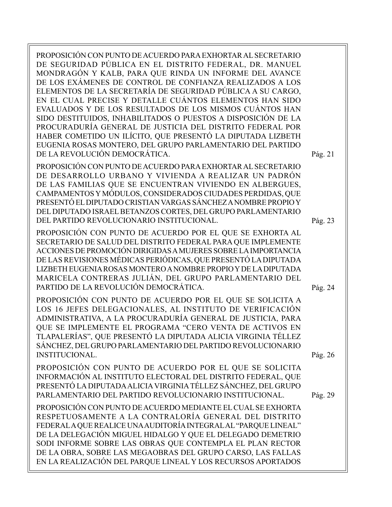PROPOSICIÓN CON PUNTO DE ACUERDO PARA EXHORTAR AL SECRETARIO DE SEGURIDAD PÚBLICA EN EL DISTRITO FEDERAL, DR. MANUEL MONDRAGÓN Y KALB, PARA QUE RINDA UN INFORME DEL AVANCE DE LOS EXÁMENES DE CONTROL DE CONFIANZA REALIZADOS A LOS ELEMENTOS DE LA SECRETARÍA DE SEGURIDAD PÚBLICA A SU CARGO, EN EL CUAL PRECISE Y DETALLE CUÁNTOS ELEMENTOS HAN SIDO EVALUADOS Y DE LOS RESULTADOS DE LOS MISMOS CUÁNTOS HAN SIDO DESTITUIDOS, INHABILITADOS O PUESTOS A DISPOSICIÓN DE LA PROCURADURÍA GENERAL DE JUSTICIA DEL DISTRITO FEDERAL POR HABER COMETIDO UN ILÍCITO, QUE PRESENTÓ LA DIPUTADA LIZBETH EUGENIA ROSAS MONTERO, DEL GRUPO PARLAMENTARIO DEL PARTIDO DE LA REVOLUCIÓN DEMOCRÁTICA.

PROPOSICIÓN CON PUNTO DE ACUERDO PARA EXHORTAR AL SECRETARIO DE DESARROLLO URBANO Y VIVIENDA A REALIZAR UN PADRÓN DE LAS FAMILIAS QUE SE ENCUENTRAN VIVIENDO EN ALBERGUES, CAMPAMENTOS Y MÓDULOS, CONSIDERADOS CIUDADES PERDIDAS, QUE PRESENTÓ EL DIPUTADO CRISTIAN VARGAS SÁNCHEZ A NOMBRE PROPIO Y DEL DIPUTADO ISRAEL BETANZOS CORTES, DEL GRUPO PARLAMENTARIO DEL PARTIDO REVOLUCIONARIO INSTITUCIONAL.

PROPOSICIÓN CON PUNTO DE ACUERDO POR EL QUE SE EXHORTA AL SECRETARIO DE SALUD DEL DISTRITO FEDERAL PARA QUE IMPLEMENTE ACCIONES DE PROMOCIÓN DIRIGIDAS A MUJERES SOBRE LA IMPORTANCIA DE LAS REVISIONES MÉDICAS PERIÓDICAS, QUE PRESENTÓ LA DIPUTADA LIZBETH EUGENIA ROSAS MONTERO A NOMBRE PROPIO Y DE LA DIPUTADA MARICELA CONTRERAS JULIÁN, DEL GRUPO PARLAMENTARIO DEL PARTIDO DE LA REVOLUCIÓN DEMOCRÁTICA.

PROPOSICIÓN CON PUNTO DE ACUERDO POR EL QUE SE SOLICITA A LOS 16 JEFES DELEGACIONALES, AL INSTITUTO DE VERIFICACIÓN ADMINISTRATIVA, A LA PROCURADURÍA GENERAL DE JUSTICIA, PARA QUE SE IMPLEMENTE EL PROGRAMA "CERO VENTA DE ACTIVOS EN TLAPALERÍAS", QUE PRESENTÓ LA DIPUTADA ALICIA VIRGINIA TÉLLEZ SÁNCHEZ, DEL GRUPO PARLAMENTARIO DEL PARTIDO REVOLUCIONARIO INSTITUCIONAL.

PROPOSICIÓN CON PUNTO DE ACUERDO POR EL QUE SE SOLICITA INFORMACIÓN AL INSTITUTO ELECTORAL DEL DISTRITO FEDERAL, QUE PRESENTÓ LA DIPUTADA ALICIA VIRGINIA TÉLLEZ SÁNCHEZ, DEL GRUPO PARLAMENTARIO DEL PARTIDO REVOLUCIONARIO INSTITUCIONAL.

PROPOSICIÓN CON PUNTO DE ACUERDO MEDIANTE EL CUAL SE EXHORTA RESPETUOSAMENTE A LA CONTRALORÍA GENERAL DEL DISTRITO FEDERAL A QUE REALICE UNA AUDITORÍA INTEGRAL AL "PARQUE LINEAL" DE LA DELEGACIÓN MIGUEL HIDALGO Y QUE EL DELEGADO DEMETRIO SODI INFORME SOBRE LAS OBRAS QUE CONTEMPLA EL PLAN RECTOR DE LA OBRA, SOBRE LAS MEGAOBRAS DEL GRUPO CARSO, LAS FALLAS EN LA REALIZACIÓN DEL PARQUE LINEAL Y LOS RECURSOS APORTADOS Pág. 26

Pág. 24

Pág. 29

Pág. 21

Pág. 23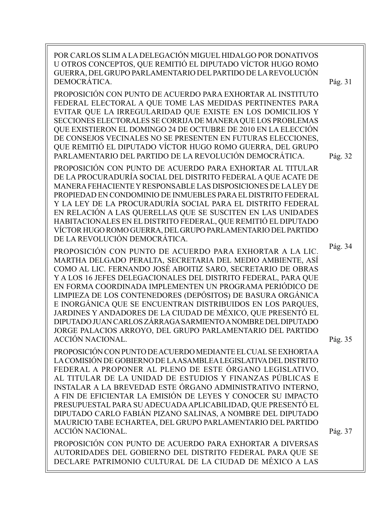| POR CARLOS SLIM A LA DELEGACIÓN MIGUEL HIDALGO POR DONATIVOS<br>U OTROS CONCEPTOS, QUE REMITIÓ EL DIPUTADO VÍCTOR HUGO ROMO<br>GUERRA, DEL GRUPO PARLAMENTARIO DEL PARTIDO DE LA REVOLUCIÓN<br>DEMOCRÁTICA.                                                                                                                                                                                                                                                                                                                                                                                                                                                                 | Pág. 31            |
|-----------------------------------------------------------------------------------------------------------------------------------------------------------------------------------------------------------------------------------------------------------------------------------------------------------------------------------------------------------------------------------------------------------------------------------------------------------------------------------------------------------------------------------------------------------------------------------------------------------------------------------------------------------------------------|--------------------|
| PROPOSICIÓN CON PUNTO DE ACUERDO PARA EXHORTAR AL INSTITUTO<br>FEDERAL ELECTORAL A QUE TOME LAS MEDIDAS PERTINENTES PARA<br>EVITAR QUE LA IRREGULARIDAD QUE EXISTE EN LOS DOMICILIOS Y<br>SECCIONES ELECTORALES SE CORRIJA DE MANERA QUE LOS PROBLEMAS<br>QUE EXISTIERON EL DOMINGO 24 DE OCTUBRE DE 2010 EN LA ELECCIÓN<br>DE CONSEJOS VECINALES NO SE PRESENTEN EN FUTURAS ELECCIONES,<br>QUE REMITIÓ EL DIPUTADO VÍCTOR HUGO ROMO GUERRA, DEL GRUPO<br>PARLAMENTARIO DEL PARTIDO DE LA REVOLUCIÓN DEMOCRÁTICA.                                                                                                                                                           | Pág. 32            |
| PROPOSICIÓN CON PUNTO DE ACUERDO PARA EXHORTAR AL TITULAR<br>DE LA PROCURADURÍA SOCIAL DEL DISTRITO FEDERAL A QUE ACATE DE<br>MANERA FEHACIENTE Y RESPONSABLE LAS DISPOSICIONES DE LA LEY DE<br>PROPIEDAD EN CONDOMINIO DE INMUEBLES PARA EL DISTRITO FEDERAL<br>Y LA LEY DE LA PROCURADURÍA SOCIAL PARA EL DISTRITO FEDERAL<br>EN RELACIÓN A LAS QUERELLAS QUE SE SUSCITEN EN LAS UNIDADES<br>HABITACIONALES EN EL DISTRITO FEDERAL, QUE REMITIÓ EL DIPUTADO<br>VÍCTOR HUGO ROMO GUERRA, DEL GRUPO PARLAMENTARIO DEL PARTIDO<br>DE LA REVOLUCIÓN DEMOCRÁTICA.                                                                                                              |                    |
| PROPOSICIÓN CON PUNTO DE ACUERDO PARA EXHORTAR A LA LIC.<br>MARTHA DELGADO PERALTA, SECRETARIA DEL MEDIO AMBIENTE, ASÍ<br>COMO AL LIC. FERNANDO JOSÉ ABOITIZ SARO, SECRETARIO DE OBRAS<br>Y A LOS 16 JEFES DELEGACIONALES DEL DISTRITO FEDERAL, PARA QUE<br>EN FORMA COORDINADA IMPLEMENTEN UN PROGRAMA PERIÓDICO DE<br>LIMPIEZA DE LOS CONTENEDORES (DEPÓSITOS) DE BASURA ORGÁNICA<br>E INORGÁNICA QUE SE ENCUENTRAN DISTRIBUIDOS EN LOS PARQUES,<br>JARDINES Y ANDADORES DE LA CIUDAD DE MÉXICO, QUE PRESENTÓ EL<br>DIPUTADO JUAN CARLOS ZÁRRAGA SARMIENTO A NOMBRE DEL DIPUTADO<br>JORGE PALACIOS ARROYO, DEL GRUPO PARLAMENTARIO DEL PARTIDO<br><b>ACCIÓN NACIONAL.</b> | Pág. 34<br>Pág. 35 |
| PROPOSICIÓN CON PUNTO DE ACUERDO MEDIANTE EL CUAL SE EXHORTA A<br>LA COMISIÓN DE GOBIERNO DE LA ASAMBLEA LEGISLATIVA DEL DISTRITO<br>FEDERAL A PROPONER AL PLENO DE ESTE ÓRGANO LEGISLATIVO,<br>AL TITULAR DE LA UNIDAD DE ESTUDIOS Y FINANZAS PÚBLICAS E<br>INSTALAR A LA BREVEDAD ESTE ÓRGANO ADMINISTRATIVO INTERNO,<br>A FIN DE EFICIENTAR LA EMISIÓN DE LEYES Y CONOCER SU IMPACTO<br>PRESUPUESTAL PARA SU ADECUADA APLICABILIDAD, QUE PRESENTÓ EL<br>DIPUTADO CARLO FABIÁN PIZANO SALINAS, A NOMBRE DEL DIPUTADO<br>MAURICIO TABE ECHARTEA, DEL GRUPO PARLAMENTARIO DEL PARTIDO<br><b>ACCIÓN NACIONAL.</b>                                                            | Pág. 37            |
| PROPOSICIÓN CON PUNTO DE ACUERDO PARA EXHORTAR A DIVERSAS<br>AUTORIDADES DEL GOBIERNO DEL DISTRITO FEDERAL PARA QUE SE<br>DECLARE PATRIMONIO CULTURAL DE LA CIUDAD DE MÉXICO A LAS                                                                                                                                                                                                                                                                                                                                                                                                                                                                                          |                    |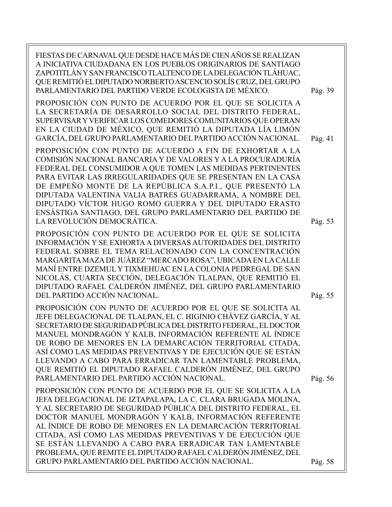| FIESTAS DE CARNAVAL QUE DESDE HACE MÁS DE CIEN AÑOS SE REALIZAN<br>A INICIATIVA CIUDADANA EN LOS PUEBLOS ORIGINARIOS DE SANTIAGO<br>ZAPOTITLÁN Y SAN FRANCISCO TLALTENCO DE LA DELEGACIÓN TLÁHUAC,<br>QUE REMITIÓ EL DIPUTADO NORBERTO ASCENCIO SOLÍS CRUZ, DEL GRUPO<br>PARLAMENTARIO DEL PARTIDO VERDE ECOLOGISTA DE MÉXICO.                                                                                                                                                                                                                                     | Pág. 39 |
|--------------------------------------------------------------------------------------------------------------------------------------------------------------------------------------------------------------------------------------------------------------------------------------------------------------------------------------------------------------------------------------------------------------------------------------------------------------------------------------------------------------------------------------------------------------------|---------|
| PROPOSICIÓN CON PUNTO DE ACUERDO POR EL QUE SE SOLICITA A<br>LA SECRETARÍA DE DESARROLLO SOCIAL DEL DISTRITO FEDERAL,<br>SUPERVISAR Y VERIFICAR LOS COMEDORES COMUNITARIOS QUE OPERAN<br>EN LA CIUDAD DE MÉXICO, QUE REMITIÓ LA DIPUTADA LÍA LIMÓN<br>GARCÍA, DEL GRUPO PARLAMENTARIO DEL PARTIDO ACCIÓN NACIONAL.                                                                                                                                                                                                                                                 | Pág. 41 |
| PROPOSICIÓN CON PUNTO DE ACUERDO A FIN DE EXHORTAR A LA<br>COMISIÓN NACIONAL BANCARIA Y DE VALORES Y A LA PROCURADURÍA<br>FEDERAL DEL CONSUMIDOR A QUE TOMEN LAS MEDIDAS PERTINENTES<br>PARA EVITAR LAS IRREGULARIDADES QUE SE PRESENTAN EN LA CASA<br>DE EMPEÑO MONTE DE LA REPÚBLICA S.A.P.I., QUE PRESENTÓ LA<br>DIPUTADA VALENTINA VALIA BATRES GUADARRAMA, A NOMBRE DEL<br>DIPUTADO VÍCTOR HUGO ROMO GUERRA Y DEL DIPUTADO ERASTO<br>ENSÁSTIGA SANTIAGO, DEL GRUPO PARLAMENTARIO DEL PARTIDO DE<br>LA REVOLUCIÓN DEMOCRÁTICA.                                 | Pág. 53 |
| PROPOSICIÓN CON PUNTO DE ACUERDO POR EL QUE SE SOLICITA<br>INFORMACIÓN Y SE EXHORTA A DIVERSAS AUTORIDADES DEL DISTRITO<br>FEDERAL SOBRE EL TEMA RELACIONADO CON LA CONCENTRACIÓN<br>MARGARITA MAZA DE JUÁREZ "MERCADO ROSA", UBICADA EN LA CALLE<br>MANÍ ENTRE DZEMUL Y TIXMEHUAC EN LA COLONIA PEDREGAL DE SAN<br>NICOLÁS, CUARTA SECCIÓN, DELEGACIÓN TLALPAN, QUE REMITIÓ EL<br>DIPUTADO RAFAEL CALDERÓN JIMÉNEZ, DEL GRUPO PARLAMENTARIO<br>DEL PARTIDO ACCIÓN NACIONAL.                                                                                       | Pág. 55 |
| PROPOSICIÓN CON PUNTO DE ACUERDO POR EL QUE SE SOLICITA AL<br>JEFE DELEGACIONAL DE TLALPAN, EL C. HIGINIO CHÁVEZ GARCÍA, Y AL<br>SECRETARIO DE SEGURIDAD PÚBLICA DEL DISTRITO FEDERAL, EL DOCTOR<br>MANUEL MONDRAGÓN Y KALB, INFORMACIÓN REFERENTE AL ÍNDICE<br>DE ROBO DE MENORES EN LA DEMARCACIÓN TERRITORIAL CITADA,<br>ASÍ COMO LAS MEDIDAS PREVENTIVAS Y DE EJECUCIÓN QUE SE ESTÁN<br>LLEVANDO A CABO PARA ERRADICAR TAN LAMENTABLE PROBLEMA,<br>QUE REMITIÓ EL DIPUTADO RAFAEL CALDERÓN JIMÉNEZ, DEL GRUPO<br>PARLAMENTARIO DEL PARTIDO ACCIÓN NACIONAL.    | Pág. 56 |
| PROPOSICIÓN CON PUNTO DE ACUERDO POR EL QUE SE SOLICITA A LA<br>JEFA DELEGACIONAL DE IZTAPALAPA, LA C. CLARA BRUGADA MOLINA,<br>Y AL SECRETARIO DE SEGURIDAD PÚBLICA DEL DISTRITO FEDERAL, EL<br>DOCTOR MANUEL MONDRAGÓN Y KALB, INFORMACIÓN REFERENTE<br>AL ÍNDICE DE ROBO DE MENORES EN LA DEMARCACIÓN TERRITORIAL<br>CITADA, ASÍ COMO LAS MEDIDAS PREVENTIVAS Y DE EJECUCIÓN QUE<br>SE ESTÁN LLEVANDO A CABO PARA ERRADICAR TAN LAMENTABLE<br>PROBLEMA, QUE REMITE EL DIPUTADO RAFAEL CALDERÓN JIMÉNEZ, DEL<br>GRUPO PARLAMENTARIO DEL PARTIDO ACCIÓN NACIONAL. | Pág. 58 |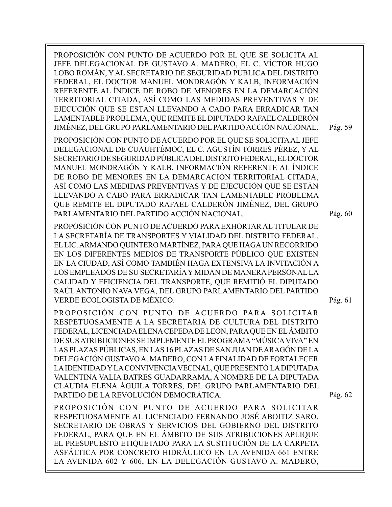PROPOSICIÓN CON PUNTO DE ACUERDO POR EL QUE SE SOLICITA AL JEFE DELEGACIONAL DE GUSTAVO A. MADERO, EL C. VÍCTOR HUGO LOBO ROMÁN, Y AL SECRETARIO DE SEGURIDAD PÚBLICA DEL DISTRITO FEDERAL, EL DOCTOR MANUEL MONDRAGÓN Y KALB, INFORMACIÓN REFERENTE AL ÍNDICE DE ROBO DE MENORES EN LA DEMARCACIÓN TERRITORIAL CITADA, ASÍ COMO LAS MEDIDAS PREVENTIVAS Y DE EJECUCIÓN QUE SE ESTÁN LLEVANDO A CABO PARA ERRADICAR TAN LAMENTABLE PROBLEMA, QUE REMITE EL DIPUTADO RAFAEL CALDERÓN JIMÉNEZ, DEL GRUPO PARLAMENTARIO DEL PARTIDO ACCIÓN NACIONAL. PROPOSICIÓN CON PUNTO DE ACUERDO POR EL QUE SE SOLICITA AL JEFE DELEGACIONAL DE CUAUHTÉMOC, EL C. AGUSTÍN TORRES PÉREZ, Y AL SECRETARIO DE SEGURIDAD PÚBLICA DEL DISTRITO FEDERAL, EL DOCTOR MANUEL MONDRAGÓN Y KALB, INFORMACIÓN REFERENTE AL ÍNDICE DE ROBO DE MENORES EN LA DEMARCACIÓN TERRITORIAL CITADA, ASÍ COMO LAS MEDIDAS PREVENTIVAS Y DE EJECUCIÓN QUE SE ESTÁN LLEVANDO A CABO PARA ERRADICAR TAN LAMENTABLE PROBLEMA QUE REMITE EL DIPUTADO RAFAEL CALDERÓN JIMÉNEZ, DEL GRUPO PARLAMENTARIO DEL PARTIDO ACCIÓN NACIONAL. PROPOSICIÓN CON PUNTO DE ACUERDO PARA EXHORTAR AL TITULAR DE LA SECRETARÍA DE TRANSPORTES Y VIALIDAD DEL DISTRITO FEDERAL, EL LIC. ARMANDO QUINTERO MARTÍNEZ, PARA QUE HAGA UN RECORRIDO EN LOS DIFERENTES MEDIOS DE TRANSPORTE PÚBLICO QUE EXISTEN EN LA CIUDAD, ASÍ COMO TAMBIÉN HAGA EXTENSIVA LA INVITACIÓN A LOS EMPLEADOS DE SU SECRETARÍA Y MIDAN DE MANERA PERSONAL LA CALIDAD Y EFICIENCIA DEL TRANSPORTE, QUE REMITIÓ EL DIPUTADO RAÚL ANTONIO NAVA VEGA, DEL GRUPO PARLAMENTARIO DEL PARTIDO VERDE ECOLOGISTA DE MÉXICO. PROPOSICIÓN CON PUNTO DE ACUERDO PARA SOLICITAR RESPETUOSAMENTE A LA SECRETARIA DE CULTURA DEL DISTRITO FEDERAL, LICENCIADA ELENA CEPEDA DE LEÓN, PARA QUE EN EL ÁMBITO DE SUS ATRIBUCIONES SE IMPLEMENTE EL PROGRAMA "MÚSICA VIVA" EN LAS PLAZAS PÚBLICAS, EN LAS 16 PLAZAS DE SAN JUAN DE ARAGÓN DE LA DELEGACIÓN GUSTAVO A. MADERO, CON LA FINALIDAD DE FORTALECER LA IDENTIDAD Y LA CONVIVENCIA VECINAL, QUE PRESENTÓ LA DIPUTADA VALENTINA VALIA BATRES GUADARRAMA, A NOMBRE DE LA DIPUTADA CLAUDIA ELENA ÁGUILA TORRES, DEL GRUPO PARLAMENTARIO DEL PARTIDO DE LA REVOLUCIÓN DEMOCRÁTICA. PROPOSICIÓN CON PUNTO DE ACUERDO PARA SOLICITAR RESPETUOSAMENTE AL LICENCIADO FERNANDO JOSÉ ABOITIZ SARO, SECRETARIO DE OBRAS Y SERVICIOS DEL GOBIERNO DEL DISTRITO FEDERAL, PARA QUE EN EL ÁMBITO DE SUS ATRIBUCIONES APLIQUE EL PRESUPUESTO ETIQUETADO PARA LA SUSTITUCIÓN DE LA CARPETA ASFÁLTICA POR CONCRETO HIDRÁULICO EN LA AVENIDA 661 ENTRE LA AVENIDA 602 Y 606, EN LA DELEGACIÓN GUSTAVO A. MADERO, Pág. 61 Pág. 60 Pág. 59 Pág. 62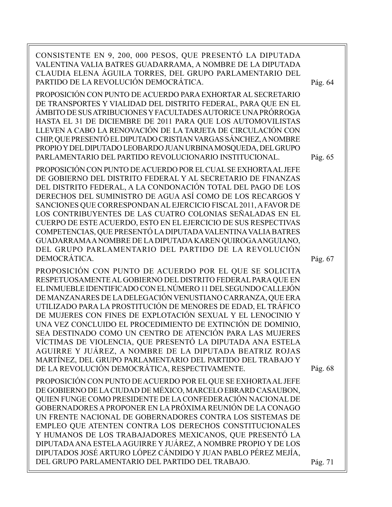| CONSISTENTE EN 9, 200, 000 PESOS, QUE PRESENTÓ LA DIPUTADA<br>VALENTINA VALIA BATRES GUADARRAMA, A NOMBRE DE LA DIPUTADA<br>CLAUDIA ELENA ÁGUILA TORRES, DEL GRUPO PARLAMENTARIO DEL<br>PARTIDO DE LA REVOLUCIÓN DEMOCRÁTICA.<br>PROPOSICIÓN CON PUNTO DE ACUERDO PARA EXHORTAR AL SECRETARIO<br>DE TRANSPORTES Y VIALIDAD DEL DISTRITO FEDERAL, PARA QUE EN EL<br>ÁMBITO DE SUS ATRIBUCIONES Y FACULTADES AUTORICE UNA PRÓRROGA<br>HASTA EL 31 DE DICIEMBRE DE 2011 PARA QUE LOS AUTOMOVILISTAS<br>LLEVEN A CABO LA RENOVACIÓN DE LA TARJETA DE CIRCULACIÓN CON<br>CHIP, QUE PRESENTÓ EL DIPUTADO CRISTIAN VARGAS SÁNCHEZ, A NOMBRE<br>PROPIO Y DEL DIPUTADO LEOBARDO JUAN URBINA MOSQUEDA, DEL GRUPO<br>PARLAMENTARIO DEL PARTIDO REVOLUCIONARIO INSTITUCIONAL. | Pág. 64<br>Pág. 65 |
|-------------------------------------------------------------------------------------------------------------------------------------------------------------------------------------------------------------------------------------------------------------------------------------------------------------------------------------------------------------------------------------------------------------------------------------------------------------------------------------------------------------------------------------------------------------------------------------------------------------------------------------------------------------------------------------------------------------------------------------------------------------------|--------------------|
| PROPOSICIÓN CON PUNTO DE ACUERDO POR EL CUAL SE EXHORTA AL JEFE<br>DE GOBIERNO DEL DISTRITO FEDERAL Y AL SECRETARIO DE FINANZAS<br>DEL DISTRITO FEDERAL, A LA CONDONACIÓN TOTAL DEL PAGO DE LOS<br>DERECHOS DEL SUMINISTRO DE AGUA ASÍ COMO DE LOS RECARGOS Y<br>SANCIONES QUE CORRESPONDAN AL EJERCICIO FISCAL 2011, A FAVOR DE<br>LOS CONTRIBUYENTES DE LAS CUATRO COLONIAS SEÑALADAS EN EL<br>CUERPO DE ESTE ACUERDO, ESTO EN EL EJERCICIO DE SUS RESPECTIVAS<br>COMPETENCIAS, QUE PRESENTÓ LA DIPUTADA VALENTINA VALIA BATRES<br>GUADARRAMA A NOMBRE DE LA DIPUTADA KAREN QUIROGA ANGUIANO,<br>DEL GRUPO PARLAMENTARIO DEL PARTIDO DE LA REVOLUCIÓN<br>DEMOCRÁTICA.                                                                                           | Pág. 67            |
| PROPOSICIÓN CON PUNTO DE ACUERDO POR EL QUE SE SOLICITA<br>RESPETUOSAMENTE AL GOBIERNO DEL DISTRITO FEDERAL PARA QUE EN<br>EL INMUEBLE IDENTIFICADO CON EL NÚMERO 11 DEL SEGUNDO CALLEJÓN<br>DE MANZANARES DE LA DELEGACIÓN VENUSTIANO CARRANZA, QUE ERA<br>UTILIZADO PARA LA PROSTITUCIÓN DE MENORES DE EDAD, EL TRÁFICO<br>DE MUJERES CON FINES DE EXPLOTACIÓN SEXUAL Y EL LENOCINIO Y<br>UNA VEZ CONCLUIDO EL PROCEDIMIENTO DE EXTINCIÓN DE DOMINIO,<br>SEA DESTINADO COMO UN CENTRO DE ATENCIÓN PARA LAS MUJERES<br>VÍCTIMAS DE VIOLENCIA, QUE PRESENTÓ LA DIPUTADA ANA ESTELA<br>AGUIRRE Y JUÁREZ, A NOMBRE DE LA DIPUTADA BEATRIZ ROJAS<br>MARTÍNEZ, DEL GRUPO PARLAMENTARIO DEL PARTIDO DEL TRABAJO Y<br>DE LA REVOLUCIÓN DEMOCRÁTICA, RESPECTIVAMENTE.    | Pág. 68            |
| PROPOSICIÓN CON PUNTO DE ACUERDO POR EL QUE SE EXHORTA AL JEFE<br>DE GOBIERNO DE LA CIUDAD DE MÉXICO, MARCELO EBRARD CASAUBON,<br>QUIEN FUNGE COMO PRESIDENTE DE LA CONFEDERACIÓN NACIONAL DE<br>GOBERNADORES A PROPONER EN LA PRÓXIMA REUNIÓN DE LA CONAGO<br>UN FRENTE NACIONAL DE GOBERNADORES CONTRA LOS SISTEMAS DE<br>EMPLEO QUE ATENTEN CONTRA LOS DERECHOS CONSTITUCIONALES<br>Y HUMANOS DE LOS TRABAJADORES MEXICANOS, QUE PRESENTÓ LA<br>DIPUTADA ANA ESTELA AGUIRRE Y JUÁREZ, A NOMBRE PROPIO Y DE LOS<br>DIPUTADOS JOSÉ ARTURO LÓPEZ CÁNDIDO Y JUAN PABLO PÉREZ MEJÍA,<br>DEL GRUPO PARLAMENTARIO DEL PARTIDO DEL TRABAJO.                                                                                                                            | Pág. 71            |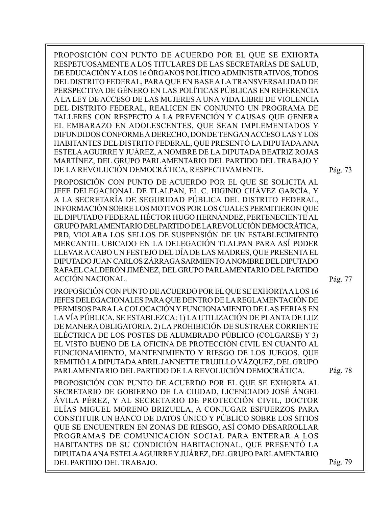PROPOSICIÓN CON PUNTO DE ACUERDO POR EL QUE SE EXHORTA RESPETUOSAMENTE A LOS TITULARES DE LAS SECRETARÍAS DE SALUD, DE EDUCACIÓN Y A LOS 16 ÓRGANOS POLÍTICO ADMINISTRATIVOS, TODOS DEL DISTRITO FEDERAL, PARA QUE EN BASE A LA TRANSVERSALIDAD DE PERSPECTIVA DE GÉNERO EN LAS POLÍTICAS PÚBLICAS EN REFERENCIA A LA LEY DE ACCESO DE LAS MUJERES A UNA VIDA LIBRE DE VIOLENCIA DEL DISTRITO FEDERAL, REALICEN EN CONJUNTO UN PROGRAMA DE TALLERES CON RESPECTO A LA PREVENCIÓN Y CAUSAS QUE GENERA EL EMBARAZO EN ADOLESCENTES, QUE SEAN IMPLEMENTADOS Y DIFUNDIDOS CONFORME A DERECHO, DONDE TENGAN ACCESO LAS Y LOS HABITANTES DEL DISTRITO FEDERAL, QUE PRESENTÓ LA DIPUTADA ANA ESTELA AGUIRRE Y JUÁREZ, A NOMBRE DE LA DIPUTADA BEATRIZ ROJAS MARTÍNEZ, DEL GRUPO PARLAMENTARIO DEL PARTIDO DEL TRABAJO Y DE LA REVOLUCIÓN DEMOCRÁTICA, RESPECTIVAMENTE.

PROPOSICIÓN CON PUNTO DE ACUERDO POR EL QUE SE SOLICITA AL JEFE DELEGACIONAL DE TLALPAN, EL C. HIGINIO CHÁVEZ GARCÍA, Y A LA SECRETARÍA DE SEGURIDAD PÚBLICA DEL DISTRITO FEDERAL, INFORMACIÓN SOBRE LOS MOTIVOS POR LOS CUALES PERMITIERON QUE EL DIPUTADO FEDERAL HÉCTOR HUGO HERNÁNDEZ, PERTENECIENTE AL GRUPO PARLAMENTARIO DEL PARTIDO DE LA REVOLUCIÓN DEMOCRÁTICA, PRD, VIOLARA LOS SELLOS DE SUSPENSIÓN DE UN ESTABLECIMIENTO MERCANTIL UBICADO EN LA DELEGACIÓN TLALPAN PARA ASÍ PODER LLEVAR A CABO UN FESTEJO DEL DÍA DE LAS MADRES, QUE PRESENTA EL DIPUTADO JUAN CARLOS ZÁRRAGA SARMIENTO A NOMBRE DEL DIPUTADO RAFAEL CALDERÓN JIMÉNEZ, DEL GRUPO PARLAMENTARIO DEL PARTIDO ACCIÓN NACIONAL.

PROPOSICIÓN CON PUNTO DE ACUERDO POR EL QUE SE EXHORTA A LOS 16 JEFES DELEGACIONALES PARA QUE DENTRO DE LA REGLAMENTACIÓN DE PERMISOS PARA LA COLOCACIÓN Y FUNCIONAMIENTO DE LAS FERIAS EN LA VÍA PÚBLICA, SE ESTABLEZCA: 1) LA UTILIZACIÓN DE PLANTA DE LUZ DE MANERA OBLIGATORIA. 2) LA PROHIBICIÓN DE SUSTRAER CORRIENTE ELÉCTRICA DE LOS POSTES DE ALUMBRADO PÚBLICO (COLGARSE) Y 3) EL VISTO BUENO DE LA OFICINA DE PROTECCIÓN CIVIL EN CUANTO AL FUNCIONAMIENTO, MANTENIMIENTO Y RIESGO DE LOS JUEGOS, QUE REMITIÓ LA DIPUTADA ABRIL JANNETTE TRUJILLO VÁZQUEZ, DEL GRUPO PARLAMENTARIO DEL PARTIDO DE LA REVOLUCIÓN DEMOCRÁTICA.

PROPOSICIÓN CON PUNTO DE ACUERDO POR EL QUE SE EXHORTA AL SECRETARIO DE GOBIERNO DE LA CIUDAD, LICENCIADO JOSÉ ÁNGEL ÁVILA PÉREZ, Y AL SECRETARIO DE PROTECCIÓN CIVIL, DOCTOR ELÍAS MIGUEL MORENO BRIZUELA, A CONJUGAR ESFUERZOS PARA CONSTITUIR UN BANCO DE DATOS ÚNICO Y PÚBLICO SOBRE LOS SITIOS QUE SE ENCUENTREN EN ZONAS DE RIESGO, ASÍ COMO DESARROLLAR PROGRAMAS DE COMUNICACIÓN SOCIAL PARA ENTERAR A LOS HABITANTES DE SU CONDICIÓN HABITACIONAL, QUE PRESENTÓ LA DIPUTADA ANA ESTELA AGUIRRE Y JUÁREZ, DEL GRUPO PARLAMENTARIO DEL PARTIDO DEL TRABAJO.

Pág. 73

Pág. 77

Pág. 78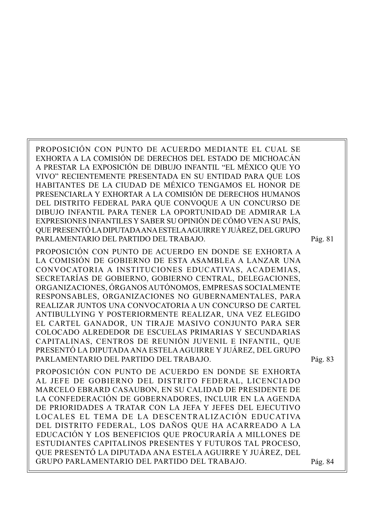PROPOSICIÓN CON PUNTO DE ACUERDO MEDIANTE EL CUAL SE EXHORTA A LA COMISIÓN DE DERECHOS DEL ESTADO DE MICHOACÁN A PRESTAR LA EXPOSICIÓN DE DIBUJO INFANTIL "EL MÉXICO QUE YO VIVO" RECIENTEMENTE PRESENTADA EN SU ENTIDAD PARA QUE LOS HABITANTES DE LA CIUDAD DE MÉXICO TENGAMOS EL HONOR DE PRESENCIARLA Y EXHORTAR A LA COMISIÓN DE DERECHOS HUMANOS DEL DISTRITO FEDERAL PARA QUE CONVOQUE A UN CONCURSO DE DIBUJO INFANTIL PARA TENER LA OPORTUNIDAD DE ADMIRAR LA EXPRESIONES INFANTILES Y SABER SU OPINIÓN DE CÓMO VEN A SU PAÍS, QUE PRESENTÓ LA DIPUTADA ANA ESTELA AGUIRRE Y JUÁREZ, DEL GRUPO PARLAMENTARIO DEL PARTIDO DEL TRABAJO.

PROPOSICIÓN CON PUNTO DE ACUERDO EN DONDE SE EXHORTA A LA COMISIÓN DE GOBIERNO DE ESTA ASAMBLEA A LANZAR UNA CONVOCATORIA A INSTITUCIONES EDUCATIVAS, ACADEMIAS, SECRETARÍAS DE GOBIERNO, GOBIERNO CENTRAL, DELEGACIONES, ORGANIZACIONES, ÓRGANOS AUTÓNOMOS, EMPRESAS SOCIALMENTE RESPONSABLES, ORGANIZACIONES NO GUBERNAMENTALES, PARA REALIZAR JUNTOS UNA CONVOCATORIA A UN CONCURSO DE CARTEL ANTIBULLYING Y POSTERIORMENTE REALIZAR, UNA VEZ ELEGIDO EL CARTEL GANADOR, UN TIRAJE MASIVO CONJUNTO PARA SER COLOCADO ALREDEDOR DE ESCUELAS PRIMARIAS Y SECUNDARIAS CAPITALINAS, CENTROS DE REUNIÓN JUVENIL E INFANTIL, QUE PRESENTÓ LA DIPUTADA ANA ESTELA AGUIRRE Y JUÁREZ, DEL GRUPO PARLAMENTARIO DEL PARTIDO DEL TRABAJO.

PROPOSICIÓN CON PUNTO DE ACUERDO EN DONDE SE EXHORTA AL JEFE DE GOBIERNO DEL DISTRITO FEDERAL, LICENCIADO MARCELO EBRARD CASAUBON, EN SU CALIDAD DE PRESIDENTE DE LA CONFEDERACIÓN DE GOBERNADORES, INCLUIR EN LA AGENDA DE PRIORIDADES A TRATAR CON LA JEFA Y JEFES DEL EJECUTIVO LOCALES EL TEMA DE LA DESCENTRALIZACIÓN EDUCATIVA DEL DISTRITO FEDERAL, LOS DAÑOS QUE HA ACARREADO A LA EDUCACIÓN Y LOS BENEFICIOS QUE PROCURARÍA A MILLONES DE ESTUDIANTES CAPITALINOS PRESENTES Y FUTUROS TAL PROCESO, QUE PRESENTÓ LA DIPUTADA ANA ESTELA AGUIRRE Y JUÁREZ, DEL GRUPO PARLAMENTARIO DEL PARTIDO DEL TRABAJO.

Pág. 81

Pág. 83

Pág. 84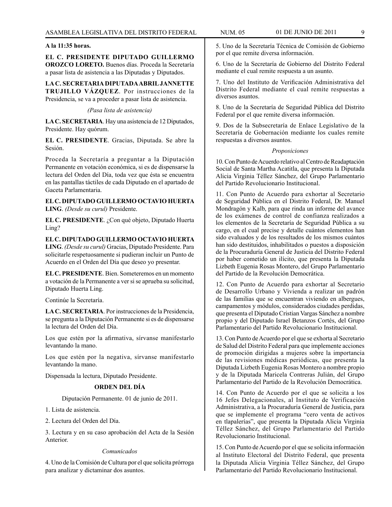# **A la 11:35 horas.**

**EL C. PRESIDENTE DIPUTADO GUILLERMO OROZCO LORETO.** Buenos días. Proceda la Secretaría a pasar lista de asistencia a las Diputadas y Diputados.

**LA C. SECRETARIA DIPUTADA ABRIL JANNETTE TRUJILLO VÁZQUEZ**. Por instrucciones de la Presidencia, se va a proceder a pasar lista de asistencia.

*(Pasa lista de asistencia)*

**LA C. SECRETARIA**. Hay una asistencia de 12 Diputados, Presidente. Hay quórum.

**EL C. PRESIDENTE**. Gracias, Diputada. Se abre la Sesión.

Proceda la Secretaría a preguntar a la Diputación Permanente en votación económica, si es de dispensarse la lectura del Orden del Día, toda vez que ésta se encuentra en las pantallas táctiles de cada Diputado en el apartado de Gaceta Parlamentaria.

## **EL C. DIPUTADO GUILLERMO OCTAVIO HUERTA LING**. *(Desde su curul)* Presidente.

**EL C. PRESIDENTE**. ¿Con qué objeto, Diputado Huerta Ling?

**EL C. DIPUTADO GUILLERMO OCTAVIO HUERTA LING**. *(Desde su curul)* Gracias, Diputado Presidente. Para solicitarle respetuosamente si pudieran incluir un Punto de Acuerdo en el Orden del Día que deseo yo presentar.

**EL C. PRESIDENTE**. Bien. Someteremos en un momento a votación de la Permanente a ver si se aprueba su solicitud, Diputado Huerta Ling.

Continúe la Secretaría.

**LA C. SECRETARIA**. Por instrucciones de la Presidencia, se pregunta a la Diputación Permanente si es de dispensarse la lectura del Orden del Día.

Los que estén por la afirmativa, sírvanse manifestarlo levantando la mano.

Los que estén por la negativa, sírvanse manifestarlo levantando la mano.

Dispensada la lectura, Diputado Presidente.

# **ORDEN DEL DÍA**

Diputación Permanente. 01 de junio de 2011.

1. Lista de asistencia.

2. Lectura del Orden del Día.

3. Lectura y en su caso aprobación del Acta de la Sesión Anterior.

# *Comunicados*

4. Uno de la Comisión de Cultura por el que solicita prórroga para analizar y dictaminar dos asuntos.

5. Uno de la Secretaría Técnica de Comisión de Gobierno por el que remite diversa información.

6. Uno de la Secretaría de Gobierno del Distrito Federal mediante el cual remite respuesta a un asunto.

7. Uno del Instituto de Verificación Administrativa del Distrito Federal mediante el cual remite respuestas a diversos asuntos.

8. Uno de la Secretaría de Seguridad Pública del Distrito Federal por el que remite diversa información.

9. Dos de la Subsecretaría de Enlace Legislativo de la Secretaría de Gobernación mediante los cuales remite respuestas a diversos asuntos.

#### *Proposiciones*

10. Con Punto de Acuerdo relativo al Centro de Readaptación Social de Santa Martha Acatitla, que presenta la Diputada Alicia Virginia Téllez Sánchez, del Grupo Parlamentario del Partido Revolucionario Institucional.

11. Con Punto de Acuerdo para exhortar al Secretario de Seguridad Pública en el Distrito Federal, Dr. Manuel Mondragón y Kalb, para que rinda un informe del avance de los exámenes de control de confianza realizados a los elementos de la Secretaría de Seguridad Pública a su cargo, en el cual precise y detalle cuántos elementos han sido evaluados y de los resultados de los mismos cuántos han sido destituidos, inhabilitados o puestos a disposición de la Procuraduría General de Justicia del Distrito Federal por haber cometido un ilícito, que presenta la Diputada Lizbeth Eugenia Rosas Montero, del Grupo Parlamentario del Partido de la Revolución Democrática.

12. Con Punto de Acuerdo para exhortar al Secretario de Desarrollo Urbano y Vivienda a realizar un padrón de las familias que se encuentran viviendo en albergues, campamentos y módulos, considerados ciudades perdidas, que presenta el Diputado Cristian Vargas Sánchez a nombre propio y del Diputado Israel Betanzos Cortés, del Grupo Parlamentario del Partido Revolucionario Institucional.

13. Con Punto de Acuerdo por el que se exhorta al Secretario de Salud del Distrito Federal para que implemente acciones de promoción dirigidas a mujeres sobre la importancia de las revisiones médicas periódicas, que presenta la Diputada Lizbeth Eugenia Rosas Montero a nombre propio y de la Diputada Maricela Contreras Julián, del Grupo Parlamentario del Partido de la Revolución Democrática.

14. Con Punto de Acuerdo por el que se solicita a los 16 Jefes Delegacionales, al Instituto de Verificación Administrativa, a la Procuraduría General de Justicia, para que se implemente el programa "cero venta de activos en tlapalerías", que presenta la Diputada Alicia Virginia Téllez Sánchez, del Grupo Parlamentario del Partido Revolucionario Institucional.

15. Con Punto de Acuerdo por el que se solicita información al Instituto Electoral del Distrito Federal, que presenta la Diputada Alicia Virginia Téllez Sánchez, del Grupo Parlamentario del Partido Revolucionario Institucional.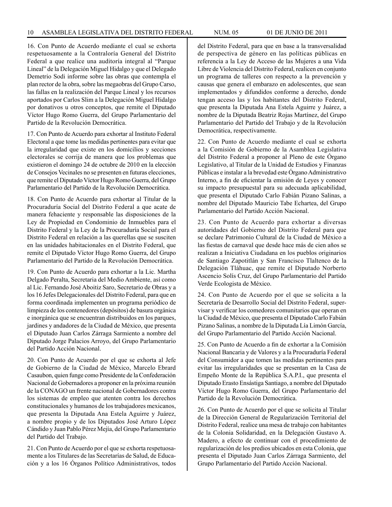16. Con Punto de Acuerdo mediante el cual se exhorta respetuosamente a la Contraloría General del Distrito Federal a que realice una auditoría integral al "Parque Lineal" de la Delegación Miguel Hidalgo y que el Delegado Demetrio Sodi informe sobre las obras que contempla el plan rector de la obra, sobre las megaobras del Grupo Carso, las fallas en la realización del Parque Lineal y los recursos aportados por Carlos Slim a la Delegación Miguel Hidalgo por donativos u otros conceptos, que remite el Diputado Víctor Hugo Romo Guerra, del Grupo Parlamentario del Partido de la Revolución Democrática.

17. Con Punto de Acuerdo para exhortar al Instituto Federal Electoral a que tome las medidas pertinentes para evitar que la irregularidad que existe en los domicilios y secciones electorales se corrija de manera que los problemas que existieron el domingo 24 de octubre de 2010 en la elección de Consejos Vecinales no se presenten en futuras elecciones, que remite el Diputado Víctor Hugo Romo Guerra, del Grupo Parlamentario del Partido de la Revolución Democrática.

18. Con Punto de Acuerdo para exhortar al Titular de la Procuraduría Social del Distrito Federal a que acate de manera fehaciente y responsable las disposiciones de la Ley de Propiedad en Condominio de Inmuebles para el Distrito Federal y la Ley de la Procuraduría Social para el Distrito Federal en relación a las querellas que se susciten en las unidades habitacionales en el Distrito Federal, que remite el Diputado Víctor Hugo Romo Guerra, del Grupo Parlamentario del Partido de la Revolución Democrática.

19. Con Punto de Acuerdo para exhortar a la Lic. Martha Delgado Peralta, Secretaria del Medio Ambiente, así como al Lic. Fernando José Aboitiz Saro, Secretario de Obras y a los 16 Jefes Delegacionales del Distrito Federal, para que en forma coordinada implementen un programa periódico de limpieza de los contenedores (depósitos) de basura orgánica e inorgánica que se encuentran distribuidos en los parques, jardines y andadores de la Ciudad de México, que presenta el Diputado Juan Carlos Zárraga Sarmiento a nombre del Diputado Jorge Palacios Arroyo, del Grupo Parlamentario del Partido Acción Nacional.

20. Con Punto de Acuerdo por el que se exhorta al Jefe de Gobierno de la Ciudad de México, Marcelo Ebrard Casaubon, quien funge como Presidente de la Confederación Nacional de Gobernadores a proponer en la próxima reunión de la CONAGO un frente nacional de Gobernadores contra los sistemas de empleo que atenten contra los derechos constitucionales y humanos de los trabajadores mexicanos, que presenta la Diputada Ana Estela Aguirre y Juárez, a nombre propio y de los Diputados José Arturo López Cándido y Juan Pablo Pérez Mejía, del Grupo Parlamentario del Partido del Trabajo.

21. Con Punto de Acuerdo por el que se exhorta respetuosamente a los Titulares de las Secretarías de Salud, de Educación y a los 16 Órganos Político Administrativos, todos del Distrito Federal, para que en base a la transversalidad de perspectiva de género en las políticas públicas en referencia a la Ley de Acceso de las Mujeres a una Vida Libre de Violencia del Distrito Federal, realicen en conjunto un programa de talleres con respecto a la prevención y causas que genera el embarazo en adolescentes, que sean implementados y difundidos conforme a derecho, donde tengan acceso las y los habitantes del Distrito Federal, que presenta la Diputada Ana Estela Aguirre y Juárez, a nombre de la Diputada Beatriz Rojas Martínez, del Grupo Parlamentario del Partido del Trabajo y de la Revolución Democrática, respectivamente.

22. Con Punto de Acuerdo mediante el cual se exhorta a la Comisión de Gobierno de la Asamblea Legislativa del Distrito Federal a proponer al Pleno de este Órgano Legislativo, al Titular de la Unidad de Estudios y Finanzas Públicas e instalar a la brevedad este Órgano Administrativo Interno, a fin de eficientar la emisión de Leyes y conocer su impacto presupuestal para su adecuada aplicabilidad, que presenta el Diputado Carlo Fabián Pizano Salinas, a nombre del Diputado Mauricio Tabe Echartea, del Grupo Parlamentario del Partido Acción Nacional.

23. Con Punto de Acuerdo para exhortar a diversas autoridades del Gobierno del Distrito Federal para que se declare Patrimonio Cultural de la Ciudad de México a las fiestas de carnaval que desde hace más de cien años se realizan a Iniciativa Ciudadana en los pueblos originarios de Santiago Zapotitlán y San Francisco Tlaltenco de la Delegación Tláhuac, que remite el Diputado Norberto Ascencio Solís Cruz, del Grupo Parlamentario del Partido Verde Ecologista de México.

24. Con Punto de Acuerdo por el que se solicita a la Secretaría de Desarrollo Social del Distrito Federal, supervisar y verificar los comedores comunitarios que operan en la Ciudad de México, que presenta el Diputado Carlo Fabián Pizano Salinas, a nombre de la Diputada Lía Limón García, del Grupo Parlamentario del Partido Acción Nacional.

25. Con Punto de Acuerdo a fin de exhortar a la Comisión Nacional Bancaria y de Valores y a la Procuraduría Federal del Consumidor a que tomen las medidas pertinentes para evitar las irregularidades que se presentan en la Casa de Empeño Monte de la República S.A.P.I., que presenta el Diputado Erasto Ensástiga Santiago, a nombre del Diputado Víctor Hugo Romo Guerra, del Grupo Parlamentario del Partido de la Revolución Democrática.

26. Con Punto de Acuerdo por el que se solicita al Titular de la Dirección General de Regularización Territorial del Distrito Federal, realice una mesa de trabajo con habitantes de la Colonia Solidaridad, en la Delegación Gustavo A. Madero, a efecto de continuar con el procedimiento de regularización de los predios ubicados en esta Colonia, que presenta el Diputado Juan Carlos Zárraga Sarmiento, del Grupo Parlamentario del Partido Acción Nacional.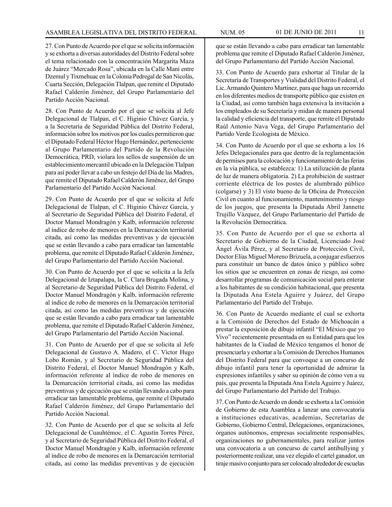27. Con Punto de Acuerdo por el que se solicita información y se exhorta a diversas autoridades del Distrito Federal sobre el tema relacionado con la concentración Margarita Maza de Juárez "Mercado Rosa", ubicada en la Calle Maní entre Dzemul y Tixmehuac en la Colonia Pedregal de San Nicolás, Cuarta Sección, Delegación Tlalpan, que remite el Diputado Rafael Calderón Jiménez, del Grupo Parlamentario del Partido Acción Nacional.

28. Con Punto de Acuerdo por el que se solicita al Jefe Delegacional de Tlalpan, el C. Higinio Chávez García, y a la Secretaría de Seguridad Pública del Distrito Federal, información sobre los motivos por los cuales permitieron que el Diputado Federal Héctor Hugo Hernández, perteneciente al Grupo Parlamentario del Partido de la Revolución Democrática, PRD, violara los sellos de suspensión de un establecimiento mercantil ubicado en la Delegación Tlalpan para así poder llevar a cabo un festejo del Día de las Madres, que remite el Diputado Rafael Calderón Jiménez, del Grupo Parlamentario del Partido Acción Nacional.

29. Con Punto de Acuerdo por el que se solicita al Jefe Delegacional de Tlalpan, el C. Higinio Chávez García, y al Secretario de Seguridad Pública del Distrito Federal, el Doctor Manuel Mondragón y Kalb, información referente al índice de robo de menores en la Demarcación territorial citada, así como las medidas preventivas y de ejecución que se están llevando a cabo para erradicar tan lamentable problema, que remite el Diputado Rafael Calderón Jiménez, del Grupo Parlamentario del Partido Acción Nacional.

30. Con Punto de Acuerdo por el que se solicita a la Jefa Delegacional de Iztapalapa, la C. Clara Brugada Molina, y al Secretario de Seguridad Pública del Distrito Federal, el Doctor Manuel Mondragón y Kalb, información referente al índice de robo de menores en la Demarcación territorial citada, así como las medidas preventivas y de ejecución que se están llevando a cabo para erradicar tan lamentable problema, que remite el Diputado Rafael Calderón Jiménez, del Grupo Parlamentario del Partido Acción Nacional.

31. Con Punto de Acuerdo por el que se solicita al Jefe Delegacional de Gustavo A. Madero, el C. Víctor Hugo Lobo Román, y al Secretario de Seguridad Pública del Distrito Federal, el Doctor Manuel Mondragón y Kalb, información referente al índice de robo de menores en la Demarcación territorial citada, así como las medidas preventivas y de ejecución que se están llevando a cabo para erradicar tan lamentable problema, que remite el Diputado Rafael Calderón Jiménez, del Grupo Parlamentario del Partido Acción Nacional.

32. Con Punto de Acuerdo por el que se solicita al Jefe Delegacional de Cuauhtémoc, el C. Agustín Torres Pérez, y al Secretario de Seguridad Pública del Distrito Federal, el Doctor Manuel Mondragón y Kalb, información referente al índice de robo de menores en la Demarcación territorial citada, así como las medidas preventivas y de ejecución que se están llevando a cabo para erradicar tan lamentable problema que remite el Diputado Rafael Calderón Jiménez, del Grupo Parlamentario del Partido Acción Nacional.

33. Con Punto de Acuerdo para exhortar al Titular de la Secretaría de Transportes y Vialidad del Distrito Federal, el Lic. Armando Quintero Martínez, para que haga un recorrido en los diferentes medios de transporte público que existen en la Ciudad, así como también haga extensiva la invitación a los empleados de su Secretaría y midan de manera personal la calidad y eficiencia del transporte, que remite el Diputado Raúl Antonio Nava Vega, del Grupo Parlamentario del Partido Verde Ecologista de México.

34. Con Punto de Acuerdo por el que se exhorta a los 16 Jefes Delegacionales para que dentro de la reglamentación de permisos para la colocación y funcionamiento de las ferias en la vía pública, se establezca: 1) La utilización de planta de luz de manera obligatoria. 2) La prohibición de sustraer corriente eléctrica de los postes de alumbrado público (colgarse) y 3) El visto bueno de la Oficina de Protección Civil en cuanto al funcionamiento, mantenimiento y riesgo de los juegos, que presenta la Diputada Abril Jannette Trujillo Vázquez, del Grupo Parlamentario del Partido de la Revolución Democrática.

35. Con Punto de Acuerdo por el que se exhorta al Secretario de Gobierno de la Ciudad, Licenciado José Ángel Ávila Pérez, y al Secretario de Protección Civil, Doctor Elías Miguel Moreno Brizuela, a conjugar esfuerzos para constituir un banco de datos único y público sobre los sitios que se encuentren en zonas de riesgo, así como desarrollar programas de comunicación social para enterar a los habitantes de su condición habitacional, que presenta la Diputada Ana Estela Aguirre y Juárez, del Grupo Parlamentario del Partido del Trabajo.

36. Con Punto de Acuerdo mediante el cual se exhorta a la Comisión de Derechos del Estado de Michoacán a prestar la exposición de dibujo infantil "El México que yo Vivo" recientemente presentada en su Entidad para que los habitantes de la Ciudad de México tengamos el honor de presenciarla y exhortar a la Comisión de Derechos Humanos del Distrito Federal para que convoque a un concurso de dibujo infantil para tener la oportunidad de admirar la expresiones infantiles y saber su opinión de cómo ven a su país, que presenta la Diputada Ana Estela Aguirre y Juárez, del Grupo Parlamentario del Partido del Trabajo.

37. Con Punto de Acuerdo en donde se exhorta a la Comisión de Gobierno de esta Asamblea a lanzar una convocatoria a instituciones educativas, academias, Secretarías de Gobierno, Gobierno Central, Delegaciones, organizaciones, órganos autónomos, empresas socialmente responsables, organizaciones no gubernamentales, para realizar juntos una convocatoria a un concurso de cartel antibullying y posteriormente realizar, una vez elegido el cartel ganador, un tiraje masivo conjunto para ser colocado alrededor de escuelas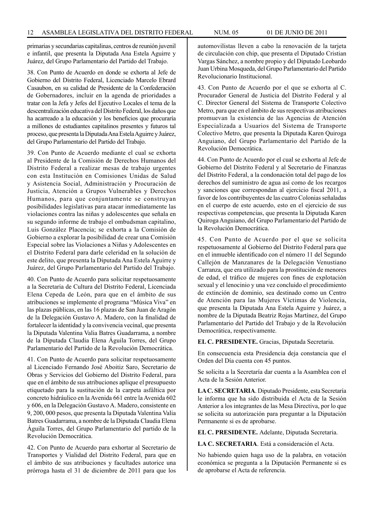primarias y secundarias capitalinas, centros de reunión juvenil e infantil, que presenta la Diputada Ana Estela Aguirre y Juárez, del Grupo Parlamentario del Partido del Trabajo.

38. Con Punto de Acuerdo en donde se exhorta al Jefe de Gobierno del Distrito Federal, Licenciado Marcelo Ebrard Casaubon, en su calidad de Presidente de la Confederación de Gobernadores, incluir en la agenda de prioridades a tratar con la Jefa y Jefes del Ejecutivo Locales el tema de la descentralización educativa del Distrito Federal, los daños que ha acarreado a la educación y los beneficios que procuraría a millones de estudiantes capitalinos presentes y futuros tal proceso, que presenta la Diputada Ana Estela Aguirre y Juárez, del Grupo Parlamentario del Partido del Trabajo.

39. Con Punto de Acuerdo mediante el cual se exhorta al Presidente de la Comisión de Derechos Humanos del Distrito Federal a realizar mesas de trabajo urgentes con esta Institución en Comisiones Unidas de Salud y Asistencia Social, Administración y Procuración de Justicia, Atención a Grupos Vulnerables y Derechos Humanos, para que conjuntamente se construyan posibilidades legislativas para atacar inmediatamente las violaciones contra las niñas y adolescentes que señala en su segundo informe de trabajo el ombudsman capitalino, Luis González Placencia; se exhorta a la Comisión de Gobierno a explorar la posibilidad de crear una Comisión Especial sobre las Violaciones a Niñas y Adolescentes en el Distrito Federal para darle celeridad en la solución de este delito, que presenta la Diputada Ana Estela Aguirre y Juárez, del Grupo Parlamentario del Partido del Trabajo.

40. Con Punto de Acuerdo para solicitar respetuosamente a la Secretaria de Cultura del Distrito Federal, Licenciada Elena Cepeda de León, para que en el ámbito de sus atribuciones se implemente el programa "Música Viva" en las plazas públicas, en las 16 plazas de San Juan de Aragón de la Delegación Gustavo A. Madero, con la finalidad de fortalecer la identidad y la convivencia vecinal, que presenta la Diputada Valentina Valia Batres Guadarrama, a nombre de la Diputada Claudia Elena Águila Torres, del Grupo Parlamentario del Partido de la Revolución Democrática.

41. Con Punto de Acuerdo para solicitar respetuosamente al Licenciado Fernando José Aboitiz Saro, Secretario de Obras y Servicios del Gobierno del Distrito Federal, para que en el ámbito de sus atribuciones aplique el presupuesto etiquetado para la sustitución de la carpeta asfáltica por concreto hidráulico en la Avenida 661 entre la Avenida 602 y 606, en la Delegación Gustavo A. Madero, consistente en 9, 200, 000 pesos, que presenta la Diputada Valentina Valia Batres Guadarrama, a nombre de la Diputada Claudia Elena Águila Torres, del Grupo Parlamentario del partido de la Revolución Democrática.

42. Con Punto de Acuerdo para exhortar al Secretario de Transportes y Vialidad del Distrito Federal, para que en el ámbito de sus atribuciones y facultades autorice una prórroga hasta el 31 de diciembre de 2011 para que los automovilistas lleven a cabo la renovación de la tarjeta de circulación con chip, que presenta el Diputado Cristian Vargas Sánchez, a nombre propio y del Diputado Leobardo Juan Urbina Mosqueda, del Grupo Parlamentario del Partido Revolucionario Institucional.

43. Con Punto de Acuerdo por el que se exhorta al C. Procurador General de Justicia del Distrito Federal y al C. Director General del Sistema de Transporte Colectivo Metro, para que en el ámbito de sus respectivas atribuciones promuevan la existencia de las Agencias de Atención Especializada a Usuarios del Sistema de Transporte Colectivo Metro, que presenta la Diputada Karen Quiroga Anguiano, del Grupo Parlamentario del Partido de la Revolución Democrática.

44. Con Punto de Acuerdo por el cual se exhorta al Jefe de Gobierno del Distrito Federal y al Secretario de Finanzas del Distrito Federal, a la condonación total del pago de los derechos del suministro de agua así como de los recargos y sanciones que correspondan al ejercicio fiscal 2011, a favor de los contribuyentes de las cuatro Colonias señaladas en el cuerpo de este acuerdo, esto en el ejercicio de sus respectivas competencias, que presenta la Diputada Karen Quiroga Anguiano, del Grupo Parlamentario del Partido de la Revolución Democrática.

45. Con Punto de Acuerdo por el que se solicita respetuosamente al Gobierno del Distrito Federal para que en el inmueble identificado con el número 11 del Segundo Callejón de Manzanares de la Delegación Venustiano Carranza, que era utilizado para la prostitución de menores de edad, el tráfico de mujeres con fines de explotación sexual y el lenocinio y una vez concluido el procedimiento de extinción de dominio, sea destinado como un Centro de Atención para las Mujeres Víctimas de Violencia, que presenta la Diputada Ana Estela Aguirre y Juárez, a nombre de la Diputada Beatriz Rojas Martínez, del Grupo Parlamentario del Partido del Trabajo y de la Revolución Democrática, respectivamente.

**EL C. PRESIDENTE.** Gracias, Diputada Secretaria.

En consecuencia esta Presidencia deja constancia que el Orden del Día cuenta con 45 puntos.

Se solicita a la Secretaría dar cuenta a la Asamblea con el Acta de la Sesión Anterior.

**LA C. SECRETARIA**. Diputado Presidente, esta Secretaría le informa que ha sido distribuida el Acta de la Sesión Anterior a los integrantes de las Mesa Directiva, por lo que se solicita su autorización para preguntar a la Diputación Permanente si es de aprobarse.

**EL C. PRESIDENTE.** Adelante, Diputada Secretaria.

**LA C. SECRETARIA**. Está a consideración el Acta.

No habiendo quien haga uso de la palabra, en votación económica se pregunta a la Diputación Permanente si es de aprobarse el Acta de referencia.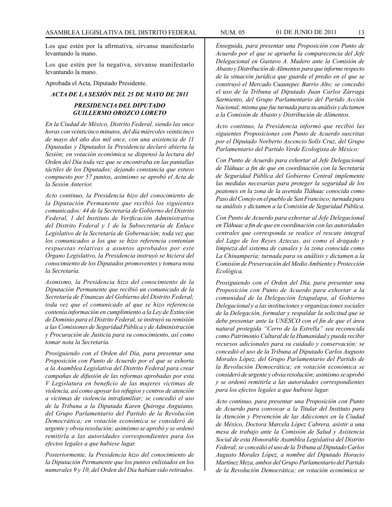Los que estén por la afirmativa, sírvanse manifestarlo levantando la mano.

Los que estén por la negativa, sírvanse manifestarlo levantando la mano.

Aprobada el Acta, Diputado Presidente.

#### *ACTA DE LA SESIÓN DEL 25 DE MAYO DE 2011*

# *PRESIDENCIA DEL DIPUTADO GUILLERMO OROZCO LORETO*

*En la Ciudad de México, Distrito Federal, siendo las once horas con veinticinco minutos, del día miércoles veinticinco de mayo del año dos mil once, con una asistencia de 11 Diputadas y Diputados la Presidencia declaró abierta la Sesión; en votación económica se dispensó la lectura del Orden del Día toda vez que se encontraba en las pantallas táctiles de los Diputados; dejando constancia que estuvo compuesto por 57 puntos, asimismo se aprobó el Acta de la Sesión Anterior.*

*Acto continuo, la Presidencia hizo del conocimiento de la Diputación Permanente que recibió los siguientes comunicados: 44 de la Secretaría de Gobierno del Distrito Federal, 1 del Instituto de Verificación Administrativa del Distrito Federal y 1 de la Subsecretaría de Enlace Legislativo de la Secretaría de Gobernación; toda vez que los comunicados a los que se hizo referencia contenían respuestas relativas a asuntos aprobados por este Órgano Legislativo, la Presidencia instruyó se hiciera del conocimiento de los Diputados promoventes y tomara nota la Secretaría.* 

*Asimismo, la Presidencia hizo del conocimiento de la Diputación Permanente que recibió un comunicado de la Secretaría de Finanzas del Gobierno del Distrito Federal; toda vez que el comunicado al que se hizo referencia contenía información en cumplimiento a la Ley de Extinción de Dominio para el Distrito Federal, se instruyó su remisión a las Comisiones de Seguridad Pública y de Administración y Procuración de Justicia para su conocimiento, así como tomar nota la Secretaría.*

*Prosiguiendo con el Orden del Día, para presentar una Proposición con Punto de Acuerdo por el que se exhorta a la Asamblea Legislativa del Distrito Federal para crear campañas de difusión de las reformas aprobadas por esta V Legislatura en beneficio de las mujeres víctimas de violencia, así como apoyar los refugios y centros de atención a víctimas de violencia intrafamiliar; se concedió el uso de la Tribuna a la Diputada Karen Quiroga Anguiano, del Grupo Parlamentario del Partido de la Revolución Democrática; en votación económica se consideró de urgente y obvia resolución; asimismo se aprobó y se ordenó remitirla a las autoridades correspondientes para los efectos legales a que hubiese lugar.*

*Posteriormente, la Presidencia hizo del conocimiento de la Diputación Permanente que los puntos enlistados en los numerales 9 y 10, del Orden del Día habían sido retirados.*

*Enseguida, para presentar una Proposición con Punto de Acuerdo por el que se aprueba la comparecencia del Jefe Delegacional en Gustavo A. Madero ante la Comisión de Abasto y Distribución de Alimentos para que informe respecto de la situación jurídica que guarda el predio en el que se construyó el Mercado Cuautepec Barrio Alto; se concedió el uso de la Tribuna al Diputado Juan Carlos Zárraga Sarmiento, del Grupo Parlamentario del Partido Acción Nacional; misma que fue turnada para su análisis y dictamen a la Comisión de Abasto y Distribución de Alimentos.*

*Acto continuo, la Presidencia informó que recibió las siguientes Proposiciones con Punto de Acuerdo suscritas por el Diputado Norberto Ascencio Solís Cruz, del Grupo Parlamentario del Partido Verde Ecologista de México:*

*Con Punto de Acuerdo para exhortar al Jefe Delegacional de Tláhuac a fin de que en coordinación con la Secretaría de Seguridad Pública del Gobierno Central implemente las medidas necesarias para proteger la seguridad de los peatones en la zona de la avenida Tláhuac conocida como Paso del Conejo en el pueblo de San Francisco; turnada para su análisis y dictamen a la Comisión de Seguridad Pública.*

*Con Punto de Acuerdo para exhortar al Jefe Delegacional en Tláhuac a fin de que en coordinación con las autoridades centrales que corresponda se realice el rescate integral del Lago de los Reyes Aztecas, así como el dragado y limpieza del sistema de canales y la zona conocida como La Chinampería; turnada para su análisis y dictamen a la Comisión de Preservación del Medio Ambiente y Protección Ecológica.*

*Prosiguiendo con el Orden del Día, para presentar una Proposición con Punto de Acuerdo para exhortar a la comunidad de la Delegación Iztapalapa, al Gobierno Delegacional y a las instituciones y organizaciones sociales de la Delegación, formular y respaldar la solicitud que se debe presentar ante la UNESCO con el fin de que el área natural protegida "Cerro de la Estrella" sea reconocida como Patrimonio Cultural de la Humanidad y pueda recibir recursos adicionales para su cuidado y conservación; se concedió el uso de la Tribuna al Diputado Carlos Augusto Morales López, del Grupo Parlamentario del Partido de la Revolución Democrática; en votación económica se consideró de urgente y obvia resolución; asimismo se aprobó y se ordenó remitirla a las autoridades correspondientes para los efectos legales a que hubiese lugar.*

*Acto continuo, para presentar una Proposición con Punto de Acuerdo para convocar a la Titular del Instituto para la Atención y Prevención de las Adicciones en la Ciudad de México, Doctora Marcela López Cabrera, asistir a una mesa de trabajo ante la Comisión de Salud y Asistencia Social de esta Honorable Asamblea Legislativa del Distrito Federal; se concedió el uso de la Tribuna al Diputado Carlos Augusto Morales López, a nombre del Diputado Horacio Martínez Meza, ambos del Grupo Parlamentario del Partido de la Revolución Democrática; en votación económica se*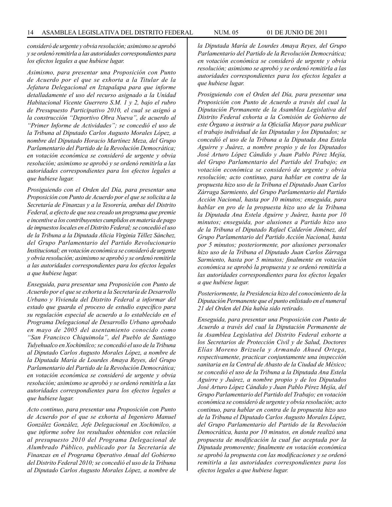*consideró de urgente y obvia resolución; asimismo se aprobó y se ordenó remitirla a las autoridades correspondientes para los efectos legales a que hubiese lugar.*

*Asimismo, para presentar una Proposición con Punto de Acuerdo por el que se exhorta a la Titular de la Jefatura Delegacional en Iztapalapa para que informe detalladamente el uso del recurso asignado a la Unidad Habitacional Vicente Guerrero S.M. 1 y 2, bajo el rubro de Presupuesto Participativo 2010, el cual se asignó a la construcción "Deportivo Obra Nueva", de acuerdo al "Primer Informe de Actividades"; se concedió el uso de la Tribuna al Diputado Carlos Augusto Morales López, a nombre del Diputado Horacio Martínez Meza, del Grupo Parlamentario del Partido de la Revolución Democrática; en votación económica se consideró de urgente y obvia resolución; asimismo se aprobó y se ordenó remitirla a las autoridades correspondientes para los efectos legales a que hubiese lugar.*

*Prosiguiendo con el Orden del Día, para presentar una Proposición con Punto de Acuerdo por el que se solicita a la Secretaría de Finanzas y a la Tesorería, ambas del Distrito Federal, a efecto de que sea creado un programa que premie e incentive a los contribuyentes cumplidos en materia de pago de impuestos locales en el Distrito Federal; se concedió el uso de la Tribuna a la Diputada Alicia Virginia Téllez Sánchez, del Grupo Parlamentario del Partido Revolucionario Institucional; en votación económica se consideró de urgente y obvia resolución; asimismo se aprobó y se ordenó remitirla a las autoridades correspondientes para los efectos legales a que hubiese lugar.*

*Enseguida, para presentar una Proposición con Punto de Acuerdo por el que se exhorta a la Secretaría de Desarrollo Urbano y Vivienda del Distrito Federal a informar del estado que guarda el proceso de estudio específico para su regulación especial de acuerdo a lo establecido en el Programa Delegacional de Desarrollo Urbano aprobado en mayo de 2005 del asentamiento conocido como "San Francisco Chiquimola", del Pueblo de Santiago Tulyehualco en Xochimilco; se concedió el uso de la Tribuna al Diputado Carlos Augusto Morales López, a nombre de la Diputada María de Lourdes Amaya Reyes, del Grupo Parlamentario del Partido de la Revolución Democrática; en votación económica se consideró de urgente y obvia resolución; asimismo se aprobó y se ordenó remitirla a las autoridades correspondientes para los efectos legales a que hubiese lugar.*

*Acto continuo, para presentar una Proposición con Punto de Acuerdo por el que se exhorta al Ingeniero Manuel González González, Jefe Delegacional en Xochimilco, a que informe sobre los resultados obtenidos con relación al presupuesto 2010 del Programa Delegacional de Alumbrado Público, publicado por la Secretaría de Finanzas en el Programa Operativo Anual del Gobierno del Distrito Federal 2010; se concedió el uso de la Tribuna al Diputado Carlos Augusto Morales López, a nombre de*  *la Diputada María de Lourdes Amaya Reyes, del Grupo Parlamentario del Partido de la Revolución Democrática; en votación económica se consideró de urgente y obvia resolución; asimismo se aprobó y se ordenó remitirla a las autoridades correspondientes para los efectos legales a que hubiese lugar.*

*Prosiguiendo con el Orden del Día, para presentar una Proposición con Punto de Acuerdo a través del cual la Diputación Permanente de la Asamblea Legislativa del Distrito Federal exhorta a la Comisión de Gobierno de este Órgano a instruir a la Oficialía Mayor para publicar el trabajo individual de las Diputadas y los Diputados; se concedió el uso de la Tribuna a la Diputada Ana Estela Aguirre y Juárez, a nombre propio y de los Diputados José Arturo López Cándido y Juan Pablo Pérez Mejía, del Grupo Parlamentario del Partido del Trabajo; en votación económica se consideró de urgente y obvia resolución; acto continuo, para hablar en contra de la propuesta hizo uso de la Tribuna el Diputado Juan Carlos Zárraga Sarmiento, del Grupo Parlamentario del Partido Acción Nacional, hasta por 10 minutos; enseguida, para hablar en pro de la propuesta hizo uso de la Tribuna la Diputada Ana Estela Aguirre y Juárez, hasta por 10 minutos; enseguida, por alusiones a Partido hizo uso de la Tribuna el Diputado Rafael Calderón Jiménez, del Grupo Parlamentario del Partido Acción Nacional, hasta por 5 minutos; posteriormente, por alusiones personales hizo uso de la Tribuna el Diputado Juan Carlos Zárraga Sarmiento, hasta por 5 minutos; finalmente en votación económica se aprobó la propuesta y se ordenó remitirla a las autoridades correspondientes para los efectos legales a que hubiese lugar.*

*Posteriormente, la Presidencia hizo del conocimiento de la Diputación Permanente que el punto enlistado en el numeral 21 del Orden del Día había sido retirado.*

*Enseguida, para presentar una Proposición con Punto de Acuerdo a través del cual la Diputación Permanente de la Asamblea Legislativa del Distrito Federal exhorte a los Secretarios de Protección Civil y de Salud, Doctores Elías Moreno Brizuela y Armando Ahued Ortega, respectivamente, practicar conjuntamente una inspección sanitaria en la Central de Abasto de la Ciudad de México; se concedió el uso de la Tribuna a la Diputada Ana Estela Aguirre y Juárez, a nombre propio y de los Diputados José Arturo López Cándido y Juan Pablo Pérez Mejía, del Grupo Parlamentario del Partido del Trabajo; en votación económica se consideró de urgente y obvia resolución; acto continuo, para hablar en contra de la propuesta hizo uso de la Tribuna el Diputado Carlos Augusto Morales López, del Grupo Parlamentario del Partido de la Revolución Democrática, hasta por 10 minutos, en donde realizó una propuesta de modificación la cual fue aceptada por la Diputada promovente; finalmente en votación económica se aprobó la propuesta con las modificaciones y se ordenó remitirla a las autoridades correspondientes para los efectos legales a que hubiese lugar.*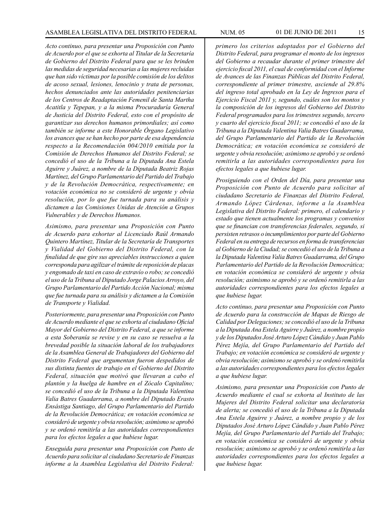*Acto continuo, para presentar una Proposición con Punto de Acuerdo por el que se exhorta al Titular de la Secretaría de Gobierno del Distrito Federal para que se les brinden las medidas de seguridad necesarias a las mujeres recluidas que han sido víctimas por la posible comisión de los delitos de acoso sexual, lesiones, lenocinio y trata de personas, hechos denunciados ante las autoridades penitenciarias de los Centros de Readaptación Femenil de Santa Martha Acatitla y Tepepan, y a la misma Procuraduría General de Justicia del Distrito Federal, esto con el propósito de garantizar sus derechos humanos primordiales; así como también se informe a este Honorable Órgano Legislativo los avances que se han hecho por parte de esa dependencia respecto a la Recomendación 004/2010 emitida por la Comisión de Derechos Humanos del Distrito Federal; se concedió el uso de la Tribuna a la Diputada Ana Estela Aguirre y Juárez, a nombre de la Diputada Beatriz Rojas Martínez, del Grupo Parlamentario del Partido del Trabajo y de la Revolución Democrática, respectivamente; en votación económica no se consideró de urgente y obvia resolución, por lo que fue turnada para su análisis y dictamen a las Comisiones Unidas de Atención a Grupos Vulnerables y de Derechos Humanos.*

*Asimismo, para presentar una Proposición con Punto de Acuerdo para exhortar al Licenciado Raúl Armando Quintero Martínez, Titular de la Secretaría de Transportes y Vialidad del Gobierno del Distrito Federal, con la finalidad de que gire sus apreciables instrucciones a quien corresponda para agilizar el trámite de reposición de placas y engomado de taxi en caso de extravío o robo; se concedió el uso de la Tribuna al Diputado Jorge Palacios Arroyo, del Grupo Parlamentario del Partido Acción Nacional; misma que fue turnada para su análisis y dictamen a la Comisión de Transporte y Vialidad.*

*Posteriormente, para presentar una Proposición con Punto de Acuerdo mediante el que se exhorta al ciudadano Oficial Mayor del Gobierno del Distrito Federal, a que se informe a esta Soberanía se revise y en su caso se resuelva a la brevedad posible la situación laboral de los trabajadores de la Asamblea General de Trabajadores del Gobierno del Distrito Federal que argumentan fueron despedidos de sus distinta fuentes de trabajo en el Gobierno del Distrito Federal, situación que motivó que llevaran a cabo el plantón y la huelga de hambre en el Zócalo Capitalino; se concedió el uso de la Tribuna a la Diputada Valentina Valia Batres Guadarrama, a nombre del Diputado Erasto Ensástiga Santiago, del Grupo Parlamentario del Partido de la Revolución Democrática; en votación económica se consideró de urgente y obvia resolución; asimismo se aprobó y se ordenó remitirla a las autoridades correspondientes para los efectos legales a que hubiese lugar.* 

*Enseguida para presentar una Proposición con Punto de Acuerdo para solicitar al ciudadano Secretario de Finanzas informe a la Asamblea Legislativa del Distrito Federal:* 

*primero los criterios adoptados por el Gobierno del Distrito Federal, para programar el monto de los ingresos del Gobierno a recaudar durante el primer trimestre del ejercicio fiscal 2011, el cual de conformidad con el Informe de Avances de las Finanzas Públicas del Distrito Federal, correspondiente al primer trimestre, asciende al 29.8% del ingreso total aprobado en la Ley de Ingresos para el Ejercicio Fiscal 2011 y, segundo, cuáles son los montos y la composición de los ingresos del Gobierno del Distrito Federal programados para los trimestres segundo, tercero y cuarto del ejercicio fiscal 2011; se concedió el uso de la Tribuna a la Diputada Valentina Valia Batres Guadarrama, del Grupo Parlamentario del Partido de la Revolución Democrática; en votación económica se consideró de urgente y obvia resolución; asimismo se aprobó y se ordenó remitirla a las autoridades correspondientes para los efectos legales a que hubiese lugar.*

*Prosiguiendo con el Orden del Día, para presentar una Proposición con Punto de Acuerdo para solicitar al ciudadano Secretario de Finanzas del Distrito Federal, Armando López Cárdenas, informe a la Asamblea Legislativa del Distrito Federal: primero, el calendario y estado que tienen actualmente los programas y convenios que se financian con transferencias federales, segundo, si persisten retrasos o incumplimientos por parte del Gobierno Federal en su entrega de recursos en forma de transferencias al Gobierno de la Ciudad; se concedió el uso de la Tribuna a la Diputada Valentina Valia Batres Guadarrama, del Grupo Parlamentario del Partido de la Revolución Democrática; en votación económica se consideró de urgente y obvia resolución; asimismo se aprobó y se ordenó remitirla a las autoridades correspondientes para los efectos legales a que hubiese lugar.*

*Acto continuo, para presentar una Proposición con Punto de Acuerdo para la construcción de Mapas de Riesgo de Calidad por Delegaciones; se concedió el uso de la Tribuna a la Diputada Ana Estela Aguirre y Juárez, a nombre propio y de los Diputados José Arturo López Cándido y Juan Pablo Pérez Mejía, del Grupo Parlamentario del Partido del Trabajo; en votación económica se consideró de urgente y obvia resolución; asimismo se aprobó y se ordenó remitirla a las autoridades correspondientes para los efectos legales a que hubiese lugar.*

*Asimismo, para presentar una Proposición con Punto de Acuerdo mediante el cual se exhorta al Instituto de las Mujeres del Distrito Federal solicitar una declaratoria de alerta; se concedió el uso de la Tribuna a la Diputada Ana Estela Aguirre y Juárez, a nombre propio y de los Diputados José Arturo López Cándido y Juan Pablo Pérez Mejía, del Grupo Parlamentario del Partido del Trabajo; en votación económica se consideró de urgente y obvia resolución; asimismo se aprobó y se ordenó remitirla a las autoridades correspondientes para los efectos legales a que hubiese lugar.*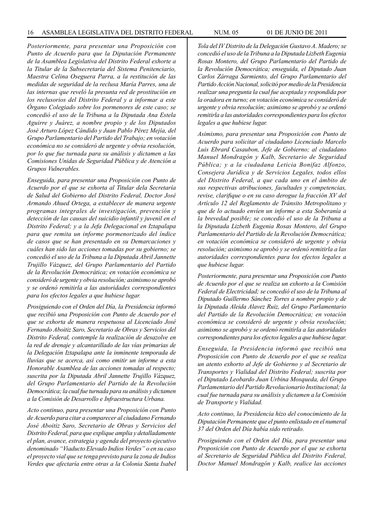*Posteriormente, para presentar una Proposición con Punto de Acuerdo para que la Diputación Permanente de la Asamblea Legislativa del Distrito Federal exhorte a la Titular de la Subsecretaría del Sistema Penitenciario, Maestra Celina Oseguera Parra, a la restitución de las medidas de seguridad de la reclusa María Parres, una de las internas que reveló la presunta red de prostitución en los reclusorios del Distrito Federal y a informar a este Órgano Colegiado sobre los pormenores de este caso; se concedió el uso de la Tribuna a la Diputada Ana Estela Aguirre y Juárez, a nombre propio y de los Diputados José Arturo López Cándido y Juan Pablo Pérez Mejía, del Grupo Parlamentario del Partido del Trabajo; en votación económica no se consideró de urgente y obvia resolución, por lo que fue turnada para su análisis y dictamen a las Comisiones Unidas de Seguridad Pública y de Atención a Grupos Vulnerables.*

*Enseguida, para presentar una Proposición con Punto de Acuerdo por el que se exhorta al Titular dela Secretaría de Salud del Gobierno del Distrito Federal, Doctor José Armando Ahued Ortega, a establecer de manera urgente programas integrales de investigación, prevención y detección de las causas del suicidio infantil y juvenil en el Distrito Federal; y a la Jefa Delegacional en Iztapalapa para que remita un informe pormenorizado del índice de casos que se han presentado en su Demarcaciones y cuáles han sido las acciones tomadas por su gobierno; se concedió el uso de la Tribuna a la Diputada Abril Jannette Trujillo Vázquez, del Grupo Parlamentario del Partido de la Revolución Democrática; en votación económica se consideró de urgente y obvia resolución; asimismo se aprobó y se ordenó remitirla a las autoridades correspondientes para los efectos legales a que hubiese lugar.*

*Prosiguiendo con el Orden del Día, la Presidencia informó que recibió una Proposición con Punto de Acuerdo por el que se exhorta de manera respetuosa al Licenciado José Fernando Aboitiz Saro, Secretario de Obras y Servicios del Distrito Federal, contemple la realización de desazolve en la red de drenaje y alcantarillado de las vías primarias de la Delegación Iztapalapa ante la inminente temporada de lluvias que se acerca, así como emitir un informe a esta Honorable Asamblea de las acciones tomadas al respecto; suscrita por la Diputada Abril Jannette Trujillo Vázquez, del Grupo Parlamentario del Partido de la Revolución Democrática; la cual fue turnada para su análisis y dictamen a la Comisión de Desarrollo e Infraestructura Urbana.* 

*Acto continuo, para presentar una Proposición con Punto de Acuerdo para citar a comparecer al ciudadano Fernando José Aboitiz Saro, Secretario de Obras y Servicios del Distrito Federal, para que explique amplia y detalladamente el plan, avance, estrategia y agenda del proyecto ejecutivo denominado "Viaducto Elevado Indios Verdes" o en su caso el proyecto vial que se tenga previsto para la zona de Indios Verdes que afectaría entre otras a la Colonia Santa Isabel* 

*Tola del IV Distrito de la Delegación Gustavo A. Madero; se concedió el uso de la Tribuna a la Diputada Lizbeth Eugenia Rosas Montero, del Grupo Parlamentario del Partido de la Revolución Democrática; enseguida, el Diputado Juan Carlos Zárraga Sarmiento, del Grupo Parlamentario del Partido Acción Nacional, solicitó por medio de la Presidencia realizar una pregunta la cual fue aceptada y respondida por la oradora en turno; en votación económica se consideró de urgente y obvia resolución; asimismo se aprobó y se ordenó remitirla a las autoridades correspondientes para los efectos legales a que hubiese lugar.*

*Asimismo, para presentar una Proposición con Punto de Acuerdo para solicitar al ciudadano Licenciado Marcelo Luis Ebrard Casaubon, Jefe de Gobierno; al ciudadano Manuel Mondragón y Kalb, Secretario de Seguridad Pública; y a la ciudadana Leticia Bonifaz Alfonzo, Consejera Jurídica y de Servicios Legales, todos ellos del Distrito Federal, a que cada uno en el ámbito de sus respectivas atribuciones, facultades y competencias, revise, clarifique o en su caso derogue la fracción XV del Artículo 12 del Reglamento de Tránsito Metropolitano y que de lo actuado envíen un informe a esta Soberanía a la brevedad posible; se concedió el uso de la Tribuna a la Diputada Lizbeth Eugenia Rosas Montero, del Grupo Parlamentario del Partido de la Revolución Democrática; en votación económica se consideró de urgente y obvia resolución; asimismo se aprobó y se ordenó remitirla a las autoridades correspondientes para los efectos legales a que hubiese lugar.*

*Posteriormente, para presentar una Proposición con Punto de Acuerdo por el que se realiza un exhorto a la Comisión Federal de Electricidad; se concedió el uso de la Tribuna al Diputado Guillermo Sánchez Torres a nombre propio y de la Diputada Aleida Alavez Ruiz, del Grupo Parlamentario del Partido de la Revolución Democrática; en votación económica se consideró de urgente y obvia resolución; asimismo se aprobó y se ordenó remitirla a las autoridades correspondientes para los efectos legales a que hubiese lugar.*

*Enseguida, la Presidencia informó que recibió una Proposición con Punto de Acuerdo por el que se realiza un atento exhorto al Jefe de Gobierno y al Secretario de Transportes y Vialidad del Distrito Federal; suscrita por el Diputado Leobardo Juan Urbina Mosqueda, del Grupo Parlamentario del Partido Revolucionario Institucional; la cual fue turnada para su análisis y dictamen a la Comisión de Transporte y Vialidad.*

*Acto continuo, la Presidencia hizo del conocimiento de la Diputación Permanente que el punto enlistado en el numeral 37 del Orden del Día había sido retirado.*

*Prosiguiendo con el Orden del Día, para presentar una Proposición con Punto de Acuerdo por el que se exhorta al Secretario de Seguridad Pública del Distrito Federal, Doctor Manuel Mondragón y Kalb, realice las acciones*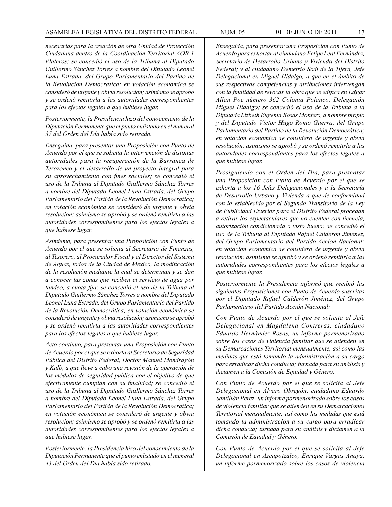*necesarias para la creación de otra Unidad de Protección Ciudadana dentro de la Coordinación Territorial AOB-1 Plateros; se concedió el uso de la Tribuna al Diputado Guillermo Sánchez Torres a nombre del Diputado Leonel Luna Estrada, del Grupo Parlamentario del Partido de la Revolución Democrática; en votación económica se consideró de urgente y obvia resolución; asimismo se aprobó y se ordenó remitirla a las autoridades correspondientes para los efectos legales a que hubiese lugar.*

*Posteriormente, la Presidencia hizo del conocimiento de la Diputación Permanente que el punto enlistado en el numeral 37 del Orden del Día había sido retirado.*

*Enseguida, para presentar una Proposición con Punto de Acuerdo por el que se solicita la intervención de distintas autoridades para la recuperación de la Barranca de Tezozonco y el desarrollo de un proyecto integral para su aprovechamiento con fines sociales; se concedió el uso de la Tribuna al Diputado Guillermo Sánchez Torres a nombre del Diputado Leonel Luna Estrada, del Grupo Parlamentario del Partido de la Revolución Democrática; en votación económica se consideró de urgente y obvia resolución; asimismo se aprobó y se ordenó remitirla a las autoridades correspondientes para los efectos legales a que hubiese lugar.*

*Asimismo, para presentar una Proposición con Punto de Acuerdo por el que se solicita al Secretario de Finanzas, al Tesorero, al Procurador Fiscal y al Director del Sistema de Aguas, todos de la Ciudad de México, la modificación de la resolución mediante la cual se determinan y se dan a conocer las zonas que reciben el servicio de agua por tandeo, a cuota fija; se concedió el uso de la Tribuna al Diputado Guillermo Sánchez Torres a nombre del Diputado Leonel Luna Estrada, del Grupo Parlamentario del Partido de la Revolución Democrática; en votación económica se consideró de urgente y obvia resolución; asimismo se aprobó y se ordenó remitirla a las autoridades correspondientes para los efectos legales a que hubiese lugar.*

*Acto continuo, para presentar una Proposición con Punto de Acuerdo por el que se exhorta al Secretario de Seguridad Pública del Distrito Federal, Doctor Manuel Mondragón y Kalb, a que lleve a cabo una revisión de la operación de los módulos de seguridad pública con el objetivo de que efectivamente cumplan con su finalidad; se concedió el uso de la Tribuna al Diputado Guillermo Sánchez Torres a nombre del Diputado Leonel Luna Estrada, del Grupo Parlamentario del Partido de la Revolución Democrática; en votación económica se consideró de urgente y obvia resolución; asimismo se aprobó y se ordenó remitirla a las autoridades correspondientes para los efectos legales a que hubiese lugar.*

*Posteriormente, la Presidencia hizo del conocimiento de la Diputación Permanente que el punto enlistado en el numeral 43 del Orden del Día había sido retirado.*

*Enseguida, para presentar una Proposición con Punto de Acuerdo para exhortar al ciudadano Felipe Leal Fernández, Secretario de Desarrollo Urbano y Vivienda del Distrito Federal; y al ciudadano Demetrio Sodi de la Tijera, Jefe Delegacional en Miguel Hidalgo, a que en el ámbito de sus respectivas competencias y atribuciones intervengan con la finalidad de revocar la obra que se edifica en Edgar Allan Poe número 362 Colonia Polanco, Delegación Miguel Hidalgo; se concedió el uso de la Tribuna a la Diputada Lizbeth Eugenia Rosas Montero, a nombre propio y del Diputado Víctor Hugo Romo Guerra, del Grupo Parlamentario del Partido de la Revolución Democrática; en votación económica se consideró de urgente y obvia resolución; asimismo se aprobó y se ordenó remitirla a las autoridades correspondientes para los efectos legales a que hubiese lugar.*

*Prosiguiendo con el Orden del Día, para presentar una Proposición con Punto de Acuerdo por el que se exhorta a los 16 Jefes Delegacionales y a la Secretaría de Desarrollo Urbano y Vivienda a que de conformidad con lo establecido por el Segundo Transitorio de la Ley de Publicidad Exterior para el Distrito Federal procedan a retirar los espectaculares que no cuenten con licencia, autorización condicionada o visto bueno; se concedió el uso de la Tribuna al Diputado Rafael Calderón Jiménez, del Grupo Parlamentario del Partido Acción Nacional; en votación económica se consideró de urgente y obvia resolución; asimismo se aprobó y se ordenó remitirla a las autoridades correspondientes para los efectos legales a que hubiese lugar.*

*Posteriormente la Presidencia informó que recibió las siguientes Proposiciones con Punto de Acuerdo suscritas por el Diputado Rafael Calderón Jiménez, del Grupo Parlamentario del Partido Acción Nacional:*

*Con Punto de Acuerdo por el que se solicita al Jefe Delegacional en Magdalena Contreras, ciudadano Eduardo Hernández Rosas, un informe pormenorizado sobre los casos de violencia familiar que se atienden en su Demarcaciones Territorial mensualmente, así como las medidas que está tomando la administración a su cargo para erradicar dicha conducta; turnada para su análisis y dictamen a la Comisión de Equidad y Género.*

*Con Punto de Acuerdo por el que se solicita al Jefe Delegacional en Álvaro Obregón, ciudadano Eduardo Santillán Pérez, un informe pormenorizado sobre los casos de violencia familiar que se atienden en su Demarcaciones Territorial mensualmente, así como las medidas que está tomando la administración a su cargo para erradicar dicha conducta; turnada para su análisis y dictamen a la Comisión de Equidad y Género.*

*Con Punto de Acuerdo por el que se solicita al Jefe Delegacional en Azcapotzalco, Enrique Vargas Anaya, un informe pormenorizado sobre los casos de violencia*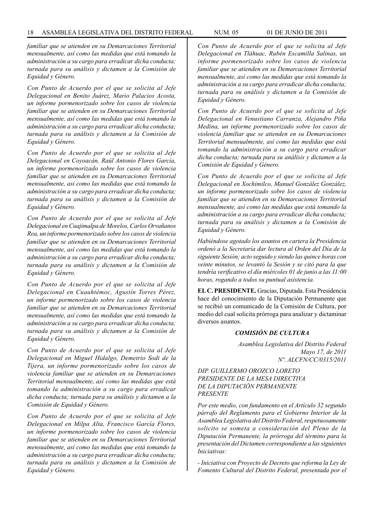*familiar que se atienden en su Demarcaciones Territorial mensualmente, así como las medidas que está tomando la administración a su cargo para erradicar dicha conducta; turnada para su análisis y dictamen a la Comisión de Equidad y Género.*

*Con Punto de Acuerdo por el que se solicita al Jefe Delegacional en Benito Juárez, Mario Palacios Acosta, un informe pormenorizado sobre los casos de violencia familiar que se atienden en su Demarcaciones Territorial mensualmente, así como las medidas que está tomando la administración a su cargo para erradicar dicha conducta; turnada para su análisis y dictamen a la Comisión de Equidad y Género.*

*Con Punto de Acuerdo por el que se solicita al Jefe Delegacional en Coyoacán, Raúl Antonio Flores García, un informe pormenorizado sobre los casos de violencia familiar que se atienden en su Demarcaciones Territorial mensualmente, así como las medidas que está tomando la administración a su cargo para erradicar dicha conducta; turnada para su análisis y dictamen a la Comisión de Equidad y Género.*

*Con Punto de Acuerdo por el que se solicita al Jefe Delegacional en Cuajimalpa de Morelos, Carlos Orvañanos Rea, un informe pormenorizado sobre los casos de violencia familiar que se atienden en su Demarcaciones Territorial mensualmente, así como las medidas que está tomando la administración a su cargo para erradicar dicha conducta; turnada para su análisis y dictamen a la Comisión de Equidad y Género.*

*Con Punto de Acuerdo por el que se solicita al Jefe Delegacional en Cuauhtémoc, Agustín Torres Pérez, un informe pormenorizado sobre los casos de violencia familiar que se atienden en su Demarcaciones Territorial mensualmente, así como las medidas que está tomando la administración a su cargo para erradicar dicha conducta; turnada para su análisis y dictamen a la Comisión de Equidad y Género.*

*Con Punto de Acuerdo por el que se solicita al Jefe Delegacional en Miguel Hidalgo, Demetrio Sodi de la Tijera, un informe pormenorizado sobre los casos de violencia familiar que se atienden en su Demarcaciones Territorial mensualmente, así como las medidas que está tomando la administración a su cargo para erradicar dicha conducta; turnada para su análisis y dictamen a la Comisión de Equidad y Género.*

*Con Punto de Acuerdo por el que se solicita al Jefe Delegacional en Milpa Alta, Francisco García Flores, un informe pormenorizado sobre los casos de violencia familiar que se atienden en su Demarcaciones Territorial mensualmente, así como las medidas que está tomando la administración a su cargo para erradicar dicha conducta; turnada para su análisis y dictamen a la Comisión de Equidad y Género.*

*Con Punto de Acuerdo por el que se solicita al Jefe Delegacional en Tláhuac, Rubén Escamilla Salinas, un informe pormenorizado sobre los casos de violencia familiar que se atienden en su Demarcaciones Territorial mensualmente, así como las medidas que está tomando la administración a su cargo para erradicar dicha conducta; turnada para su análisis y dictamen a la Comisión de Equidad y Género.*

*Con Punto de Acuerdo por el que se solicita al Jefe Delegacional en Venustiano Carranza, Alejandro Piña Medina, un informe pormenorizado sobre los casos de violencia familiar que se atienden en su Demarcaciones Territorial mensualmente, así como las medidas que está tomando la administración a su cargo para erradicar dicha conducta; turnada para su análisis y dictamen a la Comisión de Equidad y Género.*

*Con Punto de Acuerdo por el que se solicita al Jefe Delegacional en Xochimilco, Manuel González González, un informe pormenorizado sobre los casos de violencia familiar que se atienden en su Demarcaciones Territorial mensualmente, así como las medidas que está tomando la administración a su cargo para erradicar dicha conducta; turnada para su análisis y dictamen a la Comisión de Equidad y Género.*

*Habiéndose agotado los asuntos en cartera la Presidencia ordenó a la Secretaría dar lectura al Orden del Día de la siguiente Sesión; acto seguido y siendo las quince horas con veinte minutos, se levantó la Sesión y se citó para la que tendría verificativo el día miércoles 01 de junio a las 11:00 horas, rogando a todos su puntual asistencia.*

**EL C. PRESIDENTE.** Gracias, Diputada. Esta Presidencia hace del conocimiento de la Diputación Permanente que se recibió un comunicado de la Comisión de Cultura, por medio del cual solicita prórroga para analizar y dictaminar diversos asuntos.

# *COMISIÓN DE CULTURA*

*Asamblea Legislativa del Distrito Federal Mayo 17, de 2011 Nº. ALCFN/CC/0315/2011*

*DIP. GUILLERMO OROZCO LORETO PRESIDENTE DE LA MESA DIRECTIVA DE LA DIPUTACIÓN PERMANENTE PRESENTE*

*Por este medio, con fundamento en el Artículo 32 segundo párrafo del Reglamento para el Gobierno Interior de la Asamblea Legislativa del Distrito Federal, respetuosamente solicito se someta a consideración del Pleno de la Diputación Permanente, la prórroga del término para la presentación del Dictamen correspondiente a las siguientes Iniciativas:* 

*- Iniciativa con Proyecto de Decreto que reforma la Ley de Fomento Cultural del Distrito Federal, presentada por el*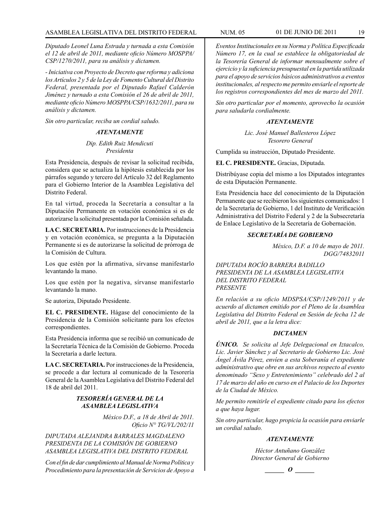*Diputado Leonel Luna Estrada y turnada a esta Comisión el 12 de abril de 2011, mediante oficio Número MOSPPA/ CSP/1270/2011, para su análisis y dictamen.*

*- Iniciativa con Proyecto de Decreto que reforma y adiciona los Artículos 2 y 5 de la Ley de Fomento Cultural del Distrito Federal, presentada por el Diputado Rafael Calderón Jiménez y turnado a esta Comisión el 26 de abril de 2011, mediante oficio Número MOSPPA/CSP/1632/2011, para su análisis y dictamen.*

*Sin otro particular, reciba un cordial saludo.*

# *ATENTAMENTE*

## *Dip. Edith Ruiz Mendicuti Presidenta*

Esta Presidencia, después de revisar la solicitud recibida, considera que se actualiza la hipótesis establecida por los párrafos segundo y tercero del Artículo 32 del Reglamento para el Gobierno Interior de la Asamblea Legislativa del Distrito Federal.

En tal virtud, proceda la Secretaría a consultar a la Diputación Permanente en votación económica si es de autorizarse la solicitud presentada por la Comisión señalada.

**LA C. SECRETARIA.** Por instrucciones de la Presidencia y en votación económica, se pregunta a la Diputación Permanente si es de autorizarse la solicitud de prórroga de la Comisión de Cultura.

Los que estén por la afirmativa, sírvanse manifestarlo levantando la mano.

Los que estén por la negativa, sírvanse manifestarlo levantando la mano.

Se autoriza, Diputado Presidente.

**EL C. PRESIDENTE.** Hágase del conocimiento de la Presidencia de la Comisión solicitante para los efectos correspondientes.

Esta Presidencia informa que se recibió un comunicado de la Secretaría Técnica de la Comisión de Gobierno. Proceda la Secretaría a darle lectura.

**LA C. SECRETARIA.** Por instrucciones de la Presidencia, se procede a dar lectura al comunicado de la Tesorería General de la Asamblea Legislativa del Distrito Federal del 18 de abril del 2011.

# *TESORERÍA GENERAL DE LA ASAMBLEA LEGISLATIVA*

*México D.F., a 18 de Abril de 2011. Oficio N° TG/VL/202/11*

*DIPUTADA ALEJANDRA BARRALES MAGDALENO PRESIDENTA DE LA COMISIÓN DE GOBIERNO ASAMBLEA LEGISLATIVA DEL DISTRITO FEDERAL*

*Con el fin de dar cumplimiento al Manual de Norma Política y Procedimiento para la presentación de Servicios de Apoyo a* 

*Eventos Institucionales en su Norma y Política Especificada Número 17, en la cual se establece la obligatoriedad de la Tesorería General de informar mensualmente sobre el ejercicio y la suficiencia presupuestal en la partida utilizada para el apoyo de servicios básicos administrativos a eventos institucionales, al respecto me permito enviarle el reporte de los registros correspondientes del mes de marzo del 2011.* 

*Sin otro particular por el momento, aprovecho la ocasión para saludarla cordialmente.*

#### *ATENTAMENTE*

*Lic. José Manuel Ballesteros López Tesorero General*

Cumplida su instrucción, Diputado Presidente.

#### **EL C. PRESIDENTE.** Gracias, Diputada.

Distribúyase copia del mismo a los Diputados integrantes de esta Diputación Permanente.

Esta Presidencia hace del conocimiento de la Diputación Permanente que se recibieron los siguientes comunicados: 1 de la Secretaría de Gobierno, 1 del Instituto de Verificación Administrativa del Distrito Federal y 2 de la Subsecretaría de Enlace Legislativo de la Secretaría de Gobernación.

#### *SECRETARÍA DE GOBIERNO*

*México, D.F. a 10 de mayo de 2011. DGG/74832011*

*DIPUTADA ROCÍO BARRERA BADILLO PRESIDENTA DE LA ASAMBLEA LEGISLATIVA DEL DISTRITO FEDERAL PRESENTE*

*En relación a su oficio MDSPSA/CSP/1249/2011 y de acuerdo al dictamen emitido por el Pleno de la Asamblea Legislativa del Distrito Federal en Sesión de fecha 12 de abril de 2011, que a la letra dice:*

#### *DICTAMEN*

*ÚNICO. Se solicita al Jefe Delegacional en Iztacalco, Lic. Javier Sánchez y al Secretario de Gobierno Lic. José Ángel Ávila Pérez, envíen a esta Soberanía el expediente administrativo que obre en sus archivos respecto al evento denominado "Sexo y Entretenimiento" celebrado del 2 al 17 de marzo del año en curso en el Palacio de los Deportes de la Ciudad de México.*

*Me permito remitirle el expediente citado para los efectos a que haya lugar.*

*Sin otro particular, hago propicia la ocasión para enviarle un cordial saludo.*

#### *ATENTAMENTE*

*Héctor Antuñano González Director General de Gobierno*

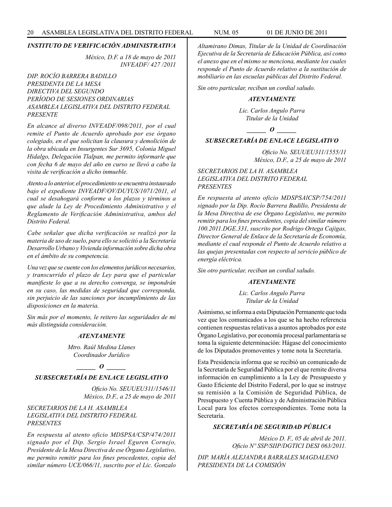*México, D.F. a 18 de mayo de 2011 INVEADF/ 427 /2011*

# *DIP. ROCÍO BARRERA BADILLO PRESIDENTA DE LA MESA DIRECTIVA DEL SEGUNDO PERÍODO DE SESIONES ORDINARIAS ASAMBLEA LEGISLATIVA DEL DISTRITO FEDERAL PRESENTE*

*En alcance al diverso INVEADF/098/2011, por el cual remite el Punto de Acuerdo aprobado por ese órgano colegiado, en el que solicitan la clausura y demolición de la obra ubicada en Insurgentes Sur 3695, Colonia Miguel Hidalgo, Delegación Tlalpan, me permito informarle que con fecha 6 de mayo del año en curso se llevó a cabo la visita de verificación a dicho inmueble.*

*Atento a lo anterior, el procedimiento se encuentra instaurado bajo el expediente INVEADF/OV/DUYUS/1071/2011, el cual se desahogará conforme a los plazos y términos a que alude la Ley de Procedimiento Administrativo y el Reglamento de Verificación Administrativa, ambos del Distrito Federal.*

*Cabe señalar que dicha verificación se realizó por la materia de uso de suelo, para ello se solicitó a la Secretaría Desarrollo Urbano y Vivienda información sobre dicha obra en el ámbito de su competencia.*

*Una vez que se cuente con los elementos jurídicos necesarios, y transcurrido el plazo de Ley para que el particular manifieste lo que a su derecho convenga, se impondrán en su caso, las medidas de seguridad que corresponda, sin perjuicio de las sanciones por incumplimiento de las disposiciones en la materia.*

*Sin más por el momento, le reitero las seguridades de mi más distinguida consideración.*

#### *ATENTAMENTE*

*Mtro. Raúl Medina Llanes Coordinador Jurídico*

*\_\_\_\_\_\_ O \_\_\_\_\_\_*

# *SUBSECRETARÍA DE ENLACE LEGISLATIVO*

*Oficio No. SEUUEU311/1546/11 México, D.F., a 25 de mayo de 2011*

# *SECRETARIOS DE LA H. ASAMBLEA LEGISLATIVA DEL DISTRITO FEDERAL PRESENTES*

*En respuesta al atento oficio MDSPSA/CSP/474/2011 signado por el Dip. Sergio Israel Eguren Cornejo, Presidente de la Mesa Directiva de ese Órgano Legislativo, me permito remitir para los fines procedentes, copia del similar número UCE/066/11, suscrito por el Lic. Gonzalo*  *Altamirano Dimas, Titular de la Unidad de Coordinación Ejecutiva de la Secretaría de Educación Pública, así como el anexo que en el mismo se menciona, mediante los cuales responde el Punto de Acuerdo relativo a la sustitución de mobiliario en las escuelas públicas del Distrito Federal.*

*Sin otro particular, reciban un cordial saludo.*

# *ATENTAMENTE*

*Lic. Carlos Angulo Parra Titular de la Unidad*

*\_\_\_\_\_\_ O \_\_\_\_\_\_*

# *SUBSECRETARÍA DE ENLACE LEGISLATIVO*

*Oficio No. SEUUEU311/1555/11 México, D.F., a 25 de mayo de 2011*

*SECRETARIOS DE LA H. ASAMBLEA LEGISLATIVA DEL DISTRITO FEDERAL PRESENTES*

*En respuesta al atento oficio MDSPSAlCSP/754/2011 signado por la Dip. Rocío Barrera Badillo, Presidenta de la Mesa Directiva de ese Órgano Legislativo, me permito remitir para los fines procedentes, copia del similar número 100.2011.DGE.331, suscrito por Rodrigo Ortega Cajigas, Director General de Enlace de la Secretaría de Economía, mediante el cual responde el Punto de Acuerdo relativo a las quejas presentadas con respecto al servicio público de energía eléctrica.*

*Sin otro particular, reciban un cordial saludo.*

#### *ATENTAMENTE*

*Lic. Carlos Angulo Parra Titular de la Unidad*

Asimismo, se informa a esta Diputación Permanente que toda vez que los comunicados a los que se ha hecho referencia contienen respuestas relativas a asuntos aprobados por este Órgano Legislativo, por economía procesal parlamentaria se toma la siguiente determinación: Hágase del conocimiento de los Diputados promoventes y tome nota la Secretaría.

Esta Presidencia informa que se recibió un comunicado de la Secretaría de Seguridad Pública por el que remite diversa información en cumplimiento a la Ley de Presupuesto y Gasto Eficiente del Distrito Federal, por lo que se instruye su remisión a la Comisión de Seguridad Pública, de Presupuesto y Cuenta Pública y de Administración Pública Local para los efectos correspondientes. Tome nota la Secretaría.

# *SECRETARÍA DE SEGURIDAD PÚBLICA*

*México D. F., 05 de abril de 2011. Oficio Nº SSP/SIIP/DGTICI DESI 063/2011.*

*DIP. MARÍA ALEJANDRA BARRALES MAGDALENO PRESIDENTA DE LA COMISIÓN*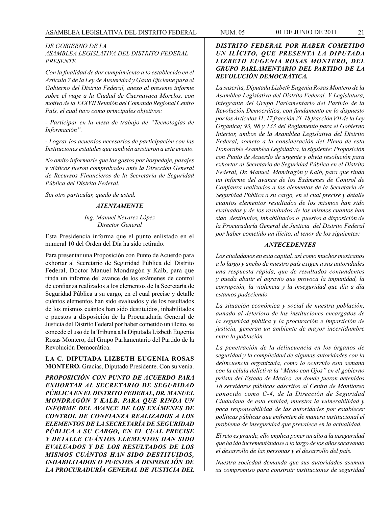## *DE GOBIERNO DE LA ASAMBLEA LEGISLATIVA DEL DISTRITO FEDERAL PRESENTE*

*Con la finalidad de dar cumplimiento a lo establecido en el Artículo 7 de la Ley de Austeridad y Gasto Eficiente para el Gobierno del Distrito Federal, anexo al presente informe sobre el viaje a la Ciudad de Cuernavaca Morelos, con motivo de la XXXVII Reunión del Comando Regional Centro País, el cual tuvo como principales objetivos:*

*- Participar en la mesa de trabajo de "Tecnologías de Información".*

*- Lograr los acuerdos necesarios de participación con las Instituciones estatales que también asistieron a este evento.*

*No omito informarle que los gastos por hospedaje, pasajes y viáticos fueron comprobados ante la Dirección General de Recursos Financieros de la Secretaría de Seguridad Pública del Distrito Federal.*

*Sin otro particular, quedo de usted.*

#### *ATENTAMENTE*

## *Ing. Manuel Nevarez López Director General*

Esta Presidencia informa que el punto enlistado en el numeral 10 del Orden del Día ha sido retirado.

Para presentar una Proposición con Punto de Acuerdo para exhortar al Secretario de Seguridad Pública del Distrito Federal, Doctor Manuel Mondragón y Kalb, para que rinda un informe del avance de los exámenes de control de confianza realizados a los elementos de la Secretaría de Seguridad Pública a su cargo, en el cual precise y detalle cuántos elementos han sido evaluados y de los resultados de los mismos cuántos han sido destituidos, inhabilitados o puestos a disposición de la Procuraduría General de Justicia del Distrito Federal por haber cometido un ilícito, se concede el uso de la Tribuna a la Diputada Lizbeth Eugenia Rosas Montero, del Grupo Parlamentario del Partido de la Revolución Democrática.

**LA C. DIPUTADA LIZBETH EUGENIA ROSAS MONTERO.** Gracias, Diputado Presidente. Con su venia.

*PROPOSICIÓN CON PUNTO DE ACUERDO PARA EXHORTAR AL SECRETARIO DE SEGURIDAD PÚBLICA EN EL DISTRITO FEDERAL, DR. MANUEL MONDRAGÓN Y KALB, PARA QUE RINDA UN INFORME DEL AVANCE DE LOS EXÁMENES DE CONTROL DE CONFIANZA REALIZADOS A LOS ELEMENTOS DE LA SECRETARÍA DE SEGURIDAD PÚBLICA A SU CARGO, EN EL CUAL PRECISE Y DETALLE CUÁNTOS ELEMENTOS HAN SIDO EVALUADOS Y DE LOS RESULTADOS DE LOS MISMOS CUÁNTOS HAN SIDO DESTITUIDOS, INHABILITADOS O PUESTOS A DISPOSICIÓN DE LA PROCURADURÍA GENERAL DE JUSTICIA DEL* 

# *DISTRITO FEDERAL POR HABER COMETIDO UN ILÍCITO, QUE PRESENTA LA DIPUTADA LIZBETH EUGENIA ROSAS MONTERO, DEL GRUPO PARLAMENTARIO DEL PARTIDO DE LA REVOLUCIÓN DEMOCRÁTICA.*

*La suscrita, Diputada Lizbeth Eugenia Rosas Montero de la Asamblea Legislativa del Distrito Federal, V Legislatura, integrante del Grupo Parlamentario del Partido de la Revolución Democrática, con fundamento en lo dispuesto por los Artículos 11, 17 fracción VI, 18 fracción VII de la Ley Orgánica; 93, 98 y 133 del Reglamento para el Gobierno Interior, ambos de la Asamblea Legislativa del Distrito Federal, someto a la consideración del Pleno de esta Honorable Asamblea Legislativa, la siguiente: Proposición con Punto de Acuerdo de urgente y obvia resolución para exhortar al Secretario de Seguridad Pública en el Distrito Federal, Dr. Manuel Mondragón y Kalb, para que rinda un informe del avance de los Exámenes de Control de Confianza realizados a los elementos de la Secretaría de Seguridad Pública a su cargo, en el cual precisé y detalle cuantos elementos resultados de los mismos han sido evaluados y de los resultados de los mismos cuantos han sido destituidos, inhabilitados o puestos a disposición de la Procuraduría General de Justicia del Distrito Federal por haber cometido un ilícito, al tenor de los siguientes:*

#### *ANTECEDENTES*

*Los ciudadanos en esta capital, así como muchos mexicanos a lo largo y ancho de nuestro país exigen a sus autoridades una respuesta rápida, que de resultados contundentes y pueda abatir el agravio que provoca la impunidad, la corrupción, la violencia y la inseguridad que día a día estamos padeciendo.*

*La situación económica y social de nuestra población, aunado al deterioro de las instituciones encargados de la seguridad pública y la procuración e impartición de justicia, generan un ambiente de mayor incertidumbre entre la población.*

*La penetración de la delincuencia en los órganos de seguridad y la complicidad de algunas autoridades con la delincuencia organizada, como lo ocurrido esta semana con la célula delictiva la "Mano con Ojos" en el gobierno priísta del Estado de México, en donde fueron detenidos 16 servidores públicos adscritos al Centro de Monitoreo conocido como C-4, de la Dirección de Seguridad Ciudadana de esta entidad, muestra la vulnerabilidad y poca responsabilidad de las autoridades por establecer políticas públicas que enfrenten de manera institucional el problema de inseguridad que prevalece en la actualidad.*

*El reto es grande, ello implica poner un alto a la inseguridad que ha ido incrementándose a lo largo de los años socavando el desarrollo de las personas y el desarrollo del país.*

*Nuestra sociedad demanda que sus autoridades asuman su compromiso para construir instituciones de seguridad*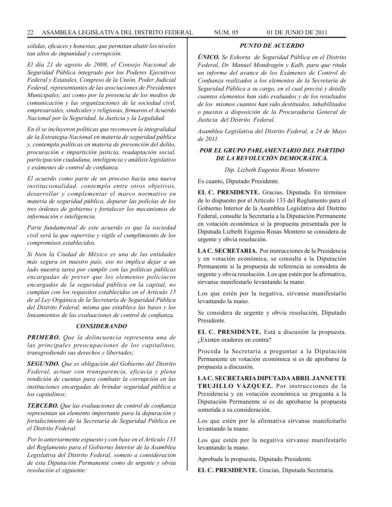*sólidas, eficaces y honestas, que permitan abatir los niveles tan altos de impunidad y corrupción.*

*El día 21 de agosto de 2008, el Consejo Nacional de Seguridad Pública integrado por los Poderes Ejecutivos Federal y Estatales, Congreso de la Unión, Poder Judicial Federal, representantes de las asociaciones de Presidentes Municipales; así como por la presencia de los medios de comunicación y las organizaciones de la sociedad civil, empresariales, sindicales y religiosas, firmaron el Acuerdo Nacional por la Seguridad, la Justicia y la Legalidad.*

*En él se incluyeron políticas que reconocen la integralidad de la Estrategia Nacional en materia de seguridad pública y, contempla políticas en materia de prevención del delito, procuración e impartición justicia, readaptación social, participación ciudadana, inteligencia y análisis legislativo y exámenes de control de confianza.*

*El acuerdo como parte de un proceso hacia una nueva institucionalidad, contempla entre otros objetivos, desarrollar y complementar el marco normativo en materia de seguridad pública, depurar las policías de los tres órdenes de gobierno y fortalecer los mecanismos de información e inteligencia.*

*Parte fundamental de este acuerdo es que la sociedad civil será la que supervise y vigile el cumplimiento de los compromisos establecidos.*

*Si bien la Ciudad de México es una de las entidades más segura en nuestro país, eso no implica dejar a un lado nuestra tarea por cumplir con las políticas públicas encargadas de prever que los elementos policíacos encargados de la seguridad pública en la capital, no cumplan con los requisitos establecidos en el Artículo 15 de al Ley Orgánica de la Secretaría de Seguridad Pública del Distrito Federal, misma que establece las bases y los lineamientos de las evaluaciones de control de confianza.*

#### *CONSIDERANDO*

*PRIMERO. Que la delincuencia representa una de las principales preocupaciones de los capitalinos, transgrediendo sus derechos y libertades;*

*SEGUNDO. Que es obligación del Gobierno del Distrito Federal, actuar con transparencia, eficacia y plena rendición de cuentas para combatir la corrupción en las instituciones encargadas de brindar seguridad pública a los capitalinos;*

*TERCERO. Que las evaluaciones de control de confianza representan un elemento importante para la depuración y fortalecimiento de la Secretaría de Seguridad Pública en el Distrito Federal.*

*Por lo anteriormente expuesto y con base en el Artículo 133 del Reglamento para el Gobierno Interior de la Asamblea Legislativa del Distrito Federal, someto a consideración de esta Diputación Permanente como de urgente y obvia resolución el siguiente:*

*PUNTO DE ACUERDO*

*ÚNICO. Se Exhorta de Seguridad Pública en el Distrito Federal, Dr. Manuel Mondragón y Kalb, para que rinda un informe del avance de los Exámenes de Control de Confianza realizados a los elementos de la Secretaría de Seguridad Pública a su cargo, en el cual precisé y detalle cuantos elementos han sido evaluados y de los resultados de los mismos cuantos han sido destituidos, inhabilitados o puestos a disposición de la Procuraduría General de Justicia del Distrito Federal.*

*Asamblea Legislativa del Distrito Federal, a 24 de Mayo de 2011.*

# *POR EL GRUPO PARLAMENTARIO DEL PARTIDO DE LA REVOLUCIÓN DEMOCRÁTICA.*

*Dip. Lizbeth Eugenia Rosas Montero*

Es cuanto, Diputado Presidente.

**EL C. PRESIDENTE.** Gracias, Diputada. En términos de lo dispuesto por el Artículo 133 del Reglamento para el Gobierno Interior de la Asamblea Legislativa del Distrito Federal, consulte la Secretaría a la Diputación Permanente en votación económica si la propuesta presentada por la Diputada Lizbeth Eugenia Rosas Montero se considera de urgente y obvia resolución.

**LA C. SECRETARIA.** Por instrucciones de la Presidencia y en votación económica, se consulta a la Diputación Permanente si la propuesta de referencia se considera de urgente y obvia resolución. Los que estén por la afirmativa, sírvanse manifestarlo levantando la mano.

Los que estén por la negativa, sírvanse manifestarlo levantando la mano.

Se considera de urgente y obvia resolución, Diputado Presidente.

**EL C. PRESIDENTE.** Está a discusión la propuesta. ¿Existen oradores en contra?

Proceda la Secretaría a preguntar a la Diputación Permanente en votación económica si es de aprobarse la propuesta a discusión.

**LA C. SECRETARIA DIPUTADA ABRIL JANNETTE TRUJILLO VÁZQUEZ.** Por instrucciones de la Presidencia y en votación económica se pregunta a la Diputación Permanente si es de aprobarse la propuesta sometida a su consideración.

Los que estén por la afirmativa sírvanse manifestarlo levantando la mano.

Los que estén por la negativa sírvanse manifestarlo levantando la mano.

Aprobada la propuesta, Diputado Presidente.

**EL C. PRESIDENTE.** Gracias, Diputada Secretaria.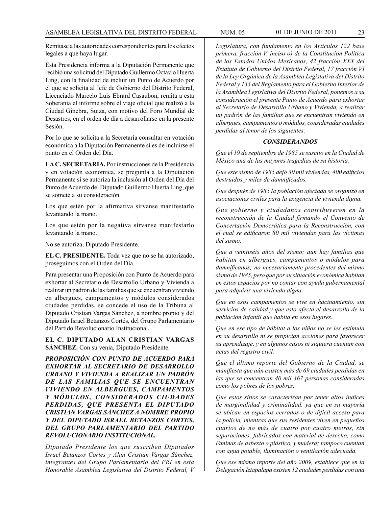Remítase a las autoridades correspondientes para los efectos legales a que haya lugar.

Esta Presidencia informa a la Diputación Permanente que recibió una solicitud del Diputado Guillermo Octavio Huerta Ling, con la finalidad de incluir un Punto de Acuerdo por el que se solicita al Jefe de Gobierno del Distrito Federal, Licenciado Marcelo Luis Ebrard Casaubon, remita a esta Soberanía el informe sobre el viaje oficial que realizó a la Ciudad Ginebra, Suiza, con motivo del Foro Mundial de Desastres, en el orden de día a desarrollarse en la presente Sesión.

Por lo que se solicita a la Secretaría consultar en votación económica a la Diputación Permanente si es de incluirse el punto en el Orden del Día.

**LA C. SECRETARIA.** Por instrucciones de la Presidencia y en votación económica, se pregunta a la Diputación Permanente si se autoriza la inclusión al Orden del Día del Punto de Acuerdo del Diputado Guillermo Huerta Ling, que se somete a su consideración.

Los que estén por la afirmativa sírvanse manifestarlo levantando la mano.

Los que estén por la negativa sírvanse manifestarlo levantando la mano.

No se autoriza, Diputado Presidente.

**EL C. PRESIDENTE.** Toda vez que no se ha autorizado, proseguimos con el Orden del Día.

Para presentar una Proposición con Punto de Acuerdo para exhortar al Secretario de Desarrollo Urbano y Vivienda a realizar un padrón de las familias que se encuentran viviendo en albergues, campamentos y módulos considerados ciudades perdidas, se concede el uso de la Tribuna al Diputado Cristian Vargas Sánchez, a nombre propio y del Diputado Israel Betanzos Cortés, del Grupo Parlamentario del Partido Revolucionario Institucional.

**EL C. DIPUTADO ALAN CRISTIAN VARGAS SÁNCHEZ.** Con su venia, Diputado Presidente.

*PROPOSICIÓN CON PUNTO DE ACUERDO PARA EXHORTAR AL SECRETARIO DE DESARROLLO URBANO Y VIVIENDA A REALIZAR UN PADRÓN DE LAS FAMILIAS QUE SE ENCUENTRAN VIVIENDO EN ALBERGUES, CAMPAMENTOS Y MÓDULOS, CONSIDERADOS CIUDADES PERDIDAS, QUE PRESENTA EL DIPUTADO CRISTIAN VARGAS SÁNCHEZ A NOMBRE PROPIO Y DEL DIPUTADO ISRAEL BETANZOS CORTES, DEL GRUPO PARLAMENTARIO DEL PARTIDO REVOLUCIONARIO INSTITUCIONAL.*

*Diputado Presidente los que suscriben Diputados Israel Betanzos Cortes y Alan Cristian Vargas Sánchez, integrantes del Grupo Parlamentario del PRI en esta Honorable Asamblea Legislativa del Distrito Federal, V*  *Legislatura, con fundamento en los Artículos 122 base primera, fracción V, inciso o) de la Constitución Política de los Estados Unidos Mexicanos, 42 fracción XXX del Estatuto de Gobierno del Distrito Federal, 17 fracción VI de la Ley Orgánica de la Asamblea Legislativa del Distrito Federal y 133 del Reglamento para el Gobierno Interior de la Asamblea Legislativa del Distrito Federal, ponemos a su consideración el presente Punto de Acuerdo para exhortar al Secretario de Desarrollo Urbano y Vivienda, a realizar un padrón de las familias que se encuentran viviendo en albergues, campamentos o módulos, consideradas ciudades perdidas al tenor de los siguientes:*

#### *CONSIDERANDOS*

*Que el 19 de septiembre de 1985 se suscito en la Ciudad de México una de las mayores tragedias de su historia.*

*Que este sismo de 1985 dejó 30 mil viviendas, 400 edificios destruidos y miles de damnificados.*

*Que después de 1985 la población afectada se organizó en asociaciones civiles para la exigencia de vivienda digna.*

*Que gobierno y ciudadanos contribuyeron en la reconstrucción de la Ciudad firmando el Convenio de Concertación Democrática para la Reconstrucción, con el cual se edificaron 80 mil viviendas para las víctimas del sismo.*

*Que a veintiséis años del sismo; aun hay familias que habitan en albergues, campamentos o módulos para damnificados; no necesariamente procedentes del mismo sismo de 1985, pero que por su situación económica habitan en estos espacios por no contar con ayuda gubernamental para adquirir una vivienda digna.*

*Que en esos campamentos se vive en hacinamiento, sin servicios de calidad y que esto afecta el desarrollo de la población infantil que habita en esos lugares.*

*Que en ese tipo de hábitat a los niños no se les estimula en su desarrollo ni se propician acciones para favorecer su aprendizaje, y en algunos casos ni siquiera cuentan con actas del registro civil.*

*Que el último reporte del Gobierno de la Ciudad, se manifiesta que aún existen más de 69 ciudades perdidas en las que se concentran 40 mil 367 personas consideradas como los pobres de los pobres.*

*Que estos sitios se caracterizan por tener altos índices de marginalidad y criminalidad, ya que en su mayoría se ubican en espacios cerrados o de difícil acceso para la policía, mientras que sus residentes viven en pequeños cuartos de no más de cuatro por cuatro metros, sin separaciones, fabricados con material de desecho, como láminas de asbesto o plástico, y madera; tampoco cuentan con agua potable, iluminación o ventilación adecuada.*

*Que ese mismo reporte del año 2009, establece que en la Delegación Iztapalapa existen 12 ciudades perdidas con una*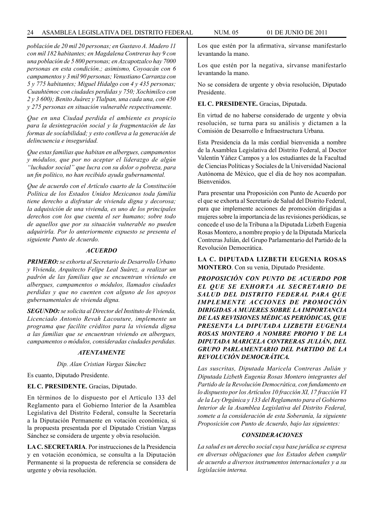## 24 ASAMBLEA LEGISLATIVA DEL DISTRITO FEDERAL NUM. 05 01 de JUNIO de 2011

*población de 20 mil 20 personas; en Gustavo A. Madero 11 con mil 182 habitantes; en Magdalena Contreras hay 9 con una población de 5 800 personas; en Azcapotzalco hay 7000 personas en esta condición.; asimismo, Coyoacán con 6 campamentos y 3 mil 90 personas; Venustiano Carranza con 5 y 775 habitantes; Miguel Hidalgo con 4 y 435 personas; Cuauhtémoc con ciudades perdidas y 750; Xochimilco con 2 y 3 600); Benito Juárez y Tlalpan, una cada una, con 450 y 275 personas en situación vulnerable respectivamente.*

*Que en una Ciudad perdida el ambiente es propicio para la desintegración social y la fragmentación de las formas de socíabilidad; y esto conlleva a la generación de delincuencia e inseguridad.*

*Que estas familias que habitan en albergues, campamentos y módulos, que por no aceptar el liderazgo de algún "luchador social" que lucra con su dolor o pobreza, para un fin político, no han recibido ayuda gubernamental.*

*Que de acuerdo con el Artículo cuarto de la Constitución Política de los Estados Unidos Mexicanos toda familia tiene derecho a disfrutar de vivienda digna y decorosa; la adquisición de una vivienda, es uno de los principales derechos con los que cuenta el ser humano; sobre todo de aquellos que por su situación vulnerable no pueden adquirirla. Por lo anteriormente expuesto se presenta el siguiente Punto de Acuerdo.*

## *ACUERDO*

*PRIMERO: se exhorta al Secretario de Desarrollo Urbano y Vivienda, Arquitecto Felipe Leal Suárez, a realizar un padrón de las familias que se encuentran viviendo en albergues, campamentos o módulos, llamados ciudades perdidas y que no cuenten con alguno de los apoyos gubernamentales de vivienda digna.*

*SEGUNDO: se solicita al Director del Instituto de Vivienda, Licenciado Antonio Revah Lacouture, implemente un programa que facilite créditos para la vivienda digna a las familias que se encuentran viviendo en albergues, campamentos o módulos, consideradas ciudades perdidas.*

# *ATENTAMENTE*

*Dip. Alan Cristian Vargas Sánchez*

Es cuanto, Diputado Presidente.

#### **EL C. PRESIDENTE.** Gracias, Diputado.

En términos de lo dispuesto por el Artículo 133 del Reglamento para el Gobierno Interior de la Asamblea Legislativa del Distrito Federal, consulte la Secretaría a la Diputación Permanente en votación económica, si la propuesta presentada por el Diputado Cristian Vargas Sánchez se considera de urgente y obvia resolución.

**LA C. SECRETARIA**. Por instrucciones de la Presidencia y en votación económica, se consulta a la Diputación Permanente si la propuesta de referencia se considera de urgente y obvia resolución.

Los que estén por la afirmativa, sírvanse manifestarlo levantando la mano.

Los que estén por la negativa, sírvanse manifestarlo levantando la mano.

No se considera de urgente y obvia resolución, Diputado Presidente.

#### **EL C. PRESIDENTE.** Gracias, Diputada.

En virtud de no haberse considerado de urgente y obvia resolución, se turna para su análisis y dictamen a la Comisión de Desarrollo e Infraestructura Urbana.

Esta Presidencia da la más cordial bienvenida a nombre de la Asamblea Legislativa del Distrito Federal, al Doctor Valentín Yáñez Campos y a los estudiantes de la Facultad de Ciencias Políticas y Sociales de la Universidad Nacional Autónoma de México, que el día de hoy nos acompañan. Bienvenidos.

Para presentar una Proposición con Punto de Acuerdo por el que se exhorta al Secretario de Salud del Distrito Federal, para que implemente acciones de promoción dirigidas a mujeres sobre la importancia de las revisiones periódicas, se concede el uso de la Tribuna a la Diputada Lizbeth Eugenia Rosas Montero, a nombre propio y de la Diputada Maricela Contreras Julián, del Grupo Parlamentario del Partido de la Revolución Democrática.

**LA C. DIPUTADA LIZBETH EUGENIA ROSAS MONTERO**. Con su venia, Diputado Presidente.

*PROPOSICIÓN CON PUNTO DE ACUERDO POR EL QUE SE EXHORTA AL SECRETARIO DE SALUD DEL DISTRITO FEDERAL PARA QUE IMPLEMENTE ACCIONES DE PROMOCIÓN DIRIGIDAS A MUJERES SOBRE LA IMPORTANCIA DE LAS REVISIONES MÉDICAS PERIÓDICAS, QUE PRESENTA LA DIPUTADA LIZBETH EUGENIA ROSAS MONTERO A NOMBRE PROPIO Y DE LA DIPUTADA MARICELA CONTRERAS JULIÁN, DEL GRUPO PARLAMENTARIO DEL PARTIDO DE LA REVOLUCIÓN DEMOCRÁTICA.*

*Las suscritas, Diputada Maricela Contreras Julián y Diputada Lizbeth Eugenia Rosas Montero integrantes del Partido de la Revolución Democrática, con fundamento en lo dispuesto por los Artículos 10 fracción XI, 17 fracción VI de la Ley Orgánica y 133 del Reglamento para el Gobierno Interior de la Asamblea Legislativa del Distrito Federal, somete a la consideración de esta Soberanía, la siguiente Proposición con Punto de Acuerdo, bajo las siguientes:*

#### *CONSIDERACIONES*

*La salud es un derecho social cuya base jurídica se expresa en diversas obligaciones que los Estados deben cumplir de acuerdo a diversos instrumentos internacionales y a su legislación interna.*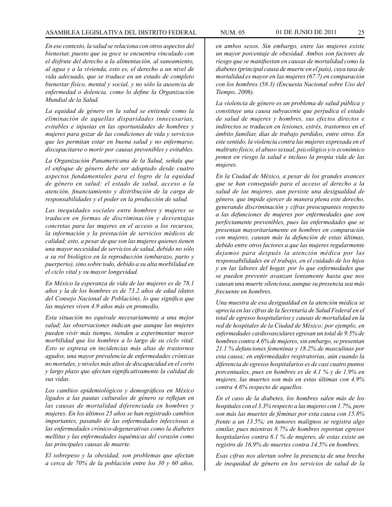*En ese contexto, la salud se relaciona con otros aspectos del bienestar, puesto que su goce se encuentra vinculado con el disfrute del derecho a la alimentación, al saneamiento, al agua y a la vivienda, esto es, el derecho a un nivel de vida adecuado, que se traduce en un estado de completo bienestar físico, mental y social, y no sólo la ausencia de enfermedad o dolencia, como lo define la Organización Mundial de la Salud.*

*La equidad de género en la salud se entiende como la eliminación de aquellas disparidades innecesarias, evitables e injustas en las oportunidades de hombres y mujeres para gozar de las condiciones de vida y servicios que les permitan estar en buena salud y no enfermarse, discapacitarse o morir por causas prevenibles y evitables.*

*La Organización Panamericana de la Salud, señala que el enfoque de género debe ser adoptado desde cuatro aspectos fundamentales para el logro de la equidad de género en salud: el estado de salud, acceso a la atención, financiamiento y distribución de la carga de responsabilidades y el poder en la producción de salud.*

*Las inequidades sociales entre hombres y mujeres se traducen en formas de discriminación y desventajas concretas para las mujeres en el acceso a los recursos, la información y la prestación de servicios médicos de calidad; esto, a pesar de que son las mujeres quienes tienen una mayor necesidad de servicios de salud, debido no sólo a su rol biológico en la reproducción (embarazo, parto y puerperio), sino sobre todo, debido a su alta morbilidad en el ciclo vital y su mayor longevidad.*

*En México la esperanza de vida de las mujeres es de 78.1 años y la de los hombres es de 73.2 años de edad (datos del Consejo Nacional de Población), lo que significa que las mujeres viven 4.9 años más en promedio.*

*Esta situación no equivale necesariamente a una mejor salud; las observaciones indican que aunque las mujeres pueden vivir más tiempo, tienden a experimentar mayor morbilidad que los hombres a lo largo de su ciclo vital. Esto se expresa en incidencias más altas de trastornos agudos, una mayor prevalencia de enfermedades crónicas no mortales, y niveles más altos de discapacidad en el corto y largo plazo que afectan significativamente la calidad de sus vidas.*

*Los cambios epidemiológicos y demográficos en México ligados a las pautas culturales de género se reflejan en las causas de mortalidad diferenciada en hombres y mujeres. En los últimos 25 años se han registrado cambios importantes, pasando de las enfermedades infecciosas a las enfermedades crónico-degenerativas como la diabetes mellitus y las enfermedades isquémicas del corazón como las principales causas de muerte.*

*El sobrepeso y la obesidad, son problemas que afectan a cerca de 70% de la población entre los 30 y 60 años,*  *en ambos sexos. Sin embargo, entre las mujeres existe un mayor porcentaje de obesidad. Ambos son factores de riesgo que se manifiestan en causas de mortalidad como la diabetes (principal causa de muerte en el país), cuya tasa de mortalidad es mayor en las mujeres (67.7) en comparación con los hombres (58.3) (Encuesta Nacional sobre Uso del Tiempo, 2006).*

*La violencia de género es un problema de salud pública y constituye una causa subyacente que perjudica el estado de salud de mujeres y hombres, sus efectos directos e indirectos se traducen en lesiones, estrés, trastornos en el ámbito familiar, días de trabajo perdidos, entre otros. En este sentido, la violencia contra las mujeres expresada en el maltrato físico, el abuso sexual, psicológico y/o económico ponen en riesgo la salud e incluso la propia vida de las mujeres.*

*En la Ciudad de México, a pesar de los grandes avances que se han conseguido para el acceso al derecho a la salud de las mujeres, aun persiste una desigualdad de género, que impide ejercer de manera plena este derecho, generando discriminación y cifras preocupantes respecto a las defunciones de mujeres por enfermedades que son perfectamente prevenibles, pues las enfermedades que se presentan mayoritariamente en hombres en comparación con mujeres, causan más la defunción de estas últimas, debido entre otros factores a que las mujeres regularmente dejamos para después la atención médica por las responsabilidades en el trabajo, en el cuidado de los hijos y en las labores del hogar, por lo que enfermedades que se pueden prevenir avanzan lentamente hasta que nos causan una muerte silenciosa, aunque su presencia sea más frecuente en hombres.*

*Una muestra de esa desigualdad en la atención médica se aprecia en las cifras de la Secretaría de Salud Federal en el total de egresos hospitalarios y causas de mortalidad en la red de hospitales de la Ciudad de México; por ejemplo, en enfermedades cardiovasculares egresan un total de 9.5% de hombres contra 4.6% de mujeres, sin embargo, se presentan 21.1 % defunciones femeninas y 18.2% de masculinas por esta causa; en enfermedades respiratorias, aún cuando la diferencia de egresos hospitalarios es de casi cuatro puntos porcentuales, pues en hombres es de 4.1 % y de 1.9% en mujeres, las muertes son más en estas últimas con 4.9% contra 4.6% respecto de aquellos.*

*En el caso de la diabetes, los hombres salen más de los hospitales con el 3.3% respecto a las mujeres con 1.7%, pero son más las muertes de féminas por esta causa con 15.8% frente a un 13.5%; en tumores malignos se registra algo similar, pues mientras 8.7% de hombres reportan egresos hospitalarios contra 6.1 % de mujeres, de estas existe un registro de 16.9% de muertes contra 14.5% en hombres.*

*Esas cifras nos alertan sobre la presencia de una brecha de inequidad de género en los servicios de salud de la*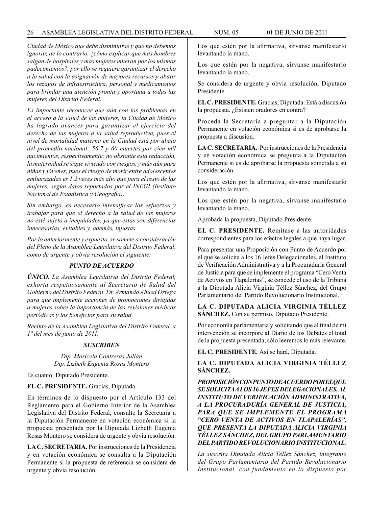*Ciudad de México que debe disminuirse y que no debemos ignorar, de lo contrario, ¿cómo explicar que más hombres salgan de hospitales y más mujeres mueran por los mismos padecimientos?, por ello se requiere garantizar el derecho a la salud con la asignación de mayores recursos y abatir los rezagos de infraestructura, personal y medicamentos para brindar una atención pronta y oportuna a todas las mujeres del Distrito Federal.*

*Es importante reconocer que aún con los problemas en el acceso a la salud de las mujeres, la Ciudad de México ha logrado avances para garantizar el ejercicio del derecho de las mujeres a la salud reproductiva, pues el nivel de mortalidad materna en la Ciudad está por abajo del promedio nacional: 56.7 y 60 muertes por cien mil nacimientos, respectivamente; no obstante esta reducción, la maternidad se sigue viviendo con riesgos, y más aún para niñas y jóvenes, pues el riesgo de morir entre adolescentes embarazadas es 1.2 veces más alto que para el resto de las mujeres, según datos reportados por el INEGI (Instituto Nacional de Estadística y Geografía).*

*Sin embargo, es necesario intensificar los esfuerzos y trabajar para que el derecho a la salud de las mujeres no esté sujeto a inequidades, ya que estas son diferencias innecesarias, evitables y, además, injustas.*

*Por lo anteriormente y expuesto, se somete a consideración del Pleno de la Asamblea Legislativa del Distrito Federal, como de urgente y obvia resolución el siguiente:*

# *PUNTO DE ACUERDO*

*ÚNICO. La Asamblea Legislativa del Distrito Federal, exhorta respetuosamente al Secretario de Salud del Gobierno del Distrito Federal. Dr. Armando Ahued Ortega para que implemente acciones de promociones dirigidas a mujeres sobre la importancia de las revisiones médicas periódicas y los beneficios para su salud.*

*Recinto de la Asamblea Legislativa del Distrito Federal, a 1º del mes de junio de 2011.*

# *SUSCRIBEN*

*Dip. Maricela Contreras Julián Dip. Lizbeth Eugenia Rosas Montero*

Es cuanto, Diputado Presidente.

**EL C. PRESIDENTE.** Gracias, Diputada.

En términos de lo dispuesto por el Artículo 133 del Reglamento para el Gobierno Interior de la Asamblea Legislativa del Distrito Federal, consulte la Secretaría a la Diputación Permanente en votación económica si la propuesta presentada por la Diputada Lizbeth Eugenia Rosas Montero se considera de urgente y obvia resolución.

**LA C. SECRETARIA.** Por instrucciones de la Presidencia y en votación económica se consulta a la Diputación Permanente si la propuesta de referencia se considera de urgente y obvia resolución.

Los que estén por la afirmativa, sírvanse manifestarlo levantando la mano.

Los que estén por la negativa, sírvanse manifestarlo levantando la mano.

Se considera de urgente y obvia resolución, Diputado Presidente.

**EL C. PRESIDENTE.** Gracias, Diputada. Está a discusión la propuesta. ¿Existen oradores en contra?

Proceda la Secretaría a preguntar a la Diputación Permanente en votación económica si es de aprobarse la propuesta a discusión.

**LA C. SECRETARIA.** Por instrucciones de la Presidencia y en votación económica se pregunta a la Diputación Permanente si es de aprobarse la propuesta sometida a su consideración.

Los que estén por la afirmativa, sírvanse manifestarlo levantando la mano.

Los que estén por la negativa, sírvanse manifestarlo levantando la mano.

Aprobada la propuesta, Diputado Presidente.

**EL C. PRESIDENTE.** Remítase a las autoridades correspondientes para los efectos legales a que haya lugar.

Para presentar una Proposición con Punto de Acuerdo por el que se solicita a los 16 Jefes Delegacionales, al Instituto de Verificación Administrativa y a la Procuraduría General de Justicia para que se implemente el programa "Cero Venta de Activos en Tlapalerías", se concede el uso de la Tribuna a la Diputada Alicia Virginia Téllez Sánchez, del Grupo Parlamentario del Partido Revolucionario Institucional.

**LA C. DIPUTADA ALICIA VIRGINIA TÉLLEZ SÁNCHEZ.** Con su permiso, Diputado Presidente.

Por economía parlamentaria y solicitando que al final de mi intervención se incorpore al Diario de los Debates el total de la propuesta presentada, sólo leeremos lo más relevante.

**EL C. PRESIDENTE.** Así se hará, Diputada.

# **LA C. DIPUTADA ALICIA VIRGINIA TÉLLEZ SÁNCHEZ.**

*PROPOSICIÓN CON PUNTO DE ACUERDO POR EL QUE SE SOLICITA A LOS 16 JEFES DELEGACIONALES, AL INSTITUTO DE VERIFICACIÓN ADMINISTRATIVA, A LA PROCURADURÍA GENERAL DE JUSTICIA, PARA QUE SE IMPLEMENTE EL PROGRAMA "CERO VENTA DE ACTIVOS EN TLAPALERÍAS", QUE PRESENTA LA DIPUTADA ALICIA VIRGINIA TÉLLEZ SÁNCHEZ, DEL GRUPO PARLAMENTARIO DEL PARTIDO REVOLUCIONARIO INSTITUCIONAL.*

*La suscrita Diputada Alicia Téllez Sánchez, integrante del Grupo Parlamentario del Partido Revolucionario Institucional, con fundamento en lo dispuesto por*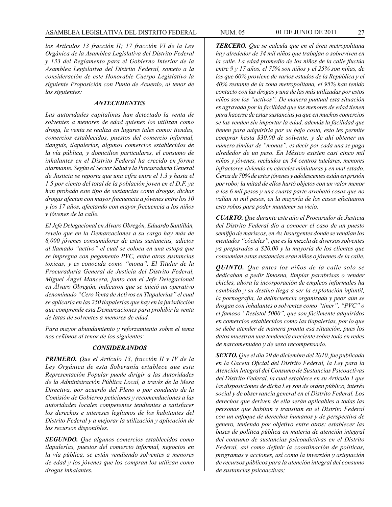*los Artículos 13 fracción II; 17 fracción VI de la Ley Orgánica de la Asamblea Legislativa del Distrito Federal y 133 del Reglamento para el Gobierno Interior de la Asamblea Legislativa del Distrito Federal, someto a la consideración de este Honorable Cuerpo Legislativo la siguiente Proposición con Punto de Acuerdo, al tenor de los siguientes:*

#### *ANTECEDENTES*

*Las autoridades capitalinas han detectado la venta de solventes a menores de edad quienes los utilizan como droga, la venta se realiza en lugares tales como: tiendas, comercios establecidos, puestos del comercio informal, tianguis, tlapalerías, algunos comercios establecidos de la vía pública, y domicilios particulares, el consumo de inhalantes en el Distrito Federal ha crecido en forma alarmante. Según el Sector Salud y la Procuraduría General de Justicia se reporta que una cifra entre el 1.3 y hasta el 1.5 por ciento del total de la población joven en el D.F. ya han probado este tipo de sustancias como drogas, dichas drogas afectan con mayor frecuencia a jóvenes entre los 10 y los 17 años, afectando con mayor frecuencia a los niños y jóvenes de la calle.*

*El Jefe Delegacional en Álvaro Obregón, Eduardo Santillán, revelo que en la Demarcaciones a su cargo hay más de 8,000 jóvenes consumidores de estas sustancias, adictos al llamado "activo" el cual se coloca en una estopa que se impregna con pegamento PVC, entre otras sustancias toxicas, y es conocida como "mona". El Titular de la Procuraduría General de Justicia del Distrito Federal, Miguel Ángel Mancera, junto con el Jefe Delegacional en Álvaro Obregón, indicaron que se inició un operativo denominado "Cero Venta de Activos en Tlapalerías" el cual se aplicaría en las 250 tlapalerías que hay en la jurisdicción que comprende esta Demarcaciones para prohibir la venta de latas de solventes a menores de edad.*

*Para mayor abundamiento y reforzamiento sobre el tema nos ceñimos al tenor de los siguientes:*

#### *CONSIDERANDOS*

*PRIMERO. Que el Artículo 13, fracción II y IV de la Ley Orgánica de esta Soberanía establece que esta Representación Popular puede dirigir a las Autoridades de la Administración Pública Local, a través de la Mesa Directiva, por acuerdo del Pleno o por conducto de la Comisión de Gobierno peticiones y recomendaciones a las autoridades locales competentes tendientes a satisfacer los derechos e intereses legítimos de los habitantes del Distrito Federal y a mejorar la utilización y aplicación de los recursos disponibles.*

*SEGUNDO. Que algunos comercios establecidos como tlapalerías, puestos del comercio informal, negocios en la vía pública, se están vendiendo solventes a menores de edad y los jóvenes que los compran los utilizan como drogas inhalantes.*

*TERCERO. Que se calcula que en el área metropolitana hay alrededor de 34 mil niños que trabajan o sobreviven en la calle. La edad promedio de los niños de la calle fluctúa entre 9 y 17 años, el 75% son niños y el 25% son niñas, de los que 60% proviene de varios estados de la República y el 40% restante de la zona metropolitana, el 95% han tenido contacto con las drogas y una de las más utilizadas por estos niños son los "activos". De manera puntual esta situación es agravada por la facilidad que los menores de edad tienen para hacerse de estas sustancias ya que en muchos comercios se las venden sin importar la edad, además la facilidad que tienen para adquirirla por su bajo costo, esto les permite comprar hasta \$30.00 de solvente, y de ahí obtener un número similar de "monas", es decir por cada una se paga alrededor de un peso. En México existen casi cinco mil niños y jóvenes, recluidos en 54 centros tutelares, menores infractores viviendo en cárceles miniaturas y en mal estado. Cerca de 70% de estos jóvenes y adolescentes están en prisión por robo; la mitad de ellos hurtó objetos con un valor menor a los 6 mil pesos y una cuarta parte arrebató cosas que no valían ni mil pesos, en la mayoría de los casos efectuaron esto robos para poder mantener su vicio.*

*CUARTO. Que durante este año el Procurador de Justicia del Distrito Federal dio a conocer el caso de un puesto semifijo de mariscos, en Av. Insurgentes donde se vendían los mentados "cócteles", que es la mezcla de diversos solventes ya preparados a \$20.00 y la mayoría de los clientes que consumían estas sustancias eran niños o jóvenes de la calle.*

*QUINTO. Que antes los niños de la calle solo se dedicaban a pedir limosna, limpiar parabrisas o vender chicles, ahora la incorporación de empleos informales ha cambiado y su destino llega a ser la explotación infantil, la pornografía, la delincuencia organizada y peor aún se drogan con inhalantes o solventes como "tiner", "PVC" o el famoso "Resistol 5000", que son fácilmente adquiridos en comercios establecidos como las tlapalerías, por lo que se debe atender de manera pronta esa situación, pues los datos muestran una tendencia creciente sobre todo en redes de narcomenudeo y de sexo recompensado.*

*SEXTO. Que el día 29 de diciembre del 2010, fue publicada en la Gaceta Oficial del Distrito Federal, la Ley para la Atención Integral del Consumo de Sustancias Psicoactivas del Distrito Federal, la cual establece en su Artículo 1 que las disposiciones de dicha Ley son de orden público, interés social y de observancia general en el Distrito Federal. Los derechos que deriven de ella serán aplicables a todas las personas que habitan y transitan en el Distrito Federal con un enfoque de derechos humanos y de perspectiva de género, teniendo por objetivo entre otros: establecer las bases de política pública en materia de atención integral del consumo de sustancias psicoadictivas en el Distrito Federal, así como definir la coordinación de políticas, programas y acciones, así como la inversión y asignación de recursos públicos para la atención integral del consumo de sustancias psicoactivas;*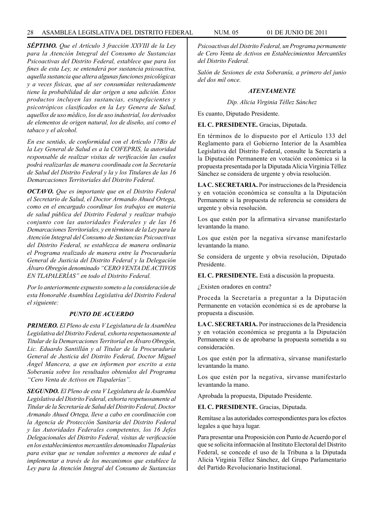*SÉPTIMO. Que el Artículo 3 fracción XXVIII de la Ley para la Atención Integral del Consumo de Sustancias Psicoactivas del Distrito Federal, establece que para los fines de esta Ley, se entenderá por sustancia psicoactiva, aquella sustancia que altera algunas funciones psicológicas y a veces físicas, que al ser consumidas reiteradamente tiene la probabilidad de dar origen a una adición. Estos productos incluyen las sustancias, estupefacientes y psicotrópicos clasificados en la Ley Genera de Salud, aquellos de uso médico, los de uso industrial, los derivados de elementos de origen natural, los de diseño, así como el tabaco y el alcohol.*

*En ese sentido, de conformidad con el Artículo 17Bis de la Ley General de Salud es a la COFEPRIS, la autoridad responsable de realizar visitas de verificación las cuales podrá realizarlas de manera coordinada con la Secretaría de Salud del Distrito Federal y la y los Titulares de las 16 Demarcaciones Territoriales del Distrito Federal.*

*OCTAVO. Que es importante que en el Distrito Federal el Secretario de Salud, el Doctor Armando Ahued Ortega, como en el encargado coordinar los trabajos en materia de salud pública del Distrito Federal y realizar trabajo conjunto con las autoridades Federales y de las 16 Demarcaciones Territoriales, y en términos de la Ley para la Atención Integral del Consumo de Sustancias Psicoactivas del Distrito Federal, se establezca de manera ordinaria el Programa realizado de manera entre la Procuraduría General de Justicia del Distrito Federal y la Delegación Álvaro Obregón denominado "CERO VENTA DE ACTIVOS EN TLAPALERÍAS" en todo el Distrito Federal.*

*Por lo anteriormente expuesto someto a la consideración de esta Honorable Asamblea Legislativa del Distrito Federal el siguiente:*

#### *PUNTO DE ACUERDO*

*PRIMERO. El Pleno de esta V Legislatura de la Asamblea Legislativa del Distrito Federal, exhorta respetuosamente al Titular de la Demarcaciones Territorial en Álvaro Obregón, Lic. Eduardo Santillán y al Titular de la Procuraduría General de Justicia del Distrito Federal, Doctor Miguel Ángel Mancera, a que en informen por escrito a esta Soberanía sobre los resultados obtenidos del Programa "Cero Venta de Activos en Tlapalerías".*

*SEGUNDO. El Pleno de esta V Legislatura de la Asamblea Legislativa del Distrito Federal, exhorta respetuosamente al Titular de la Secretaría de Salud del Distrito Federal, Doctor Armando Ahued Ortega, lleve a cabo en coordinación con la Agencia de Protección Sanitaria del Distrito Federal y las Autoridades Federales competentes, los 16 Jefes Delegacionales del Distrito Federal, visitas de verificación en los establecimientos mercantiles denominados Tlapalerías para evitar que se vendan solventes a menores de edad e implementar a través de los mecanismos que establece la Ley para la Atención Integral del Consumo de Sustancias*  *Psicoactivas del Distrito Federal, un Programa permanente de Cero Venta de Activos en Establecimientos Mercantiles del Distrito Federal.*

*Salón de Sesiones de esta Soberanía, a primero del junio del dos mil once.*

#### *ATENTAMENTE*

*Dip. Alicia Virginia Téllez Sánchez*

Es cuanto, Diputado Presidente.

**EL C. PRESIDENTE.** Gracias, Diputada.

En términos de lo dispuesto por el Artículo 133 del Reglamento para el Gobierno Interior de la Asamblea Legislativa del Distrito Federal, consulte la Secretaría a la Diputación Permanente en votación económica si la propuesta presentada por la Diputada Alicia Virginia Téllez Sánchez se considera de urgente y obvia resolución.

**LA C. SECRETARIA.** Por instrucciones de la Presidencia y en votación económica se consulta a la Diputación Permanente si la propuesta de referencia se considera de urgente y obvia resolución.

Los que estén por la afirmativa sírvanse manifestarlo levantando la mano.

Los que estén por la negativa sírvanse manifestarlo levantando la mano.

Se considera de urgente y obvia resolución, Diputado Presidente.

**EL C. PRESIDENTE.** Está a discusión la propuesta.

¿Existen oradores en contra?

Proceda la Secretaría a preguntar a la Diputación Permanente en votación económica si es de aprobarse la propuesta a discusión.

**LA C. SECRETARIA.** Por instrucciones de la Presidencia y en votación económica se pregunta a la Diputación Permanente si es de aprobarse la propuesta sometida a su consideración.

Los que estén por la afirmativa, sírvanse manifestarlo levantando la mano.

Los que estén por la negativa, sírvanse manifestarlo levantando la mano.

Aprobada la propuesta, Diputado Presidente.

**EL C. PRESIDENTE.** Gracias, Diputada.

Remítase a las autoridades correspondientes para los efectos legales a que haya lugar.

Para presentar una Proposición con Punto de Acuerdo por el que se solicita información al Instituto Electoral del Distrito Federal, se concede el uso de la Tribuna a la Diputada Alicia Virginia Téllez Sánchez, del Grupo Parlamentario del Partido Revolucionario Institucional.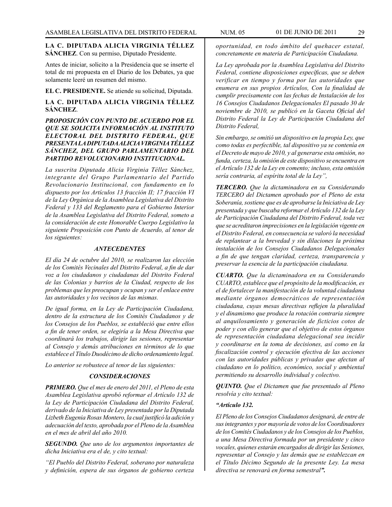# **LA C. DIPUTADA ALICIA VIRGINIA TÉLLEZ SÁNCHEZ**. Con su permiso, Diputado Presidente.

Antes de iniciar, solicito a la Presidencia que se inserte el total de mi propuesta en el Diario de los Debates, ya que solamente leeré un resumen del mismo.

**EL C. PRESIDENTE.** Se atiende su solicitud, Diputada.

# **LA C. DIPUTADA ALICIA VIRGINIA TÉLLEZ SÁNCHEZ**.

# *PROPOSICIÓN CON PUNTO DE ACUERDO POR EL QUE SE SOLICITA INFORMACIÓN AL INSTITUTO ELECTORAL DEL DISTRITO FEDERAL, QUE PRESENTA LA DIPUTADA ALICIA VIRGINIA TÉLLEZ SÁNCHEZ, DEL GRUPO PARLAMENTARIO DEL PARTIDO REVOLUCIONARIO INSTITUCIONAL.*

*La suscrita Diputada Alicia Virginia Téllez Sánchez, integrante del Grupo Parlamentario del Partido Revolucionario Institucional, con fundamento en lo dispuesto por los Artículos 13 fracción II; 17 fracción VI de la Ley Orgánica de la Asamblea Legislativa del Distrito Federal y 133 del Reglamento para el Gobierno Interior de la Asamblea Legislativa del Distrito Federal, someto a la consideración de este Honorable Cuerpo Legislativo la siguiente Proposición con Punto de Acuerdo, al tenor de los siguientes:*

#### *ANTECEDENTES*

*El día 24 de octubre del 2010, se realizaron las elección de los Comités Vecinales del Distrito Federal, a fin de dar voz a los ciudadanos y ciudadanas del Distrito Federal de las Colonias y barrios de la Ciudad, respecto de los problemas que les preocupan y ocupan y ser el enlace entre las autoridades y los vecinos de las mismas.*

*De igual forma, en la Ley de Participación Ciudadana, dentro de la estructura de los Comités Ciudadanos y de los Consejos de los Pueblos, se estableció que entre ellos a fin de tener orden, se elegiría a la Mesa Directiva que coordinará los trabajos, dirigir las sesiones, representar al Consejo y demás atribuciones en términos de lo que establece el Título Duodécimo de dicho ordenamiento legal.*

*Lo anterior se robustece al tenor de las siguientes:*

# *CONSIDERACIONES*

*PRIMERO. Que el mes de enero del 2011, el Pleno de esta Asamblea Legislativa aprobó reformar el Artículo 132 de la Ley de Participación Ciudadana del Distrito Federal, derivado de la Iniciativa de Ley presentada por la Diputada Lizbeth Eugenia Rosas Montero, la cual justificó la adición y adecuación del texto, aprobada por el Pleno de la Asamblea en el mes de abril del año 2010.*

*SEGUNDO. Que uno de los argumentos importantes de dicha Iniciativa era el de, y cito textual:*

*"El Pueblo del Distrito Federal, soberano por naturaleza y definición, espera de sus órganos de gobierno certeza*  *oportunidad, en todo ámbito del quehacer estatal, concretamente en materia de Participación Ciudadana.*

*La Ley aprobada por la Asamblea Legislativa del Distrito Federal, contiene disposiciones específicas, que se deben verificar en tiempo y forma por las autoridades que enumera en sus propios Artículos, Con la finalidad de cumplir precisamente con las fechas de Instalación de los 16 Consejos Ciudadanos Delegacionales El pasado 30 de noviembre de 2010, se publicó en la Gaceta Oficial del Distrito Federal la Ley de Participación Ciudadana del Distrito Federal,*

*Sin embargo, se omitió un dispositivo en la propia Ley, que como todas es perfectible, tal dispositivo ya se contenía en el Decreto de mayo de 2010, y al generarse esta omisión, no funda, certeza, la omisión de este dispositivo se encuentra en el Artículo 132 de la Ley en comento; incluso, esta omisión sería contraria, al espíritu total de la Ley",*

*TERCERO. Que la dictaminadora en su Considerando TERCERO del Dictamen aprobado por el Pleno de esta Soberanía, sostiene que es de aprobarse la Iniciativa de Ley presentada y que buscaba reformar el Artículo 132 de la Ley de Participación Ciudadana del Distrito Federal, toda vez que se acreditaron imprecisiones en la legislación vigente en el Distrito Federal, en consecuencia se valoró la necesidad de replantear a la brevedad y sin dilaciones la próxima instalación de los Consejos Ciudadanos Delegacionales a fin de que tengan claridad, certeza, transparencia y preservar la esencia de la participación ciudadana.*

*CUARTO. Que la dictaminadora en su Considerando CUARTO, establece que el propósito de la modificación, es el de fortalecer la manifestación de la voluntad ciudadana mediante órganos democráticos de representación ciudadana, cuyas mesas directivas reflejen la pluralidad y el dinamismo que produce la rotación contraria siempre al anquilosamiento y generación de ficticios cotos de poder y con ello generar que el objetivo de estos órganos de representación ciudadana delegacional sea incidir y coordinarse en la toma de decisiones, así como en la fiscalización control y ejecución efectiva de las acciones con las autoridades públicas y privadas que afectan al ciudadano en lo político, económico, social y ambiental permitiendo su desarrollo individual y colectivo.*

*QUINTO. Que el Dictamen que fue presentado al Pleno resolvía y cito textual:*

## *"Artículo 132.*

*El Pleno de los Consejos Ciudadanos designará, de entre de sus integrantes y por mayoría de votos de los Coordinadores de los Comités Ciudadanos y de los Consejos de los Pueblos, a una Mesa Directiva formada por un presidente y cinco vocales, quienes estarán encargados de dirigir las Sesiones, representar al Consejo y las demás que se establezcan en el Título Décimo Segundo de la presente Ley. La mesa directiva se renovará en forma semestral".*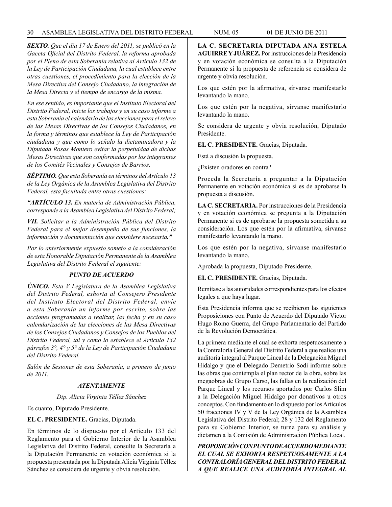## 30 ASAMBLEA LEGISLATIVA DEL DISTRITO FEDERAL NUM. 05 01 de JUNIO de 2011

*SEXTO. Que el día 17 de Enero del 2011, se publicó en la Gaceta Oficial del Distrito Federal, la reforma aprobada por el Pleno de esta Soberanía relativa al Artículo 132 de la Ley de Participación Ciudadana, la cual establece entre otras cuestiones, el procedimiento para la elección de la Mesa Directiva del Consejo Ciudadano, la integración de la Mesa Directa y el tiempo de encargo de la misma.*

*En ese sentido, es importante que el Instituto Electoral del Distrito Federal, inicie los trabajos y en su caso informe a esta Soberanía el calendario de las elecciones para el relevo de las Mesas Directivas de los Consejos Ciudadanos, en la forma y términos que establece la Ley de Participación ciudadana y que como lo señalo la dictaminadora y la Diputada Rosas Montero evitar la perpetuidad de dichas Mesas Directivas que son conformadas por los integrantes de los Comités Vecinales y Consejos de Barrios.*

*SÉPTIMO. Que esta Soberanía en términos del Artículo 13 de la Ley Orgánica de la Asamblea Legislativa del Distrito Federal, esta facultada entre otras cuestiones:*

*"ARTÍCULO 13. En materia de Administración Pública, corresponde a la Asamblea Legislativa del Distrito Federal;*

*VII. Solicitar a la Administración Pública del Distrito Federal para el mejor desempeño de sus funciones, la información y documentación que considere necesaria."*

*Por lo anteriormente expuesto someto a la consideración de esta Honorable Diputación Permanente de la Asamblea Legislativa del Distrito Federal el siguiente:*

# *PUNTO DE ACUERDO*

*ÚNICO. Esta V Legislatura de la Asamblea Legislativa del Distrito Federal, exhorta al Consejero Presidente del Instituto Electoral del Distrito Federal, envíe a esta Soberanía un informe por escrito, sobre las acciones programadas a realizar, las fecha y en su caso calendarización de las elecciones de las Mesa Directivas de los Consejos Ciudadanos y Consejos de los Pueblos del Distrito Federal, tal y como lo establece el Artículo 132 párrafos 3°, 4° y 5° de la Ley de Participación Ciudadana del Distrito Federal.*

*Salón de Sesiones de esta Soberanía, a primero de junio de 2011.*

# *ATENTAMENTE*

#### *Dip. Alicia Virginia Téllez Sánchez*

Es cuanto, Diputado Presidente.

# **EL C. PRESIDENTE.** Gracias, Diputada.

En términos de lo dispuesto por el Artículo 133 del Reglamento para el Gobierno Interior de la Asamblea Legislativa del Distrito Federal, consulte la Secretaría a la Diputación Permanente en votación económica si la propuesta presentada por la Diputada Alicia Virginia Téllez Sánchez se considera de urgente y obvia resolución.

**LA C. SECRETARIA DIPUTADA ANA ESTELA AGUIRRE Y JUÁREZ.** Por instrucciones de la Presidencia y en votación económica se consulta a la Diputación Permanente si la propuesta de referencia se considera de urgente y obvia resolución.

Los que estén por la afirmativa, sírvanse manifestarlo levantando la mano.

Los que estén por la negativa, sírvanse manifestarlo levantando la mano.

Se considera de urgente y obvia resolución, Diputado Presidente.

**EL C. PRESIDENTE.** Gracias, Diputada.

Está a discusión la propuesta.

¿Existen oradores en contra?

Proceda la Secretaría a preguntar a la Diputación Permanente en votación económica si es de aprobarse la propuesta a discusión.

**LA C. SECRETARIA.** Por instrucciones de la Presidencia y en votación económica se pregunta a la Diputación Permanente si es de aprobarse la propuesta sometida a su consideración. Los que estén por la afirmativa, sírvanse manifestarlo levantando la mano.

Los que estén por la negativa, sírvanse manifestarlo levantando la mano.

Aprobada la propuesta, Diputado Presidente.

**EL C. PRESIDENTE.** Gracias, Diputada.

Remítase a las autoridades correspondientes para los efectos legales a que haya lugar.

Esta Presidencia informa que se recibieron las siguientes Proposiciones con Punto de Acuerdo del Diputado Víctor Hugo Romo Guerra, del Grupo Parlamentario del Partido de la Revolución Democrática.

La primera mediante el cual se exhorta respetuosamente a la Contraloría General del Distrito Federal a que realice una auditoría integral al Parque Lineal de la Delegación Miguel Hidalgo y que el Delegado Demetrio Sodi informe sobre las obras que contempla el plan rector de la obra, sobre las megaobras de Grupo Carso, las fallas en la realización del Parque Lineal y los recursos aportados por Carlos Slim a la Delegación Miguel Hidalgo por donativos u otros conceptos. Con fundamento en lo dispuesto por los Artículos 50 fracciones IV y V de la Ley Orgánica de la Asamblea Legislativa del Distrito Federal; 28 y 132 del Reglamento para su Gobierno Interior, se turna para su análisis y dictamen a la Comisión de Administración Pública Local.

*PROPOSICIÓN CON PUNTO DE ACUERDO MEDIANTE EL CUAL SE EXHORTA RESPETUOSAMENTE A LA CONTRALORÍA GENERAL DEL DISTRITO FEDERAL A QUE REALICE UNA AUDITORÍA INTEGRAL AL*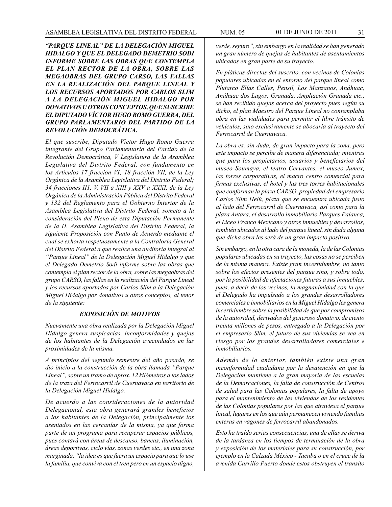*"PARQUE LINEAL" DE LA DELEGACIÓN MIGUEL HIDALGO Y QUE EL DELEGADO DEMETRIO SODI INFORME SOBRE LAS OBRAS QUE CONTEMPLA EL PLAN RECTOR DE LA OBRA, SOBRE LAS MEGAOBRAS DEL GRUPO CARSO, LAS FALLAS EN LA REALIZACIÓN DEL PARQUE LINEAL Y LOS RECURSOS APORTADOS POR CARLOS SLIM A LA DELEGACIÓN MIGUEL HIDALGO POR DONATIVOS U OTROS CONCEPTOS, QUE SUSCRIBE EL DIPUTADO VÍCTOR HUGO ROMO GUERRA, DEL GRUPO PARLAMENTARIO DEL PARTIDO DE LA REVOLUCIÓN DEMOCRÁTICA.*

*El que suscribe, Diputado Víctor Hugo Romo Guerra integrante del Grupo Parlamentario del Partido de la Revolución Democrática, V Legislatura de la Asamblea Legislativa del Distrito Federal, con fundamento en los Artículos 17 fracción VI; 18 fracción VII, de la Ley Orgánica de la Asamblea Legislativa del Distrito Federal; 34 fracciones II1, V, VII a XIII y XXV a XXXI, de la Ley Orgánica de la Administración Pública del Distrito Federal y 132 del Reglamento para el Gobierno Interior de la Asamblea Legislativa del Distrito Federal, someto a la consideración del Pleno de esta Diputación Permanente de la H. Asamblea Legislativa del Distrito Federal, la siguiente Proposición con Punto de Acuerdo mediante el cual se exhorta respetuosamente a la Contraloría General del Distrito Federal a que realice una auditoría integral al "Parque Lineal" de la Delegación Miguel Hidalgo y que el Delegado Demetrio Sodi informe sobre las obras que contempla el plan rector de la obra, sobre las megaobras del grupo CARSO, las fallas en la realización del Parque Lineal y los recursos aportados por Carlos Slim a la Delegación Miguel Hidalgo por donativos u otros conceptos, al tenor de la siguiente:*

#### *EXPOSICIÓN DE MOTIVOS*

*Nuevamente una obra realizada por la Delegación Miguel Hidalgo genera suspicacias, inconformidades y quejas de los habitantes de la Delegación avecindados en las proximidades de la misma.*

*A principios del segundo semestre del año pasado, se dio inicio a la construcción de la obra llamada "Parque Lineal", sobre un tramo de aprox. 12 kilómetros a los lados de la traza del Ferrocarril de Cuernavaca en territorio de la Delegación Miguel Hidalgo.*

*De acuerdo a las consideraciones de la autoridad Delegacional, esta obra generará grandes beneficios a los habitantes de la Delegación, principalmente los asentados en las cercanías de la misma, ya que forma parte de un programa para recuperar espacios públicos, pues contará con áreas de descanso, bancas, iluminación, áreas deportivas, ciclo vías, zonas verdes etc., en una zona marginada. "la idea es que fuera un espacio para que lo use la familia, que conviva con el tren pero en un espacio digno,* 

*verde, seguro", sin embargo en la realidad se han generado un gran número de quejas de habitantes de asentamientos ubicados en gran parte de su trayecto.*

*En pláticas directas del suscrito, con vecinos de Colonias populares ubicadas en el entorno del parque lineal como Plutarco Elías Calles, Pensil, Los Manzanos, Anáhuac, Anáhuac dos Lagos, Granada, Ampliación Granada etc., se han recibido quejas acerca del proyecto pues según su dicho, el plan Maestro del Parque Lineal no contemplaba obra en las vialidades para permitir el libre tránsito de vehículos, sino exclusivamente se abocaría al trayecto del Ferrocarril de Cuernavaca.*

*La obra es, sin duda, de gran impacto para la zona, pero este impacto se percibe de manera diferenciada; mientras que para los propietarios, usuarios y beneficiarios del museo Soumaya, el teatro Cervantes, el museo Jumex, las torres corporativas, el macro centro comercial para firmas exclusivas, el hotel y las tres torres habitacionales que conforman la plaza CARSO, propiedad del empresario Carlos Slim Helú, plaza que se encuentra ubicada justo al lado del Ferrocarril de Cuernavaca, así como para la plaza Antara, el desarrollo inmobiliario Parques Palanca, el Liceo Franco Mexicano y otros inmuebles y desarrollos, también ubicados al lado del parque lineal, sin duda alguna que dicha obra les será de un gran impacto positivo.*

*Sin embargo, en la otra cara de la moneda, la de las Colonias populares ubicadas en su trayecto, las cosas no se perciben de la misma manera. Existe gran incertidumbre, no tanto sobre los efectos presentes del parque sino, y sobre todo, por la posibilidad de afectaciones futuras a sus inmuebles, pues, a decir de los vecinos, la magnanimidad con la que el Delegado ha impulsado a los grandes desarrolladores comerciales e inmobiliarios en la Miguel Hidalgo les genera incertidumbre sobre la posibilidad de que por compromisos de la autoridad, derivados del generoso donativo, de ciento treinta millones de pesos, entregado a la Delegación por el empresario Slim, el futuro de sus viviendas se vea en riesgo por los grandes desarrolladores comerciales e inmobiliarios.*

*Además de lo anterior, también existe una gran inconformidad ciudadana por la desatención en que la Delegación mantiene a la gran mayoría de las escuelas de la Demarcaciones, la falta de construcción de Centros de salud para las Colonias populares, la falta de apoyo para el mantenimiento de las viviendas de los residentes de las Colonias populares por las que atraviesa el parque lineal, lugares en los que aún permanecen viviendo familias enteras en vagones de ferrocarril abandonados.*

*Esto ha traído serias consecuencias, una de ellas se deriva de la tardanza en los tiempos de terminación de la obra y exposición de los materiales para su construcción, por ejemplo en la Calzada México - Tacuba o en el cruce de la avenida Carrillo Puerto donde estos obstruyen el transito*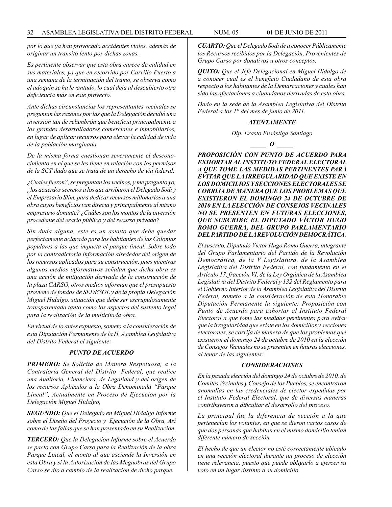*por lo que ya han provocado accidentes viales, además de originar un transito lento por dichas zonas.*

*Es pertinente observar que esta obra carece de calidad en sus materiales, ya que en recorrido por Carrillo Puerto a una semana de la terminación del tramo, se observa como el adoquín se ha levantado, lo cual deja al descubierto otra deficiencia más en este proyecto.*

*Ante dichas circunstancias los representantes vecinales se preguntan las razones por las que la Delegación decidió una inversión tan de relumbrón que beneficia principalmente a los grandes desarrolladores comerciales e inmobiliarios, en lugar de aplicar recursos para elevar la calidad de vida de la población marginada.* 

*De la misma forma cuestionan severamente el desconocimiento en el que se les tiene en relación con los permisos de la SCT dado que se trata de un derecho de vía federal.*

*¿Cuales fueron?, se preguntan los vecinos, y me pregunto yo, ¿los acuerdos secretos a los que arribaron el Delegado Sodi y el Empresario Slim, para dedicar recursos millonarios a una obra cuyos beneficios van directa y principalmente al mismo empresario donante? ¿Cuáles son los montos de la inversión procedente del erario público y del recurso privado?*

*Sin duda alguna, este es un asunto que debe quedar perfectamente aclarado para los habitantes de las Colonias populares a las que impacta el parque lineal. Sobre todo por la contradictoria información alrededor del origen de los recursos aplicados para su construcción, pues mientras algunos medios informativos señalan que dicha obra es una acción de mitigación derivada de la construcción de la plaza CARSO, otros medios informan que el presupuesto proviene de fondos de SEDESOL y de la propia Delegación Miguel Hidalgo, situación que debe ser escrupulosamente transparentada tanto como los aspectos del sustento legal para la realización de la multicitada obra.*

*En virtud de lo antes expuesto, someto a la consideración de esta Diputación Permanente de la H. Asamblea Legislativa del Distrito Federal el siguiente:*

# *PUNTO DE ACUERDO*

*PRIMERO: Se Solicita de Manera Respetuosa, a la Contraloría General del Distrito Federal, que realice una Auditoría, Financiera, de Legalidad y del origen de los recursos Aplicados a la Obra Denominada "Parque Lineal", Actualmente en Proceso de Ejecución por la Delegación Miguel Hidalgo,*

*SEGUNDO: Que el Delegado en Miguel Hidalgo Informe sobre el Diseño del Proyecto y Ejecución de la Obra, Así como de las fallas que se han presentado en su Realización.*

*TERCERO: Que la Delegación Informe sobre el Acuerdo se pacto con Grupo Carso para la Realización de la obra Parque Lineal, el monto al que asciende la Inversión en esta Obra y si la Autorización de las Megaobras del Grupo Carso se dio a cambio de la realización de dicho parque.*

*CUARTO: Que el Delegado Sodi de a conocer Públicamente los Recursos recibidos por la Delegación, Provenientes de Grupo Carso por donativos u otros conceptos.*

*QUITO: Que el Jefe Delegacional en Miguel Hidalgo de a conocer cual es el beneficio Ciudadano de esta obra respecto a los habitantes de la Demarcaciones y cuales han sido las afectaciones a ciudadanos derivadas de esta obra.*

*Dado en la sede de la Asamblea Legislativa del Distrito Federal a los 1° del mes de junio de 2011.*

#### *ATENTAMENTE*

*Dip. Erasto Ensástiga Santiago*

*\_\_\_\_\_ O \_\_\_\_\_*

*PROPOSICIÓN CON PUNTO DE ACUERDO PARA EXHORTAR AL INSTITUTO FEDERAL ELECTORAL A QUE TOME LAS MEDIDAS PERTINENTES PARA EVITAR QUE LA IRREGULARIDAD QUE EXISTE EN LOS DOMICILIOS Y SECCIONES ELECTORALES SE CORRIJA DE MANERA QUE LOS PROBLEMAS QUE EXISTIERON EL DOMINGO 24 DE OCTUBRE DE 2010 EN LA ELECCIÓN DE CONSEJOS VECINALES NO SE PRESENTEN EN FUTURAS ELECCIONES, QUE SUSCRIBE EL DIPUTADO VÍCTOR HUGO ROMO GUERRA, DEL GRUPO PARLAMENTARIO DEL PARTIDO DE LA REVOLUCIÓN DEMOCRÁTICA.*

*El suscrito, Diputado Víctor Hugo Romo Guerra, integrante del Grupo Parlamentario del Partido de la Revolución Democrática, de la V Legislatura, de la Asamblea Legislativa del Distrito Federal, con fundamento en el Artículo 17, fracción VI, de la Ley Orgánica de la Asamblea Legislativa del Distrito Federal y 132 del Reglamento para el Gobierno Interior de la Asamblea Legislativa del Distrito Federal, someto a la consideración de esta Honorable Diputación Permanente la siguiente: Proposición con Punto de Acuerdo para exhortar al Instituto Federal Electoral a que tome las medidas pertinentes para evitar que la irregularidad que existe en los domicilios y secciones electorales, se corrija de manera de que los problemas que existieron el domingo 24 de octubre de 2010 en la elección de Consejos Vecinales no se presenten en futuras elecciones, al tenor de las siguientes:*

#### *CONSIDERACIONES*

*En la pasada elección del domingo 24 de octubre de 2010, de Comités Vecinales y Consejo de los Pueblos, se encontraron anomalías en las credenciales de elector expedidas por el Instituto Federal Electoral, que de diversas maneras contribuyeron a dificultar el desarrollo del proceso.*

*La principal fue la diferencia de sección a la que pertenecían los votantes, en que se dieron varios casos de que dos personas que habitan en el mismo domicilio tenían diferente número de sección.*

*El hecho de que un elector no esté correctamente ubicado en una sección electoral durante un proceso de elección tiene relevancia, puesto que puede obligarlo a ejercer su voto en un lugar distinto a su domicilio.*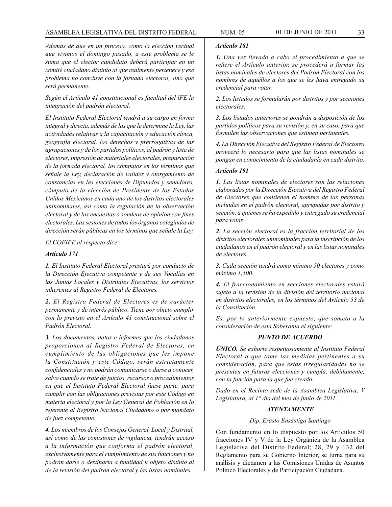# ASAMBLEA LEGISLATIVA DEL DISTRITO FEDERAL NUM. 05 01 de JUNIO de 2011 33

*Además de que en un proceso, como la elección vecinal que vivimos el domingo pasado, a este problema se le suma que el elector candidato deberá participar en un comité ciudadano distinto al que realmente pertenece y ese problema no concluye con la jornada electoral, sino que será permanente.*

*Según el Artículo 41 constitucional es facultad del lFE la integración del padrón electoral:*

*El Instituto Federal Electoral tendrá a su cargo en forma integral y directa, además de las que le determine la Ley, las actividades relativas a la capacitación y educación cívica, geografía electoral, los derechos y prerrogativas de las agrupaciones y de los partidos políticos, al padrón y lista de electores, impresión de materiales electorales, preparación de la jornada electoral, los cómputos en los términos que señale la Ley, declaración de validez y otorgamiento de constancias en las elecciones de Diputados y senadores, cómputo de la elección de Presidente de los Estados Unidos Mexicanos en cada uno de los distritos electorales uninominales, así como la regulación de la observación electoral y de las encuestas o sondeos de opinión con fines electorales. Las sesiones de todos los órganos colegiados de dirección serán públicas en los términos que señale la Ley.*

# *El COFIPE al respecto dice:*

# *Artículo 171*

*1. El Instituto Federal Electoral prestará por conducto de la Dirección Ejecutiva competente y de sus Vocalías en las Juntas Locales y Distritales Ejecutivas, los servicios inherentes al Registro Federal de Electores.*

*2. El Registro Federal de Electores es de carácter permanente y de interés público. Tiene por objeto cumplir con lo previsto en el Artículo 41 constitucional sobre el Padrón Electoral.*

*3. Los documentos, datos e informes que los ciudadanos proporcionen al Registro Federal de Electores, en cumplimiento de las obligaciones que les impone la Constitución y este Código, serán estrictamente confidenciales y no podrán comunicarse o darse a conocer, salvo cuando se trate de juicios, recursos o procedimientos en que el Instituto Federal Electoral fuese parte, para cumplir con las obligaciones previstas por este Código en materia electoral y por la Ley General de Población en lo referente al Registro Nacional Ciudadano o por mandato de juez competente.*

*4. Los miembros de los Consejos General, Local y Distrital, así como de las comisiones de vigilancia, tendrán acceso a la información que conforma el padrón electoral, exclusivamente para el cumplimiento de sus funciones y no podrán darle o destinarla a finalidad u objeto distinto al de la revisión del padrón electoral y las listas nominales.*

# *Artículo 181*

*1. Una vez llevado a cabo el procedimiento a que se refiere el Artículo anterior, se procederá a formar las listas nominales de electores del Padrón Electoral con los nombres de aquéllos a los que se les haya entregado su credencial para votar.*

*2. Los listados se formularán por distritos y por secciones electorales.*

*3. Los listados anteriores se pondrán a disposición de los partidos políticos para su revisión y, en su caso, para que formulen las observaciones que estimen pertinentes.*

*4. La Dirección Ejecutiva del Registro Federal de Electores proveerá lo necesario para que las listas nominales se pongan en conocimiento de la ciudadanía en cada distrito.*

#### *Artículo 191*

*1. Las listas nominales de electores son las relaciones elaboradas por la Dirección Ejecutiva del Registro Federal de Electores que contienen el nombre de las personas incluidas en el padrón electoral, agrupadas por distrito y sección, a quienes se ha expedido y entregado su credencial para votar.*

*2. La sección electoral es la fracción territorial de los distritos electorales uninominales para la inscripción de los ciudadanos en el padrón electoral y en las listas nominales de electores.*

*3. Cada sección tendrá como mínimo 50 electores y como máximo 1,500.*

*4. El fraccionamiento en secciones electorales estará sujeto a la revisión de la división del territorio nacional en distritos electorales, en los términos del Artículo 53 de la Constitución.*

*Es, por lo anteriormente expuesto, que someto a la consideración de esta Soberanía el siguiente:*

#### *PUNTO DE ACUERDO*

*ÚNICO. Se exhorte respetuosamente al Instituto Federal Electoral a que tome las medidas pertinentes a su consideración, para que estas irregularidades no se presenten en futuras elecciones y cumpla, debidamente, con la función para la que fue creado.*

*Dado en el Recinto sede de la Asamblea Legislativa, V Legislatura, al 1° día del mes de junio de 2011.*

#### *ATENTAMENTE*

#### *Dip. Erasto Ensástiga Santiago*

Con fundamento en lo dispuesto por los Artículos 50 fracciones IV y V de la Ley Orgánica de la Asamblea Legislativa del Distrito Federal; 28, 29 y 132 del Reglamento para su Gobierno Interior, se turna para su análisis y dictamen a las Comisiones Unidas de Asuntos Político Electorales y de Participación Ciudadana.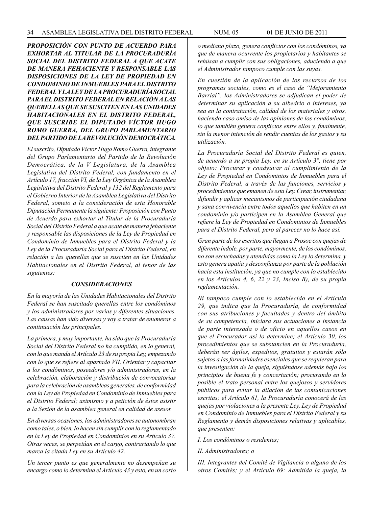*PROPOSICIÓN CON PUNTO DE ACUERDO PARA EXHORTAR AL TITULAR DE LA PROCURADURÍA SOCIAL DEL DISTRITO FEDERAL A QUE ACATE DE MANERA FEHACIENTE Y RESPONSABLE LAS DISPOSICIONES DE LA LEY DE PROPIEDAD EN CONDOMINIO DE INMUEBLES PARA EL DISTRITO FEDERAL Y LA LEY DE LA PROCURADURÍA SOCIAL PARA EL DISTRITO FEDERAL EN RELACIÓN A LAS QUERELLAS QUE SE SUSCITEN EN LAS UNIDADES HABITACIONALES EN EL DISTRITO FEDERAL, QUE SUSCRIBE EL DIPUTADO VÍCTOR HUGO ROMO GUERRA, DEL GRUPO PARLAMENTARIO DEL PARTIDO DE LA REVOLUCIÓN DEMOCRÁTICA.*

*El suscrito, Diputado Víctor Hugo Romo Guerra, integrante del Grupo Parlamentario del Partido de la Revolución Democrática, de la V Legislatura, de la Asamblea Legislativa del Distrito Federal, con fundamento en el Artículo 17, fracción VI, de la Ley Orgánica de la Asamblea Legislativa del Distrito Federal y 132 del Reglamento para el Gobierno Interior de la Asamblea Legislativa del Distrito Federal, someto a la consideración de esta Honorable Diputación Permanente la siguiente: Proposición con Punto de Acuerdo para exhortar al Titular de la Procuraduría Social del Distrito Federal a que acate de manera fehaciente y responsable las disposiciones de la Ley de Propiedad en Condominio de Inmuebles para el Distrito Federal y la Ley de la Procuraduría Social para el Distrito Federal, en relación a las querellas que se susciten en las Unidades Habitacionales en el Distrito Federal, al tenor de las siguientes:*

#### *CONSIDERACIONES*

*En la mayoría de las Unidades Habitacionales del Distrito Federal se han suscitado querellas entre los condóminos y los administradores por varias y diferentes situaciones. Las causas han sido diversas y voy a tratar de enumerar a continuación las principales.*

*La primera, y muy importante, ha sido que la Procuraduría Social del Distrito Federal no ha cumplido, en lo general, con lo que manda el Artículo 23 de su propia Ley, empezando con lo que se refiere al apartado VII. Orientar y capacitar a los condóminos, poseedores y/o administradores, en la celebración, elaboración y distribución de convocatorias para la celebración de asambleas generales, de conformidad con la Ley de Propiedad en Condominio de Inmuebles para el Distrito Federal; asimismo y a petición de éstos asistir a la Sesión de la asamblea general en calidad de asesor.*

*En diversas ocasiones, los administradores se autonombran como tales, o bien, lo hacen sin cumplir con lo reglamentado en la Ley de Propiedad en Condominios en su Artículo 37. Otras veces, se perpetúan en el cargo, contrariando lo que marca la citada Ley en su Artículo 42.*

*Un tercer punto es que generalmente no desempeñan su encargo como lo determina el Artículo 43 y esto, en un corto* 

*o mediano plazo, genera conflictos con los condóminos, ya que de manera ocurrente los propietarios y habitantes se rehúsan a cumplir con sus obligaciones, aduciendo a que el Administrador tampoco cumple con las suyas.*

*En cuestión de la aplicación de los recursos de los programas sociales, como es el caso de "Mejoramiento Barrial", los Administradores se adjudican el poder de determinar su aplicación a su albedrío o intereses, ya sea en la contratación, calidad de los materiales y otros, haciendo caso omiso de las opiniones de los condóminos, lo que también genera conflictos entre ellos y, finalmente, sin la menor intención de rendir cuentas de los gastos y su utilización.*

*La Procuraduría Social del Distrito Federal es quien, de acuerdo a su propia Ley, en su Artículo 3°, tiene por objeto: Procurar y coadyuvar al cumplimiento de la Ley de Propiedad en Condominios de Inmuebles para el Distrito Federal, a través de las funciones, servicios y procedimientos que emanen de esta Ley. Crear, instrumentar, difundir y aplicar mecanismos de participación ciudadana y sana convivencia entre todos aquellos que habiten en un condominio y/o participen en la Asamblea General que refiere la Ley de Propiedad en Condominios de Inmuebles para el Distrito Federal, pero al parecer no lo hace así.*

*Gran parte de los escritos que llegan a Prosoc con quejas de diferente índole, por parte, mayormente, de los condóminos, no son escuchadas y atendidas como la Ley lo determina, y esto genera apatía y desconfianza por parte de la población hacia esta institución, ya que no cumple con lo establecido en los Artículos 4, 6, 22 y 23, Inciso B), de su propia reglamentación.*

*Ni tampoco cumple con lo establecido en el Artículo 29, que indica que la Procuraduría, de conformidad con sus atribuciones y facultades y dentro del ámbito de su competencia, iniciará sus actuaciones a instancia de parte interesada o de oficio en aquellos casos en que el Procurador así lo determine; el Artículo 30, los procedimientos que se substancien en la Procuraduría, deberán ser ágiles, expeditos, gratuitos y estarán sólo sujetos a las formalidades esenciales que se requieran para la investigación de la queja, siguiéndose además bajo los principios de buena fe y concertación; procurando en lo posible el trato personal entre los quejosos y servidores públicos para evitar la dilación de las comunicaciones escritas; el Artículo 61, la Procuraduría conocerá de las quejas por violaciones a la presente Ley, Ley de Propiedad en Condominio de Inmuebles para el Distrito Federal y su Reglamento y demás disposiciones relativas y aplicables, que presenten:* 

*I. Los condóminos o residentes;* 

*II. Administradores; o* 

*III. Integrantes del Comité de Vigilancia o alguno de los otros Comités; y el Artículo 69: Admitida la queja, la*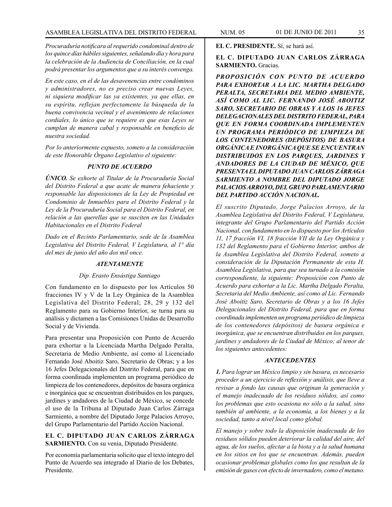*Procuraduría notificara al requerido condominal dentro de los quince días hábiles siguientes, señalando día y hora para la celebración de la Audiencia de Conciliación, en la cual podrá presentar los argumentos que a su interés convenga.*

*En este caso, en el de las desavenencias entre condóminos y administradores, no es preciso crear nuevas Leyes, ni siquiera modificar las ya existentes, ya que ellas, en su espíritu, reflejan perfectamente la búsqueda de la buena convivencia vecinal y el avenimiento de relaciones cordiales, lo único que se requiere es que esas Leyes se cumplan de manera cabal y responsable en beneficio de nuestra sociedad.*

*Por lo anteriormente expuesto, someto a la consideración de este Honorable Órgano Legislativo el siguiente:*

# *PUNTO DE ACUERDO*

*ÚNICO. Se exhorte al Titular de la Procuraduría Social del Distrito Federal a que acate de manera fehaciente y responsable las disposiciones de la Ley de Propiedad en Condominio de Inmuebles para el Distrito Federal y la Ley de la Procuraduría Social para el Distrito Federal, en relación a las querellas que se susciten en las Unidades Habitacionales en el Distrito Federal*

*Dado en el Recinto Parlamentario, sede de la Asamblea Legislativa del Distrito Federal, V Legislatura, al 1° día del mes de junio del año dos mil once.*

# *ATENTAMENTE*

#### *Dip. Erasto Ensástiga Santiago*

Con fundamento en lo dispuesto por los Artículos 50 fracciones IV y V de la Ley Orgánica de la Asamblea Legislativa del Distrito Federal; 28, 29 y 132 del Reglamento para su Gobierno Interior, se turna para su análisis y dictamen a las Comisiones Unidas de Desarrollo Social y de Vivienda.

Para presentar una Proposición con Punto de Acuerdo para exhortar a la Licenciada Martha Delgado Peralta, Secretaria de Medio Ambiente, así como al Licenciado Fernando José Aboitiz Saro, Secretario de Obras; y a los 16 Jefes Delegacionales del Distrito Federal, para que en forma coordinada implementen un programa periódico de limpieza de los contenedores, depósitos de basura orgánica e inorgánica que se encuentran distribuidos en los parques, jardines y andadores de la Ciudad de México, se concede el uso de la Tribuna al Diputado Juan Carlos Zárraga Sarmiento, a nombre del Diputado Jorge Palacios Arroyo, del Grupo Parlamentario del Partido Acción Nacional.

# **EL C. DIPUTADO JUAN CARLOS ZÁRRAGA SARMIENTO.** Con su venia, Diputado Presidente.

Por economía parlamentaria solicito que el texto íntegro del Punto de Acuerdo sea integrado al Diario de los Debates, Presidente.

**EL C. PRESIDENTE.** Sí, se hará así.

# **EL C. DIPUTADO JUAN CARLOS ZÁRRAGA SARMIENTO.** Gracias.

*PROPOSICIÓN CON PUNTO DE ACUERDO PARA EXHORTAR A LA LIC. MARTHA DELGADO PERALTA, SECRETARIA DEL MEDIO AMBIENTE, ASÍ COMO AL LIC. FERNANDO JOSÉ ABOITIZ SARO, SECRETARIO DE OBRAS Y A LOS 16 JEFES DELEGACIONALES DEL DISTRITO FEDERAL, PARA QUE EN FORMA COORDINADA IMPLEMENTEN UN PROGRAMA PERIÓDICO DE LIMPIEZA DE LOS CONTENEDORES (DEPÓSITOS) DE BASURA ORGÁNICA E INORGÁNICA QUE SE ENCUENTRAN DISTRIBUIDOS EN LOS PARQUES, JARDINES Y ANDADORES DE LA CIUDAD DE MÉXICO, QUE PRESENTA EL DIPUTADO JUAN CARLOS ZÁRRAGA SARMIENTO A NOMBRE DEL DIPUTADO JORGE PALACIOS ARROYO, DEL GRUPO PARLAMENTARIO DEL PARTIDO ACCIÓN NACIONAL.*

*El suscrito Diputado, Jorge Palacios Arroyo, de la Asamblea Legislativa del Distrito Federal, V Legislatura, integrante del Grupo Parlamentario del Partido Acción Nacional, con fundamento en lo dispuesto por los Artículos 11, 17 fracción VI, 18 fracción VII de la Ley Orgánica y 132 del Reglamento para el Gobierno Interior, ambos de la Asamblea Legislativa del Distrito Federal, someto a consideración de la Diputación Permanente de esta H. Asamblea Legislativa, para que sea turnado a la comisión correspondiente, la siguiente: Proposición con Punto de Acuerdo para exhortar a la Lic. Martha Delgado Peralta, Secretaria del Medio Ambiente, así como al Lic. Fernando José Aboitiz Saro, Secretario de Obras y a los 16 Jefes Delegacionales del Distrito Federal, para que en forma coordinada implementen un programa periódico de limpieza de los contenedores (depósitos) de basura orgánica e inorgánica, que se encuentran distribuidos en los parques, jardines y andadores de la Ciudad de México; al tenor de los siguientes antecedentes:*

#### *ANTECEDENTES*

*1. Para lograr un México limpio y sin basura, es necesario proceder a un ejercicio de reflexión y análisis, que lleve a revisar a fondo las causas que originan la generación y el manejo inadecuado de los residuos sólidos, así como los problemas que esto ocasiona no sólo a la salud, sino también al ambiente, a la economía, a los bienes y a la sociedad, tanto a nivel local como global.*

*El manejo y sobre todo la disposición inadecuada de los residuos sólidos pueden deteriorar la calidad del aire, del agua, de los suelos, afectar a la biota y a la salud humana en los sitios en los que se encuentran. Además, pueden ocasionar problemas globales como los que resultan de la emisión de gases con efecto de invernadero, como el metano.*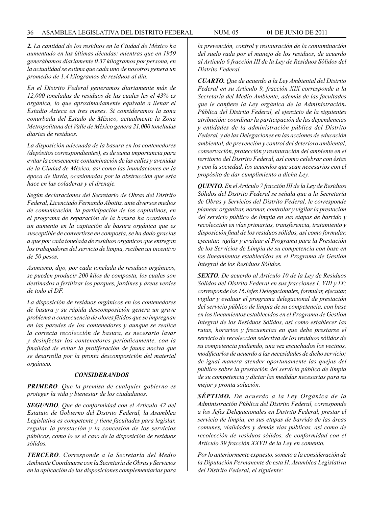*2. La cantidad de los residuos en la Ciudad de México ha aumentado en las últimas décadas: mientras que en 1959 generábamos diariamente 0.37 kilogramos por persona, en la actualidad se estima que cada uno de nosotros genera un promedio de 1.4 kilogramos de residuos al día.*

*En el Distrito Federal generamos diariamente más de 12,000 toneladas de residuos de las cuales les el 43% es orgánica, lo que aproximadamente equivale a llenar el Estadio Azteca en tres meses. Si consideramos la zona conurbada del Estado de México, actualmente la Zona Metropolitana del Valle de México genera 21,000 toneladas diarias de residuos.*

*La disposición adecuada de la basura en los contenedores (depósitos correspondientes), es de suma importancia para evitar la consecuente contaminación de las calles y avenidas de la Ciudad de México, así como las inundaciones en la época de lluvia, ocasionadas por la obstrucción que esta hace en las coladeras y el drenaje.*

*Según declaraciones del Secretario de Obras del Distrito Federal, Licenciado Fernando Aboitiz, ante diversos medios de comunicación, la participación de los capitalinos, en el programa de separación de la basura ha ocasionado un aumento en la captación de basura orgánica que es susceptible de convertirse en composta, se ha dado gracias a que por cada tonelada de residuos orgánicos que entregan los trabajadores del servicio de limpia, reciben un incentivo de 50 pesos.*

*Asimismo, dijo, por cada tonelada de residuos orgánicos, se pueden producir 200 kilos de composta, los cuales son destinados a fertilizar los parques, jardines y áreas verdes de todo el DF.*

*La disposición de residuos orgánicos en los contenedores de basura y su rápida descomposición genera un grave problema a consecuencia de olores fétidos que se impregnan en las paredes de los contenedores y aunque se realice la correcta recolección de basura, es necesario lavar y desinfectar los contenedores periódicamente, con la finalidad de evitar la proliferación de fauna nociva que se desarrolla por la pronta descomposición del material orgánico.*

#### *CONSIDERANDOS*

*PRIMERO. Que la premisa de cualquier gobierno es proteger la vida y bienestar de los ciudadanos.*

*SEGUNDO. Que de conformidad con el Artículo 42 del Estatuto de Gobierno del Distrito Federal, la Asamblea Legislativa es competente y tiene facultades para legislar, regular la prestación y la concesión de los servicios públicos, como lo es el caso de la disposición de residuos sólidos.*

*TERCERO. Corresponde a la Secretaría del Medio Ambiente Coordinarse con la Secretaría de Obras y Servicios en la aplicación de las disposiciones complementarias para* 

*la prevención, control y restauración de la contaminación del suelo rada por el manejo de los residuos, de acuerdo al Artículo 6 fracción III de la Ley de Residuos Sólidos del Distrito Federal.*

*CUARTO. Que de acuerdo a la Ley Ambiental del Distrito Federal en su Artículo 9, fracción XIX corresponde a la Secretaría del Medio Ambiente, además de las facultades que le confiere la Ley orgánica de la Administración. Pública del Distrito Federal, el ejercicio de la siguientes atribución: coordinar la participación de las dependencias y entidades de la administración pública del Distrito Federal, y de las Delegaciones en las acciones de educación ambiental, de prevención y control del deterioro ambiental, conservación, protección y restauración del ambiente en el territorio del Distrito Federal, así como celebrar con éstas y con la sociedad, los acuerdos que sean necesarios con el propósito de dar cumplimiento a dicha Ley.*

*QUINTO. En el Artículo 7 fracción III de la Ley de Residuos Sólidos del Distrito Federal se señala que a la Secretaría de Obras y Servicios del Distrito Federal, le corresponde planear, organizar, normar, controlar y vigilar la prestación del servicio público de limpia en sus etapas de barrido y recolección en vías primarias, transferencia, tratamiento y disposición final de los residuos sólidos, así como formular, ejecutar, vigilar y evaluar el Programa para la Prestación de los Servicios de Limpia de su competencia con base en los lineamientos establecidos en el Programa de Gestión Integral de los Residuos Sólidos.*

*SEXTO. De acuerdo al Artículo 10 de la Ley de Residuos Sólidos del Distrito Federal en sus fracciones I, VIII y IX; corresponde los 16 Jefes Delegacionales, formular, ejecutar, vigilar y evaluar el programa delegacional de prestación del servicio público de limpia de su competencia, con base en los lineamientos establecidos en el Programa de Gestión Integral de los Residuos Sólidos, así como establecer las rutas, horarios y frecuencias en que debe prestarse el servicio de recolección selectiva de los residuos sólidos de su competencia pudiendo, una vez escuchados los vecinos, modificarlos de acuerdo a las necesidades de dicho servicio; de igual manera atender oportunamente las quejas del público sobre la prestación del servicio público de limpia de su competencia y dictar las medidas necesarias para su mejor y pronta solución.*

*SÉPTIMO. De acuerdo a la Ley Orgánica de la Administración Pública del Distrito Federal, corresponde a los Jefes Delegacionales en Distrito Federal, prestar el servicio de limpia, en sus etapas de barrido de las áreas comunes, vialidades y demás vías públicas, así como de recolección de residuos sólidos, de conformidad con el Artículo 39 fracción XXVII de la Ley en comento.*

*Por lo anteriormente expuesto, someto a la consideración de la Diputación Permanente de esta H. Asamblea Legislativa del Distrito Federal, el siguiente:*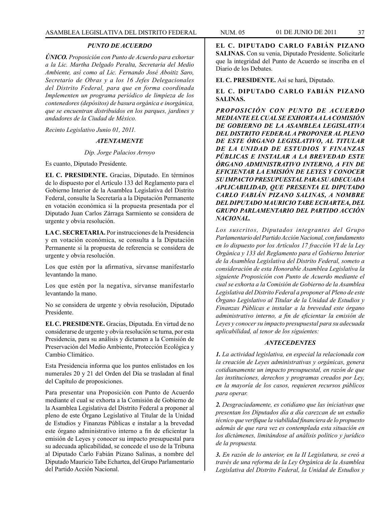## *PUNTO DE ACUERDO*

*ÚNICO. Proposición con Punto de Acuerdo para exhortar a la Lic. Martha Delgado Peralta, Secretaria del Medio Ambiente, así como al Lic. Fernando José Aboitiz Saro, Secretario de Obras y a los 16 Jefes Delegacionales del Distrito Federal, para que en forma coordinada Implementen un programa periódico de limpieza de los contenedores (depósitos) de basura orgánica e inorgánica, que se encuentran distribuidos en los parques, jardines y andadores de la Ciudad de México.*

*Recinto Legislativo Junio 01, 2011.*

## *ATENTAMENTE*

*Dip. Jorge Palacios Arroyo*

Es cuanto, Diputado Presidente.

**EL C. PRESIDENTE.** Gracias, Diputado. En términos de lo dispuesto por el Artículo 133 del Reglamento para el Gobierno Interior de la Asamblea Legislativa del Distrito Federal, consulte la Secretaría a la Diputación Permanente en votación económica si la propuesta presentada por el Diputado Juan Carlos Zárraga Sarmiento se considera de urgente y obvia resolución.

**LA C. SECRETARIA.** Por instrucciones de la Presidencia y en votación económica, se consulta a la Diputación Permanente si la propuesta de referencia se considera de urgente y obvia resolución.

Los que estén por la afirmativa, sírvanse manifestarlo levantando la mano.

Los que estén por la negativa, sírvanse manifestarlo levantando la mano.

No se considera de urgente y obvia resolución, Diputado Presidente.

**EL C. PRESIDENTE.** Gracias, Diputada. En virtud de no considerarse de urgente y obvia resolución se turna, por esta Presidencia, para su análisis y dictamen a la Comisión de Preservación del Medio Ambiente, Protección Ecológica y Cambio Climático.

Esta Presidencia informa que los puntos enlistados en los numerales 20 y 21 del Orden del Día se trasladan al final del Capítulo de proposiciones.

Para presentar una Proposición con Punto de Acuerdo mediante el cual se exhorta a la Comisión de Gobierno de la Asamblea Legislativa del Distrito Federal a proponer al pleno de este Órgano Legislativo al Titular de la Unidad de Estudios y Finanzas Públicas e instalar a la brevedad este órgano administrativo interno a fin de eficientar la emisión de Leyes y conocer su impacto presupuestal para su adecuada aplicabilidad, se concede el uso de la Tribuna al Diputado Carlo Fabián Pizano Salinas, a nombre del Diputado Mauricio Tabe Echartea, del Grupo Parlamentario del Partido Acción Nacional.

**EL C. DIPUTADO CARLO FABIÁN PIZANO SALINAS.** Con su venia, Diputado Presidente. Solicitarle que la integridad del Punto de Acuerdo se inscriba en el Diario de los Debates.

**EL C. PRESIDENTE.** Así se hará, Diputado.

## **EL C. DIPUTADO CARLO FABIÁN PIZANO SALINAS.**

*PROPOSICIÓN CON PUNTO DE ACUERDO MEDIANTE EL CUAL SE EXHORTA A LA COMISIÓN DE GOBIERNO DE LA ASAMBLEA LEGISLATIVA DEL DISTRITO FEDERAL A PROPONER AL PLENO DE ESTE ÓRGANO LEGISLATIVO, AL TITULAR DE LA UNIDAD DE ESTUDIOS Y FINANZAS PÚBLICAS E INSTALAR A LA BREVEDAD ESTE ÓRGANO ADMINISTRATIVO INTERNO, A FIN DE EFICIENTAR LA EMISIÓN DE LEYES Y CONOCER SU IMPACTO PRESUPUESTAL PARA SU ADECUADA APLICABILIDAD, QUE PRESENTA EL DIPUTADO CARLO FABIÁN PIZANO SALINAS, A NOMBRE DEL DIPUTADO MAURICIO TABE ECHARTEA, DEL GRUPO PARLAMENTARIO DEL PARTIDO ACCIÓN NACIONAL.*

*Los suscritos, Diputados integrantes del Grupo Parlamentario del Partido Acción Nacional, con fundamento en lo dispuesto por los Artículos 17 fracción VI de la Ley Orgánica y 133 del Reglamento para el Gobierno Interior de la Asamblea Legislativa del Distrito Federal, someto a consideración de esta Honorable Asamblea Legislativa la siguiente Proposición con Punto de Acuerdo mediante el cual se exhorta a la Comisión de Gobierno de la Asamblea Legislativa del Distrito Federal a proponer al Pleno de este Órgano Legislativo al Titular de la Unidad de Estudios y Finanzas Públicas e instalar a la brevedad este órgano administrativo interno, a fin de eficientar la emisión de Leyes y conocer su impacto presupuestal para su adecuada aplicabilidad, al tenor de los siguientes:*

#### *ANTECEDENTES*

*1. La actividad legislativa, en especial la relacionada con la creación de Leyes administrativas y orgánicas, genera cotidianamente un impacto presupuestal, en razón de que las instituciones, derechos y programas creados por Ley, en la mayoría de los casos, requieren recursos públicos para operar.*

*2. Desgraciadamente, es cotidiano que las iniciativas que presentan los Diputados día a día carezcan de un estudio técnico que verifique la viabilidad financiera de lo propuesto además de que rara vez es contemplada esta situación en los dictámenes, limitándose al análisis político y jurídico de la propuesta.*

*3. En razón de lo anterior, en la II Legislatura, se creó a través de una reforma de la Ley Orgánica de la Asamblea Legislativa del Distrito Federal, la Unidad de Estudios y*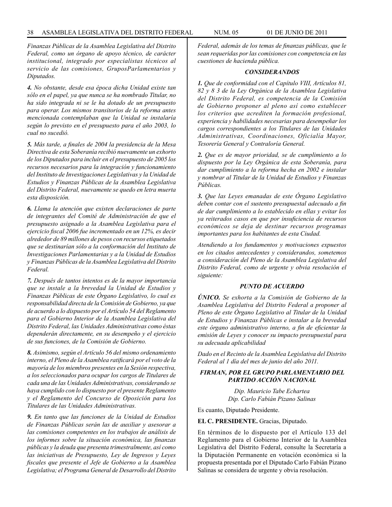*Finanzas Públicas de la Asamblea Legislativa del Distrito Federal, como un órgano de apoyo técnico, de carácter institucional, integrado por especialistas técnicos al servicio de las comisiones, GruposParlamentarios y Diputados.*

*4. No obstante, desde esa época dicha Unidad existe tan sólo en el papel, ya que nunca se ha nombrado Titular, no ha sido integrada ni se le ha dotado de un presupuesto para operar. Los mismos transitorios de la reforma antes mencionada contemplaban que la Unidad se instalaría según lo previsto en el presupuesto para el año 2003, lo cual no sucedió.* 

*5. Más tarde, a finales de 2004 la presidencia de la Mesa Directiva de esta Soberanía recibió nuevamente un exhorto de los Diputados para incluir en el presupuesto de 2005 los recursos necesarios para la integración y funcionamiento del Instituto de Investigaciones Legislativas y la Unidad de Estudios y Finanzas Públicas de la Asamblea Legislativa del Distrito Federal, nuevamente se quedo en letra muerta esta disposición.* 

*6. Llama la atención que existen declaraciones de parte de integrantes del Comité de Administración de que el presupuesto asignado a la Asamblea Legislativa para el ejercicio fiscal 2006 fue incrementado en un 12%, es decir alrededor de 89 millones de pesos con recursos etiquetados que se destinarían sólo a la conformación del Instituto de Investigaciones Parlamentarias y a la Unidad de Estudios y Finanzas Públicas de la Asamblea Legislativa del Distrito Federal.*

*7. Después de tantos intentos es de la mayor importancia que se instale a la brevedad la Unidad de Estudios y Finanzas Públicas de este Órgano Legislativo, lo cual es responsabilidad directa de la Comisión de Gobierno, ya que de acuerdo a lo dispuesto por el Artículo 54 del Reglamento para el Gobierno Interior de la Asamblea Legislativa del Distrito Federal, las Unidades Administrativas como éstas dependerán directamente, en su desempeño y el ejercicio de sus funciones, de la Comisión de Gobierno.* 

*8. Asimismo, según el Artículo 56 del mismo ordenamiento interno, el Pleno de la Asamblea ratificará por el voto de la mayoría de los miembros presentes en la Sesión respectiva, a los seleccionados para ocupar los cargos de Titulares de cada una de las Unidades Administrativas, considerando se haya cumplido con lo dispuesto por el presente Reglamento y el Reglamento del Concurso de Oposición para los Titulares de las Unidades Administrativas.*

*9. En tanto que las funciones de la Unidad de Estudios de Finanzas Públicas serán las de auxiliar y asesorar a las comisiones competentes en los trabajos de análisis de los informes sobre la situación económica, las finanzas públicas y la deuda que presenta trimestralmente, así como las iniciativas de Presupuesto, Ley de Ingresos y Leyes fiscales que presente el Jefe de Gobierno a la Asamblea Legislativa; el Programa General de Desarrollo del Distrito* 

*Federal, además de los temas de finanzas públicas, que le sean requeridas por las comisiones con competencia en las cuestiones de hacienda pública.*

## *CONSIDERANDOS*

*1. Que de conformidad con el Capítulo VIII, Artículos 81, 82 y 8 3 de la Ley Orgánica de la Asamblea Legislativa del Distrito Federal, es competencia de la Comisión de Gobierno proponer al pleno así como establecer los criterios que acrediten la formación profesional, experiencia y habilidades necesarias para desempeñar los cargos correspondientes a los Titulares de las Unidades Administrativas, Coordinaciones, Oficialía Mayor, Tesorería General y Contraloría General.*

*2. Que es de mayor prioridad, se de cumplimiento a lo dispuesto por la Ley Orgánica de esta Soberanía, para dar cumplimiento a la reforma hecha en 2002 e instalar y nombrar al Titular de la Unidad de Estudios y Finanzas Públicas.*

*3. Que las Leyes emanadas de este Órgano Legislativo deben contar con el sustento presupuestal adecuado a fin de dar cumplimiento a lo establecido en ellas y evitar los ya reiterados casos en que por insuficiencia de recursos económicos se deja de destinar recursos programas importantes para los habitantes de esta Ciudad.*

*Atendiendo a los fundamentos y motivaciones expuestos en los citados antecedentes y considerandos, sometemos a consideración del Pleno de la Asamblea Legislativa del Distrito Federal, como de urgente y obvia resolución el siguiente:*

#### *PUNTO DE ACUERDO*

*ÚNICO. Se exhorta a la Comisión de Gobierno de la Asamblea Legislativa del Distrito Federal a proponer al Pleno de este Órgano Legislativo al Titular de la Unidad de Estudios y Finanzas Públicas e instalar a la brevedad este órgano administrativo interno, a fin de eficientar la emisión de Leyes y conocer su impacto presupuestal para su adecuada aplicabilidad*

*Dado en el Recinto de la Asamblea Legislativa del Distrito Federal al 1 día del mes de junio del año 2011.*

## *FIRMAN, POR EL GRUPO PARLAMENTARIO DEL PARTIDO ACCIÓN NACIONAL*

*Dip. Mauricio Tabe Echartea Dip. Carlo Fabián Pizano Salinas*

Es cuanto, Diputado Presidente.

#### **EL C. PRESIDENTE.** Gracias, Diputado.

En términos de lo dispuesto por el Artículo 133 del Reglamento para el Gobierno Interior de la Asamblea Legislativa del Distrito Federal, consulte la Secretaría a la Diputación Permanente en votación económica si la propuesta presentada por el Diputado Carlo Fabián Pizano Salinas se considera de urgente y obvia resolución.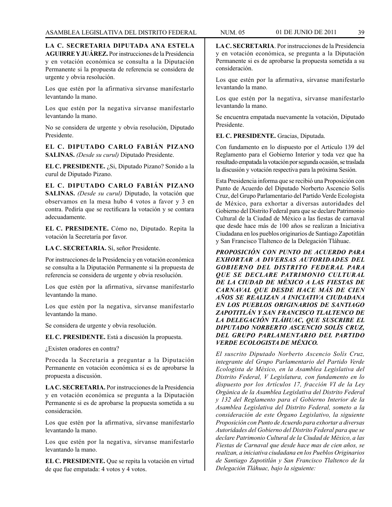**LA C. SECRETARIA DIPUTADA ANA ESTELA AGUIRRE Y JUÁREZ.** Por instrucciones de la Presidencia y en votación económica se consulta a la Diputación Permanente si la propuesta de referencia se considera de urgente y obvia resolución.

Los que estén por la afirmativa sírvanse manifestarlo levantando la mano.

Los que estén por la negativa sírvanse manifestarlo levantando la mano.

No se considera de urgente y obvia resolución, Diputado Presidente.

**EL C. DIPUTADO CARLO FABIÁN PIZANO SALINAS.** *(Desde su curul)* Diputado Presidente.

**EL C. PRESIDENTE.** ¿Si, Diputado Pizano? Sonido a la curul de Diputado Pizano.

**EL C. DIPUTADO CARLO FABIÁN PIZANO SALINAS.** *(Desde su curul)* Diputado, la votación que observamos en la mesa hubo 4 votos a favor y 3 en contra. Pediría que se rectificara la votación y se contara adecuadamente.

**EL C. PRESIDENTE.** Cómo no, Diputado. Repita la votación la Secretaría por favor.

**LA C. SECRETARIA.** Sí, señor Presidente.

Por instrucciones de la Presidencia y en votación económica se consulta a la Diputación Permanente si la propuesta de referencia se considera de urgente y obvia resolución.

Los que estén por la afirmativa, sírvanse manifestarlo levantando la mano.

Los que estén por la negativa, sírvanse manifestarlo levantando la mano.

Se considera de urgente y obvia resolución.

**EL C. PRESIDENTE.** Está a discusión la propuesta.

¿Existen oradores en contra?

Proceda la Secretaría a preguntar a la Diputación Permanente en votación económica si es de aprobarse la propuesta a discusión.

**LA C. SECRETARIA.** Por instrucciones de la Presidencia y en votación económica se pregunta a la Diputación Permanente si es de aprobarse la propuesta sometida a su consideración.

Los que estén por la afirmativa, sírvanse manifestarlo levantando la mano.

Los que estén por la negativa, sírvanse manifestarlo levantando la mano.

**EL C. PRESIDENTE.** Que se repita la votación en virtud de que fue empatada: 4 votos y 4 votos.

**LA C. SECRETARIA**. Por instrucciones de la Presidencia y en votación económica, se pregunta a la Diputación Permanente si es de aprobarse la propuesta sometida a su consideración.

Los que estén por la afirmativa, sírvanse manifestarlo levantando la mano.

Los que estén por la negativa, sírvanse manifestarlo levantando la mano.

Se encuentra empatada nuevamente la votación, Diputado Presidente.

**EL C. PRESIDENTE.** Gracias, Diputada.

Con fundamento en lo dispuesto por el Artículo 139 del Reglamento para el Gobierno Interior y toda vez que ha resultado empatada la votación por segunda ocasión, se traslada la discusión y votación respectiva para la próxima Sesión.

Esta Presidencia informa que se recibió una Proposición con Punto de Acuerdo del Diputado Norberto Ascencio Solís Cruz, del Grupo Parlamentario del Partido Verde Ecologista de México, para exhortar a diversas autoridades del Gobierno del Distrito Federal para que se declare Patrimonio Cultural de la Ciudad de México a las fiestas de carnaval que desde hace más de 100 años se realizan a Iniciativa Ciudadana en los pueblos originarios de Santiago Zapotitlán y San Francisco Tlaltenco de la Delegación Tláhuac.

*PROPOSICIÓN CON PUNTO DE ACUERDO PARA EXHORTAR A DIVERSAS AUTORIDADES DEL GOBIERNO DEL DISTRITO FEDERAL PARA QUE SE DECLARE PATRIMONIO CULTURAL DE LA CIUDAD DE MÉXICO A LAS FIESTAS DE CARNAVAL QUE DESDE HACE MÁS DE CIEN AÑOS SE REALIZAN A INICIATIVA CIUDADANA EN LOS PUEBLOS ORIGINARIOS DE SANTIAGO ZAPOTITLÁN Y SAN FRANCISCO TLALTENCO DE LA DELEGACIÓN TLÁHUAC, QUE SUSCRIBE EL DIPUTADO NORBERTO ASCENCIO SOLÍS CRUZ, DEL GRUPO PARLAMENTARIO DEL PARTIDO VERDE ECOLOGISTA DE MÉXICO.*

*El suscrito Diputado Norberto Ascencio Solís Cruz, integrante del Grupo Parlamentario del Partido Verde Ecologista de México, en la Asamblea Legislativa del Distrito Federal, V Legislatura, con fundamento en lo dispuesto por los Artículos 17, fracción VI de la Ley Orgánica de la Asamblea Legislativa del Distrito Federal y 132 del Reglamento para el Gobierno Interior de la Asamblea Legislativa del Distrito Federal, someto a la consideración de este Órgano Legislativo, la siguiente Proposición con Punto de Acuerdo para exhortar a diversas Autoridades del Gobierno del Distrito Federal para que se declare Patrimonio Cultural de la Ciudad de México, a las Fiestas de Carnaval que desde hace mas de cien años, se realizan, a iniciativa ciudadana en los Pueblos Originarios de Santiago Zapotitlán y San Francisco Tlaltenco de la Delegación Tláhuac, bajo la siguiente:*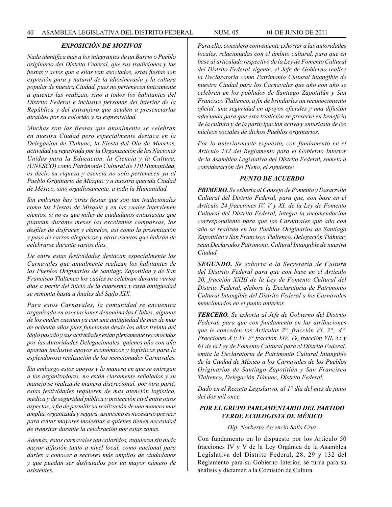## *EXPOSICIÓN DE MOTIVOS*

*Nada identifica mas a los integrantes de un Barrio o Pueblo originario del Distrito Federal, que sus tradiciones y las fiestas y actos que a ellas van asociados, estas fiestas son expresión pura y natural de la idiosincrasia y la cultura popular de nuestra Ciudad, pues no pertenecen únicamente a quienes las realizan, sino a todos los habitantes del Distrito Federal e inclusive personas del interior de la República y del extranjero que acuden a presenciarlas atraídos por su colorido y su expresividad.*

*Muchas son las fiestas que anualmente se celebran en nuestra Ciudad pero especialmente destaca en la Delegación de Tlahuac, la Fiesta del Día de Muertos, actividad ya registrada por la Organización de las Naciones Unidas para la Educación, la Ciencia y la Cultura, (UNESCO) como Patrimonio Cultural de 110 Humanidad, es decir, su riqueza y esencia no solo pertenecen ya al Pueblo Originario de Mixquic y a nuestra querida Ciudad de México, sino orgullosamente, a toda la Humanidad.* 

*Sin embargo hay otras fiestas que son tan tradicionales como las Fiestas de Mixquic y en las cuales intervienen cientos, si no es que miles de ciudadanos entusiastas que planean durante meses las excelentes comparsas, los desfiles de disfraces y chinelos, así como la presentación y paso de carros alegóricos y otros eventos que habrán de celebrarse durante varios días.*

*De entre estas festividades destacan especialmente los Carnavales que anualmente realizan los habitantes de los Pueblos Originarios de Santiago Zapotitlán y de San Francisco Tlaltenco los cuales se celebran durante varios días a partir del inicio de la cuaresma y cuya antigüedad se remonta hasta a finales del Siglo XIX.* 

*Para estos Carnavales, la comunidad se encuentra organizada en asociaciones denominadas Clubes, algunas de los cuales cuentan ya con una antigüedad de mas de mas de ochenta años pues funcionan desde los años treinta del Siglo pasado y sus actividades están plenamente reconocidas por las Autoridades Delegacionales, quienes año con año aportan inclusive apoyos económicos y logísticos para la esplendorosa realización de los mencionados Carnavales.*

*Sin embargo estos apoyos y la manera en que se entregan a los organizadores, no están claramente señalados y su manejo se realiza de manera discrecional, por otra parte, estas festividades requieren de mas atención logística, medica y de seguridad pública y protección civil entre otros aspectos, a fin de permitir su realización de una manera mas amplia, organizada y segura, asimismo es necesario preveer para evitar mayores molestias a quienes tienen necesidad de transitar durante la celebración por estas zonas.*

*Además, estos carnavales tan coloridos, requieren sin duda mayor difusión tanto a nivel local, como nacional para darles a conocer a sectores más amplios de ciudadanos y que puedan ser disfrutados por un mayor número de asistentes.*

*Para ello, considero conveniente exhortar a las autoridades locales, relacionadas con el ámbito cultural, para que en base al articulado respectivo de la Ley de Fomento Cultural del Distrito Federal vigente, el Jefe de Gobierno realice la Declaratoria como Patrimonio Cultural intangible de nuestra Ciudad para los Carnavales que año con año se celebran en los poblados de Santiago Zapotitlán y San Francisco Tlaltenco, a fin de brindarles un reconocimiento oficial, una seguridad en apoyos oficiales y una difusión adecuada para que esta tradición se preserve en beneficio de la cultura y de la participación activa y entusiasta de los núcleos sociales de dichos Pueblos originarios.*

*Por lo anteriormente expuesto, con fundamento en el Artículo 132 del Reglamento para el Gobierno Interior de la Asamblea Legislativa del Distrito Federal, someto a consideración del Pleno, el siguiente:*

## *PUNTO DE ACUERDO*

*PRIMERO. Se exhorta al Consejo de Fomento y Desarrollo Cultural del Distrito Federal, para que, con base en el Artículo 24 fracciones IV, V y XI, de la Ley de Fomento Cultural del Distrito Federal, integre la recomendación correspondiente para que los Carnavales que año con año se realizan en los Pueblos Originarios de Santiago Zapotitlán y San Francisco Tlaltenco, Delegación Tláhuac, sean Declarados Patrimonio Cultural Intangible de nuestra Ciudad.* 

*SEGUNDO. Se exhorta a la Secretaría de Cultura del Distrito Federal para que con base en el Artículo 20, fracción XXIII de la Ley de Fomento Cultural del Distrito Federal, elabore la Declaratoria de Patrimonio Cultural Intangible del Distrito Federal a los Carnavales mencionados en el punto anterior.*

*TERCERO. Se exhorta al Jefe de Gobierno del Distrito Federal, para que con fundamento en las atribuciones que le conceden los Artículos 2°, fracción VI, 3°., 4°. Fracciones X y XI, 5° fracción XIV, 19, fracción VII, 55 y 61 de la Ley de Fomento Cultural para el Distrito Federal, emita la Declaratoria de Patrimonio Cultural Intangible de la Ciudad de México a los Carnavales de los Pueblos Originarios de Santiago Zapotitlán y San Francisco Tlaltenco, Delegación Tláhuac, Distrito Federal.*

*Dado en el Recinto Legislativo, al 1° día del mes de junio del dos mil once.*

## *POR EL GRUPO PARLAMENTARIO DEL PARTIDO VERDE ECOLOGISTA DE MÉXICO*

*Dip. Norberto Ascencio Solís Cruz*

Con fundamento en lo dispuesto por los Artículo 50 fracciones IV y V de la Ley Orgánica de la Asamblea Legislativa del Distrito Federal, 28, 29 y 132 del Reglamento para su Gobierno Interior, se turna para su análisis y dictamen a la Comisión de Cultura.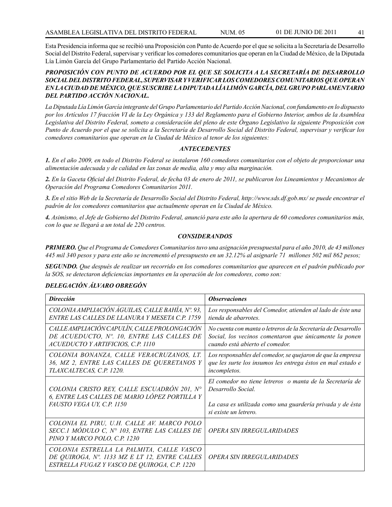Esta Presidencia informa que se recibió una Proposición con Punto de Acuerdo por el que se solicita a la Secretaría de Desarrollo Social del Distrito Federal, supervisar y verificar los comedores comunitarios que operan en la Ciudad de México, de la Diputada Lía Limón García del Grupo Parlamentario del Partido Acción Nacional.

## *PROPOSICIÓN CON PUNTO DE ACUERDO POR EL QUE SE SOLICITA A LA SECRETARÍA DE DESARROLLO SOCIAL DEL DISTRITO FEDERAL, SUPERVISAR Y VERIFICAR LOS COMEDORES COMUNITARIOS QUE OPERAN EN LA CIUDAD DE MÉXICO, QUE SUSCRIBE LA DIPUTADA LÍA LIMÓN GARCÍA, DEL GRUPO PARLAMENTARIO DEL PARTIDO ACCIÓN NACIONAL.*

*La Diputada Lía Limón García integrante del Grupo Parlamentario del Partido Acción Nacional, con fundamento en lo dispuesto por los Artículos 17 fracción VI de la Ley Orgánica y 133 del Reglamento para el Gobierno Interior, ambos de la Asamblea Legislativa del Distrito Federal, someto a consideración del pleno de este Órgano Legislativo la siguiente Proposición con Punto de Acuerdo por el que se solicita a la Secretaría de Desarrollo Social del Distrito Federal, supervisar y verificar los comedores comunitarios que operan en la Ciudad de México al tenor de los siguientes:*

## *ANTECEDENTES*

*1. En el año 2009, en todo el Distrito Federal se instalaron 160 comedores comunitarios con el objeto de proporcionar una alimentación adecuada y de calidad en las zonas de media, alta y muy alta marginación.*

*2. En la Gaceta Oficial del Distrito Federal, de fecha 03 de enero de 2011, se publicaron los Lineamientos y Mecanismos de Operación del Programa Comedores Comunitarios 2011.*

*3. En el sitio Web de la Secretaría de Desarrollo Social del Distrito Federal, http://www.sds.df.gob.mx/ se puede encontrar el padrón de los comedores comunitarios que actualmente operan en la Ciudad de México.*

*4. Asimismo, el Jefe de Gobierno del Distrito Federal, anunció para este año la apertura de 60 comedores comunitarios más, con lo que se llegará a un total de 220 centros.*

## *CONSIDERANDOS*

*PRIMERO. Que el Programa de Comedores Comunitarios tuvo una asignación presupuestal para el año 2010, de 43 millones 445 mil 340 pesos y para este año se incrementó el presupuesto en un 32.12% al asignarle 71 millones 502 mil 862 pesos;*

*SEGUNDO. Que después de realizar un recorrido en los comedores comunitarios que aparecen en el padrón publicado por la SOS, se detectaron deficiencias importantes en la operación de los comedores, como son:*

## *DELEGACIÓN ÁLVARO OBREGÓN*

| <b>Dirección</b>                                                                                                                          | <i><b>Observaciones</b></i>                                                                                                                                          |
|-------------------------------------------------------------------------------------------------------------------------------------------|----------------------------------------------------------------------------------------------------------------------------------------------------------------------|
| COLONIA AMPLIACIÓN ÁGUILAS, CALLE BAHÍA, Nº. 93,<br>ENTRE LAS CALLES DE LLANURA Y MESETA C.P. 1759                                        | Los responsables del Comedor, atienden al lado de éste una<br>tienda de abarrotes.                                                                                   |
| CALLE AMPLIACIÓN CAPULÍN, CALLE PROLONGACIÓN<br>DE ACUEDUCTO, Nº. 10, ENTRE LAS CALLES DE<br>ACUEDUCTO Y ARTIFICIOS, C.P. 1110            | No cuenta con manta o letreros de la Secretaría de Desarrollo<br>Social, los vecinos comentaron que únicamente la ponen<br>cuando está abierto el comedor.           |
| COLONIA BONANZA, CALLE VERACRUZANOS, LT.<br>36, MZ 2, ENTRE LAS CALLES DE QUERETANOS Y<br>TLAXCALTECAS, C.P. 1220.                        | Los responsables del comedor, se quejaron de que la empresa<br>que les surte los insumos les entrega éstos en mal estado e<br>incompletos.                           |
| COLONIA CRISTO REY, CALLE ESCUADRÓN 201, N°<br>6, ENTRE LAS CALLES DE MARIO LÓPEZ PORTILLA Y<br>FAUSTO VEGA UY, C.P. 1150                 | El comedor no tiene letreros o manta de la Secretaría de<br>Desarrollo Social.<br>La casa es utilizada como una guardería privada y de ésta<br>si existe un letrero. |
| COLONIA EL PIRU, U.H. CALLE AV. MARCO POLO<br>SECC.1 MÓDULO C, Nº 103, ENTRE LAS CALLES DE<br>PINO Y MARCO POLO, C.P. 1230                | OPERA SIN IRREGULARIDADES                                                                                                                                            |
| COLONIA ESTRELLA LA PALMITA, CALLE VASCO<br>DE QUIROGA, Nº. 1133 MZ E LT 12, ENTRE CALLES<br>ESTRELLA FUGAZ Y VASCO DE QUIROGA, C.P. 1220 | OPERA SIN IRREGULARIDADES                                                                                                                                            |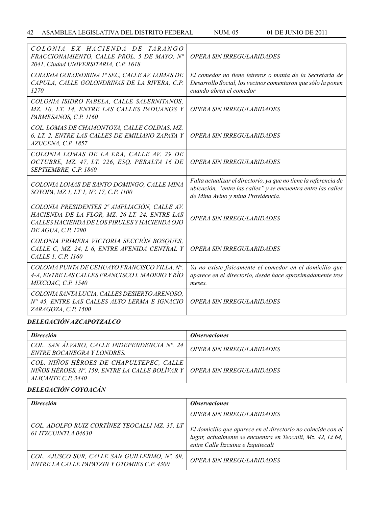| COLONIA EX HACIENDA DE TARANGO<br>FRACCIONAMIENTO, CALLE PROL. 5 DE MAYO, Nº<br>2041, Ciudad UNIVERSITARIA, C.P. 1618                                                | OPERA SIN IRREGULARIDADES                                                                                                                                              |
|----------------------------------------------------------------------------------------------------------------------------------------------------------------------|------------------------------------------------------------------------------------------------------------------------------------------------------------------------|
| COLONIA GOLONDRINA 1ª SEC, CALLE AV. LOMAS DE<br>CAPULA, CALLE GOLONDRINAS DE LA RIVERA, C.P.<br>1270                                                                | El comedor no tiene letreros o manta de la Secretaría de<br>Desarrollo Social, los vecinos comentaron que sólo la ponen<br>cuando abren el comedor                     |
| COLONIA ISIDRO FABELA, CALLE SALERNITANOS,<br>MZ. 10, LT. 14, ENTRE LAS CALLES PADUANOS Y<br>PARMESANOS, C.P. 1160                                                   | <b>OPERA SIN IRREGULARIDADES</b>                                                                                                                                       |
| COL. LOMAS DE CHAMONTOYA, CALLE COLINAS, MZ.<br>6, LT. 2, ENTRE LAS CALLES DE EMILIANO ZAPATA Y<br>AZUCENA, C.P. 1857                                                | OPERA SIN IRREGULARIDADES                                                                                                                                              |
| COLONIA LOMAS DE LA ERA, CALLE AV. 29 DE<br>OCTUBRE, MZ. 47, LT. 226, ESQ. PERALTA 16 DE<br>SEPTIEMBRE, C.P. 1860                                                    | <b>OPERA SIN IRREGULARIDADES</b>                                                                                                                                       |
| COLONIA LOMAS DE SANTO DOMINGO, CALLE MINA<br>SOYOPA, MZ 1, LT 1, Nº. 17, C.P. 1100                                                                                  | Falta actualizar el directorio, ya que no tiene la referencia de<br>ubicación, "entre las calles" y se encuentra entre las calles<br>de Mina Avino y mina Providencia. |
| COLONIA PRESIDENTES 2ª AMPLIACIÓN, CALLE AV.<br>HACIENDA DE LA FLOR, MZ. 26 LT. 24, ENTRE LAS<br>CALLES HACIENDA DE LOS PIRULES Y HACIENDA OJO<br>DE AGUA, C.P. 1290 | <b>OPERA SIN IRREGULARIDADES</b>                                                                                                                                       |
| COLONIA PRIMERA VICTORIA SECCIÓN BOSQUES,<br>CALLE C, MZ. 24, L 6, ENTRE AVENIDA CENTRAL Y<br>CALLE 1, C.P. 1160                                                     | OPERA SIN IRREGULARIDADES                                                                                                                                              |
| COLONIA PUNTA DE CEHUAYO FRANCISCO VILLA, Nº.<br>4-A, ENTRE LAS CALLES FRANCISCO I. MADERO Y RÍO<br>MIXCOAC, C.P. 1540                                               | Ya no existe físicamente el comedor en el domicilio que<br>aparece en el directorio, desde hace aproximadamente tres<br>meses.                                         |
| COLONIA SANTA LUCIA, CALLES DESIERTO ARENOSO,<br>Nº 45, ENTRE LAS CALLES ALTO LERMA E IGNACIO<br>ZARAGOZA, C.P. 1500                                                 | OPERA SIN IRREGULARIDADES                                                                                                                                              |

## *DELEGACIÓN AZCAPOTZALCO*

| <b>Dirección</b>                                                                                                                                    | <i><b>Observaciones</b></i> |
|-----------------------------------------------------------------------------------------------------------------------------------------------------|-----------------------------|
| COL. SAN ÁLVARO, CALLE INDEPENDENCIA Nº. 24<br><b>ENTRE BOCANEGRA Y LONDRES.</b>                                                                    | OPERA SIN IRREGULARIDADES   |
| COL. NIÑOS HÉROES DE CHAPULTEPEC, CALLE<br>NIÑOS HÉROES, Nº. 159, ENTRE LA CALLE BOLÍVAR Y   OPERA SIN IRREGULARIDADES<br><i>ALICANTE C.P. 3440</i> |                             |

# *DELEGACIÓN COYOACÁN*

| <b>Dirección</b>                                                                             | <i><b>Observaciones</b></i>                                                                                                                                       |
|----------------------------------------------------------------------------------------------|-------------------------------------------------------------------------------------------------------------------------------------------------------------------|
|                                                                                              | OPERA SIN IRREGULARIDADES                                                                                                                                         |
| COL. ADOLFO RUIZ CORTÍNEZ TEOCALLI MZ. 35, LT<br>61 ITZCUINTLA 04630                         | El domicilio que aparece en el directorio no coincide con el<br>lugar, actualmente se encuentra en Teocalli, Mz. 42, Lt 64,<br>entre Calle Itzcuina e Izquitecalt |
| COL. AJUSCO SUR, CALLE SAN GUILLERMO, Nº. 69,<br>ENTRE LA CALLE PAPATZIN Y OTOMIES C.P. 4300 | OPERA SIN IRREGULARIDADES                                                                                                                                         |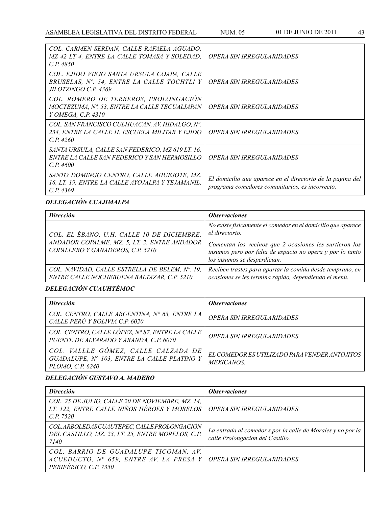| COL. CARMEN SERDAN, CALLE RAFAELA AGUADO,<br>MZ 42 LT 4, ENTRE LA CALLE TOMASA Y SOLEDAD,<br>C.P. 4850                  | OPERA SIN IRREGULARIDADES                                                                                     |
|-------------------------------------------------------------------------------------------------------------------------|---------------------------------------------------------------------------------------------------------------|
| COL. EJIDO VIEJO SANTA URSULA COAPA, CALLE<br>BRUSELAS, N°. 54, ENTRE LA CALLE TOCHTLI Y<br><i>JILOTZINGO C.P. 4369</i> | <i><b>OPERA SIN IRREGULARIDADES</b></i>                                                                       |
| COL. ROMERO DE TERREROS, PROLONGACION<br>MOCTEZUMA, Nº. 53, ENTRE LA CALLE TECUALIAPAN<br>Y OMEGA, C.P. 4310            | <i><b>OPERA SIN IRREGULARIDADES</b></i>                                                                       |
| COL. SAN FRANCISCO CULHUACAN, AV. HIDALGO, Nº.<br>234, ENTRE LA CALLE H. ESCUELA MILITAR Y EJIDO<br>CP.4260             | <i><b>OPERA SIN IRREGULARIDADES</b></i>                                                                       |
| SANTA URSULA, CALLE SAN FEDERICO, MZ 619 LT. 16,<br>ENTRE LA CALLE SAN FEDERICO Y SAN HERMOSILLO<br>C.P. 4600           | OPERA SIN IRREGULARIDADES                                                                                     |
| SANTO DOMINGO CENTRO, CALLE AHUEJOTE, MZ.<br>16, LT. 19, ENTRE LA CALLE AYOJALPA Y TEJAMANIL,<br>C.P. 4369              | El domicilio que aparece en el directorio de la pagina del<br>programa comedores comunitarios, es incorrecto. |

# *DELEGACIÓN CUAJIMALPA*

| <b>Dirección</b>                                                                                                               | <i><b>Observaciones</b></i>                                                                                                                         |
|--------------------------------------------------------------------------------------------------------------------------------|-----------------------------------------------------------------------------------------------------------------------------------------------------|
| COL. EL ÉBANO, U.H. CALLE 10 DE DICIEMBRE,<br>ANDADOR COPALME, MZ. 5, LT. 2, ENTRE ANDADOR<br>COPALLERO Y GANADEROS, C.P. 5210 | No existe físicamente el comedor en el domicilio que aparece<br>el directorio.                                                                      |
|                                                                                                                                | Comentan los vecinos que 2 ocasiones les surtieron los<br>insumos pero por falta de espacio no opera y por lo tanto<br>los insumos se desperdician. |
| COL. NAVIDAD, CALLE ESTRELLA DE BELEM, Nº. 19,<br>ENTRE CALLE NOCHEBUENA BALTAZAR, C.P. 5210                                   | Reciben trastes para apartar la comida desde temprano, en<br>ocasiones se les termina rápido, dependiendo el menú.                                  |

# *DELEGACIÓN CUAUHTÉMOC*

| <b>Dirección</b>                                                                                       | <i><b>Observaciones</b></i>                                       |
|--------------------------------------------------------------------------------------------------------|-------------------------------------------------------------------|
| COL. CENTRO, CALLE ARGENTINA, Nº 63, ENTRE LA<br>CALLE PERÚ Y BOLIVIA C.P. 6020                        | OPERA SIN IRREGULARIDADES                                         |
| COL. CENTRO, CALLE LÓPEZ, Nº 87, ENTRE LA CALLE<br>PUENTE DE ALVARADO Y ARANDA, C.P. 6070              | OPERA SIN IRREGULARIDADES                                         |
| COL. VALLLE GÓMEZ, CALLE CALZADA DE<br>GUADALUPE, Nº 103, ENTRE LA CALLE PLATINO Y<br>PLOMO, C.P. 6240 | EL COMEDOR ES UTILIZADO PARA VENDER ANTOJITOS<br><i>MEXICANOS</i> |

## *DELEGACIÓN GUSTAVO A. MADERO*

| <b>Dirección</b>                                                                                             | <i><b>Observaciones</b></i>                                                                     |
|--------------------------------------------------------------------------------------------------------------|-------------------------------------------------------------------------------------------------|
| COL. 25 DE JULIO, CALLE 20 DE NOVIEMBRE, MZ. 14,<br>LT. 122, ENTRE CALLE NIÑOS HÉROES Y MORELOS<br>C.P. 7520 | OPERA SIN IRREGULARIDADES                                                                       |
| COL. ARBOLEDAS CUAUTEPEC, CALLE PROLONGACION<br>DEL CASTILLO, MZ. 23, LT. 25, ENTRE MORELOS, C.P.<br>7140    | La entrada al comedor s por la calle de Morales y no por la<br>calle Prolongación del Castillo. |
| COL. BARRIO DE GUADALUPE TICOMAN, AV.<br>ACUEDUCTO, Nº 659, ENTRE AV. LA PRESA Y<br>PERIFÉRICO, C.P. 7350    | <i><b>OPERA SIN IRREGULARIDADES</b></i>                                                         |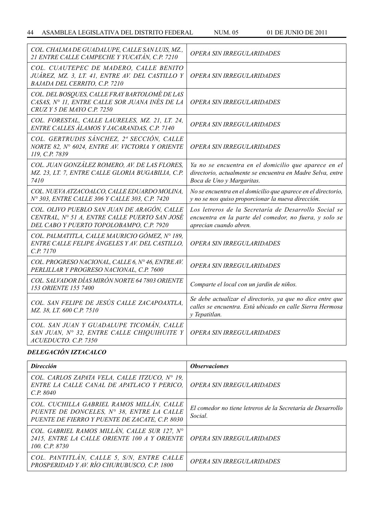| COL. CHALMA DE GUADALUPE, CALLE SAN LUIS, MZ.,<br>21 ENTRE CALLE CAMPECHE Y YUCATÁN, C.P. 7210                                           | <b>OPERA SIN IRREGULARIDADES</b>                                                                                                                |
|------------------------------------------------------------------------------------------------------------------------------------------|-------------------------------------------------------------------------------------------------------------------------------------------------|
| COL. CUAUTEPEC DE MADERO, CALLE BENITO<br>JUÁREZ, MZ. 3, LT. 41, ENTRE AV. DEL CASTILLO Y<br>BAJADA DEL CERRITO, C.P. 7210               | OPERA SIN IRREGULARIDADES                                                                                                                       |
| COL. DEL BOSQUES, CALLE FRAY BARTOLOMÉ DE LAS<br>CASAS, Nº 11, ENTRE CALLE SOR JUANA INÉS DE LA<br>CRUZ Y 5 DE MAYO C.P. 7250            | <b>OPERA SIN IRREGULARIDADES</b>                                                                                                                |
| COL. FORESTAL, CALLE LAURELES, MZ. 21, LT. 24,<br>ENTRE CALLES ÁLAMOS Y JACARANDAS, C.P. 7140                                            | <b>OPERA SIN IRREGULARIDADES</b>                                                                                                                |
| COL. GERTRUDIS SÁNCHEZ, 2ª SECCIÓN, CALLE<br>NORTE 82, Nº 6024, ENTRE AV. VICTORIA Y ORIENTE<br>119, C.P. 7839                           | <i><b>OPERA SIN IRREGULARIDADES</b></i>                                                                                                         |
| COL. JUAN GONZÁLEZ ROMERO, AV. DE LAS FLORES,<br>MZ. 23, LT. 7, ENTRE CALLE GLORIA BUGABILIA, C.P.<br>7410                               | Ya no se encuentra en el domicilio que aparece en el<br>directorio, actualmente se encuentra en Madre Selva, entre<br>Boca de Uno y Margaritas. |
| COL. NUEVA ATZACOALCO, CALLE EDUARDO MOLINA,<br>Nº 303, ENTRE CALLE 306 Y CALLE 303, C.P. 7420                                           | No se encuentra en el domicilio que aparece en el directorio,<br>y no se nos quiso proporcionar la nueva dirección.                             |
| COL. OLIVO PUEBLO SAN JUAN DE ARAGÓN, CALLE<br>CENTRAL, Nº 51 A, ENTRE CALLE PUERTO SAN JOSÉ<br>DEL CABO Y PUERTO TOPOLOBAMPO, C.P. 7920 | Los letreros de la Secretaría de Desarrollo Social se<br>encuentra en la parte del comedor, no fuera, y solo se<br>aprecian cuando abren.       |
| COL. PALMATITLA, CALLE MAURICIO GÓMEZ, Nº 189,<br>ENTRE CALLE FELIPE ANGELES Y AV. DEL CASTILLO,<br>C.P. 7170                            | <b>OPERA SIN IRREGULARIDADES</b>                                                                                                                |
| COL. PROGRESO NACIONAL, CALLE 6, Nº 46, ENTRE AV.<br>PERLILLAR Y PROGRESO NACIONAL, C.P. 7600                                            | <b>OPERA SIN IRREGULARIDADES</b>                                                                                                                |
| COL. SALVADOR DÍAS MIRÓN NORTE 64 7803 ORIENTE<br>153 ORIENTE 155 7400                                                                   | Comparte el local con un jardín de niños.                                                                                                       |
| COL. SAN FELIPE DE JESÚS CALLE ZACAPOAXTLA,<br>MZ. 38, LT. 600 C.P. 7510                                                                 | Se debe actualizar el directorio, ya que no dice entre que<br>calles se encuentra. Está ubicado en calle Sierra Hermosa<br>y Tepatitlan.        |
| COL. SAN JUAN Y GUADALUPE TICOMÁN, CALLE<br>SAN JUAN, Nº 32, ENTRE CALLE CHIQUIHUITE Y<br>ACUEDUCTO, C.P. 7350                           | OPERA SIN IRREGULARIDADES                                                                                                                       |

## *DELEGACIÓN IZTACALCO*

| <b>Dirección</b>                                                                                                                         | <i><b>Observaciones</b></i>                                            |
|------------------------------------------------------------------------------------------------------------------------------------------|------------------------------------------------------------------------|
| COL. CARLOS ZAPATA VELA, CALLE ITZUCO, $N^{\circ}$ 19,<br>ENTRE LA CALLE CANAL DE APATLACO Y PERICO.<br>C.P. 8040                        | OPERA SIN IRREGULARIDADES                                              |
| COL. CUCHILLA GABRIEL RAMOS MILLÁN, CALLE<br>PUENTE DE DONCELES, Nº 38, ENTRE LA CALLE<br>PUENTE DE FIERRO Y PUENTE DE ZACATE, C.P. 8030 | El comedor no tiene letreros de la Secretaría de Desarrollo<br>Social. |
| COL. GABRIEL RAMOS MILLÁN, CALLE SUR 127, Nº<br>2415, ENTRE LA CALLE ORIENTE 100 A Y ORIENTE<br>100, C.P. 8730                           | OPERA SIN IRREGULARIDADES                                              |
| COL. PANTITLÁN, CALLE 5, S/N, ENTRE CALLE<br>PROSPERIDAD Y AV. RÍO CHURUBUSCO, C.P. 1800                                                 | OPERA SIN IRREGULARIDADES                                              |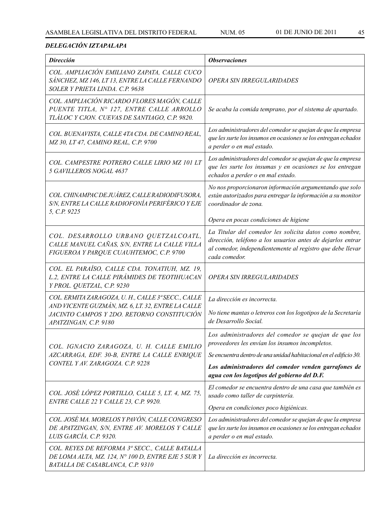## *DELEGACIÓN IZTAPALAPA*

| <b>Dirección</b>                                                                                                                          | <b>Observaciones</b>                                                                                                                                                                                 |
|-------------------------------------------------------------------------------------------------------------------------------------------|------------------------------------------------------------------------------------------------------------------------------------------------------------------------------------------------------|
| COL. AMPLIACIÓN EMILIANO ZAPATA, CALLE CUCO<br>SÁNCHEZ, MZ 146, LT 13, ENTRE LA CALLE FERNANDO<br>SOLER Y PRIETA LINDA. C.P. 9638         | OPERA SIN IRREGULARIDADES                                                                                                                                                                            |
| COL. AMPLIACIÓN RICARDO FLORES MAGÓN, CALLE<br>PUENTE TITLA, Nº 127, ENTRE CALLE ARROLLO<br>TLÁLOC Y CJON. CUEVAS DE SANTIAGO, C.P. 9820. | Se acaba la comida temprano, por el sistema de apartado.                                                                                                                                             |
| COL. BUENAVISTA, CALLE 4TA CDA. DE CAMINO REAL,<br>MZ 30, LT 47, CAMINO REAL, C.P. 9700                                                   | Los administradores del comedor se quejan de que la empresa<br>que les surte los insumos en ocasiones se los entregan echados<br>a perder o en mal estado.                                           |
| COL. CAMPESTRE POTRERO CALLE LIRIO MZ 101 LT<br>5 GAVILLEROS NOGAL 4637                                                                   | Los administradores del comedor se quejan de que la empresa<br>que les surte los insumas y en ocasiones se los entregan<br>echados a perder o en mal estado.                                         |
| COL. CHINAMPAC DE JUÁREZ, CALLE RADIODIFUSORA,<br>S/N, ENTRE LA CALLE RADIOFONÍA PERIFÉRICO Y EJE<br>5, C.P. 9225                         | No nos proporcionaron información argumentando que solo<br>están autorizados para entregar la información a su monitor<br>coordinador de zona.                                                       |
|                                                                                                                                           | Opera en pocas condiciones de higiene                                                                                                                                                                |
| COL. DESARROLLO URBANO QUETZALCOATL,<br>CALLE MANUEL CAÑAS, S/N, ENTRE LA CALLE VILLA<br>FIGUEROA Y PARQUE CUAUHTEMOC, C.P. 9700          | La Titular del comedor les solicita datos como nombre,<br>dirección, teléfono a los usuarios antes de dejarlos entrar<br>al comedor, independientemente al registro que debe llevar<br>cada comedor. |
| COL. EL PARAÍSO, CALLE CDA. TONATIUH, MZ. 19,<br>L.2, ENTRE LA CALLE PIRÁMIDES DE TEOTIHUACAN<br>Y PROL. QUETZAL, C.P. 9230               | OPERA SIN IRREGULARIDADES                                                                                                                                                                            |
| COL. ERMITA ZARAGOZA, U.H., CALLE 3ª SECC., CALLE                                                                                         | La dirección es incorrecta.                                                                                                                                                                          |
| AND VICENTE GUZMÁN, MZ. 6, LT. 32, ENTRE LA CALLE<br>JACINTO CAMPOS Y 2DO. RETORNO CONSTITUCIÓN<br>APATZINGAN, C.P. 9180                  | No tiene mantas o letreros con los logotipos de la Secretaría<br>de Desarrollo Social.                                                                                                               |
| COL. IGNACIO ZARAGOZA, U. H. CALLE EMILIO                                                                                                 | Los administradores del comedor se quejan de que los<br>proveedores les envían los insumos incompletos.                                                                                              |
| AZCARRAGA, EDF. 30-B, ENTRE LA CALLE ENRIQUE                                                                                              | Se encuentra dentro de una unidad habitacional en el edificio 30.                                                                                                                                    |
| CONTEL Y AV. ZARAGOZA. C.P. 9228                                                                                                          | Los administradores del comedor venden garrafones de<br>agua con los logotipos del gobierno del D.F.                                                                                                 |
| COL. JOSÉ LÓPEZ PORTILLO, CALLE 5, LT. 4, MZ. 75,<br>ENTRE CALLE 22 Y CALLE 23, C.P. 9920.                                                | El comedor se encuentra dentro de una casa que también es<br>usado como taller de carpintería.                                                                                                       |
|                                                                                                                                           | Opera en condiciones poco higiénicas.                                                                                                                                                                |
| COL. JOSÉ MA. MORELOS Y PAVÓN, CALLE CONGRESO<br>DE APATZINGAN, S/N, ENTRE AV. MORELOS Y CALLE<br>LUIS GARCÍA, C.P. 9320.                 | Los administradores del comedor se quejan de que la empresa<br>que les surte los insumos en ocasiones se los entregan echados<br>a perder o en mal estado.                                           |
| COL. REYES DE REFORMA 3ª SECC., CALLE BATALLA<br>DE LOMA ALTA, MZ. 124, Nº 100 D, ENTRE EJE 5 SUR Y<br>BATALLA DE CASABLANCA, C.P. 9310   | La dirección es incorrecta.                                                                                                                                                                          |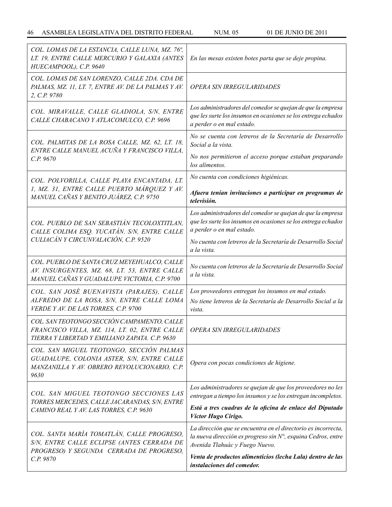| COL. LOMAS DE LA ESTANCIA, CALLE LUNA, MZ. 76 <sup>ª</sup> ,<br>LT. 19, ENTRE CALLE MERCURIO Y GALAXIA (ANTES<br>HUECAMPOOL), C.P. 9640           | En las mesas existen botes parta que se deje propina.                                                                                                                                            |
|---------------------------------------------------------------------------------------------------------------------------------------------------|--------------------------------------------------------------------------------------------------------------------------------------------------------------------------------------------------|
| COL. LOMAS DE SAN LORENZO, CALLE 2DA. CDA DE<br>PALMAS, MZ. 11, LT. 7, ENTRE AV. DE LA PALMAS Y AV.<br>2, C.P. 9780                               | <b>OPERA SIN IRREGULARIDADES</b>                                                                                                                                                                 |
| COL. MIRAVALLE, CALLE GLADIOLA, S/N, ENTRE<br>CALLE CHABACANO Y ATLACOMULCO, C.P. 9696                                                            | Los administradores del comedor se quejan de que la empresa<br>que les surte los insumos en ocasiones se los entrega echados<br>a perder o en mal estado.                                        |
| COL. PALMITAS DE LA ROSA CALLE, MZ. 62, LT. 18,<br>ENTRE CALLE MANUEL ACUÑA Y FRANCISCO VILLA,<br>C.P.9670                                        | No se cuenta con letreros de la Secretaría de Desarrollo<br>Social a la vista.<br>No nos permitieron el acceso porque estaban preparando                                                         |
|                                                                                                                                                   | los alimentos.<br>No cuenta con condiciones higiénicas.                                                                                                                                          |
| COL. POLVORILLA, CALLE PLAYA ENCANTADA, LT.<br>1, MZ. 31, ENTRE CALLE PUERTO MÁRQUEZ Y AV.<br>MANUEL CAÑAS Y BENITO JUÁREZ, C.P. 9750             | Afuera tenían invitaciones a participar en programas de<br>televisión.                                                                                                                           |
| COL. PUEBLO DE SAN SEBASTIÁN TECOLOXTITLAN,<br>CALLE COLIMA ESQ. YUCATÁN. S/N, ENTRE CALLE<br>CULIACÁN Y CIRCUNVALACIÓN, C.P. 9520                | Los administradores del comedor se quejan de que la empresa<br>que les surte los insumos en ocasiones se los entrega echados<br>a perder o en mal estado.                                        |
|                                                                                                                                                   | No cuenta con letreros de la Secretaría de Desarrollo Social<br>a la vista.                                                                                                                      |
| COL. PUEBLO DE SANTA CRUZ MEYEHUALCO, CALLE<br>AV. INSURGENTES, MZ. 68, LT. 53, ENTRE CALLE<br>MANUEL CAÑAS Y GUADALUPE VICTORIA, C.P. 9700       | No cuenta con letreros de la Secretaría de Desarrollo Social<br>a la vista.                                                                                                                      |
| COL. SAN JOSÉ BUENAVISTA (PARAJES), CALLE<br>ALFREDO DE LA ROSA, S/N, ENTRE CALLE LOMA<br>VERDE Y AV. DE LAS TORRES, C.P. 9700                    | Los proveedores entregan los insumos en mal estado.<br>No tiene letreros de la Secretaría de Desarrollo Social a la<br>vista.                                                                    |
| COL. SAN TEOTONGO SECCIÓN CAMPAMENTO, CALLE<br>FRANCISCO VILLA, MZ. 114, LT. 02, ENTRE CALLE<br>TIERRA Y LIBERTAD Y EMILIANO ZAPATA. C.P. 9630    | OPERA SIN IRREGULARIDADES                                                                                                                                                                        |
| COL. SAN MIGUEL TEOTONGO, SECCIÓN PALMAS<br>GUADALUPE, COLONIA ASTER, S/N, ENTRE CALLE<br>MANZANILLA Y AV. OBRERO REVOLUCIONARIO, C.P.<br>9630    | Opera con pocas condiciones de higiene.                                                                                                                                                          |
| COL. SAN MIGUEL TEOTONGO SECCIONES LAS<br>TORRES MERCEDES, CALLE JACARANDAS, S/N, ENTRE<br>CAMINO REAL Y AV. LAS TORRES, C.P. 9630                | Los administradores se quejan de que los proveedores no les<br>entregan a tiempo los insumos y se los entregan incompletos.<br>Está a tres cuadras de la oficina de enlace del Diputado          |
| COL. SANTA MARÍA TOMATLÁN, CALLE PROGRESO,<br>S/N, ENTRE CALLE ECLIPSE (ANTES CERRADA DE<br>PROGRESO) Y SEGUNDA CERRADA DE PROGRESO,<br>C.P. 9870 | Víctor Hugo Círigo.<br>La dirección que se encuentra en el directorio es incorrecta,<br>la nueva dirección es progreso sin $N^{\circ}$ , esquina Cedros, entre<br>Avenida Tlahuác y Fuego Nuevo. |
|                                                                                                                                                   | Venta de productos alimenticios (lecha Lala) dentro de las<br>instalaciones del comedor.                                                                                                         |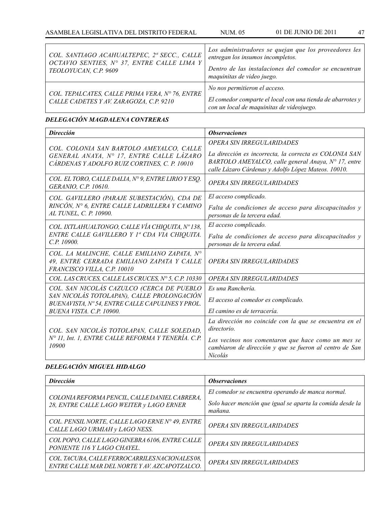| COL. SANTIAGO ACAHUALTEPEC, 2ª SECC., CALLE<br>OCTAVIO SENTIES, Nº 37, ENTRE CALLE LIMA Y<br>TEOLOYUCAN, C.P. 9609 | Los administradores se quejan que los proveedores les<br>entregan los insumos incompletos.<br>Dentro de las instalaciones del comedor se encuentran<br>maquinitas de video juego. |
|--------------------------------------------------------------------------------------------------------------------|-----------------------------------------------------------------------------------------------------------------------------------------------------------------------------------|
| COL. TEPALCATES, CALLE PRIMA VERA, Nº 76, ENTRE<br>CALLE CADETES Y AV. ZARAGOZA, C.P. 9210                         | No nos permitieron el acceso.<br>El comedor comparte el local con una tienda de abarrotes $y \mid$<br>con un local de maquinitas de videojuego.                                   |

## *DELEGACIÓN MAGDALENA CONTRERAS*

| <b>Dirección</b>                                                                                                                     | <b>Observaciones</b>                                                                                                                                                                              |
|--------------------------------------------------------------------------------------------------------------------------------------|---------------------------------------------------------------------------------------------------------------------------------------------------------------------------------------------------|
| COL. COLONIA SAN BARTOLO AMEYALCO, CALLE<br>GENERAL ANAYA, Nº 17, ENTRE CALLE LÁZARO<br>CÁRDENAS Y ADOLFO RUIZ CORTINES, C. P. 10010 | OPERA SIN IRREGULARIDADES<br>La dirección es incorrecta, la correcta es COLONIA SAN<br>BARTOLO AMEYALCO, calle general Anaya, N° 17, entre<br>calle Lázaro Cárdenas y Adolfo López Mateos. 10010. |
| COL. EL TORO, CALLE DALIA, Nº 9, ENTRE LIRIO Y ESO.<br>GERANIO, C.P. 10610.                                                          | <b>OPERA SIN IRREGULARIDADES</b>                                                                                                                                                                  |
| COL. GAVILLERO (PARAJE SUBESTACIÓN), CDA DE                                                                                          | El acceso complicado.                                                                                                                                                                             |
| RINCÓN, Nº 6, ENTRE CALLE LADRILLERA Y CAMINO<br>AL TUNEL, C. P. 10900.                                                              | Falta de condiciones de acceso para discapacitados y<br>personas de la tercera edad.                                                                                                              |
| COL. IXTLAHUALTONGO, CALLE VÍA CHIQUITA, Nº 138,                                                                                     | El acceso complicado.                                                                                                                                                                             |
| ENTRE CALLE GAVILLERO Y 1ª CDA VIA CHIQUITA.<br>C.P. 10900.                                                                          | Falta de condiciones de acceso para discapacitados y<br>personas de la tercera edad.                                                                                                              |
| COL. LA MALINCHE, CALLE EMILIANO ZAPATA, Nº<br>49, ENTRE CERRADA EMILIANO ZAPATA Y CALLE<br>FRANCISCO VILLA, C.P. 10010              | OPERA SIN IRREGULARIDADES                                                                                                                                                                         |
| COL. LAS CRUCES, CALLE LAS CRUCES, Nº 5, C.P. 10330                                                                                  | <b>OPERA SIN IRREGULARIDADES</b>                                                                                                                                                                  |
| COL. SAN NICOLÁS CAZULCO (CERCA DE PUEBLO                                                                                            | Es una Ranchería.                                                                                                                                                                                 |
| SAN NICOLÁS TOTOLAPAN), CALLE PROLONGACIÓN<br>BUENAVISTA, Nº 54, ENTRE CALLE CAPULINES Y PROL.                                       | El acceso al comedor es complicado.                                                                                                                                                               |
| BUENA VISTA, C.P. 10900.                                                                                                             | El camino es de terracería.                                                                                                                                                                       |
| COL. SAN NICOLÁS TOTOLAPAN, CALLE SOLEDAD,<br>N° 11, Int. 1, ENTRE CALLE REFORMA Y TENERÍA. C.P.<br>10900                            | La dirección no coincide con la que se encuentra en el<br>directorio.                                                                                                                             |
|                                                                                                                                      | Los vecinos nos comentaron que hace como un mes se<br>cambiaron de dirección y que se fueron al centro de San<br>Nicolás                                                                          |

## *DELEGACIÓN MIGUEL HIDALGO*

| <b>Dirección</b>                                                                                 | <i><b>Observaciones</b></i>                                          |
|--------------------------------------------------------------------------------------------------|----------------------------------------------------------------------|
|                                                                                                  | El comedor se encuentra operando de manca normal.                    |
| COLONIA REFORMA PENCIL, CALLE DANIEL CABRERA,<br>28, ENTRE CALLE LAGO WEITER y LAGO ERNER        | Solo hacer mención que igual se aparta la comida desde la<br>mañana. |
| COL. PENSIL NORTE, CALLE LAGO ERNE Nº 49, ENTRE<br>CALLE LAGO URMIAH y LAGO NESS.                | OPERA SIN IRREGULARIDADES                                            |
| COL POPO, CALLE LAGO GINEBRA 6106, ENTRE CALLE<br>PONIENTE 116 Y LAGO CHAYEL.                    | OPERA SIN IRREGULARIDADES                                            |
| COL. TACUBA, CALLE FERROCARRILES NACIONALES 08,<br>ENTRE CALLE MAR DEL NORTE Y AV. AZCAPOTZALCO. | OPERA SIN IRREGULARIDADES                                            |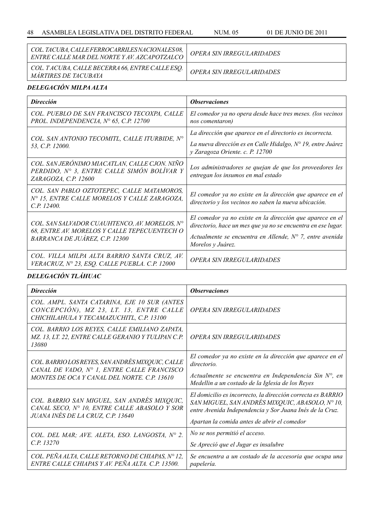| COL. TACUBA, CALLE FERROCARRILES NACIONALES 08,<br>ENTRE CALLE MAR DEL NORTE Y AV. AZCAPOTZALCO | <i><b>OPERA SIN IRREGULARIDADES</b></i> |
|-------------------------------------------------------------------------------------------------|-----------------------------------------|
| COL. TACUBA, CALLE BECERRA 66, ENTRE CALLE ESQ.<br><i>MARTIRES DE TACUBAYA</i>                  | OPERA SIN IRREGULARIDADES               |

## *DELEGACIÓN MILPA ALTA*

| <b>Dirección</b>                                                                                                                | <i><b>Observaciones</b></i>                                                                                                                                                                                         |
|---------------------------------------------------------------------------------------------------------------------------------|---------------------------------------------------------------------------------------------------------------------------------------------------------------------------------------------------------------------|
| COL. PUEBLO DE SAN FRANCISCO TECOXPA, CALLE<br>PROL. INDEPENDENCIA, $N^{\circ}$ 65, C.P. 12700                                  | El comedor ya no opera desde hace tres meses. (los vecinos<br>nos comentaron)                                                                                                                                       |
| COL. SAN ANTONIO TECOMITL, CALLE ITURBIDE, Nº<br>53, C.P. 12000.                                                                | La dirección que aparece en el directorio es incorrecta.<br>La nueva dirección es en Calle Hidalgo, Nº 19, entre Juárez<br>y Zaragoza Oriente. c. P. 12700                                                          |
| COL. SAN JERÓNIMO MIACATLAN, CALLE CJON. NIÑO<br>PERDIDO, N° 3, ENTRE CALLE SIMÓN BOLÍVAR Y<br>ZARAGOZA, C.P. 12600             | Los administradores se quejan de que los proveedores les<br>entregan los insumos en mal estado                                                                                                                      |
| COL. SAN PABLO OZTOTEPEC, CALLE MATAMOROS,<br>N° 15, ENTRE CALLE MORELOS Y CALLE ZARAGOZA,<br>C.P. 12400.                       | El comedor ya no existe en la dirección que aparece en el<br>directorio y los vecinos no saben la nueva ubicación.                                                                                                  |
| COL. SAN SALVADOR CUAUHTENCO, AV. MORELOS, N°<br>68, ENTRE AV. MORELOS Y CALLE TEPECUENTECH O<br>BARRANCA DE JUÁREZ, C.P. 12300 | El comedor ya no existe en la dirección que aparece en el<br>directorio, hace un mes que ya no se encuentra en ese lugar.<br>Actualmente se encuentra en Allende, $N^{\circ}$ 7, entre avenida<br>Morelos y Juárez. |
| COL. VILLA MILPA ALTA BARRIO SANTA CRUZ, AV.<br>VERACRUZ, Nº 23, ESQ. CALLE PUEBLA. C.P. 12000                                  | OPERA SIN IRREGULARIDADES                                                                                                                                                                                           |

# *DELEGACIÓN TLÁHUAC*

| <b>Dirección</b>                                                                                                                              | <i><b>Observaciones</b></i>                                                                                                                                                                                               |
|-----------------------------------------------------------------------------------------------------------------------------------------------|---------------------------------------------------------------------------------------------------------------------------------------------------------------------------------------------------------------------------|
| COL. AMPL. SANTA CATARINA, EJE 10 SUR (ANTES<br>CONCEPCIÓN), MZ 23, LT. 13, ENTRE CALLE<br>CHICHILAHULA Y TECAMAZUCHITL, C.P. 13100           | OPERA SIN IRREGULARIDADES                                                                                                                                                                                                 |
| COL. BARRIO LOS REYES, CALLE EMILIANO ZAPATA,<br>MZ. 13, LT. 22, ENTRE CALLE GERANIO Y TULIPAN C.P.<br>13080                                  | OPERA SIN IRREGULARIDADES                                                                                                                                                                                                 |
| COL. BARRIO LOS REYES, SAN ANDRÉS MIXQUIC, CALLE<br>CANAL DE VADO, Nº 1, ENTRE CALLE FRANCISCO<br>MONTES DE OCA Y CANAL DEL NORTE, C.P. 13610 | El comedor ya no existe en la dirección que aparece en el<br>directorio.                                                                                                                                                  |
|                                                                                                                                               | Actualmente se encuentra en Independencia Sin $N^{\circ}$ , en<br>Medellin a un costado de la Iglesia de los Reyes                                                                                                        |
| COL. BARRIO SAN MIGUEL, SAN ANDRÉS MIXQUIC,<br>CANAL SECO, Nº 10, ENTRE CALLE ABASOLO Y SOR<br>JUANA INÉS DE LA CRUZ, C.P. 13640              | El domicilio es incorrecto, la dirección correcta es BARRIO<br>SAN MIGUEL, SAN ANDRÉS MIXQUIC, ABASOLO, N° 10,<br>entre Avenida Independencia y Sor Juana Inés de la Cruz.<br>Apartan la comida antes de abrir el comedor |
| COL. DEL MAR; AVE. ALETA, ESO. LANGOSTA, Nº 2.<br>C.P. 13270                                                                                  | No se nos permitió el acceso.                                                                                                                                                                                             |
|                                                                                                                                               | Se Apreció que el Jugar es insalubre                                                                                                                                                                                      |
| COL. PEÑA ALTA, CALLE RETORNO DE CHIAPAS, Nº 12,<br>ENTRE CALLE CHIAPAS Y AV. PEÑA ALTA. C.P. 13500.                                          | Se encuentra a un costado de la accesoria que ocupa una<br>papelería.                                                                                                                                                     |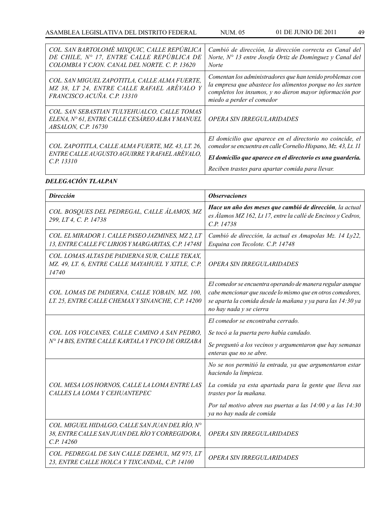| COL. SAN BARTOLOMÉ MIXQUIC, CALLE REPÚBLICA<br>DE CHILE, N° 17, ENTRE CALLE REPÚBLICA DE<br>COLOMBIA Y CJON. CANAL DEL NORTE. C. P. 13620 | Cambió de dirección, la dirección correcta es Canal del<br>Norte, $N^{\circ}$ 13 entre Josefa Ortiz de Domínguez y Canal del<br><b>Norte</b>                                                                                                   |
|-------------------------------------------------------------------------------------------------------------------------------------------|------------------------------------------------------------------------------------------------------------------------------------------------------------------------------------------------------------------------------------------------|
| COL. SAN MIGUEL ZAPOTITLA, CALLE ALMA FUERTE,<br>MZ 38, LT 24, ENTRE CALLE RAFAEL ARÉVALO Y<br>FRANCISCO ACUÑA. C.P. 13310                | Comentan los administradores que han tenido problemas con<br>la empresa que abastece los alimentos porque no les surten<br>completos los insumos, y no dieron mayor información por<br>miedo a perder el comedor                               |
| COL. SAN SEBASTIAN TULYEHUALCO, CALLE TOMAS<br>ELENA, Nº 61, ENTRE CALLE CESÁREO ALBA Y MANUEL<br>ABSALON, C.P. 16730                     | <b>OPERA SIN IRREGULARIDADES</b>                                                                                                                                                                                                               |
| COL. ZAPOTITLA, CALLE ALMA FUERTE, MZ. 43, LT. 26,<br>ENTRE CALLE AUGUSTO AGUIRRE Y RAFAEL ARÉVALO,<br>C.P. 13310                         | El domicilio que aparece en el directorio no coincide, el<br>comedor se encuentra en calle Cornelio Hispano, Mz. 43, Lt. 11<br>El domicilio que aparece en el directorio es una guardería.<br>Reciben trastes para apartar comida para llevar. |

# *DELEGACIÓN TLALPAN*

| <b>Dirección</b>                                                                                                 | <b>Observaciones</b>                                                                                                                                                                                             |
|------------------------------------------------------------------------------------------------------------------|------------------------------------------------------------------------------------------------------------------------------------------------------------------------------------------------------------------|
| COL. BOSQUES DEL PEDREGAL, CALLE ÁLAMOS, MZ<br>299, LT 4, C. P. 14738                                            | Hace un año dos meses que cambió de dirección, la actual<br>es Álamos MZ 162, Lt 17, entre la callé de Encinos y Cedros,<br>C.P. 14738                                                                           |
| COL. EL MIRADOR 1. CALLE PASEO JAZMINES, MZ 2, LT<br>13, ENTRE CALLE FC LIRIOS Y MARGARITAS, C.P. 14748I         | Cambió de dirección, la actual es Amapolas Mz. 14 Ly22,<br>Esquina con Tecolote. C.P. 14748                                                                                                                      |
| COL. LOMAS ALTAS DE PADIERNA SUR, CALLE TEKAX,<br>MZ. 49, LT. 6, ENTRE CALLE MAYAHUEL Y XITLE, C.P.<br>14740     | OPERA SIN IRREGULARIDADES                                                                                                                                                                                        |
| COL. LOMAS DE PADIERNA, CALLE YOBAIN, MZ. 100,<br>LT. 25, ENTRE CALLE CHEMAXY SINANCHE, C.P. 14200               | El comedor se encuentra operando de manera regular aunque<br>cabe mencionar que sucede lo mismo que en otros comedores,<br>se aparta la comida desde la mañana y ya para las 14:30 ya<br>no hay nada y se cierra |
|                                                                                                                  | El comedor se encontraba cerrado.                                                                                                                                                                                |
| COL. LOS VOLCANES, CALLE CAMINO A SAN PEDRO,                                                                     | Se tocó a la puerta pero había candado.                                                                                                                                                                          |
| N° 14 BIS, ENTRE CALLE KARTALA Y PICO DE ORIZABA                                                                 | Se preguntó a los vecinos y argumentaron que hay semanas<br>enteras que no se abre.                                                                                                                              |
|                                                                                                                  | No se nos permitió la entrada, ya que argumentaron estar<br>haciendo la limpieza.                                                                                                                                |
| COL. MESA LOS HORNOS, CALLE LA LOMA ENTRE LAS<br>CALLES LA LOMA Y CEHUANTEPEC                                    | La comida ya esta apartada para la gente que lleva sus<br>trastes por la mañana.                                                                                                                                 |
|                                                                                                                  | Por tal motivo abren sus puertas a las $14:00$ y a las $14:30$<br>ya no hay nada de comida                                                                                                                       |
| COL. MIGUEL HIDALGO, CALLE SAN JUAN DEL RÍO, Nº<br>38, ENTRE CALLE SAN JUAN DEL RÍO Y CORREGIDORA,<br>C.P. 14260 | OPERA SIN IRREGULARIDADES                                                                                                                                                                                        |
| COL. PEDREGAL DE SAN CALLE DZEMUL, MZ 975, LT<br>23, ENTRE CALLE HOLCA Y TIXCANDAL, C.P. 14100                   | <b>OPERA SIN IRREGULARIDADES</b>                                                                                                                                                                                 |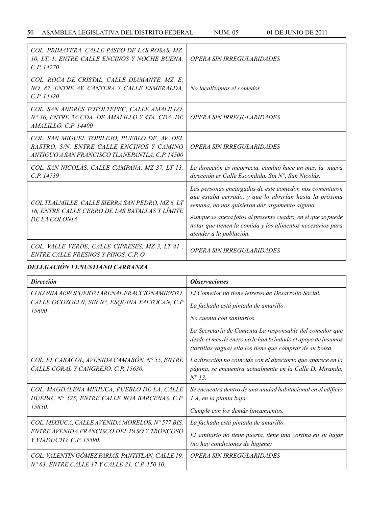| COL. PRIMAVERA. CALLE PASEO DE LAS ROSAS, MZ.<br>10, LT. 1, ENTRE CALLE ENCINOS Y NOCHE BUENA,<br>C.P. 14270                                 | OPERA SIN IRREGULARIDADES                                                                                                                                                                                                                                                                                                    |
|----------------------------------------------------------------------------------------------------------------------------------------------|------------------------------------------------------------------------------------------------------------------------------------------------------------------------------------------------------------------------------------------------------------------------------------------------------------------------------|
| COL. ROCA DE CRISTAL, CALLE DIAMANTE, MZ. E,<br>NO. 87, ENTRE AV. CANTERA Y CALLE ESMERALDA,<br>C.P. 14420                                   | No localizamos el comedor                                                                                                                                                                                                                                                                                                    |
| COL. SAN ANDRÉS TOTOLTEPEC, CALLE AMALILLO,<br>N° 36, ENTRE 3A CDA, DE AMALILLO Y 4TA, CDA, DE<br>AMALILLO. C.P. 14400                       | OPERA SIN IRREGULARIDADES                                                                                                                                                                                                                                                                                                    |
| COL. SAN MIGUEL TOPILEJO, PUEBLO DE, AV. DEL<br>RASTRO, S/N, ENTRE CALLE ENCINOS Y CAMINO<br>ANTIGUO A SAN FRANCISCO TLANEPANTLA, C.P. 14500 | OPERA SIN IRREGULARIDADES                                                                                                                                                                                                                                                                                                    |
| COL. SAN NICOLÁS, CALLE CAMPANA, MZ 37, LT 13,<br>C.P. 14739                                                                                 | La dirección es incorrecta, cambió hace un mes, la nueva<br>dirección es Calle Escondida. Sin $N^{\circ}$ , San Nicolás.                                                                                                                                                                                                     |
| COL TLALMILLE, CALLE SIERRA SAN PEDRO, MZ 6, LT<br>16, ENTRE CALLE CERRO DE LAS BATALLAS Y LÍMITE<br>DE LA COLONIA                           | Las personas encargadas de este comedor, nos comentaron<br>que estaba cerrado, y que lo abrirían hasta la próxima<br>semana, no nos quisieron dar argumento alguno.<br>Aunque se anexa fotos al presente cuadro, en el que se puede<br>notar que tienen la comida y los alimentos necesarios para<br>atender a la población. |
| COL. VALLE VERDE, CALLE CIPRESES, MZ 3, LT 41,<br>ENTRE CALLE FRESNOS Y PINOS, C.P. O                                                        | OPERA SIN IRREGULARIDADES                                                                                                                                                                                                                                                                                                    |

## *DELEGACIÓN VENUSTIANO CARRANZA*

| <b>Dirección</b>                                                                                   | <i><b>Observaciones</b></i>                                                                                                                                                          |
|----------------------------------------------------------------------------------------------------|--------------------------------------------------------------------------------------------------------------------------------------------------------------------------------------|
| COLONIA AEROPUERTO ARENAL FRACCIONAMIENTO,                                                         | El Comedor no tiene letreros de Desarrollo Social.                                                                                                                                   |
| CALLE OCOZOLLN, SIN Nº, ESQUINA XALTOCAN, C.P<br>15600                                             | La fachada está pintada de amarillo.                                                                                                                                                 |
|                                                                                                    | No cuenta con sanitarios.                                                                                                                                                            |
|                                                                                                    | La Secretaría de Comenta La responsable del comedor que<br>desde el mes de enero no le han brindado el apoyo de insumos<br>(tortillas yagua) ella los tiene que comprar de su bolsa. |
| COL. EL CARACOL, AVENIDA CAMARÓN, Nº 55, ENTRE<br>CALLE CORAL Y CANGREJO. C.P. 15630.              | La dirección no coincide con el directorio que aparece en la<br>página, se encuentra actualmente en la Calle D, Miranda,<br>$N^{\circ}$ 13.                                          |
| COL. MAGDALENA MIXIUCA, PUEBLO DE LA, CALLE<br>HUEPAC Nº 525, ENTRE CALLE ROA BARCENAS. C.P.       | Se encuentra dentro de una unidad habitacional en el edificio<br>1 A, en la planta baja.                                                                                             |
| 15850.                                                                                             | Cumple con los demás lineamientos.                                                                                                                                                   |
| COL. MIXIUCA, CALLE AVENIDA MORELOS, Nº 577 BIS,                                                   | La fachada está pintada de amarillo.                                                                                                                                                 |
| ENTRE AVENIDA FRANCISCO DEL PASO Y TRONCOSO<br>Y VIADUCTO, C.P. 15590.                             | El sanitario no tiene puerta, tiene una cortina en su lugar<br>(no hay condiciones de higiene)                                                                                       |
| COL. VALENTÍN GÓMEZ PARIAS, PANTITLÁN, CALLE 19,<br>N° 63, ENTRE CALLE 17 Y CALLE 21. C.P. 150 10. | OPERA SIN IRREGULARIDADES                                                                                                                                                            |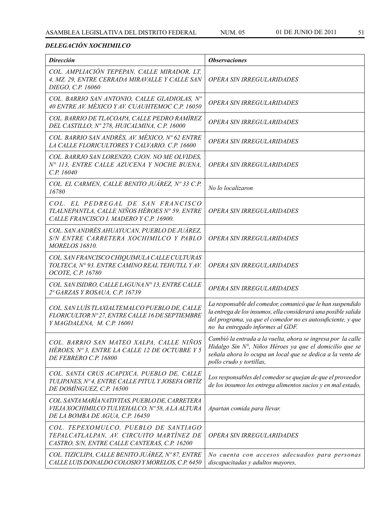## *DELEGACIÓN XOCHIMILCO*

| <b>Dirección</b>                                                                                                                      | <b>Observaciones</b>                                                                                                                                                                                                            |
|---------------------------------------------------------------------------------------------------------------------------------------|---------------------------------------------------------------------------------------------------------------------------------------------------------------------------------------------------------------------------------|
| COL. AMPLIACIÓN TEPEPAN, CALLE MIRADOR, LT.<br>4, MZ. 29, ENTRE CERRADA MIRAVALLE Y CALLE SAN<br>DIEGO, C.P. 16060                    | OPERA SIN IRREGULARIDADES                                                                                                                                                                                                       |
| COL. BARRIO SAN ANTONIO, CALLE GLADIOLAS, Nº<br>40 ENTRE AV. MÉXICO Y AV. CUAUHTEMOC C.P. 16050                                       | OPERA SIN IRREGULARIDADES                                                                                                                                                                                                       |
| COL. BARRIO DE TLACOAPA, CALLE PEDRO RAMÍREZ<br>DEL CASTILLO, Nº 278, HUICALMINA, C.P. 16000                                          | OPERA SIN IRREGULARIDADES                                                                                                                                                                                                       |
| COL. BARRIO SAN ANDRÉS, AV. MÉXICO, Nº 62 ENTRE<br>LA CALLE FLORICULTORES Y CALVARIO, C.P. 16600                                      | OPERA SIN IRREGULARIDADES                                                                                                                                                                                                       |
| COL. BARRJO SAN LORENZO, CJON. NO ME OLVIDES,<br>Nº 113, ENTRE CALLE AZUCENA Y NOCHE BUENA,<br>C.P. 16040                             | OPERA SIN IRREGULARIDADES                                                                                                                                                                                                       |
| COL. EL CARMEN, CALLE BENITO JUÁREZ, Nº 33 C.P.<br>16780                                                                              | No lo localizaron                                                                                                                                                                                                               |
| COL. EL PEDREGAL DE SAN FRANCISCO<br>TLALNEPANTLA, CALLE NIÑOS HÉROES N° 59, ENTRE<br>CALLE FRANCISCO I. MADERO Y C.P. 16900.         | OPERA SIN IRREGULARIDADES                                                                                                                                                                                                       |
| COL. SAN ANDRÉS AHUAYUCAN, PUEBLO DE JUÁREZ,<br>S/N ENTRE CARRETERA XOCHIMILCO Y PABLO<br><b>MORELOS 16810.</b>                       | OPERA SIN IRREGULARIDADES                                                                                                                                                                                                       |
| COL. SAN FRANCISCO CHIQUIMULA CALLE CULTURAS<br>TOLTECA, Nº 93. ENTRE CAMINO REAL TEHUTLL Y AV.<br>OCOTE, C.P. 16780                  | <b>OPERA SIN IRREGULARIDADES</b>                                                                                                                                                                                                |
| COL. SAN ISIDRO, CALLE LAGUNA Nº 13, ENTRE CALLE<br>2ª GARZAS Y ROSAUA, C.P. 16739                                                    | OPERA SIN IRREGULARIDADES                                                                                                                                                                                                       |
| COL. SAN LUÍS TLAXIALTEMALCO PUEBLO DE, CALLE<br>FLORICULTOR Nº 27, ENTRE CALLE 16 DE SEPTIEMBRE<br>Y MAGDALENA, M. C.P. 16001        | La responsable del comedor, comunicó que le han suspendido<br>la entrega de los insumos, ella considerará una posible salida<br>del programa, ya que el comedor no es autosuficiente, y que<br>no ha entregado informes al GDF. |
| COL. BARRIO SAN MATEO XALPA, CALLE NIÑOS<br>HÉROES, Nº 3, ENTRE LA CALLE 12 DE OCTUBRE Y 5<br>DE FEBRERO C.P. 16800                   | Cambió la entrada a la vuelta, ahora se ingresa por la calle<br>Hidalgo Sin N°, Niños Héroes ya que el domicilio que se<br>señala ahora lo ocupa un local que se dedica a la venta de<br>pollo crudo y tortillas,               |
| COL. SANTA CRUS ACAPIXCA, PUEBLO DE, CALLE<br>TULIPANES, Nº 4, ENTRE CALLE PITUL Y JOSEFA ORTÍZ<br>DE DOMÍNGUEZ, C.P. 16500           | Los responsables del comedor se quejan de que el proveedor<br>de los insumos les entrega alimentos sucios y en mal estado,                                                                                                      |
| COL. SANTA MARÍA NATIVITAS, PUEBLO DE, CARRETERA<br>VIEJA XOCHIMILCO TULYEHALCO, Nº58, A LA ALTURA<br>DE LA BOMBA DE AGUA, C.P. 16450 | Apartan comida para llevar.                                                                                                                                                                                                     |
| COL. TEPEXOMULCO, PUEBLO DE SANTIAGO<br>TEPALCATLALPAN, AV. CIRCUITO MARTÍNEZ DE<br>CASTRO, S/N, ENTRE CALLE CANTERAS, C.P. 16200     | OPERA SIN IRREGULARIDADES                                                                                                                                                                                                       |
| COL. TIZICLIPA, CALLE BENITO JUÁREZ, Nº87, ENTRE<br>CALLE LUIS DONALDO COLOSIO Y MORELOS, C.P. 6450                                   | No cuenta con accesos adecuados para personas<br>discapacitadas y adultos mayores,                                                                                                                                              |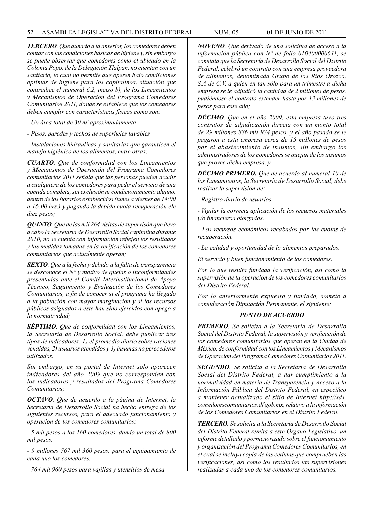#### 52 ASAMBLEA LEGISLATIVA DEL DISTRITO FEDERAL NUM. 05 01 de JUNIO de 2011

*TERCERO. Que aunado a la anterior, los comedores deben contar con las condiciones básicas de higiene y, sin embargo se puede observar que comedores como el ubicado en la Colonia Popo, de la Delegación Tlalpan, no cuentan con un sanitario, lo cual no permite que operen bajo condiciones optimas de higiene para los capitalinos, situación que contradice el numeral 6.2, inciso b), de los Lineamientos y Mecanismos de Operación del Programa Comedores Comunitarios 2011, donde se establece que los comedores deben cumplir con características físicas como son:*

*- Un área total de 30 m2 aproximadamente*

*- Pisos, paredes y techos de superficies lavables*

*- Instalaciones hidráulicas y sanitarias que garanticen el manejo higiénico de los alimentos, entre otras;*

*CUARTO. Que de conformidad con los Lineamientos y Mecanismos de Operación del Programa Comedores comunitarios 2011 señala que las personas pueden acudir a cualquiera de los comedores para pedir el servicio de una comida completa, sin exclusión ni condicionamiento alguno, dentro de los horarios establecidos (lunes a viernes de 14:00 a 16:00 hrs.) y pagando la debida cuota recuperación ele diez pesos;*

*QUINTO. Que de las mil 264 visitas de supervisón que llevo a cabo la Secretaría de Desarrollo Social capitalina durante 2010, no se cuenta con información reflejen los resultados y las medidas tomadas en la verificación de los comedores comunitarios que actualmente operan;*

*SEXTO. Que a la fecha y debido a la falta de transparencia se desconoce el N° y motivo de quejas o inconformidades presentadas ante el Comité Interinstitucional de Apoyo Técnico, Seguimiento y Evaluación de los Comedores Comunitarios, a fin de conocer si el programa ha llegado a la población con mayor marginación y si los recursos públicos asignados a este han sido ejercidos con apego a la normatividad;*

*SÉPTIMO. Que de conformidad con los Lineamientos, la Secretaría de Desarrollo Social, debe publicar tres tipos de indicadores: 1) el promedio diario sobre raciones vendidas, 2) usuarios atendidos y 3) insumas no perecederos utilizados.*

*Sin embargo, en su portal de Internet solo aparecen indicadores del año 2009 que no corresponden con los indicadores y resultados del Programa Comedores Comunitarios;*

*OCTAVO. Que de acuerdo a la página de Internet, la Secretaría de Desarrollo Social ha hecho entrega de los siguientes recursos, para el adecuado funcionamiento y operación de los comedores comunitarios:*

*- 5 mil pesos a los 160 comedores, dando un total de 800 mil pesos.*

*- 9 millones 767 mil 360 pesos, para el equipamiento de cada uno los comedores.*

*- 764 mil 960 pesos para vajillas y utensilios de mesa.*

*NOVENO. Que derivado de una solicitud de acceso a la información pública con N° de folio 010400000611, se constata que la Secretaría de Desarrollo Social del Distrito Federal, celebró un contrato con una empresa proveedora de alimentos, denominada Grupo de los Ríos Orozco, S.A de C.V. a quien en tan sólo para un trimestre a dicha empresa se le adjudicó la cantidad de 2 millones de pesos, pudiéndose el contrato extender hasta por 13 millones de pesos para este año;*

*DÉCIMO. Que en el año 2009, esta empresa tuvo tres contratos de adjudicación directa con un monto total de 29 millones 886 mil 974 pesos, y el año pasado se le pagaron a esta empresa cerca de 15 millones de pesos por el abastecimiento de insumos, sin embargo los administradores de los comedores se quejan de los insumos que provee dicha empresa, y*

*DÉCIMO PRIMERO. Que de acuerdo al numeral 10 de los Lineamientos, la Secretaría de Desarrollo Social, debe realizar la supervisión de:*

*- Registro diario de usuarios.*

*- Vigilar la correcta aplicación de los recursos materiales y/o financieros otorgados.*

*- Los recursos económicos recabados por las cuotas de recuperación.*

*- La calidad y oportunidad de lo alimentos preparados.*

*El servicio y buen funcionamiento de los comedores.*

*Por lo que resulta fundada la verificación, así como la supervisión de la operación de los comedores comunitarios del Distrito Federal.*

*Por lo anteriormente expuesto y fundado, someto a consideración Diputación Permanente, el siguiente:*

## *PUNTO DE ACUERDO*

*PRIMERO. Se solicita a la Secretaría de Desarrollo Social del Distrito Federal, la supervisión y verificación de los comedores comunitarios que operan en la Cuidad de México, de conformidad con los Lineamientos y Mecanismos de Operación del Programa Comedores Comunitarios 2011.*

*SEGUNDO. Se solicita a la Secretaría de Desarrollo Social del Distrito Federal, a dar cumplimiento a la normatividad en materia de Transparencia y Acceso a la Información Pública del Distrito Federal, en específico a mantener actualizado el sitio de Internet http://sds. comedorescomunitarios.df.gob.mx, relativo a la información de los Comedores Comunitarios en el Distrito Federal.*

*TERCERO. Se solicita a la Secretaría de Desarrollo Social del Distrito Federal remita a este Órgano Legislativo, un informe detallado y pormenorizado sobre el funcionamiento y organización del Programa Comedores Comunitarios, en el cual se incluya copia de las cedulas que comprueben las verificaciones, así como los resultados las supervisiones realizadas a cada uno de los comedores comunitarios.*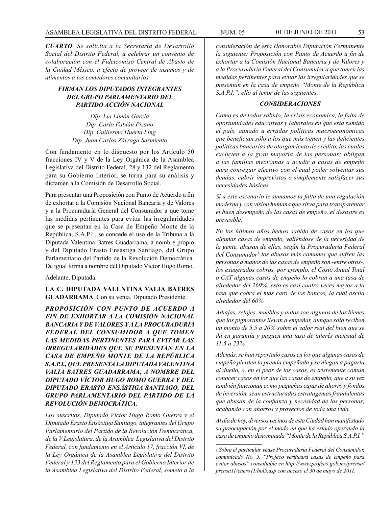*CUARTO. Se solicita a la Secretaría de Desarrollo Social del Distrito Federal, a celebrar un convenio de colaboración con el Fideicomiso Central de Abasto de la Cuidad México, a efecto de proveer de insumos y de alimentos a los comedores comunitarios.*

## *FIRMAN LOS DIPUTADOS INTEGRANTES DEL GRUPO PARLAMENTARIO DEL PARTIDO ACCIÓN NACIONAL*

*Dip. Lía Limón García Dip. Carlo Fabián Pizano Dip. Guillermo Huerta Ling Dip. Juan Carlos Zárraga Sarmiento*

Con fundamento en lo dispuesto por los Artículo 50 fracciones IV y V de la Ley Orgánica de la Asamblea Legislativa del Distrito Federal, 28 y 132 del Reglamento para su Gobierno Interior, se turna para su análisis y dictamen a la Comisión de Desarrollo Social.

Para presentar una Proposición con Punto de Acuerdo a fin de exhortar a la Comisión Nacional Bancaria y de Valores y a la Procuraduría General del Consumidor a que tome las medidas pertinentes para evitar las irregularidades que se presentan en la Casa de Empeño Monte de la República, S.A.P.I., se concede el uso de la Tribuna a la Diputada Valentina Batres Guadarrama, a nombre propio y del Diputado Erasto Ensástiga Santiago, del Grupo Parlamentario del Partido de la Revolución Democrática. De igual forma a nombre del Diputado Víctor Hugo Romo.

Adelante, Diputada.

**LA C. DIPUTADA VALENTINA VALIA BATRES GUADARRAMA**. Con su venia, Diputado Presidente.

*PROPOSICIÓN CON PUNTO DE ACUERDO A FIN DE EXHORTAR A LA COMISIÓN NACIONAL BANCARIA Y DE VALORES Y A LA PROCURADURÍA FEDERAL DEL CONSUMIDOR A QUE TOMEN LAS MEDIDAS PERTINENTES PARA EVITAR LAS IRREGULARIDADES QUE SE PRESENTAN EN LA CASA DE EMPEÑO MONTE DE LA REPÚBLICA S.A.P.I., QUE PRESENTA LA DIPUTADA VALENTINA VALIA BATRES GUADARRAMA, A NOMBRE DEL DIPUTADO VÍCTOR HUGO ROMO GUERRA Y DEL DIPUTADO ERASTO ENSÁSTIGA SANTIAGO, DEL GRUPO PARLAMENTARIO DEL PARTIDO DE LA REVOLUCIÓN DEMOCRÁTICA.*

*Los suscritos, Diputado Víctor Hugo Romo Guerra y el Diputado Erasto Ensástiga Santiago, integrantes del Grupo Parlamentario del Partido de la Revolución Democrática, de la V Legislatura, de la Asamblea Legislativa del Distrito Federal, con fundamento en el Artículo 17, fracción VI, de la Ley Orgánica de la Asamblea Legislativa del Distrito Federal y 133 del Reglamento para el Gobierno Interior de la Asamblea Legislativa del Distrito Federal, someto a la* 

*consideración de esta Honorable Diputación Permanente la siguiente: Proposición con Punto de Acuerdo a fin de exhortar a la Comisión Nacional Bancaria y de Valores y a la Procuraduría Federal del Consumidor a que tomen las medidas pertinentes para evitar las irregularidades que se presentan en la casa de empeño "Monte de la República S.A.P.I.", ello al tenor de las siguientes:*

## *CONSIDERACIONES*

*Como es de todos sabido, la crisis económica, la falta de oportunidades educativas y laborales en que está sumido el país, aunado a erradas políticas macroeconómicas que benefician sólo a los que más tienen y las deficientes políticas bancarias de otorgamiento de crédito, las cuales excluyen a la gran mayoría de las personas; obligan a las familias mexicanas a acudir a casas de empeño para conseguir efectivo con el cual poder solventar sus deudas, cubrir imprevistos o simplemente satisfacer sus necesidades básicas.* 

*Si a este escenario le sumamos la falta de una regulación moderna y con visión humana que sirva para transparentar el buen desempeño de las casas de empeño, el desastre es previsible.*

*En los últimos años hemos sabido de casos en los que algunas casas de empeño, valiéndose de la necesidad de la gente, abusan de ellas, según la Procuraduría Federal del Consumidor1 los abusos más comunes que sufren las personas a manos de las casas de empeño son -entre otros-, los exagerados cobros, por ejemplo, el Costo Anual Total o CAT algunas casas de empeño lo cobran a una tasa de alrededor del 269%, esto es casi cuatro veces mayor a la tasa que cobra el más caro de los bancos, la cual oscila alrededor del 60%.* 

*Alhajas, relojes, muebles y autos son algunos de los bienes que los pignorantes llevan a empeñar, aunque solo reciben un monto de 5.5 a 20% sobre el valor real del bien que se da en garantía y paguen una tasa de interés mensual de 11.5 a 23%.*

*Además, se han reportado casos en los que algunas casas de empeño pierden la prenda empeñada y se niegan a pagarla al dueño, o, en el peor de los casos, es tristemente común conocer casos en los que las casas de empeño, que a su vez también funcionan como pequeñas cajas de ahorro y fondos de inversión, sean estructuradas estratagemas fraudulentas que abusan de la confianza y necesidad de las personas, acabando con ahorros y proyectos de toda una vida.*

*Al día de hoy, diversos vecinos de esta Ciudad han manifestado su preocupación por el modo en que ha estado operando la casa de empeño denominada "Monte de la República S.A.P.I."* 

<sup>1</sup> *Sobre el particular véase Procuraduría Federal del Consumidor, comunicado No. 5, "Profeco verificará casas de empeño para evitar abusos" consultable en http://www.profeco.gob.mx/prensa/ prensa11/enero11/bol5.asp con acceso el 30 de mayo de 2011.*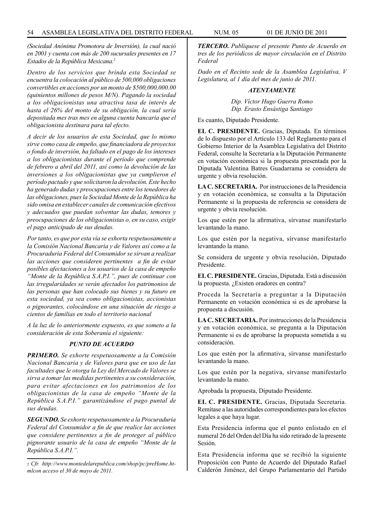*(Sociedad Anónima Promotora de Inversión), la cual nació en 2001 y cuenta con más de 200 sucursales presentes en 17 Estados de la República Mexicana.2*

*Dentro de los servicios que brinda esta Sociedad se encuentra la colocación al público de 500,000 obligaciones convertibles en acciones por un monto de \$500,000,000.00 (quinientos millones de pesos M/N). Pagando la sociedad a los obligacionistas una atractiva tasa de interés de hasta el 26% del monto de su obligación, la cual sería depositada mes tras mes en alguna cuenta bancaria que el obligacionista destinara para tal efecto.* 

*A decir de los usuarios de esta Sociedad, que lo mismo sirve como casa de empeño, que financiadora de proyectos o fondo de inversión, ha faltado en el pago de los intereses a los obligacionistas durante el período que comprende de febrero a abril del 2011, así como la devolución de las inversiones a los obligacionistas que ya cumplieron el período pactado y que solicitaron la devolución. Este hecho ha generado dudas y preocupaciones entre los tenedores de las obligaciones, pues la Sociedad Monte de la República ha sido omisa en establecer canales de comunicación efectivos y adecuados que puedan solventar las dudas, temores y preocupaciones de los obligacionistas o, en su caso, exigir el pago anticipado de sus deudas.*

*Por tanto, es que por esta vía se exhorta respetuosamente a la Comisión Nacional Bancaria y de Valores así como a la Procuraduría Federal del Consumidor se sirvan a realizar las acciones que consideren pertinentes a fin de evitar posibles afectaciones a los usuarios de la casa de empeño "Monte de la República S.A.P.I.", pues de continuar con las irregularidades se verán afectados los patrimonios de las personas que han colocado sus bienes y su futuro en esta sociedad, ya sea como obligacionistas, accionistas o pignorantes, colocándose en una situación de riesgo a cientos de familias en todo el territorio nacional*

*A la luz de lo anteriormente expuesto, es que someto a la consideración de esta Soberanía el siguiente:*

#### *PUNTO DE ACUERDO*

*PRIMERO. Se exhorte respetuosamente a la Comisión Nacional Bancaria y de Valores para que en uso de las facultades que le otorga la Ley del Mercado de Valores se sirva a tomar las medidas pertinentes a su consideración, para evitar afectaciones en los patrimonios de los obligacionistas de la casa de empeño "Monte de la República S.A.P.I." garantizándose el pago puntal de sus deudas.*

*SEGUNDO. Se exhorte respetuosamente a la Procuraduría Federal del Consumidor a fin de que realice las acciones que considere pertinentes a fin de proteger al público pignorante usuario de la casa de empeño "Monte de la República S.A.P.I.".*

*TERCERO. Publíquese el presente Punto de Acuerdo en tres de los periódicos de mayor circulación en el Distrito Federal*

*Dado en el Recinto sede de la Asamblea Legislativa, V Legislatura, al 1 día del mes de junio de 2011.*

#### *ATENTAMENTE*

*Dip. Víctor Hugo Guerra Romo Dip. Erasto Ensástiga Santiago*

Es cuanto, Diputado Presidente.

**EL C. PRESIDENTE.** Gracias, Diputada. En términos de lo dispuesto por el Artículo 133 del Reglamento para el Gobierno Interior de la Asamblea Legislativa del Distrito Federal, consulte la Secretaría a la Diputación Permanente en votación económica si la propuesta presentada por la Diputada Valentina Batres Guadarrama se considera de urgente y obvia resolución.

**LA C. SECRETARIA.** Por instrucciones de la Presidencia y en votación económica, se consulta a la Diputación Permanente si la propuesta de referencia se considera de urgente y obvia resolución.

Los que estén por la afirmativa, sírvanse manifestarlo levantando la mano.

Los que estén por la negativa, sírvanse manifestarlo levantando la mano.

Se considera de urgente y obvia resolución, Diputado Presidente.

**EL C. PRESIDENTE.** Gracias, Diputada. Está a discusión la propuesta. ¿Existen oradores en contra?

Proceda la Secretaría a preguntar a la Diputación Permanente en votación económica si es de aprobarse la propuesta a discusión.

**LA C. SECRETARIA.** Por instrucciones de la Presidencia y en votación económica, se pregunta a la Diputación Permanente si es de aprobarse la propuesta sometida a su consideración.

Los que estén por la afirmativa, sírvanse manifestarlo levantando la mano.

Los que estén por la negativa, sírvanse manifestarlo levantando la mano.

Aprobada la propuesta, Diputado Presidente.

**EL C. PRESIDENTE.** Gracias, Diputada Secretaria. Remítase a las autoridades correspondientes para los efectos legales a que haya lugar.

Esta Presidencia informa que el punto enlistado en el numeral 26 del Orden del Día ha sido retirado de la presente Sesión.

Esta Presidencia informa que se recibió la siguiente Proposición con Punto de Acuerdo del Diputado Rafael Calderón Jiménez, del Grupo Parlamentario del Partido

<sup>2</sup> *Cfr. http://www.montedelarepublica.com/shop/pc/preHome.htmlcon acceso el 30 de mayo de 2011.*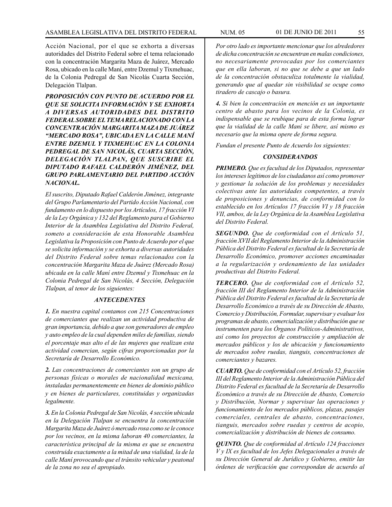Acción Nacional, por el que se exhorta a diversas autoridades del Distrito Federal sobre el tema relacionado con la concentración Margarita Maza de Juárez, Mercado Rosa, ubicado en la calle Maní, entre Dzemul y Tixmehuac, de la Colonia Pedregal de San Nicolás Cuarta Sección, Delegación Tlalpan.

*PROPOSICIÓN CON PUNTO DE ACUERDO POR EL QUE SE SOLICITA INFORMACIÓN Y SE EXHORTA A DIVERSAS AUTORIDADES DEL DISTRITO FEDERAL SOBRE EL TEMA RELACIONADO CON LA CONCENTRACIÓN MARGARITA MAZA DE JUÁREZ "MERCADO ROSA", UBICADA EN LA CALLE MANÍ ENTRE DZEMUL Y TIXMEHUAC EN LA COLONIA PEDREGAL DE SAN NICOLÁS, CUARTA SECCIÓN, DELEGACIÓN TLALPAN, QUE SUSCRIBE EL DIPUTADO RAFAEL CALDERÓN JIMÉNEZ, DEL GRUPO PARLAMENTARIO DEL PARTIDO ACCIÓN NACIONAL.*

*El suscrito, Diputado Rafael Calderón Jiménez, integrante del Grupo Parlamentario del Partido Acción Nacional, con fundamento en lo dispuesto por los Artículos, 17 fracción VI de la Ley Orgánica y 132 del Reglamento para el Gobierno Interior de la Asamblea Legislativa del Distrito Federal, someto a consideración de esta Honorable Asamblea Legislativa la Proposición con Punto de Acuerdo por el que se solicita información y se exhorta a diversas autoridades del Distrito Federal sobre temas relacionados con la concentración Margarita Maza de Juárez (Mercado Rosa) ubicada en la calle Maní entre Dzemul y Tixmehuac en la Colonia Pedregal de San Nicolás, 4 Sección, Delegación Tlalpan, al tenor de los siguientes:*

#### *ANTECEDENTES*

*1. En nuestra capital contamos con 215 Concentraciones de comerciantes que realizan un actividad productiva de gran importancia, debido a que son generadores de empleo y auto empleo de la cual dependen miles de familias, siendo el porcentaje mas alto el de las mujeres que realizan esta actividad comercian, según cifras proporcionadas por la Secretaría de Desarrollo Económico.*

*2. Las concentraciones de comerciantes son un grupo de personas físicas o morales de nacionalidad mexicana, instaladas permanentemente en bienes de dominio público y en bienes de particulares, constituidas y organizadas legalmente.*

*3. En la Colonia Pedregal de San Nicolás, 4 sección ubicada en la Delegación Tlalpan se encuentra la concentración Margarita Maza de Juárez ó mercado rosa como se le conoce por los vecinos, en la misma laboran 40 comerciantes, la característica principal de la misma es que se encuentra construida exactamente a la mitad de una vialidad, la de la calle Maní provocando que el tránsito vehicular y peatonal de la zona no sea el apropiado.*

*Por otro lado es importante mencionar que los alrededores de dicha concentración se encuentran en malas condiciones, no necesariamente provocadas por los comerciantes que en ella laboran, si no que se debe a que un lado de la concentración obstaculiza totalmente la vialidad, generando que al quedar sin visibilidad se ocupe como tiradero de cascajo o basura.* 

*4. Si bien la concentración en mención es un importante centro de abasto para los vecinos de la Colonia, es indispensable que se reubique para de esta forma lograr que la vialidad de la calle Maní se libere, así mismo es necesario que la misma opere de forma segura.* 

*Fundan el presente Punto de Acuerdo los siguientes:*

### *CONSIDERANDOS*

*PRIMERO. Que es facultad de los Diputados, representar los intereses legítimos de los ciudadanos así como promover y gestionar la solución de los problemas y necesidades colectivas ante las autoridades competentes, a través de proposiciones y denuncias, de conformidad con lo establecido en los Artículos 17 fracción VI y 18 fracción VII, ambos, de la Ley Orgánica de la Asamblea Legislativa del Distrito Federal.* 

*SEGUNDO. Que de conformidad con el Artículo 51, fracción XVII del Reglamento Interior de la Administración Pública del Distrito Federal es facultad de la Secretaría de Desarrollo Económico, promover acciones encaminadas a la regularización y ordenamiento de las unidades productivas del Distrito Federal.* 

*TERCERO. Que de conformidad con el Artículo 52, fracción III del Reglamento Interior de la Administración Pública del Distrito Federal es facultad de la Secretaría de Desarrollo Económico a través de su Dirección de Abasto, Comercio y Distribución, Formular, supervisar y evaluar los programas de abasto, comercialización y distribución que se instrumenten para los Órganos Políticos-Administrativos, así como los proyectos de construcción y ampliación de mercados públicos y los de ubicación y funcionamiento de mercados sobre ruedas, tianguis, concentraciones de comerciantes y bazares.*

*CUARTO. Que de conformidad con el Artículo 52, fracción III del Reglamento Interior de la Administración Pública del Distrito Federal es facultad de la Secretaría de Desarrollo Económico a través de su Dirección de Abasto, Comercio y Distribución, Normar y supervisar las operaciones y funcionamiento de los mercados públicos, plazas, pasajes comerciales, centrales de abasto, concentraciones, tianguis, mercados sobre ruedas y centros de acopio, comercialización y distribución de bienes de consumo.*

*QUINTO. Que de conformidad al Artículo 124 fracciones V y IX es facultad de los Jefes Delegacionales a través de su Dirección General de Jurídico y Gobierno, emitir las órdenes de verificación que correspondan de acuerdo al*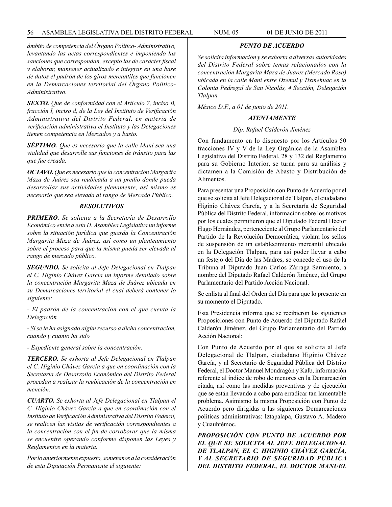### 56 ASAMBLEA LEGISLATIVA DEL DISTRITO FEDERAL NUM. 05 01 de JUNIO de 2011

## *PUNTO DE ACUERDO*

*ámbito de competencia del Órgano Político- Administrativo, levantando las actas correspondientes e imponiendo las sanciones que correspondan, excepto las de carácter fiscal y elaborar, mantener actualizado e integrar en una base de datos el padrón de los giros mercantiles que funcionen en la Demarcaciones territorial del Órgano Político-Administrativo.*

*SEXTO. Que de conformidad con el Artículo 7, inciso B, fracción I, inciso d, de la Ley del Instituto de Verificación Administrativa del Distrito Federal, en materia de verificación administrativa el Instituto y las Delegaciones tienen competencia en Mercados y a basto.*

*SÉPTIMO. Que es necesario que la calle Maní sea una vialidad que desarrolle sus funciones de tránsito para las que fue creada.* 

*OCTAVO. Que es necesario que la concentración Margarita Maza de Juárez sea reubicada a un predio donde pueda desarrollar sus actividades plenamente, así mismo es necesario que sea elevada al rango de Mercado Público.* 

#### *RESOLUTIVOS*

*PRIMERO. Se solicita a la Secretaría de Desarrollo Económico envíe a esta H. Asamblea Legislativa un informe sobre la situación jurídica que guarda la Concentración Margarita Maza de Juárez, así como un planteamiento sobre el proceso para que la misma pueda ser elevada al rango de mercado público.* 

*SEGUNDO. Se solicita al Jefe Delegacional en Tlalpan el C. Higinio Chávez García un informe detallado sobre la concentración Margarita Maza de Juárez ubicada en su Demarcaciones territorial el cual deberá contener lo siguiente:*

*- El padrón de la concentración con el que cuenta la Delegación*

*- Si se le ha asignado algún recurso a dicha concentración, cuando y cuanto ha sido*

*- Expediente general sobre la concentración.*

*TERCERO. Se exhorta al Jefe Delegacional en Tlalpan el C. Higinio Chávez García a que en coordinación con la Secretaría de Desarrollo Económico del Distrito Federal procedan a realizar la reubicación de la concentración en mención.*

*CUARTO. Se exhorta al Jefe Delegacional en Tlalpan el C. Higinio Chávez García a que en coordinación con el Instituto de Verificación Administrativa del Distrito Federal, se realicen las visitas de verificación correspondientes a la concentración con el fin de corroborar que la misma se encuentre operando conforme disponen las Leyes y Reglamentos en la materia.*

*Por lo anteriormente expuesto, sometemos a la consideración de esta Diputación Permanente el siguiente:*

*Se solicita información y se exhorta a diversas autoridades del Distrito Federal sobre temas relacionados con la concentración Margarita Maza de Juárez (Mercado Rosa) ubicada en la calle Maní entre Dzemul y Tixmehuac en la Colonia Pedregal de San Nicolás, 4 Sección, Delegación Tlalpan.* 

*México D.F., a 01 de junio de 2011.*

### *ATENTAMENTE*

#### *Dip. Rafael Calderón Jiménez*

Con fundamento en lo dispuesto por los Artículos 50 fracciones IV y V de la Ley Orgánica de la Asamblea Legislativa del Distrito Federal, 28 y 132 del Reglamento para su Gobierno Interior, se turna para su análisis y dictamen a la Comisión de Abasto y Distribución de Alimentos.

Para presentar una Proposición con Punto de Acuerdo por el que se solicita al Jefe Delegacional de Tlalpan, el ciudadano Higinio Chávez García, y a la Secretaría de Seguridad Pública del Distrito Federal, información sobre los motivos por los cuales permitieron que el Diputado Federal Héctor Hugo Hernández, perteneciente al Grupo Parlamentario del Partido de la Revolución Democrática, violara los sellos de suspensión de un establecimiento mercantil ubicado en la Delegación Tlalpan, para así poder llevar a cabo un festejo del Día de las Madres, se concede el uso de la Tribuna al Diputado Juan Carlos Zárraga Sarmiento, a nombre del Diputado Rafael Calderón Jiménez, del Grupo Parlamentario del Partido Acción Nacional.

Se enlista al final del Orden del Día para que lo presente en su momento el Diputado.

Esta Presidencia informa que se recibieron las siguientes Proposiciones con Punto de Acuerdo del Diputado Rafael Calderón Jiménez, del Grupo Parlamentario del Partido Acción Nacional:

Con Punto de Acuerdo por el que se solicita al Jefe Delegacional de Tlalpan, ciudadano Higinio Chávez García, y al Secretario de Seguridad Pública del Distrito Federal, el Doctor Manuel Mondragón y Kalb, información referente al índice de robo de menores en la Demarcación citada, así como las medidas preventivas y de ejecución que se están llevando a cabo para erradicar tan lamentable problema. Asimismo la misma Proposición con Punto de Acuerdo pero dirigidas a las siguientes Demarcaciones políticas administrativas: Iztapalapa, Gustavo A. Madero y Cuauhtémoc.

*PROPOSICIÓN CON PUNTO DE ACUERDO POR EL QUE SE SOLICITA AL JEFE DELEGACIONAL DE TLALPAN, EL C. HIGINIO CHÁVEZ GARCÍA, Y AL SECRETARIO DE SEGURIDAD PÚBLICA DEL DISTRITO FEDERAL, EL DOCTOR MANUEL*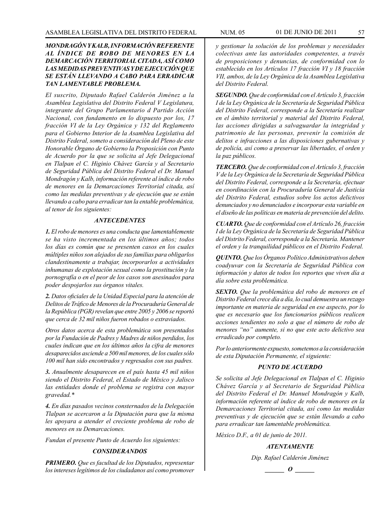## *MONDRAGÓN Y KALB, INFORMACIÓN REFERENTE AL ÍNDICE DE ROBO DE MENORES EN LA DEMARCACIÓN TERRITORIAL CITADA, ASÍ COMO LAS MEDIDAS PREVENTIVAS Y DE EJECUCIÓN QUE SE ESTÁN LLEVANDO A CABO PARA ERRADICAR TAN LAMENTABLE PROBLEMA.*

*El suscrito, Diputado Rafael Calderón Jiménez a la Asamblea Legislativa del Distrito Federal V Legislatura, integrante del Grupo Parlamentario d Partido Acción Nacional, con fundamento en lo dispuesto por los, 17 fracción VI de la Ley Orgánica y 132 del Reglamento para el Gobierno Interior de la Asamblea Legislativa del Distrito Federal, someto a consideración del Pleno de este Honorable Órgano de Gobierno la Proposición con Punto de Acuerdo por la que se solicita al Jefe Delegacional en Tlalpan el C. Higinio Chávez García y al Secretario de Seguridad Pública del Distrito Federal el Dr. Manuel Mondragón y Kalb, información referente al índice de robo de menores en la Demarcaciones Territorial citada, así como las medidas preventivas y de ejecución que se están llevando a cabo para erradicar tan la entable problemática, al tenor de los siguientes:* 

### *ANTECEDENTES*

*1. El robo de menores es una conducta que lamentablemente se ha visto incrementada en los últimos años; todos los días es común que se presenten casos en los cuales múltiples niños son alejados de sus familias para obligarlos clandestinamente a trabajar, incorporarlos a actividades inhumanas de explotación sexual como la prostitución y la pornografía o en el peor de los casos son asesinados para poder despojarlos sus órganos vitales.*

*2. Datos oficiales de la Unidad Especial para la atención de Delitos de Tráfico de Menores de la Procuraduría General de la República (PGR) revelan que entre 2005 y 2006 se reportó que cerca de 32 mil niños fueron robados o extraviados.*

*Otros datos acerca de esta problemática son presentados por la Fundación de Padres y Madres de niños perdidos, los cuales indican que en los últimos años la cifra de menores desaparecidos asciende a 500 mil menores, de los cuales sólo 100 mil han sido encontrados y regresados con sus padres.* 

*3. Anualmente desaparecen en el país hasta 45 mil niños siendo el Distrito Federal, el Estado de México y Jalisco las entidades donde el problema se registra con mayor gravedad.\**

*4. En días pasados vecinos consternados de la Delegación Tlalpan se acercaron a la Diputación para que la misma les apoyara a atender el creciente problema de robo de menores en su Demarcaciones.*

*Fundan el presente Punto de Acuerdo los siguientes:*

## *CONSIDERANDOS*

*PRIMERO. Que es facultad de los Diputados, representar los intereses legítimos de los ciudadanos así como promover* 

*y gestionar la solución de los problemas y necesidades colectivas ante las autoridades competentes, a través de proposiciones y denuncias, de conformidad con lo establecido en los Artículos 17 fracción VI y 18 fracción VII, ambos, de la Ley Orgánica de la Asamblea Legislativa del Distrito Federal.*

*SEGUNDO. Que de conformidad con el Artículo 3, fracción I de la Ley Orgánica de la Secretaría de Seguridad Pública del Distrito Federal, corresponde a la Secretaría realizar en el ámbito territorial y material del Distrito Federal, las acciones dirigidas a salvaguardar la integridad y patrimonio de las personas, prevenir la comisión de delitos e infracciones a las disposiciones gubernativas y de policía, así como a preservar las libertades, el orden y la paz públicos.*

*TERCERO. Que de conformidad con el Artículo 3, fracción V de la Ley Orgánica de la Secretaría de Seguridad Pública del Distrito Federal, corresponde a la Secretaría, efectuar en coordinación con la Procuraduría General de Justicia del Distrito Federal, estudios sobre los actos delictivos denunciados y no denunciados e incorporar esta variable en el diseño de las políticas en materia de prevención del delito.*

*CUARTO. Que de conformidad con el Artículo 26, fracción I de la Ley Orgánica de la Secretaría de Seguridad Pública del Distrito Federal, corresponde a la Secretaría. Mantener el orden y la tranquilidad públicos en el Distrito Federal.*

*QUINTO. Que los Órganos Político Administrativos deben coadyuvar con la Secretaría de Seguridad Pública con información y datos de todos los reportes que viven día a día sobre esta problemática.*

*SEXTO. Que la problemática del robo de menores en el Distrito Federal crece día a día, lo cual demuestra un rezago importante en materia de seguridad en ese aspecto, por lo que es necesario que los funcionarios públicos realicen acciones tendientes no solo a que el número de robo de menores "no" aumente, si no que este acto delictivo sea erradicado por completo.*

*Por lo anteriormente expuesto, sometemos a la consideración de esta Diputación Permanente, el siguiente:* 

## *PUNTO DE ACUERDO*

*Se solicita al Jefe Delegacional en Tlalpan el C. Higinio Chávez García y al Secretario de Seguridad Pública del Distrito Federal el Dr. Manuel Mondragón y Kalb, información referente al índice de robo de menores en la Demarcaciones Territorial citada, así como las medidas preventivas y de ejecución que se están llevando a cabo para erradicar tan lamentable problemática.*

*México D.F., a 01 de junio de 2011.*

## *ATENTAMENTE*

*Dip. Rafael Calderón Jiménez o*  $\theta$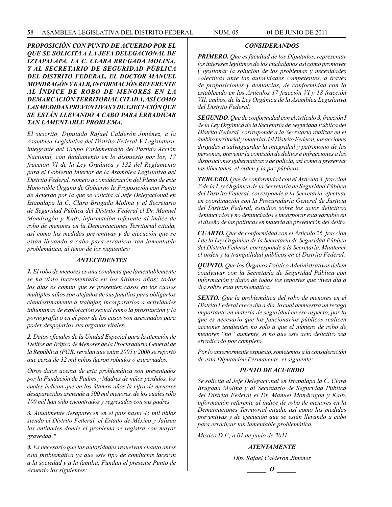*PROPOSICIÓN CON PUNTO DE ACUERDO POR EL QUE SE SOLICITA A LA JEFA DELEGACIONAL DE IZTAPALAPA, LA C. CLARA BRUGADA MOLINA, Y AL SECRETARIO DE SEGURIDAD PÚBLICA DEL DISTRITO FEDERAL, EL DOCTOR MANUEL MONDRAGÓN Y KALB, INFORMACIÓN REFERENTE AL ÍNDICE DE ROBO DE MENORES EN LA DEMARCACIÓN TERRITORIAL CITADA, ASÍ COMO LAS MEDIDAS PREVENTIVAS Y DE EJECUCIÓN QUE SE ESTÁN LLEVANDO A CABO PARA ERRADICAR TAN LAMENTABLE PROBLEMA.*

*El suscrito, Diputado Rafael Calderón Jiménez, a la Asamblea Legislativa del Distrito Federal V Legislatura, integrante del Grupo Parlamentario del Partido Acción Nacional, con fundamento en lo dispuesto por los, 17 fracción VI de la Ley Orgánica y 132 del Reglamento para el Gobierno Interior de la Asamblea Legislativa del Distrito Federal, someto a consideración del Pleno de este Honorable Órgano de Gobierno la Proposición con Punto de Acuerdo por la que se solicita al Jefe Delegacional en Iztapalapa la C. Clara Brugada Molina y al Secretario de Seguridad Pública del Distrito Federal el Dr. Manuel Mondragón y Kalb, información referente al índice de robo de menores en la Demarcaciones Territorial citada, así como las medidas preventivas y de ejecución que se están llevando a cabo para erradicar tan lamentable problemática, al tenor de los siguientes:*

#### *ANTECEDENTES*

*1. El robo de menores es una conducta que lamentablemente se ha visto incrementada en los últimos años; todos los días es común que se presenten casos en los cuales múltiples niños son alejados de sus familias para obligarlos clandestinamente a trabajar, incorporarlos a actividades inhumanas de explotación sexual como la prostitución y la pornografía o en el peor de los casos son asesinados para poder despojarlos sus órganos vitales.*

*2. Datos oficiales de la Unidad Especial para la atención de Delitos de Tráfico de Menores de la Procuraduría General de la República (PGR) revelan que entre 2005 y 2006 se reportó que cerca de 32 mil niños fueron robados o extraviados.*

*Otros datos acerca de esta problemática son presentados por la Fundación de Padres y Madres de niños perdidos, los cuales indican que en los últimos años la cifra de menores desaparecidos asciende a 500 mil menores, de los cuales sólo 100 mil han sido encontrados y regresados con sus padres.* 

*3. Anualmente desaparecen en el país hasta 45 mil niños siendo el Distrito Federal, el Estado de México y Jalisco las entidades donde el problema se registra con mayor gravedad.\**

*4. Es necesario que las autoridades resuelvan cuanto antes esta problemática ya que este tipo de conductas laceran a la sociedad y a la familia. Fundan el presente Punto de Acuerdo los siguientes:*

## *CONSIDERANDOS*

*PRIMERO. Que es facultad de los Diputados, representar los intereses legítimos de los ciudadanos así como promover y gestionar la solución de los problemas y necesidades colectivas ante las autoridades competentes, a través de proposiciones y denuncias, de conformidad con lo establecido en los Artículos 17 fracción VI y 18 fracción VII, ambos, de la Ley Orgánica de la Asamblea Legislativa del Distrito Federal.*

*SEGUNDO. Que de conformidad con el Artículo 3, fracción I de la Ley Orgánica de la Secretaría de Seguridad Pública del Distrito Federal, corresponde a la Secretaría realizar en el ámbito territorial y material del Distrito Federal, las acciones dirigidas a salvaguardar la integridad y patrimonio de las personas, prevenir la comisión de delitos e infracciones a las disposiciones gubernativas y de policía, así como a preservar las libertades, el orden y la paz públicos.*

*TERCERO. Que de conformidad con el Artículo 3, fracción V de la Ley Orgánica de la Secretaría de Seguridad Pública del Distrito Federal, corresponde a la Secretaría, efectuar en coordinación con la Procuraduría General de Justicia del Distrito Federal, estudios sobre los actos delictivos denunciados y no denunciados e incorporar esta variable en el diseño de las políticas en materia de prevención del delito.*

*CUARTO. Que de conformidad con el Artículo 26, fracción I de la Ley Orgánica de la Secretaría de Seguridad Pública del Distrito Federal, corresponde a la Secretaría. Mantener el orden y la tranquilidad públicos en el Distrito Federal.*

*QUINTO. Que los Órganos Político Administrativos deben coadyuvar con la Secretaría de Seguridad Pública con información y datos de todos los reportes que viven día a día sobre esta problemática.*

*SEXTO. Que la problemática del robo de menores en el Distrito Federal crece día a día, lo cual demuestra un rezago importante en materia de seguridad en ese aspecto, por lo que es necesario que los funcionarios públicos realicen acciones tendientes no solo a que el número de robo de menores "no" aumente, si no que este acto delictivo sea erradicado por completo.* 

*Por lo anteriormente expuesto, sometemos a la consideración de esta Diputación Permanente, el siguiente:*

## *PUNTO DE ACUERDO*

*Se solicita al Jefe Delegacional en Iztapalapa la C. Clara Brugada Molina y al Secretario de Seguridad Pública del Distrito Federal el Dr. Manuel Mondragón y Kalb, información referente al índice de robo de menores en la Demarcaciones Territorial citada, así como las medidas preventivas y de ejecución que se están llevando a cabo para erradicar tan lamentable problemática.*

*México D.F., a 01 de junio de 2011.*

### *ATENTAMENTE*

*Dip. Rafael Calderón Jiménez*

$$
\_\_o\_
$$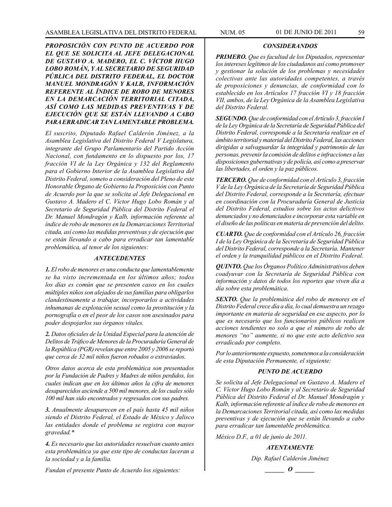*PROPOSICIÓN CON PUNTO DE ACUERDO POR EL QUE SE SOLICITA AL JEFE DELEGACIONAL DE GUSTAVO A. MADERO, EL C. VÍCTOR HUGO LOBO ROMÁN, Y AL SECRETARIO DE SEGURIDAD PÚBLICA DEL DISTRITO FEDERAL, EL DOCTOR MANUEL MONDRAGÓN Y KALB, INFORMACIÓN REFERENTE AL ÍNDICE DE ROBO DE MENORES EN LA DEMARCACIÓN TERRITORIAL CITADA, ASÍ COMO LAS MEDIDAS PREVENTIVAS Y DE EJECUCIÓN QUE SE ESTÁN LLEVANDO A CABO PARA ERRADICAR TAN LAMENTABLE PROBLEMA.*

*El suscrito, Diputado Rafael Calderón Jiménez, a la Asamblea Legislativa del Distrito Federal V Legislatura, integrante del Grupo Parlamentario del Partido Acción Nacional, con fundamento en lo dispuesto por los, 17 fracción VI de la Ley Orgánica y 132 del Reglamento para el Gobierno Interior de la Asamblea Legislativa del Distrito Federal, someto a consideración del Pleno de este Honorable Órgano de Gobierno la Proposición con Punto de Acuerdo por la que se solicita al Jefe Delegacional en Gustavo A. Madero el C. Víctor Hugo Lobo Román y al Secretario de Seguridad Pública del Distrito Federal el Dr. Manuel Mondragón y Kalb, información referente al índice de robo de menores en la Demarcaciones Territorial citada, así como las medidas preventivas y de ejecución que se están llevando a cabo para erradicar tan lamentable problemática, al tenor de los siguientes:*

#### *ANTECEDENTES*

*1. El robo de menores es una conducta que lamentablemente se ha visto incrementada en los últimos años; todos los días es común que se presenten casos en los cuales múltiples niños son alejados de sus familias para obligarlos clandestinamente a trabajar, incorporarlos a actividades inhumanas de explotación sexual como la prostitución y la pornografía o en el peor de los casos son asesinados para poder despojarlos sus órganos vitales.* 

*2. Datos oficiales de la Unidad Especial para la atención de Delitos de Tráfico de Menores de la Procuraduría General de la República (PGR) revelan que entre 2005 y 2006 se reportó que cerca de 32 mil niños fueron robados o extraviados.*

*Otros datos acerca de esta problemática son presentados por la Fundación de Padres y Madres de niños perdidos, los cuales indican que en los últimos años la cifra de menores desaparecidos asciende a 500 mil menores, de los cuales sólo 100 mil han sido encontrados y regresados con sus padres.*

*3. Anualmente desaparecen en el país hasta 45 mil niños siendo el Distrito Federal, el Estado de México y Jalisco las entidades donde el problema se registra con mayor gravedad.\**

*4. Es necesario que las autoridades resuelvan cuanto antes esta problemática ya que este tipo de conductas laceran a la sociedad y a la familia.* 

*Fundan el presente Punto de Acuerdo los siguientes:*

*PRIMERO. Que es facultad de los Diputados, representar los intereses legítimos de los ciudadanos así como promover y gestionar la solución de los problemas y necesidades colectivas ante las autoridades competentes, a través de proposiciones y denuncias, de conformidad con lo establecido en los Artículos 17 fracción VI y 18 fracción VII, ambos, de la Ley Orgánica de la Asamblea Legislativa del Distrito Federal.*

*SEGUNDO. Que de conformidad con el Artículo 3, fracción I de la Ley Orgánica de la Secretaría de Seguridad Pública del Distrito Federal, corresponde a la Secretaría realizar en el ámbito territorial y material del Distrito Federal, las acciones dirigidas a salvaguardar la integridad y patrimonio de las personas, prevenir la comisión de delitos e infracciones a las disposiciones gubernativas y de policía, así como a preservar las libertades, el orden y la paz públicos.* 

*TERCERO. Que de conformidad con el Artículo 3, fracción V de la Ley Orgánica de la Secretaría de Seguridad Pública del Distrito Federal, corresponde a la Secretaría, efectuar en coordinación con la Procuraduría General de Justicia del Distrito Federal, estudios sobre los actos delictivos denunciados y no denunciados e incorporar esta variable en el diseño de las políticas en materia de prevención del delito.* 

*CUARTO. Que de conformidad con el Artículo 26, fracción I de la Ley Orgánica de la Secretaría de Seguridad Pública del Distrito Federal, corresponde a la Secretaría. Mantener el orden y la tranquilidad públicos en el Distrito Federal.*

*QUINTO. Que los Órganos Político Administrativos deben coadyuvar con la Secretaría de Seguridad Pública con información y datos de todos los reportes que viven día a día sobre esta problemática.*

*SEXTO. Que la problemática del robo de menores en el Distrito Federal crece día a día, lo cual demuestra un rezago importante en materia de seguridad en ese aspecto, por lo que es necesario que los funcionarios públicos realicen acciones tendientes no solo a que el número de robo de menores "no" aumente, si no que este acto delictivo sea erradicado por completo.* 

*Por lo anteriormente expuesto, sometemos a la consideración de esta Diputación Permanente, el siguiente:* 

#### *PUNTO DE ACUERDO*

*Se solicita al Jefe Delegacional en Gustavo A. Madero el C. Víctor Hugo Lobo Román y al Secretario de Seguridad Pública del Distrito Federal el Dr. Manuel Mondragón y Kalb, información referente al índice de robo de menores en la Demarcaciones Territorial citada, así como las medidas preventivas y de ejecución que se están llevando a cabo para erradicar tan lamentable problemática.*

*México D.F., a 01 de junio de 2011.*

*ATENTAMENTE*

*Dip. Rafael Calderón Jiménez*

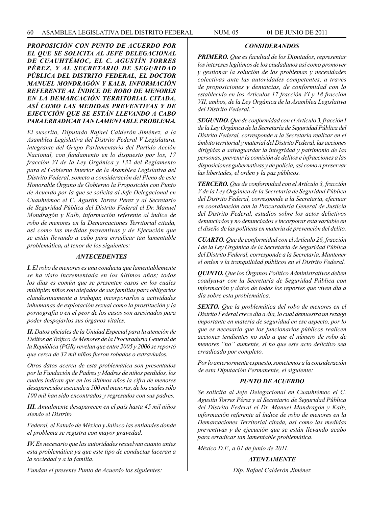## *PROPOSICIÓN CON PUNTO DE ACUERDO POR EL QUE SE SOLICITA AL JEFE DELEGACIONAL DE CUAUHTÉMOC, EL C. AGUSTÍN TORRES PÉREZ, Y AL SECRETARIO DE SEGURIDAD PÚBLICA DEL DISTRITO FEDERAL, EL DOCTOR MANUEL MONDRAGÓN Y KALB, INFORMACIÓN REFERENTE AL ÍNDICE DE ROBO DE MENORES EN LA DEMARCACIÓN TERRITORIAL CITADA, ASÍ COMO LAS MEDIDAS PREVENTIVAS Y DE EJECUCIÓN QUE SE ESTÁN LLEVANDO A CABO PARA ERRADICAR TAN LAMENTABLE PROBLEMA.*

*El suscrito, Diputado Rafael Calderón Jiménez, a la Asamblea Legislativa del Distrito Federal V Legislatura, integrante del Grupo Parlamentario del Partido Acción Nacional, con fundamento en lo dispuesto por los, 17 fracción VI de la Ley Orgánica y 132 del Reglamento para el Gobierno Interior de la Asamblea Legislativa del Distrito Federal, someto a consideración del Pleno de este Honorable Órgano de Gobierno la Proposición con Punto de Acuerdo por la que se solicita al Jefe Delegacional en Cuauhtémoc el C. Agustín Torres Pérez y al Secretario de Seguridad Pública del Distrito Federal el Dr. Manuel Mondragón y Kalb, información referente al índice de robo de menores en la Demarcaciones Territorial citada, así como las medidas preventivas y de Ejecución que se están llevando a cabo para erradicar tan lamentable problemática, al tenor de los siguientes:*

#### *ANTECEDENTES*

*I. El robo de menores es una conducta que lamentablemente se ha visto incrementada en los últimos años; todos los días es común que se presenten casos en los cuales múltiples niños son alejados de sus familias para obligarlos clandestinamente a trabajar, incorporarlos a actividades inhumanas de explotación sexual como la prostitución y la pornografía o en el peor de los casos son asesinados para poder despojarlos sus órganos vitales.*

*II. Datos oficiales de la Unidad Especial para la atención de Delitos de Tráfico de Menores de la Procuraduría General de la República (PGR) revelan que entre 2005 y 2006 se reportó que cerca de 32 mil niños fueron robados o extraviados.*

*Otros datos acerca de esta problemática son presentados por la Fundación de Padres y Madres de niños perdidos, los cuales indican que en los últimos años la cifra de menores desaparecidos asciende a 500 mil menores, de los cuales sólo 100 mil han sido encontrados y regresados con sus padres.*

*III. Anualmente desaparecen en el país hasta 45 mil niños siendo el Distrito*

*Federal, el Estado de México y Jalisco las entidades donde el problema se registra con mayor gravedad.*

*IV. Es necesario que las autoridades resuelvan cuanto antes esta problemática ya que este tipo de conductas laceran a la sociedad y a la familia.* 

## *CONSIDERANDOS*

*PRIMERO. Que es facultad de los Diputados, representar los intereses legítimos de los ciudadanos así como promover y gestionar la solución de los problemas y necesidades colectivas ante las autoridades competentes, a través de proposiciones y denuncias, de conformidad con lo establecido en los Artículos 17 fracción VI y 18 fracción VII, ambos, de la Ley Orgánica de la Asamblea Legislativa del Distrito Federal."*

*SEGUNDO. Que de conformidad con el Artículo 3, fracción I de la Ley Orgánica de la Secretaría de Seguridad Pública del Distrito Federal, corresponde a la Secretaría realizar en el ámbito territorial y material del Distrito Federal, las acciones dirigidas a salvaguardar la integridad y patrimonio de las personas, prevenir la comisión de delitos e infracciones a las disposiciones gubernativas y de policía, así como a preservar las libertades, el orden y la paz públicos.*

*TERCERO. Que de conformidad con el Artículo 3, fracción V de la Ley Orgánica de la Secretaría de Seguridad Pública del Distrito Federal, corresponde a la Secretaría, efectuar en coordinación con la Procuraduría General de Justicia del Distrito Federal, estudios sobre los actos delictivos denunciados y no denunciados e incorporar esta variable en el diseño de las políticas en materia de prevención del delito.*

*CUARTO. Que de conformidad con el Artículo 26, fracción I de la Ley Orgánica de la Secretaría de Seguridad Pública del Distrito Federal, corresponde a la Secretaría. Mantener el orden y la tranquilidad públicos en el Distrito Federal.*

*QUINTO. Que los Órganos Político Administrativos deben coadyuvar con la Secretaría de Seguridad Pública con información y datos de todos los reportes que viven día a día sobre esta problemática.*

*SEXTO. Que la problemática del robo de menores en el Distrito Federal crece día a día, lo cual demuestra un rezago importante en materia de seguridad en ese aspecto, por lo que es necesario que los funcionarios públicos realicen acciones tendientes no solo a que el número de robo de menores "no" aumente, si no que este acto delictivo sea erradicado por completo.*

*Por lo anteriormente expuesto, sometemos a la consideración de esta Diputación Permanente, el siguiente:*

## *PUNTO DE ACUERDO*

*Se solicita al Jefe Delegacional en Cuauhtémoc el C. Agustín Torres Pérez y al Secretario de Seguridad Pública del Distrito Federal el Dr. Manuel Mondragón y Kalb, información referente al índice de robo de menores en la Demarcaciones Territorial citada, así como las medidas preventivas y de ejecución que se están llevando acabo para erradicar tan lamentable problemática.*

*México D.F., a 01 de junio de 2011.*

## *ATENTAMENTE*

*Dip. Rafael Calderón Jiménez*

*Fundan el presente Punto de Acuerdo los siguientes:*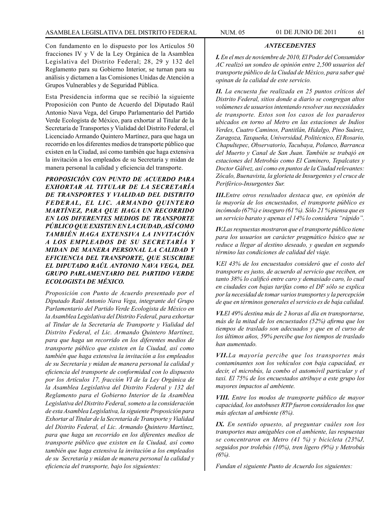Con fundamento en lo dispuesto por los Artículos 50 fracciones IV y V de la Ley Orgánica de la Asamblea Legislativa del Distrito Federal; 28, 29 y 132 del Reglamento para su Gobierno Interior, se turnan para su análisis y dictamen a las Comisiones Unidas de Atención a Grupos Vulnerables y de Seguridad Pública.

Esta Presidencia informa que se recibió la siguiente Proposición con Punto de Acuerdo del Diputado Raúl Antonio Nava Vega, del Grupo Parlamentario del Partido Verde Ecologista de México, para exhortar al Titular de la Secretaría de Transportes y Vialidad del Distrito Federal, el Licenciado Armando Quintero Martínez, para que haga un recorrido en los diferentes medios de transporte público que existen en la Ciudad, así como también que haga extensiva la invitación a los empleados de su Secretaría y midan de manera personal la calidad y eficiencia del transporte.

*PROPOSICIÓN CON PUNTO DE ACUERDO PARA EXHORTAR AL TITULAR DE LA SECRETARÍA DE TRANSPORTES Y VIALIDAD DEL DISTRITO FEDERAL, EL LIC. ARMANDO QUINTERO MARTÍNEZ, PARA QUE HAGA UN RECORRIDO EN LOS DIFERENTES MEDIOS DE TRANSPORTE PÚBLICO QUE EXISTEN EN LA CIUDAD, ASÍ COMO TAMBIÉN HAGA EXTENSIVA LA INVITACIÓN A LOS EMPLEADOS DE SU SECRETARÍA Y MIDAN DE MANERA PERSONAL LA CALIDAD Y EFICIENCIA DEL TRANSPORTE, QUE SUSCRIBE EL DIPUTADO RAÚL ANTONIO NAVA VEGA, DEL GRUPO PARLAMENTARIO DEL PARTIDO VERDE ECOLOGISTA DE MÉXICO.*

*Proposición con Punto de Acuerdo presentado por el Diputado Raúl Antonio Nava Vega, integrante del Grupo Parlamentario del Partido Verde Ecologista de México en la Asamblea Legislativa del Distrito Federal, para exhortar al Titular de la Secretaría de Transporte y Vialidad del Distrito Federal, el Lic. Armando Quintero Martínez, para que haga un recorrido en los diferentes medios de transporte público que existen en la Ciudad, así como también que haga extensiva la invitación a los empleados de su Secretaría y midan de manera personal la calidad y eficiencia del transporte de conformidad con lo dispuesto por los Artículos 17, fracción VI de la Ley Orgánica de la Asamblea Legislativa del Distrito Federal y 132 del Reglamento para el Gobierno Interior de la Asamblea Legislativa del Distrito Federal, someto a la consideración de esta Asamblea Legislativa, la siguiente Proposición para Exhortar al Titular de la Secretaría de Transporte y Vialidad del Distrito Federal, el Lic. Armando Quintero Martínez, para que haga un recorrido en los diferentes medios de transporte público que existen en la Ciudad, así como también que haga extensiva la invitación a los empleados de su Secretaría y midan de manera personal la calidad y eficiencia del transporte, bajo los siguientes:*

## *ANTECEDENTES*

*I. En el mes de noviembre de 2010, El Poder del Consumidor AC realizó un sondeo de opinión entre 2,500 usuarios del transporte público de la Ciudad de México, para saber qué opinan de la calidad de este servicio.*

*II. La encuesta fue realizada en 25 puntos críticos del Distrito Federal, sitios donde a diario se congregan altos volúmenes de usuarios intentando resolver sus necesidades de transporte. Estos son los casos de los paraderos ubicados en torno al Metro en las estaciones de Indios Verdes, Cuatro Caminos, Pantitlán, Hidalgo, Pino Suárez, Zaragoza, Taxqueña, Universidad, Politécnico, El Rosario, Chapultepec, Observatorio, Tacubaya, Polanco, Barranca del Muerto y Canal de San Juan. También se trabajó en estaciones del Metrobús como El Caminero, Tepalcates y Doctor Gálvez, así como en puntos de la Ciudad relevantes: Zócalo, Buenavista, la glorieta de Insurgentes y el cruce de Periférico-Insurgentes Sur.*

*III.Entre otros resultados destaca que, en opinión de la mayoría de los encuestados, el transporte público es incómodo (67%) e inseguro (61 %). Sólo 21 % piensa que es un servicio barato y apenas el 14% lo considera "rápido".*

*IV.Las respuestas mostraron que el transporte público tiene para los usuarios un carácter pragmático básico que se reduce a llegar al destino deseado, y quedan en segundo término las condiciones de calidad del viaje.*

*V.El 43% de los encuestados consideró que el costo del transporte es justo, de acuerdo al servicio que reciben, en tanto 38% lo calificó entre caro y demasiado caro, lo cual en ciudades con bajas tarifas como el DF sólo se explica por la necesidad de tomar varios transportes y la percepción de que en términos generales el servicio es de baja calidad.*

*VI.El 49% destina más de 2 horas al día en transportarse, más de la mitad de los encuestados (52%) afirma que los tiempos de traslado son adecuados y que en el curso de los últimos años, 59% percibe que los tiempos de traslado han aumentado.*

*VII.La mayoría percibe que los transportes más contaminantes son los vehículos con baja capacidad, es decir, el microbús, la combo el automóvil particular y el taxi. El 75% de los encuestados atribuye a este grupo los mayores impactos al ambiente.*

*VIII. Entre los modos de transporte público de mayor capacidad, los autobuses RTP fueron considerados los que más afectan al ambiente (8%).*

*IX. En sentido opuesto, al preguntar cuáles son los transportes mas amigables con el ambiente, las respuestas se concentraron en Metro (41 %) y bicicleta (23%J, seguidos por trolebús (10%), tren ligero (9%) y Metrobús (6%).*

*Fundan el siguiente Punto de Acuerdo los siguientes:*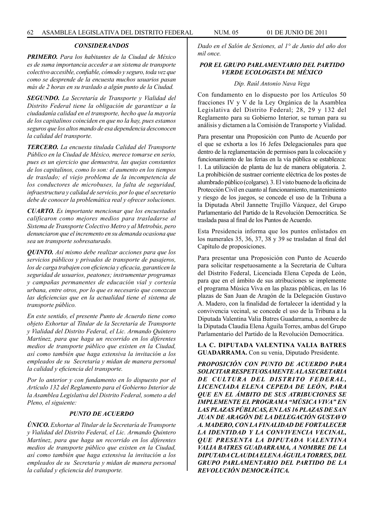## *CONSIDERANDOS*

*PRIMERO. Para los habitantes de la Ciudad de México es de suma importancia acceder a un sistema de transporte colectivo accesible, confiable, cómodo y seguro, toda vez que como se desprende de la encuesta muchos usuarios pasan más de 2 horas en su traslado a algún punto de la Ciudad.*

*SEGUNDO. La Secretaría de Transporte y Vialidad del Distrito Federal tiene la obligación de garantizar a la ciudadanía calidad en el transporte, hecho que la mayoría de los capitalinos coinciden en que no la hay, pues estamos seguros que los altos mando de esa dependencia desconocen la calidad del transporte.*

*TERCERO. La encuesta titulada Calidad del Transporte Público en la Ciudad de México, merece tomarse en serio, pues es un ejercicio que demuestra, las quejas constantes de los capitalinos, como lo son: el aumento en los tiempos de traslado; el viejo problema de la incompetencia de los conductores de microbuses, la falta de seguridad, infraestructura y calidad de servicio, por lo que el secretario debe de conocer la problemática real y ofrecer soluciones.*

*CUARTO. Es importante mencionar que los encuestados calificaron como mejores medios para trasladarse al Sistema de Transporte Colectivo Metro y al Metrobús, pero denunciaron que el incremento en su demanda ocasiona que sea un transporte sobresaturado.*

*QUINTO. Así mismo debe realizar acciones para que los servicios públicos y privados de transporte de pasajeros, los de carga trabajen con eficiencia y eficacia, garanticen la seguridad de usuarios, peatones; instrumentar programas y campañas permanentes de educación vial y cortesía urbana, entre otros, por lo que es necesario que conozcan las deficiencias que en la actualidad tiene el sistema de transporte público.*

*En este sentido, el presente Punto de Acuerdo tiene como objeto Exhortar al Titular de la Secretaría de Transporte y Vialidad del Distrito Federal, el Lic. Armando Quintero Martínez, para que haga un recorrido en los diferentes medios de transporte público que existen en la Ciudad, así como también que haga extensiva la invitación a los empleados de su Secretaría y midan de manera personal la calidad y eficiencia del transporte.* 

*Por lo anterior y con fundamento en lo dispuesto por el Artículo 132 del Reglamento para el Gobierno Interior de la Asamblea Legislativa del Distrito Federal, someto a del Pleno, el siguiente:*

#### *PUNTO DE ACUERDO*

*ÚNICO. Exhortar al Titular de la Secretaría de Transporte y Vialidad del Distrito Federal, el Lic. Armando Quintero Martínez, para que haga un recorrido en los diferentes medios de transporte público que existen en la Ciudad, así como también que haga extensiva la invitación a los empleados de su Secretaría y midan de manera personal la calidad y eficiencia del transporte.*

*Dado en el Salón de Sesiones, al 1° de Junio del año dos mil once.*

## *POR EL GRUPO PARLAMENTARIO DEL PARTIDO VERDE ECOLOGISTA DE MÉXICO*

#### *Dip. Raúl Antonio Nava Vega*

Con fundamento en lo dispuesto por los Artículos 50 fracciones IV y V de la Ley Orgánica de la Asamblea Legislativa del Distrito Federal; 28, 29 y 132 del Reglamento para su Gobierno Interior, se turnan para su análisis y dictamen a la Comisión de Transporte y Vialidad.

Para presentar una Proposición con Punto de Acuerdo por el que se exhorta a los 16 Jefes Delegacionales para que dentro de la reglamentación de permisos para la colocación y funcionamiento de las ferias en la vía pública se establezca: 1. La utilización de planta de luz de manera obligatoria. 2. La prohibición de sustraer corriente eléctrica de los postes de alumbrado público (colgarse). 3. El visto bueno de la oficina de Protección Civil en cuanto al funcionamiento, mantenimiento y riesgo de los juegos, se concede el uso de la Tribuna a la Diputada Abril Jannette Trujillo Vázquez, del Grupo Parlamentario del Partido de la Revolución Democrática. Se traslada pasa al final de los Puntos de Acuerdo.

Esta Presidencia informa que los puntos enlistados en los numerales 35, 36, 37, 38 y 39 se trasladan al final del Capítulo de proposiciones.

Para presentar una Proposición con Punto de Acuerdo para solicitar respetuosamente a la Secretaria de Cultura del Distrito Federal, Licenciada Elena Cepeda de León, para que en el ámbito de sus atribuciones se implemente el programa Música Viva en las plazas públicas, en las 16 plazas de San Juan de Aragón de la Delegación Gustavo A. Madero, con la finalidad de fortalecer la identidad y la convivencia vecinal, se concede el uso de la Tribuna a la Diputada Valentina Valia Batres Guadarrama, a nombre de la Diputada Claudia Elena Águila Torres, ambas del Grupo Parlamentario del Partido de la Revolución Democrática.

**LA C. DIPUTADA VALENTINA VALIA BATRES GUADARRAMA.** Con su venia, Diputado Presidente.

*PROPOSICIÓN CON PUNTO DE ACUERDO PARA SOLICITAR RESPETUOSAMENTE A LA SECRETARIA DE CULTURA DEL DISTRITO FEDERAL, LICENCIADA ELENA CEPEDA DE LEÓN, PARA QUE EN EL ÁMBITO DE SUS ATRIBUCIONES SE IMPLEMENTE EL PROGRAMA "MÚSICA VIVA" EN LAS PLAZAS PÚBLICAS, EN LAS 16 PLAZAS DE SAN JUAN DE ARAGÓN DE LA DELEGACIÓN GUSTAVO A. MADERO, CON LA FINALIDAD DE FORTALECER LA IDENTIDAD Y LA CONVIVENCIA VECINAL, QUE PRESENTA LA DIPUTADA VALENTINA VALIA BATRES GUADARRAMA, A NOMBRE DE LA DIPUTADA CLAUDIA ELENA ÁGUILA TORRES, DEL GRUPO PARLAMENTARIO DEL PARTIDO DE LA REVOLUCIÓN DEMOCRÁTICA.*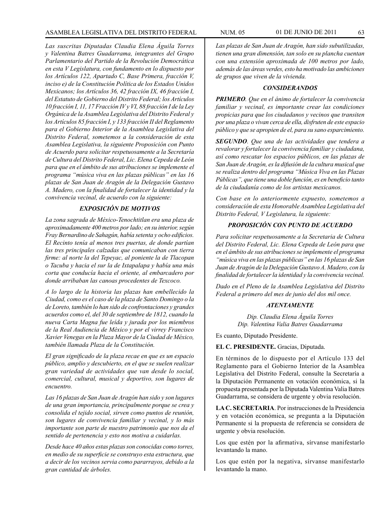*Las suscritas Diputadas Claudia Elena Águila Torres y Valentina Batres Guadarrama, integrantes del Grupo Parlamentario del Partido de la Revolución Democrática en esta V Legislatura, con fundamento en lo dispuesto por los Artículos 122, Apartado C, Base Primera, fracción V, inciso e) de la Constitución Política de los Estados Unidos Mexicanos; los Artículos 36, 42 fracción IX, 46 fracción I, del Estatuto de Gobierno del Distrito Federal; los Artículos 10 fracción I, 11, 17 Fracción IV y VI, 88 fracción I de la Ley Orgánica de la Asamblea Legislativa del Distrito Federal y los Artículos 85 fracción I, y 133 fracción II del Reglamento para el Gobierno Interior de la Asamblea Legislativa del Distrito Federal, sometemos a la consideración de esta Asamblea Legislativa, la siguiente Proposición con Punto de Acuerdo para solicitar respetuosamente a la Secretaría de Cultura del Distrito Federal, Lic. Elena Cepeda de León para que en el ámbito de sus atribuciones se implemente el programa "música viva en las plazas públicas" en las 16 plazas de San Juan de Aragón de la Delegación Gustavo A. Madero, con la finalidad de fortalecer la identidad y la convivencia vecinal, de acuerdo con la siguiente:*

## *EXPOSICIÓN DE MOTIVOS*

*La zona sagrada de México-Tenochtitlan era una plaza de aproximadamente 400 metros por lado; en su interior, según Fray Bernardino de Sahagún, había setenta y ocho edificios. El Recinto tenía al menos tres puertas, de donde partían las tres principales calzadas que comunicaban con tierra firme: al norte la del Tepeyac, al poniente la de Tlacopan o Tacuba y hacia el sur la de Ixtapalapa y había una más corta que conducía hacia el oriente, al embarcadero por donde arribaban las canoas procedentes de Texcoco.*

*A lo largo de la historia las plazas han embellecido la Ciudad, como es el caso de la plaza de Santo Domingo o la de Loreto, también lo han sido de confrontaciones y grandes acuerdos como el, del 30 de septiembre de 1812, cuando la nueva Carta Magna fue leída y jurada por los miembros de la Real Audiencia de México y por el virrey Francisco Xavier Venegas en la Plaza Mayor de la Ciudad de México, también llamada Plaza de la Constitución.*

*El gran significado de la plaza recae en que es un espacio público, amplio y descubierto, en el que se suelen realizar gran variedad de actividades que van desde lo social, comercial, cultural, musical y deportivo, son lugares de encuentro.*

*Las 16 plazas de San Juan de Aragón han sido y son lugares de una gran importancia, principalmente porque se crea y consolida el tejido social, sirven como puntos de reunión, son lugares de convivencia familiar y vecinal, y lo más importante son parte de nuestro patrimonio que nos da el sentido de pertenencia y esto nos motiva a cuidarlas.*

*Desde hace 40 años estas plazas son conocidas como torres, en medio de su superficie se construyo esta estructura, que a decir de los vecinos servia como pararrayos, debido a la gran cantidad de árboles.*

*Las plazas de San Juan de Aragón, han sido subutilizadas, tienen una gran dimensión, tan solo en su plancha cuentan con una extensión aproximada de 100 metros por lado, además de las áreas verdes, esto ha motivado las ambiciones de grupos que viven de la vivienda.*

#### *CONSIDERANDOS*

*PRIMERO. Que en el ánimo de fortalecer la convivencia familiar y vecinal, es importante crear las condiciones propicias para que los ciudadanos y vecinos que transiten por una plaza o vivan cerca de ella, disfruten de este espacio público y que se apropien de el, para su sano esparcimiento.*

*SEGUNDO. Que una de las actividades que tendera a revalorar y fortalecer la convivencia familiar y ciudadana, así como rescatar los espacios públicos, en las plazas de San Juan de Aragón, es la difusión de la cultura musical que se realiza dentro del programa "Música Viva en las Plazas Públicas", que tiene una doble función, es en beneficio tanto de la ciudadanía como de los artistas mexicanos.*

*Con base en lo anteriormente expuesto, sometemos a consideración de esta Honorable Asamblea Legislativa del Distrito Federal, V Legislatura, la siguiente:*

## *PROPOSICIÓN CON PUNTO DE ACUERDO*

*Para solicitar respetuosamente a la Secretaria de Cultura del Distrito Federal, Lic. Elena Cepeda de León para que en el ámbito de sus atribuciones se implemente el programa "música viva en las plazas públicas" en las 16 plazas de San Juan de Aragón de la Delegación Gustavo A. Madero, con la finalidad de fortalecer la identidad y la convivencia vecinal.*

*Dado en el Pleno de la Asamblea Legislativa del Distrito Federal a primero del mes de junio del dos mil once.*

### *ATENTAMENTE*

*Dip. Claudia Elena Águila Torres Dip. Valentina Valia Batres Guadarrama*

Es cuanto, Diputado Presidente.

**EL C. PRESIDENTE.** Gracias, Diputada.

En términos de lo dispuesto por el Artículo 133 del Reglamento para el Gobierno Interior de la Asamblea Legislativa del Distrito Federal, consulte la Secretaría a la Diputación Permanente en votación económica, si la propuesta presentada por la Diputada Valentina Valia Batres Guadarrama, se considera de urgente y obvia resolución.

**LA C. SECRETARIA**. Por instrucciones de la Presidencia y en votación económica, se pregunta a la Diputación Permanente si la propuesta de referencia se considera de urgente y obvia resolución.

Los que estén por la afirmativa, sírvanse manifestarlo levantando la mano.

Los que estén por la negativa, sírvanse manifestarlo levantando la mano.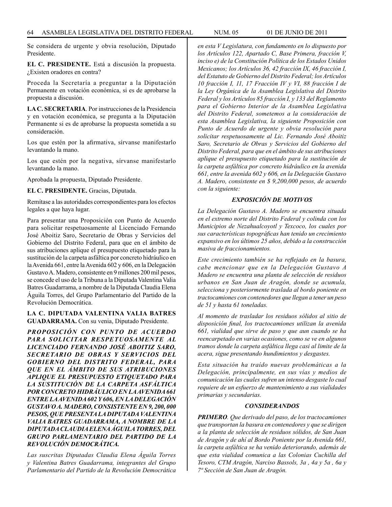Se considera de urgente y obvia resolución, Diputado Presidente.

**EL C. PRESIDENTE.** Está a discusión la propuesta. ¿Existen oradores en contra?

Proceda la Secretaría a preguntar a la Diputación Permanente en votación económica, si es de aprobarse la propuesta a discusión.

**LA C. SECRETARIA**. Por instrucciones de la Presidencia y en votación económica, se pregunta a la Diputación Permanente si es de aprobarse la propuesta sometida a su consideración.

Los que estén por la afirmativa, sírvanse manifestarlo levantando la mano.

Los que estén por la negativa, sírvanse manifestarlo levantando la mano.

Aprobada la propuesta, Diputado Presidente.

**EL C. PRESIDENTE.** Gracias, Diputada.

Remítase a las autoridades correspondientes para los efectos legales a que haya lugar.

Para presentar una Proposición con Punto de Acuerdo para solicitar respetuosamente al Licenciado Fernando José Aboitiz Saro, Secretario de Obras y Servicios del Gobierno del Distrito Federal, para que en el ámbito de sus atribuciones aplique el presupuesto etiquetado para la sustitución de la carpeta asfáltica por concreto hidráulico en la Avenida 661, entre la Avenida 602 y 606, en la Delegación Gustavo A. Madero, consistente en 9 millones 200 mil pesos, se concede el uso de la Tribuna a la Diputada Valentina Valia Batres Guadarrama, a nombre de la Diputada Claudia Elena Águila Torres, del Grupo Parlamentario del Partido de la Revolución Democrática.

**LA C. DIPUTADA VALENTINA VALIA BATRES GUADARRAMA.** Con su venia, Diputado Presidente.

*PROPOSICIÓN CON PUNTO DE ACUERDO PARA SOLICITAR RESPETUOSAMENTE AL LICENCIADO FERNANDO JOSÉ ABOITIZ SARO, SECRETARIO DE OBRAS Y SERVICIOS DEL GOBIERNO DEL DISTRITO FEDERAL, PARA QUE EN EL ÁMBITO DE SUS ATRIBUCIONES APLIQUE EL PRESUPUESTO ETIQUETADO PARA LA SUSTITUCIÓN DE LA CARPETA ASFÁLTICA POR CONCRETO HIDRÁULICO EN LA AVENIDA 661 ENTRE LA AVENIDA 602 Y 606, EN LA DELEGACIÓN GUSTAVO A. MADERO, CONSISTENTE EN 9, 200, 000 PESOS, QUE PRESENTA LA DIPUTADA VALENTINA VALIA BATRES GUADARRAMA, A NOMBRE DE LA DIPUTADA CLAUDIA ELENA ÁGUILA TORRES, DEL GRUPO PARLAMENTARIO DEL PARTIDO DE LA REVOLUCIÓN DEMOCRÁTICA.*

*Las suscritas Diputadas Claudia Elena Águila Torres y Valentina Batres Guadarrama, integrantes del Grupo Parlamentario del Partido de la Revolución Democrática* 

*en esta V Legislatura, con fundamento en lo dispuesto por los Artículos 122, Apartado C, Base Primera, fracción V, inciso e) de la Constitución Política de los Estados Unidos Mexicanos; los Artículos 36, 42 fracción IX, 46 fracción I, del Estatuto de Gobierno del Distrito Federal; los Artículos 10 fracción I, 11, 17 Fracción IV y VI, 88 fracción I de la Ley Orgánica de la Asamblea Legislativa del Distrito Federal y los Artículos 85 fracción I, y 133 del Reglamento para el Gobierno Interior de la Asamblea Legislativa del Distrito Federal, sometemos a la consideración de esta Asamblea Legislativa, la siguiente Proposición con Punto de Acuerdo de urgente y obvia resolución para solicitar respetuosamente al Lic. Fernando José Aboitiz Saro, Secretario de Obras y Servicios del Gobierno del Distrito Federal, para que en el ámbito de sus atribuciones aplique el presupuesto etiquetado para la sustitución de la carpeta asfáltica por concreto hidráulico en la avenida 661, entre la avenida 602 y 606, en la Delegación Gustavo A. Madero, consistente en \$ 9,200,000 pesos, de acuerdo con la siguiente:*

## *EXPOSICIÓN DE MOTIVOS*

*La Delegación Gustavo A. Madero se encuentra situada en el extremo norte del Distrito Federal y colinda con los Municipios de Nezahualcoyotl y Texcoco, los cuales por sus características topográficas han tenido un crecimiento expansivo en los últimos 25 años, debido a la construcción masiva de fraccionamientos.*

*Este crecimiento también se ha reflejado en la basura, cabe mencionar que en la Delegación Gustavo A Madero se encuentra una planta de selección de residuos urbanos en San Juan de Aragón, donde se acumula, selecciona y posteriormente traslada al bordo poniente en tractocamiones con contenedores que llegan a tener un peso de 51 y hasta 61 toneladas.*

*Al momento de trasladar los residuos sólidos al sitio de disposición final, los tractocamiones utilizan la avenida 661, vialidad que sirve de paso y que aun cuando se ha reencarpetado en varias ocasiones, como se ve en algunos tramos donde la carpeta asfáltica llega casi al limite de la acera, sigue presentando hundimientos y desgastes.* 

*Esta situación ha traído nuevas problemáticas a la Delegación, principalmente, en sus vías y medios de comunicación las cuales sufren un intenso desgaste lo cual requiere de un esfuerzo de mantenimiento a sus vialidades primarias y secundarias.* 

#### *CONSIDERANDOS*

*PRIMERO. Que derivado del paso, de los tractocamiones que transportan la basura en contenedores y que se dirigen a la planta de selección de residuos sólidos, de San Juan de Aragón y de ahí al Bordo Poniente por la Avenida 661, la carpeta asfáltica se ha venido deteriorando, además de que esta vialidad comunica a las Colonias Cuchilla del Tesoro, CTM Aragón, Narciso Bassols, 3a , 4a y 5a , 6a y 7ª Sección de San Juan de Aragón.*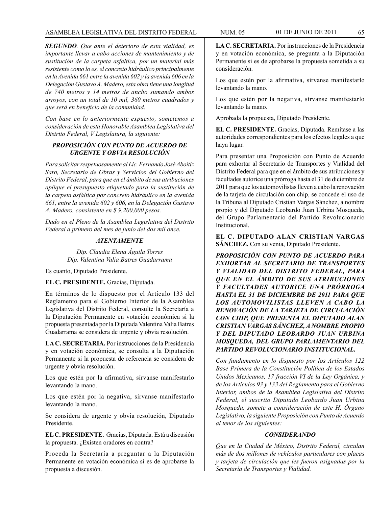*SEGUNDO. Que ante el deterioro de esta vialidad, es importante llevar a cabo acciones de mantenimiento y de sustitución de la carpeta asfáltica, por un material más resistente como lo es, el concreto hidráulico principalmente en la Avenida 661 entre la avenida 602 y la avenida 606 en la Delegación Gustavo A. Madero, esta obra tiene una longitud de 740 metros y 14 metros de ancho sumando ambos arroyos, con un total de 10 mil, 360 metros cuadrados y que será en beneficio de la comunidad.* 

*Con base en lo anteriormente expuesto, sometemos a consideración de esta Honorable Asamblea Legislativa del Distrito Federal, V Legislatura, la siguiente:* 

## *PROPOSICIÓN CON PUNTO DE ACUERDO DE URGENTE Y OBVIA RESOLUCIÓN*

*Para solicitar respetuosamente al Lic. Fernando José Aboitiz Saro, Secretario de Obras y Servicios del Gobierno del Distrito Federal, para que en el ámbito de sus atribuciones aplique el presupuesto etiquetado para la sustitución de la carpeta asfáltica por concreto hidráulico en la avenida 661, entre la avenida 602 y 606, en la Delegación Gustavo A. Madero, consistente en \$ 9,200,000 pesos.*

*Dado en el Pleno de la Asamblea Legislativa del Distrito Federal a primero del mes de junio del dos mil once.*

## *ATENTAMENTE*

*Dip. Claudia Elena Águila Torres Dip. Valentina Valia Batres Guadarrama*

Es cuanto, Diputado Presidente.

**EL C. PRESIDENTE.** Gracias, Diputada.

En términos de lo dispuesto por el Artículo 133 del Reglamento para el Gobierno Interior de la Asamblea Legislativa del Distrito Federal, consulte la Secretaría a la Diputación Permanente en votación económica si la propuesta presentada por la Diputada Valentina Valia Batres Guadarrama se considera de urgente y obvia resolución.

**LA C. SECRETARIA.** Por instrucciones de la Presidencia y en votación económica, se consulta a la Diputación Permanente si la propuesta de referencia se considera de urgente y obvia resolución.

Los que estén por la afirmativa, sírvanse manifestarlo levantando la mano.

Los que estén por la negativa, sírvanse manifestarlo levantando la mano.

Se considera de urgente y obvia resolución, Diputado Presidente.

**EL C. PRESIDENTE.** Gracias, Diputada. Está a discusión la propuesta. ¿Existen oradores en contra?

Proceda la Secretaría a preguntar a la Diputación Permanente en votación económica si es de aprobarse la propuesta a discusión.

**LA C. SECRETARIA.** Por instrucciones de la Presidencia y en votación económica, se pregunta a la Diputación Permanente si es de aprobarse la propuesta sometida a su consideración.

Los que estén por la afirmativa, sírvanse manifestarlo levantando la mano.

Los que estén por la negativa, sírvanse manifestarlo levantando la mano.

Aprobada la propuesta, Diputado Presidente.

**EL C. PRESIDENTE.** Gracias, Diputada. Remítase a las autoridades correspondientes para los efectos legales a que haya lugar.

Para presentar una Proposición con Punto de Acuerdo para exhortar al Secretario de Transportes y Vialidad del Distrito Federal para que en el ámbito de sus atribuciones y facultades autorice una prórroga hasta el 31 de diciembre de 2011 para que los automovilistas lleven a cabo la renovación de la tarjeta de circulación con chip, se concede el uso de la Tribuna al Diputado Cristian Vargas Sánchez, a nombre propio y del Diputado Leobardo Juan Urbina Mosqueda, del Grupo Parlamentario del Partido Revolucionario Institucional.

**EL C. DIPUTADO ALAN CRISTIAN VARGAS SÁNCHEZ.** Con su venia, Diputado Presidente.

*PROPOSICIÓN CON PUNTO DE ACUERDO PARA EXHORTAR AL SECRETARIO DE TRANSPORTES Y VIALIDAD DEL DISTRITO FEDERAL, PARA QUE EN EL ÁMBITO DE SUS ATRIBUCIONES Y FACULTADES AUTORICE UNA PRÓRROGA HASTA EL 31 DE DICIEMBRE DE 2011 PARA QUE LOS AUTOMOVILISTAS LLEVEN A CABO LA RENOVACIÓN DE LA TARJETA DE CIRCULACIÓN CON CHIP, QUE PRESENTA EL DIPUTADO ALAN CRISTIAN VARGAS SÁNCHEZ, A NOMBRE PROPIO Y DEL DIPUTADO LEOBARDO JUAN URBINA MOSQUEDA, DEL GRUPO PARLAMENTARIO DEL PARTIDO REVOLUCIONARIO INSTITUCIONAL.*

*Con fundamento en lo dispuesto por los Artículos 122 Base Primera de la Constitución Política de los Estados Unidos Mexicanos, 17 fracción VI de la Ley Orgánica, y de los Artículos 93 y 133 del Reglamento para el Gobierno Interior, ambos de la Asamblea Legislativa del Distrito Federal, el suscrito Diputado Leobardo Juan Urbina Mosqueda, somete a consideración de este H. Órgano Legislativo, la siguiente Proposición con Punto de Acuerdo al tenor de los siguientes:*

## *CONSIDERANDO*

*Que en la Ciudad de México, Distrito Federal, circulan más de dos millones de vehículos particulares con placas y tarjeta de circulación que les fueron asignadas por la Secretaría de Transportes y Vialidad.*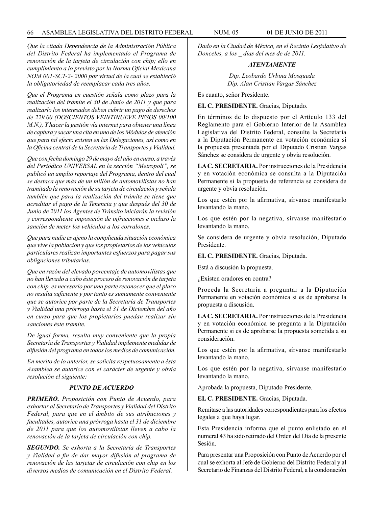#### 66 ASAMBLEA LEGISLATIVA DEL DISTRITO FEDERAL NUM. 05 01 de JUNIO de 2011

*Que la citada Dependencia de la Administración Pública del Distrito Federal ha implementado el Programa de renovación de la tarjeta de circulación con chip; ello en cumplimiento a lo previsto por la Norma Oficial Mexicana NOM 001-SCT-2- 2000 por virtud de la cual se estableció la obligatoriedad de reemplacar cada tres años.*

*Que el Programa en cuestión señala como plazo para la realización del trámite el 30 de Junio de 2011 y que para realizarlo los interesados deben cubrir un pago de derechos de 229.00 (DOSCIENTOS VEINTINUEVE PESOS 00/100 M.N.), Y hacer la gestión vía internet para obtener una línea de captura y sacar una cita en uno de los Módulos de atención que para tal efecto existen en las Delegaciones, así como en la Oficina central de la Secretaría de Transportes y Vialidad.* 

*Que con fecha domingo 29 de mayo del año en curso, a través del Periódico UNIVERSAL en la sección "Metropoli", se publicó un amplio reportaje del Programa, dentro del cual se destaca que más de un millón de automovilistas no han tramitado la renovación de su tarjeta de circulación y señala también que para la realización del trámite se tiene que acreditar el pago de la Tenencia y que después del 30 de Junio de 2011 los Agentes de Tránsito iniciarán la revisión y correspondiente imposición de infracciones e incluso la sanción de meter los vehículos a los corralones.*

*Que para nadie es ajeno la complicada situación económica que vive la población y que los propietarios de los vehículos particulares realizan importantes esfuerzos para pagar sus obligaciones tributarias.*

*Que en razón del elevado porcentaje de automovilistas que no han llevado a cabo éste proceso de renovación de tarjeta con chip, es necesario por una parte reconocer que el plazo no resulta suficiente y por tanto es sumamente conveniente que se autorice por parte de la Secretaría de Transportes y Vialidad una prórroga hasta el 31 de Diciembre del año en curso para que los propietarios puedan realizar sin sanciones éste tramite.*

*De igual forma, resulta muy conveniente que la propia Secretaría de Transportes y Vialidad implemente medidas de difusión del programa en todos los medios de comunicación.*

*En merito de lo anterior, se solicita respetuosamente a ésta Asamblea se autorice con el carácter de urgente y obvia resolución el siguiente:*

## *PUNTO DE ACUERDO*

*PRIMERO. Proposición con Punto de Acuerdo, para exhortar al Secretario de Transportes y Vialidad del Distrito Federal, para que en el ámbito de sus atribuciones y facultades, autorice una prórroga hasta el 31 de diciembre de 2011 para que los automovilistas lleven a cabo la renovación de la tarjeta de circulación con chip.*

*SEGUNDO. Se exhorta a la Secretaría de Transportes y Vialidad a fin de dar mayor difusión al programa de renovación de las tarjetas de circulación con chip en los diversos medios de comunicación en el Distrito Federal.*

*Dado en la Ciudad de México, en el Recinto Legislativo de Donceles, a los \_ días del mes de de 2011.*

## *ATENTAMENTE*

*Dip. Leobardo Urbina Mosqueda Dip. Alan Cristian Vargas Sánchez*

Es cuanto, señor Presidente.

**EL C. PRESIDENTE.** Gracias, Diputado.

En términos de lo dispuesto por el Artículo 133 del Reglamento para el Gobierno Interior de la Asamblea Legislativa del Distrito Federal, consulte la Secretaría a la Diputación Permanente en votación económica si la propuesta presentada por el Diputado Cristian Vargas Sánchez se considera de urgente y obvia resolución.

**LA C. SECRETARIA.** Por instrucciones de la Presidencia y en votación económica se consulta a la Diputación Permanente si la propuesta de referencia se considera de urgente y obvia resolución.

Los que estén por la afirmativa, sírvanse manifestarlo levantando la mano.

Los que estén por la negativa, sírvanse manifestarlo levantando la mano.

Se considera de urgente y obvia resolución, Diputado Presidente.

### **EL C. PRESIDENTE.** Gracias, Diputada.

Está a discusión la propuesta.

¿Existen oradores en contra?

Proceda la Secretaría a preguntar a la Diputación Permanente en votación económica si es de aprobarse la propuesta a discusión.

**LA C. SECRETARIA.** Por instrucciones de la Presidencia y en votación económica se pregunta a la Diputación Permanente si es de aprobarse la propuesta sometida a su consideración.

Los que estén por la afirmativa, sírvanse manifestarlo levantando la mano.

Los que estén por la negativa, sírvanse manifestarlo levantando la mano.

Aprobada la propuesta, Diputado Presidente.

**EL C. PRESIDENTE.** Gracias, Diputada.

Remítase a las autoridades correspondientes para los efectos legales a que haya lugar.

Esta Presidencia informa que el punto enlistado en el numeral 43 ha sido retirado del Orden del Día de la presente Sesión.

Para presentar una Proposición con Punto de Acuerdo por el cual se exhorta al Jefe de Gobierno del Distrito Federal y al Secretario de Finanzas del Distrito Federal, a la condonación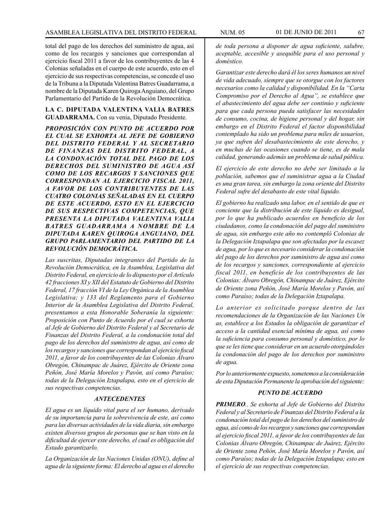total del pago de los derechos del suministro de agua, así como de los recargos y sanciones que correspondan al ejercicio fiscal 2011 a favor de los contribuyentes de las 4 Colonias señaladas en el cuerpo de este acuerdo, esto en el ejercicio de sus respectivas competencias, se concede el uso de la Tribuna a la Diputada Valentina Batres Guadarrama, a nombre de la Diputada Karen Quiroga Anguiano, del Grupo Parlamentario del Partido de la Revolución Democrática.

#### **LA C. DIPUTADA VALENTINA VALIA BATRES GUADARRAMA.** Con su venia, Diputado Presidente.

*PROPOSICIÓN CON PUNTO DE ACUERDO POR EL CUAL SE EXHORTA AL JEFE DE GOBIERNO DEL DISTRITO FEDERAL Y AL SECRETARIO DE FINANZAS DEL DISTRITO FEDERAL, A LA CONDONACIÓN TOTAL DEL PAGO DE LOS DERECHOS DEL SUMINISTRO DE AGUA ASÍ COMO DE LOS RECARGOS Y SANCIONES QUE CORRESPONDAN AL EJERCICIO FISCAL 2011, A FAVOR DE LOS CONTRIBUYENTES DE LAS CUATRO COLONIAS SEÑALADAS EN EL CUERPO DE ESTE ACUERDO, ESTO EN EL EJERCICIO DE SUS RESPECTIVAS COMPETENCIAS, QUE PRESENTA LA DIPUTADA VALENTINA VALIA BATRES GUADARRAMA A NOMBRE DE LA DIPUTADA KAREN QUIROGA ANGUIANO, DEL GRUPO PARLAMENTARIO DEL PARTIDO DE LA REVOLUCIÓN DEMOCRÁTICA.*

*Las suscritas, Diputadas integrantes del Partido de la Revolución Democrática, en la Asamblea, Legislativa del Distrito Federal, en ejercicio de lo dispuesto por el Artículo 42 fracciones XI y XII del Estatuto de Gobierno del Distrito Federal, 17 fracción VI de la Ley Orgánica de la Asamblea Legislativa; y 133 del Reglamento para el Gobierno Interior de la Asamblea Legislativa del Distrito Federal, presentamos a esta Honorable Soberanía la siguiente: Proposición con Punto de Acuerdo por el cual se exhorta al Jefe de Gobierno del Distrito Federal y al Secretario de Finanzas del Distrito Federal, a la condonación total del pago de los derechos del suministro de agua, así como de los recargos y sanciones que correspondan al ejercicio fiscal 2011, a favor de los contribuyentes de las Colonias Álvaro Obregón, Chinampac de Juárez, Ejército de Oriente zona Peñón, José María Morelos y Pavón, así como Paraíso; todas de la Delegación Iztapalapa, esto en el ejercicio de sus respectivas competencias.*

#### *ANTECEDENTES*

*El agua es un líquido vital para el ser humano, derivado de su importancia para la sobrevivencia de este, así como para las diversas actividades de la vida diaria, sin embargo existen diversos grupos de personas que se han visto en la dificultad de ejercer este derecho, el cual es obligación del Estado garantizarlo.*

*La Organización de las Naciones Unidas (ONU), define al agua de la siguiente forma: El derecho al agua es el derecho*  *de toda persona a disponer de agua suficiente, salubre, aceptable, accesible y asequible para el uso personal y doméstico.*

*Garantizar este derecho dará él los seres humanos un nivel de vida adecuado, siempre que se otorgue con los factores necesarios como la calidad y disponibilidad. En la "Carta Compromiso por el Derecho al Agua", se establece que el abastecimiento del agua debe ser continúo y suficiente para que cada persona pueda satisfacer las necesidades de consumo, cocina, de higiene personal y del hogar, sin embargo en el Distrito Federal el factor disponibilidad contemplado ha sido un problema para miles de usuarios, ya que sufren del desabastecimiento de este derecho, y en muchas de las ocasiones cuando se tiene, es de mala calidad, generando además un problema de salud pública.*

*El ejercicio de este derecho no debe ser limitado a la población, sabemos que el suministrar agua a la Ciudad es una gran tarea, sin embargo la zona oriente del Distrito Federal sufre del desabasto de este vital liquido.* 

*El gobierno ha realizado una labor, en el sentido de que es conciente que la distribución de este líquido es desigual, por lo que ha publicado acuerdos en beneficio de los ciudadanos, como la condonación del pago del suministro de agua, sin embargo este año no contempló Colonias de la Delegación Iztapalapa que son afectadas por la escasez de agua, por lo que es necesario considerar la condonación del pago de los derechos por suministro de agua así como de los recargos y sanciones, correspondiente al ejercicio fiscal 2011, en beneficio de los contribuyentes de las Colonias: Álvaro Obregón, Chinampac de Juárez, Ejército de Oriente zona Peñón, José María Morelos y Pavón, así como Paraíso; todas de la Delegación Iztapalapa.* 

*Lo anterior es solicitado porque dentro de las recomendaciones de la Organización de las Naciones Un as, establece a los Estados la obligación de garantizar el acceso a la cantidad esencial mínima de agua, así como la suficiencia para consumo personal y doméstico, por lo que se les tiene que considerar en un acuerdo otorgándoles la condonación del pago de los derechos por suministro de agua.*

*Por lo anteriormente expuesto, sometemos a la consideración de esta Diputación Permanente la aprobación del siguiente:*

#### *PUNTO DE ACUERDO*

*PRIMERO.. Se exhorta al Jefe de Gobierno del Distrito Federal y al Secretario de Finanzas del Distrito Federal a la condonación total del pago de los derechos del suministro de agua, así como de los recargos y sanciones que correspondan al ejercicio fiscal 2011, a favor de los contribuyentes de las Colonias Álvaro Obregón, Chinampac de Juárez, Ejército de Oriente zona Peñón, José María Morelos y Pavón, así como Paraíso; todas de la Delegación Iztapalapa; esto en el ejercicio de sus respectivas competencias.*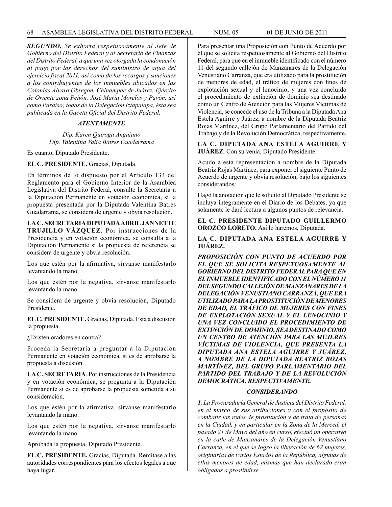*SEGUNDO. Se exhorta respetuosamente al Jefe de Gobierno del Distrito Federal y al Secretario de Finanzas del Distrito Federal, a que una vez otorgada la condonación al pago por los derechos del suministro de agua del ejercicio fiscal 2011, así como de los recargos y sanciones a los contribuyentes de los inmuebles ubicados en las Colonias Álvaro Obregón, Chinampac de Juárez, Ejército de Oriente zona Peñón, José María Morelos y Pavón, así como Paraíso; todas de la Delegación Iztapalapa, ésta sea publicada en la Gaceta Oficial del Distrito Federal.*

## *ATENTAMENTE*

*Dip. Karen Quiroga Anguiano Dip. Valentina Valia Batres Guadarrama*

Es cuanto, Diputado Presidente.

#### **EL C. PRESIDENTE.** Gracias, Diputada.

En términos de lo dispuesto por el Artículo 133 del Reglamento para el Gobierno Interior de la Asamblea Legislativa del Distrito Federal, consulte la Secretaría a la Diputación Permanente en votación económica, si la propuesta presentada por la Diputada Valentina Batres Guadarrama, se considera de urgente y obvia resolución.

**LA C. SECRETARIA DIPUTADA ABRIL JANNETTE TRUJILLO VÁZQUEZ**. Por instrucciones de la Presidencia y en votación económica, se consulta a la Diputación Permanente si la propuesta de referencia se considera de urgente y obvia resolución.

Los que estén por la afirmativa, sírvanse manifestarlo levantando la mano.

Los que estén por la negativa, sírvanse manifestarlo levantando la mano.

Se considera de urgente y obvia resolución, Diputado Presidente.

**EL C. PRESIDENTE.** Gracias, Diputada. Está a discusión la propuesta.

¿Existen oradores en contra?

Proceda la Secretaría a preguntar a la Diputación Permanente en votación económica, si es de aprobarse la propuesta a discusión.

**LA C. SECRETARIA**. Por instrucciones de la Presidencia y en votación económica, se pregunta a la Diputación Permanente si es de aprobarse la propuesta sometida a su consideración.

Los que estén por la afirmativa, sírvanse manifestarlo levantando la mano.

Los que estén por la negativa, sírvanse manifestarlo levantando la mano.

Aprobada la propuesta, Diputado Presidente.

**EL C. PRESIDENTE.** Gracias, Diputada. Remítase a las autoridades correspondientes para los efectos legales a que haya lugar.

Para presentar una Proposición con Punto de Acuerdo por el que se solicita respetuosamente al Gobierno del Distrito Federal, para que en el inmueble identificado con el número 11 del segundo callejón de Manzanares de la Delegación Venustiano Carranza, que era utilizado para la prostitución de menores de edad, el tráfico de mujeres con fines de explotación sexual y el lenocinio; y una vez concluido el procedimiento de extinción de dominio sea destinado como un Centro de Atención para las Mujeres Víctimas de Violencia, se concede el uso de la Tribuna a la Diputada Ana Estela Aguirre y Juárez, a nombre de la Diputada Beatriz Rojas Martínez, del Grupo Parlamentario del Partido del Trabajo y de la Revolución Democrática, respectivamente.

**LA C. DIPUTADA ANA ESTELA AGUIRRE Y JUÁREZ.** Con su venia, Diputado Presidente.

Acudo a esta representación a nombre de la Diputada Beatriz Rojas Martínez, para exponer el siguiente Punto de Acuerdo de urgente y obvia resolución, bajo los siguientes considerandos:

Hago la anotación que le solicito al Diputado Presidente se incluya íntegramente en el Diario de los Debates, ya que solamente le daré lectura a algunos puntos de relevancia.

**EL C. PRESIDENTE DIPUTADO GUILLERMO OROZCO LORETO.** Así lo haremos, Diputada.

**LA C. DIPUTADA ANA ESTELA AGUIRRE Y JUÁREZ.** 

*PROPOSICIÓN CON PUNTO DE ACUERDO POR EL QUE SE SOLICITA RESPETUOSAMENTE AL GOBIERNO DEL DISTRITO FEDERAL PARA QUE EN EL INMUEBLE IDENTIFICADO CON EL NÚMERO 11 DEL SEGUNDO CALLEJÓN DE MANZANARES DE LA DELEGACIÓN VENUSTIANO CARRANZA, QUE ERA UTILIZADO PARA LA PROSTITUCIÓN DE MENORES DE EDAD, EL TRÁFICO DE MUJERES CON FINES DE EXPLOTACIÓN SEXUAL Y EL LENOCINIO Y UNA VEZ CONCLUIDO EL PROCEDIMIENTO DE EXTINCIÓN DE DOMINIO, SEA DESTINADO COMO UN CENTRO DE ATENCIÓN PARA LAS MUJERES VÍCTIMAS DE VIOLENCIA, QUE PRESENTA LA DIPUTADA ANA ESTELA AGUIRRE Y JUÁREZ, A NOMBRE DE LA DIPUTADA BEATRIZ ROJAS MARTÍNEZ, DEL GRUPO PARLAMENTARIO DEL PARTIDO DEL TRABAJO Y DE LA REVOLUCIÓN DEMOCRÁTICA, RESPECTIVAMENTE.*

#### *CONSIDERANDO*

*1. La Procuraduría General de Justicia del Distrito Federal, en el marco de sus atribuciones y con el propósito de combatir las redes de prostitución y de trata de personas en la Ciudad, y en particular en la Zona de la Merced, el pasado 21 de Mayo del año en curso, efectuó un operativo en la calle de Manzanares de la Delegación Venustiano Carranza, en el que se logró la liberación de 62 mujeres, originarias de varios Estados de la República, algunas de ellas menores de edad, mismas que han declarado eran obligadas a prostituirse.*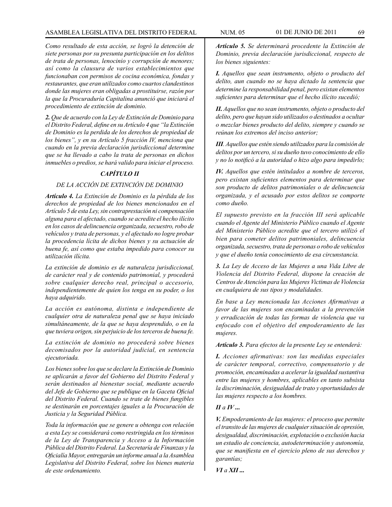*Como resultado de esta acción, se logró la detención de siete personas por su presunta participación en los delitos de trata de personas, lenocinio y corrupción de menores; así como la clausura de varios establecimientos que funcionaban con permisos de cocina económica, fondas y restaurantes, que eran utilizados como cuartos clandestinos donde las mujeres eran obligadas a prostituirse, razón por la que la Procuraduría Capitalina anunció que iniciará el procedimiento de extinción de dominio.*

*2. Que de acuerdo con la Ley de Extinción de Dominio para el Distrito Federal, define en su Artículo 4 que "la Extinción de Dominio es la perdida de los derechos de propiedad de los bienes", y en su Artículo 5 fracción IV, menciona que cuando en la previa declaración jurisdiccional determine que se ha llevado a cabo la trata de personas en dichos inmuebles o predios, se hará valido para iniciar el proceso.* 

## *CAPÍTULO II*

## *DE LA ACCIÓN DE EXTINCIÓN DE DOMINIO*

*Artículo 4. La Extinción de Dominio es la pérdida de los derechos de propiedad de los bienes mencionados en el Artículo 5 de esta Ley, sin contraprestación ni compensación alguna para el afectado, cuando se acredite el hecho ilícito en los casos de delincuencia organizada, secuestro, robo de vehículos y trata de personas, y el afectado no logre probar la procedencia lícita de dichos bienes y su actuación de buena fe, así como que estaba impedido para conocer su utilización ilícita.*

*La extinción de dominio es de naturaleza jurisdiccional, de carácter real y de contenido patrimonial, y procederá sobre cualquier derecho real, principal o accesorio, independientemente de quien los tenga en su poder, o los haya adquirido.*

*La acción es autónoma, distinta e independiente de cualquier otra de naturaleza penal que se haya iniciado simultáneamente, de la que se haya desprendido, o en la que tuviera origen, sin perjuicio de los terceros de buena fe.*

*La extinción de dominio no procederá sobre bienes decomisados por la autoridad judicial, en sentencia ejecutoriada.*

*Los bienes sobre los que se declare la Extinción de Dominio se aplicarán a favor del Gobierno del Distrito Federal y serán destinados al bienestar social, mediante acuerdo del Jefe de Gobierno que se publique en la Gaceta Oficial del Distrito Federal. Cuando se trate de bienes fungibles se destinarán en porcentajes iguales a la Procuración de Justicia y la Seguridad Pública.*

*Toda la información que se genere u obtenga con relación a esta Ley se considerará como restringida en los términos de la Ley de Transparencia y Acceso a la Información Pública del Distrito Federal. La Secretaría de Finanzas y la Oficialía Mayor, entregarán un informe anual a la Asamblea Legislativa del Distrito Federal, sobre los bienes materia de este ordenamiento.*

*Artículo 5. Se determinará procedente la Extinción de Dominio, previa declaración jurisdiccional, respecto de los bienes siguientes:*

*I. Aquellos que sean instrumento, objeto o producto del delito, aun cuando no se haya dictado la sentencia que determine la responsabilidad penal, pero existan elementos suficientes para determinar que el hecho ilícito sucedió;* 

*II. Aquellos que no sean instrumento, objeto o producto del delito, pero que hayan sido utilizados o destinados a ocultar o mezclar bienes producto del delito, siempre y cuando se reúnan los extremos del inciso anterior;* 

*III. Aquellos que estén siendo utilizados para la comisión de delitos por un tercero, si su dueño tuvo conocimiento de ello y no lo notificó a la autoridad o hizo algo para impedirlo;*

*IV. Aquellos que estén intitulados a nombre de terceros, pero existan suficientes elementos para determinar que son producto de delitos patrimoniales o de delincuencia organizada, y el acusado por estos delitos se comporte como dueño.*

*El supuesto previsto en la fracción III será aplicable cuando el Agente del Ministerio Público cuando el Agente del Ministerio Público acredite que el tercero utilizó el bien para cometer delitos patrimoniales, delincuencia organizada, secuestro, trata de personas o robo de vehículos y que el dueño tenía conocimiento de esa circunstancia.*

*3. La Ley de Acceso de las Mujeres a una Vida Libre de Violencia del Distrito Federal, dispone la creación de Centros de Atención para las Mujeres Victimas de Violencia en cualquiera de sus tipos y modalidades.*

*En base a Ley mencionada las Acciones Afirmativas a favor de las mujeres son encaminadas a la prevención y erradicación de todas las formas de violencia que va enfocado con el objetivo del empoderamiento de las mujeres.*

*Artículo 3. Para efectos de la presente Ley se entenderá:* 

*I. Acciones afirmativas: son las medidas especiales de carácter temporal, correctivo, compensatorio y de promoción, encaminadas a acelerar la igualdad sustantiva entre las mujeres y hombres, aplicables en tanto subsista la discriminación, desigualdad de trato y oportunidades de las mujeres respecto a los hombres.*

#### $I$ *I* $I$ *a* $I$ *V* $...$

*V. Empoderamiento de las mujeres: el proceso que permite el transito de las mujeres de cualquier situación de opresión, desigualdad, discriminación, explotación o exclusión hacia un estadio de conciencia, autodeterminación y autonomía, que se manifiesta en el ejercicio pleno de sus derechos y garantías;*

*VI a XII ...*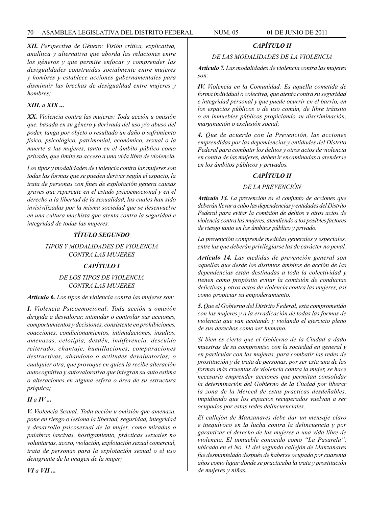*XII. Perspectiva de Género: Visión crítica, explicativa, analítica y alternativa que aborda las relaciones entre los géneros y que permite enfocar y comprender las desigualdades construidas socialmente entre mujeres y hombres y establece acciones gubernamentales para disminuir las brechas de desigualdad entre mujeres y hombres;*

## *XIII. a XIX ...*

*XX. Violencia contra las mujeres: Toda acción u omisión que, basada en su género y derivada del uso y/o abuso del poder, tanga por objeto o resultado un daño o sufrimiento físico, psicológico, patrimonial, económico, sexual o la muerte a las mujeres, tanto en el ámbito público como privado, que limite su acceso a una vida libre de violencia.*

*Los tipos y modalidades de violencia contra las mujeres son todas las formas que se pueden derivar según el espacio, la trata de personas con fines de explotación genera causas graves que repercute en el estado psicoemocional y en el derecho a la libertad de la sexualidad, las cuales han sido invisivilizadas por la misma sociedad que se desenvuelve en una cultura machista que atenta contra la seguridad e integridad de todas las mujeres.*

## *TÍTULO SEGUNDO*

*TIPOS Y MODALIDADES DE VIOLENCIA CONTRA LAS MUJERES*

## *CAPÍTULO I*

## *DE LOS TIPOS DE VIOLENCIA CONTRA LAS MUJERES*

#### *Artículo 6. Los tipos de violencia contra las mujeres son:*

*I. Violencia Psicoemocional: Toda acción u omisión dirigida a desvalorar, intimidar o controlar sus acciones, comportamientos y decisiones, consistente en prohibiciones, coacciones, condicionamientos, intimidaciones, insultos, amenazas, celotipia, desdén, indiferencia, descuido reiterado, chantaje, humillaciones, comparaciones destructivas, abandono o actitudes devaluatorias, o cualquier otra, que provoque en quien la recibe alteración autocognitiva y autovalorativa que integran su auto estima o alteraciones en alguna esfera o área de su estructura psíquica;*

## *II a IV ...*

*V. Violencia Sexual: Toda acción u omisión que amenaza, pone en riesgo o lesiona la libertad, seguridad, integridad y desarrollo psicosexual de la mujer, como miradas o palabras lascivas, hostigamiento, prácticas sexuales no voluntarias, acoso, violación, explotación sexual comercial, trata de personas para la explotación sexual o el uso denigrante de la imagen de la mujer;*

## *CAPÍTULO II*

## *DE LAS MODALIDADES DE LA VIOLENCIA*

*Artículo 7. Las modalidades de violencia contra las mujeres son:*

*IV. Violencia en la Comunidad: Es aquella cometida de forma individual o colectiva, que atenta contra su seguridad e integridad personal y que puede ocurrir en el barrio, en los espacios públicos o de uso común, de libre tránsito o en inmuebles públicos propiciando su discriminación, marginación o exclusión social;*

*4. Que de acuerdo con la Prevención, las acciones emprendidas por las dependencias y entidades del Distrito Federal para combatir los delitos y otros actos de violencia en contra de las mujeres, deben ir encaminadas a atenderse en los ámbitos públicos y privados.*

## *CAPÍTULO II*

## *DE LA PREVENCIÓN*

*Artículo 13. La prevención es el conjunto de acciones que deberán llevar a cabo las dependencias y entidades del Distrito Federal para evitar la comisión de delitos y otros actos de violencia contra las mujeres, atendiendo a los posibles factores de riesgo tanto en los ámbitos público y privado.*

*La prevención comprende medidas generales y especiales, entre las que deberán privílegiarse las de carácter no penal.*

*Artículo 14. Las medidas de prevención general son aquellas que desde los distintos ámbitos de acción de las dependencias están destinadas a toda la colectividad y tienen como propósito evitar la comisión de conductas delictivas y otros actos de violencia contra las mujeres, así como propiciar su empoderamiento.*

*5. Que el Gobierno del Distrito Federal, esta comprometido con las mujeres y a la erradicación de todas las formas de violencia que van acotando y violando el ejercicio pleno de sus derechos como ser humano.*

*Si bien es cierto que el Gobierno de la Ciudad a dado muestras de su compromiso con la sociedad en general y en particular con las mujeres, para combatir las redes de prostitución y de trata de personas, por ser esta una de las formas más cruentas de violencia contra la mujer, se hace necesario emprender acciones que permitan consolidar la determinación del Gobierno de la Ciudad por liberar la zona de la Merced de estas practicas desdeñables, impidiendo que los espacios recuperados vuelvan a ser ocupados por estas redes delincuenciales.*

*El callejón de Manzanares debe dar un mensaje claro e inequívoco en la lucha contra la delincuencia y por garantizar el derecho de las mujeres a una vida libre de violencia. El inmueble conocido como "La Pasarela", ubicado en el No. 11 del segundo callejón de Manzanares fue desmantelado después de haberse ocupado por cuarenta años como lugar donde se practicaba la trata y prostitución de mujeres y niñas.*

*VI a VII ...*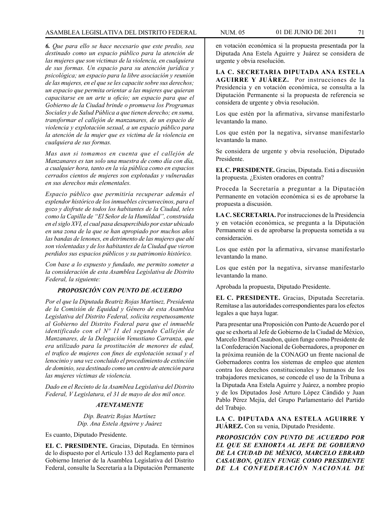*6. Que para ello se hace necesario que este predio, sea destinado como un espacio público para la atención de las mujeres que son victimas de la violencia, en cualquiera de sus formas. Un espacio para su atención jurídica y psicológica; un espacio para la libre asociación y reunión de las mujeres, en el que se les capacite sobre sus derechos; un espacio que permita orientar a las mujeres que quieran capacitarse en un arte u oficio; un espacio para que el Gobierno de la Ciudad brinde o promueva los Programas Sociales y de Salud Pública a que tienen derecho; en suma, transformar el callejón de manzanares, de un espacio de violencia y explotación sexual, a un espacio público para la atención de la mujer que es victima de la violencia en cualquiera de sus formas.* 

*Mas aun si tomamos en cuenta que el callejón de Manzanares es tan solo una muestra de como día con día, a cualquier hora, tanto en la vía pública como en espacios cerrados cientos de mujeres son explotadas y vulneradas en sus derechos más elementales.*

*Espacio público que permitiría recuperar además el esplendor histórico de los inmuebles circunvecinos, para el gozo y disfrute de todos los habitantes de la Ciudad, teles como la Capilla de "El Señor de la Humildad", construida en el siglo XVI, el cual pasa desapercibido por estar ubicado en una zona de la que se han apropiado por muchos años las bandas de lenones, en detrimento de las mujeres que ahí son violentadas y de los habitantes de la Ciudad que vieron perdidos sus espacios públicos y su patrimonio histórico.*

*Con base a lo expuesto y fundado, me permito someter a la consideración de esta Asamblea Legislativa de Distrito Federal, la siguiente:*

### *PROPOSICIÓN CON PUNTO DE ACUERDO*

*Por el que la Diputada Beatriz Rojas Martínez, Presidenta de la Comisión de Equidad y Género de esta Asamblea Legislativa del Distrito Federal, solicita respetuosamente al Gobierno del Distrito Federal para que el inmueble identificado con el Nº 11 del segundo Callejón de Manzanares, de la Delegación Venustiano Carranza, que era utilizado para la prostitución de menores de edad, el trafico de mujeres con fines de explotación sexual y el lenocinio y una vez concluido el procedimiento de extinción de dominio, sea destinado como un centro de atención para las mujeres víctimas de violencia.*

*Dado en el Recinto de la Asamblea Legislativa del Distrito Federal, V Legislatura, el 31 de mayo de dos mil once.*

## *ATENTAMENTE*

*Dip. Beatriz Rojas Martínez Dip. Ana Estela Aguirre y Juárez*

Es cuanto, Diputado Presidente.

**EL C. PRESIDENTE.** Gracias, Diputada. En términos de lo dispuesto por el Artículo 133 del Reglamento para el Gobierno Interior de la Asamblea Legislativa del Distrito Federal, consulte la Secretaría a la Diputación Permanente

en votación económica si la propuesta presentada por la Diputada Ana Estela Aguirre y Juárez se considera de urgente y obvia resolución.

**LA C. SECRETARIA DIPUTADA ANA ESTELA AGUIRRE Y JUÁREZ.** Por instrucciones de la Presidencia y en votación económica, se consulta a la Diputación Permanente si la propuesta de referencia se considera de urgente y obvia resolución.

Los que estén por la afirmativa, sírvanse manifestarlo levantando la mano.

Los que estén por la negativa, sírvanse manifestarlo levantando la mano.

Se considera de urgente y obvia resolución, Diputado Presidente.

**EL C. PRESIDENTE.** Gracias, Diputada. Está a discusión la propuesta. ¿Existen oradores en contra?

Proceda la Secretaría a preguntar a la Diputación Permanente en votación económica si es de aprobarse la propuesta a discusión.

**LA C. SECRETARIA.** Por instrucciones de la Presidencia y en votación económica, se pregunta a la Diputación Permanente si es de aprobarse la propuesta sometida a su consideración.

Los que estén por la afirmativa, sírvanse manifestarlo levantando la mano.

Los que estén por la negativa, sírvanse manifestarlo levantando la mano.

Aprobada la propuesta, Diputado Presidente.

**EL C. PRESIDENTE.** Gracias, Diputada Secretaria. Remítase a las autoridades correspondientes para los efectos legales a que haya lugar.

Para presentar una Proposición con Punto de Acuerdo por el que se exhorta al Jefe de Gobierno de la Ciudad de México, Marcelo Ebrard Casaubon, quien funge como Presidente de la Confederación Nacional de Gobernadores, a proponer en la próxima reunión de la CONAGO un frente nacional de Gobernadores contra los sistemas de empleo que atenten contra los derechos constitucionales y humanos de los trabajadores mexicanos, se concede el uso de la Tribuna a la Diputada Ana Estela Aguirre y Juárez, a nombre propio y de los Diputados José Arturo López Cándido y Juan Pablo Pérez Mejía, del Grupo Parlamentario del Partido del Trabajo.

**LA C. DIPUTADA ANA ESTELA AGUIRRE Y JUÁREZ.** Con su venia, Diputado Presidente.

*PROPOSICIÓN CON PUNTO DE ACUERDO POR EL QUE SE EXHORTA AL JEFE DE GOBIERNO DE LA CIUDAD DE MÉXICO, MARCELO EBRARD CASAUBON, QUIEN FUNGE COMO PRESIDENTE DE LA CONFEDERACIÓN NACIONAL DE*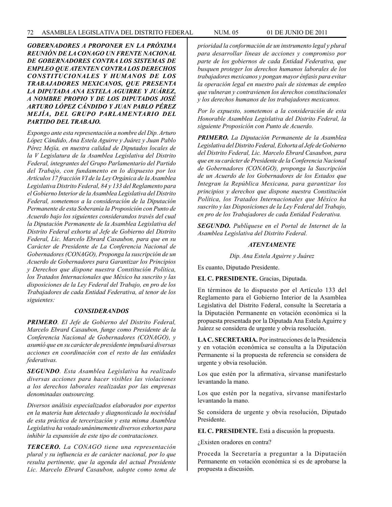*GOBERNADORES A PROPONER EN LA PRÓXIMA REUNIÓN DE LA CONAGO UN FRENTE NACIONAL DE GOBERNADORES CONTRA LOS SISTEMAS DE EMPLEO QUE ATENTEN CONTRA LOS DERECHOS CONSTITUCIONALES Y HUMANOS DE LOS TRABAJADORES MEXICANOS, QUE PRESENTA LA DIPUTADA ANA ESTELA AGUIRRE Y JUÁREZ, A NOMBRE PROPIO Y DE LOS DIPUTADOS JOSÉ ARTURO LÓPEZ CÁNDIDO Y JUAN PABLO PÉREZ MEJÍA, DEL GRUPO PARLAMENTARIO DEL PARTIDO DEL TRABAJO.*

*Expongo ante esta representación a nombre del Dip. Arturo López Cándido, Ana Estela Aguirre y Juárez y Juan Pablo Pérez Mejía, en nuestra calidad de Diputados locales de la V Legislatura de la Asamblea Legislativa del Distrito Federal, integrantes del Grupo Parlamentario del Partido del Trabajo, con fundamento en lo dispuesto por los Artículos 17 fracción VI de la Ley Orgánica de la Asamblea Legislativa Distrito Federal, 84 y 133 del Reglamento para el Gobierno Interior de la Asamblea Legislativa del Distrito Federal, sometemos a la consideración de la Diputación Permanente de esta Soberanía la Proposición con Punto de Acuerdo bajo los siguientes considerandos través del cual la Diputación Permanente de la Asamblea Legislativa del Distrito Federal exhorta al Jefe de Gobierno del Distrito Federal, Lic. Marcelo Ebrard Casaubon, para que en su Carácter de Presidente de La Conferencia Nacional de Gobernadores (CONAGO), Proponga la suscripción de un Acuerdo de Gobernadores para Garantizar los Principios y Derechos que dispone nuestra Constitución Política, los Tratados Internacionales que México ha suscrito y las disposiciones de la Ley Federal del Trabajo, en pro de los Trabajadores de cada Entidad Federativa, al tenor de los siguientes:*

#### *CONSIDERANDOS*

*PRIMERO. El Jefe de Gobierno del Distrito Federal, Marcelo Ebrard Casaubon, funge como Presidente de la Conferencia Nacional de Gobernadores (CONAGO), y asumió que en su carácter de presidente impulsará diversas acciones en coordinación con el resto de las entidades federativas.*

*SEGUNDO. Esta Asamblea Legislativa ha realizado diversas acciones para hacer visibles las violaciones a los derechos laborales realizadas por las empresas denominadas outsourcing.*

*Diversos análisis especializados elaborados por expertos en la materia han detectado y diagnosticado la nocividad de esta práctica de tercerización y esta misma Asamblea Legislativa ha votado unánimemente diversos exhortos para inhibir la expansión de este tipo de contrataciones.*

*TERCERO. La CONAGO tiene una representación plural y su influencia es de carácter nacional, por lo que resulta pertinente, que la agenda del actual Presidente Lic. Marcelo Ebrard Casaubon, adopte como tema de*  *prioridad la conformación de un instrumento legal y plural para desarrollar líneas de acciones y compromiso por parte de los gobiernos de cada Entidad Federativa, que busquen proteger los derechos humanos laborales de los trabajadores mexicanos y pongan mayor énfasis para evitar la operación legal en nuestro país de sistemas de empleo que vulneran y contravienen los derechos constitucionales y los derechos humanos de los trabajadores mexicanos.*

*Por lo expuesto, sometemos a la consideración de esta Honorable Asamblea Legislativa del Distrito Federal, la siguiente Proposición con Punto de Acuerdo.*

*PRIMERO. La Diputación Permanente de la Asamblea Legislativa del Distrito Federal, Exhorta al Jefe de Gobierno del Distrito Federal, Lic. Marcelo Ebrard Casaubon, para que en su carácter de Presidente de la Conferencia Nacional de Gobernadores (CONAGO), proponga la Suscripción de un Acuerdo de los Gobernadores de los Estados que Integran la República Mexicana, para garantizar los principios y derechos que dispone nuestra Constitución Política, los Tratados Internacionales que México ha suscrito y las Disposiciones de la Ley Federal del Trabajo, en pro de los Trabajadores de cada Entidad Federativa.*

*SEGUNDO. Publíquese en el Portal de Internet de la Asamblea Legislativa del Distrito Federal.*

#### *ATENTAMENTE*

*Dip. Ana Estela Aguirre y Juárez*

Es cuanto, Diputado Presidente.

**EL C. PRESIDENTE.** Gracias, Diputada.

En términos de lo dispuesto por el Artículo 133 del Reglamento para el Gobierno Interior de la Asamblea Legislativa del Distrito Federal, consulte la Secretaría a la Diputación Permanente en votación económica si la propuesta presentada por la Diputada Ana Estela Aguirre y Juárez se considera de urgente y obvia resolución.

**LA C. SECRETARIA.** Por instrucciones de la Presidencia y en votación económica se consulta a la Diputación Permanente si la propuesta de referencia se considera de urgente y obvia resolución.

Los que estén por la afirmativa, sírvanse manifestarlo levantando la mano.

Los que estén por la negativa, sírvanse manifestarlo levantando la mano.

Se considera de urgente y obvia resolución, Diputado Presidente.

**EL C. PRESIDENTE.** Está a discusión la propuesta.

¿Existen oradores en contra?

Proceda la Secretaría a preguntar a la Diputación Permanente en votación económica si es de aprobarse la propuesta a discusión.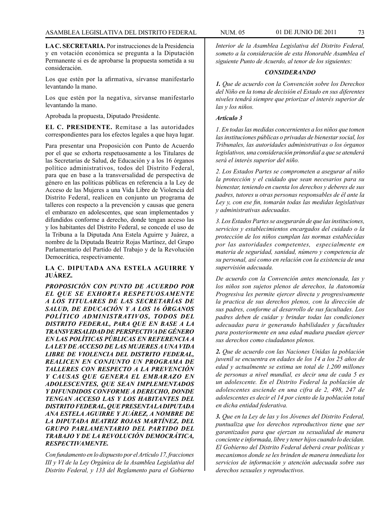**LA C. SECRETARIA.** Por instrucciones de la Presidencia y en votación económica se pregunta a la Diputación Permanente si es de aprobarse la propuesta sometida a su consideración.

Los que estén por la afirmativa, sírvanse manifestarlo levantando la mano.

Los que estén por la negativa, sírvanse manifestarlo levantando la mano.

Aprobada la propuesta, Diputado Presidente.

**EL C. PRESIDENTE.** Remítase a las autoridades correspondientes para los efectos legales a que haya lugar.

Para presentar una Proposición con Punto de Acuerdo por el que se exhorta respetuosamente a los Titulares de las Secretarías de Salud, de Educación y a los 16 órganos político administrativos, todos del Distrito Federal, para que en base a la transversalidad de perspectiva de género en las políticas públicas en referencia a la Ley de Acceso de las Mujeres a una Vida Libre de Violencia del Distrito Federal, realicen en conjunto un programa de talleres con respecto a la prevención y causas que genera el embarazo en adolescentes, que sean implementados y difundidos conforme a derecho, donde tengan acceso las y los habitantes del Distrito Federal, se concede el uso de la Tribuna a la Diputada Ana Estela Aguirre y Juárez, a nombre de la Diputada Beatriz Rojas Martínez, del Grupo Parlamentario del Partido del Trabajo y de la Revolución Democrática, respectivamente.

### **LA C. DIPUTADA ANA ESTELA AGUIRRE Y JUÁREZ.**

*PROPOSICIÓN CON PUNTO DE ACUERDO POR EL QUE SE EXHORTA RESPETUOSAMENTE A LOS TITULARES DE LAS SECRETARÍAS DE SALUD, DE EDUCACIÓN Y A LOS 16 ÓRGANOS POLÍTICO ADMINISTRATIVOS, TODOS DEL DISTRITO FEDERAL, PARA QUE EN BASE A LA TRANSVERSALIDAD DE PERSPECTIVA DE GÉNERO EN LAS POLÍTICAS PÚBLICAS EN REFERENCIA A LA LEY DE ACCESO DE LAS MUJERES A UNA VIDA LIBRE DE VIOLENCIA DEL DISTRITO FEDERAL, REALICEN EN CONJUNTO UN PROGRAMA DE TALLERES CON RESPECTO A LA PREVENCIÓN Y CAUSAS QUE GENERA EL EMBARAZO EN ADOLESCENTES, QUE SEAN IMPLEMENTADOS Y DIFUNDIDOS CONFORME A DERECHO, DONDE TENGAN ACCESO LAS Y LOS HABITANTES DEL DISTRITO FEDERAL, QUE PRESENTA LA DIPUTADA ANA ESTELA AGUIRRE Y JUÁREZ, A NOMBRE DE LA DIPUTADA BEATRIZ ROJAS MARTÍNEZ, DEL GRUPO PARLAMENTARIO DEL PARTIDO DEL TRABAJO Y DE LA REVOLUCIÓN DEMOCRÁTICA, RESPECTIVAMENTE.*

*Con fundamento en lo dispuesto por el Artículo 17, fracciones III y VI de la Ley Orgánica de la Asamblea Legislativa del Distrito Federal, y 133 del Reglamento para el Gobierno* 

*Interior de la Asamblea Legislativa del Distrito Federal, someto a la consideración de esta Honorable Asamblea el siguiente Punto de Acuerdo, al tenor de los siguientes:*

### *CONSIDERANDO*

*1. Que de acuerdo con la Convención sobre los Derechos del Niño en la toma de decisión el Estado en sus diferentes niveles tendrá siempre que priorizar el interés superior de las y los niños.*

### *Artículo 3*

*1. En todas las medidas concernientes a los niños que tomen las instituciones públicas o privadas de bienestar social, los Tribunales, las autoridades administrativas o los órganos legislativos, una consideración primordial a que se atenderá será el interés superior del niño.*

*2. Los Estados Partes se comprometen a asegurar al niño la protección y el cuidado que sean necesarios para su bienestar, teniendo en cuenta los derechos y deberes de sus padres, tutores u otras personas responsables de él ante la Ley y, con ese fin, tomarán todas las medidas legislativas y administrativas adecuadas.*

*3. Los Estados Partes se asegurarán de que las instituciones, servicios y establecimientos encargados del cuidado o la protección de los niños cumplan las normas establecidas por las autoridades competentes, especialmente en materia de seguridad, sanidad, número y competencia de su personal, así como en relación con la existencia de una supervisión adecuada.*

*De acuerdo con la Convención antes mencionada, las y los niños son sujetos plenos de derechos, la Autonomía Progresiva les permite ejercer directa y progresivamente la practica de sus derechos plenos, con la dirección de sus padres, conforme al desarrollo de sus facultades. Los padres deben de cuidar y brindar todas las condiciones adecuadas para ir generando habilidades y facultades para posteriormente en una edad madura puedan ejercer sus derechos como ciudadanos plenos.*

*2. Que de acuerdo con las Naciones Unidas la población juvenil se encuentra en edades de los 14 a los 25 años de edad y actualmente se estima un total de 1.200 millones de personas a nivel mundial, es decir una de cada 5 es un adolescente. En el Distrito Federal la población de adolescentes asciende en una cifra de 2, 498, 247 de adolescentes es decir el 14 por ciento de la población total en dicha entidad federativa.*

*3. Que en la Ley de las y los Jóvenes del Distrito Federal, puntualiza que los derechos reproductivos tiene que ser garantizados para que ejerzan su sexualidad de manera conciente e informada, libre y tener hijos cuando lo decidan. El Gobierno del Distrito Federal deberá crear políticas y mecanismos donde se les brinden de manera inmediata los servicios de información y atención adecuada sobre sus derechos sexuales y reproductivos.*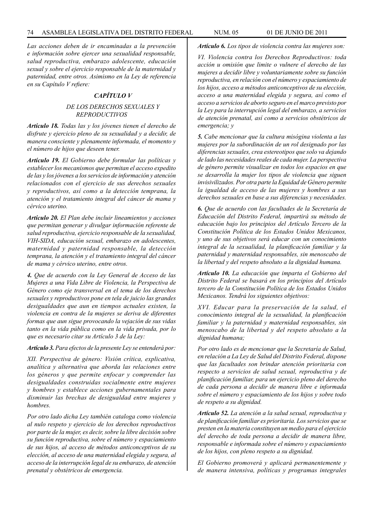*Las acciones deben de ir encaminadas a la prevención e información sobre ejercer una sexualidad responsable, salud reproductiva, embarazo adolescente, educación sexual y sobre el ejercicio responsable de la maternidad y paternidad, entre otros. Asimismo en la Ley de referencia en su Capítulo V refiere:* 

### *CAPÍTULO V*

### *DE LOS DERECHOS SEXUALES Y REPRODUCTIVOS*

*Artículo 18. Todas las y los jóvenes tienen el derecho de disfrute y ejercicio pleno de su sexualidad y a decidir, de manera consciente y plenamente informada, el momento y el número de hijos que deseen tener.* 

*Artículo 19. El Gobierno debe formular las políticas y establecer los mecanismos que permitan el acceso expedito de las y los jóvenes a los servicios de información y atención relacionados con el ejercicio de sus derechos sexuales y reproductivos, así como a la detección temprana, la atención y el tratamiento integral del cáncer de mama y cérvico uterino.*

*Artículo 20. El Plan debe incluir lineamientos y acciones que permitan generar y divulgar información referente de salud reproductiva, ejercicio responsable de la sexualidad, VIH-SIDA, educación sexual, embarazo en adolescentes, maternidad y paternidad responsable, la detección temprana, la atención y el tratamiento integral del cáncer de mama y cérvico uterino, entre otros.*

*4. Que de acuerdo con la Ley General de Acceso de las Mujeres a una Vida Libre de Violencia, la Perspectiva de Género como eje transversal en el tema de los derechos sexuales y reproductivos pone en tela de juicio las grandes desigualdades que aun en tiempos actuales existen, la violencia en contra de la mujeres se deriva de diferentes formas que aun sigue provocando la vejación de sus vidas tanto en la vida pública como en la vida privada, por lo que es necesario citar su Artículo 3 de la Ley:*

#### *Artículo 3. Para efectos de la presente Ley se entenderá por:*

*XII. Perspectiva de género: Visión crítica, explicativa, analítica y alternativa que aborda las relaciones entre los géneros y que permite enfocar y comprender las desigualdades construidas socialmente entre mujeres y hombres y establece acciones gubernamentales para disminuir las brechas de desigualdad entre mujeres y hombres.*

*Por otro lado dicha Ley también cataloga como violencia al nulo respeto y ejercicio de los derechos reproductivos por parte de la mujer, es decir, sobre la libre decisión sobre su función reproductiva, sobre el número y espaciamiento de sus hijos, al acceso de métodos anticonceptivos de su elección, al acceso de una maternidad elegida y segura, al acceso de la interrupción legal de su embarazo, de atención prenatal y obstétricos de emergencia.*

*Artículo 6. Los tipos de violencia contra las mujeres son:*

*VI. Violencia contra los Derechos Reproductivos: toda acción u omisión que limite o vulnere el derecho de las mujeres a decidir libre y voluntariamente sobre su función reproductiva, en relación con el número y espaciamiento de los hijos, acceso a métodos anticonceptivos de su elección, acceso a una maternidad elegida y segura, así como el acceso a servicios de aborto seguro en el marco previsto por la Ley para la interrupción legal del embarazo, a servicios de atención prenatal, así como a servicios obstétricos de emergencia; y*

*5. Cabe mencionar que la cultura misógina violenta a las mujeres por la subordinación de un rol designado por las diferencias sexuales, crea estereotipos que solo va dejando de lado las necesidades reales de cada mujer. La perspectiva de género permite visualizar en todos los espacios en que se desarrolla la mujer los tipos de violencia que siguen invisivilizados. Por otra parte la Equidad de Género permite la igualdad de acceso de las mujeres y hombres a sus derechos sexuales en base a sus diferencias y necesidades.* 

*6. Que de acuerdo con las facultades de la Secretaría de Educación del Distrito Federal, impartirá su método de educación bajo los principios del Artículo Tercero de la Constitución Política de los Estados Unidos Mexicanos, y uno de sus objetivos será educar con un conocimiento integral de la sexualidad, la planificación familiar y la paternidad y maternidad responsables, sin menoscabo de la libertad y del respeto absoluto a la dignidad humana.*

*Artículo 10. La educación que imparta el Gobierno del Distrito Federal se basará en los principios del Artículo tercero de la Constitución Política de los Estados Unidos Mexicanos. Tendrá los siguientes objetivos:*

*XVI. Educar para la preservación de la salud, el conocimiento integral de la sexualidad, la planificación familiar y la paternidad y maternidad responsables, sin menoscabo de la libertad y del respeto absoluto a la dignidad humana;*

*Por otro lado es de mencionar que la Secretaría de Salud, en relación a La Ley de Salud del Distrito Federal, dispone que las facultades son brindar atención prioritaria con respecto a servicios de salud sexual, reproductiva y de planificación familiar, para un ejercicio pleno del derecho de cada persona a decidir de manera libre e informada sobre el número y espaciamiento de los hijos y sobre todo de respeto a su dignidad.*

*Artículo 52. La atención a la salud sexual, reproductiva y de planificación familiar es prioritaria. Los servicios que se presten en la materia constituyen un medio para el ejercicio del derecho de toda persona a decidir de manera libre, responsable e informada sobre el número y espaciamiento de los hijos, con pleno respeto a su dignidad.*

*El Gobierno promoverá y aplicará permanentemente y de manera intensiva, políticas y programas integrales*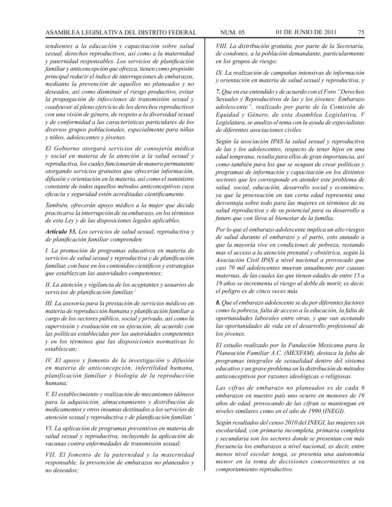### ASAMBLEA LEGISLATIVA DEL DISTRITO FEDERAL NUM. 05 01 de JUNIO de 2011 75

*tendientes a la educación y capacitación sobre salud sexual, derechos reproductivos, así como a la maternidad y paternidad responsables. Los servicios de planificación familiar y anticoncepción que ofrezca, tienen como propósito principal reducir el índice de interrupciones de embarazos, mediante la prevención de aquellos no planeados y no deseados, así como disminuir el riesgo productivo, evitar la propagación de infecciones de transmisión sexual y coadyuvar al pleno ejercicio de los derechos reproductivos con una visión de género, de respeto a la diversidad sexual y de conformidad a las características particulares de los diversos grupos poblacionales, especialmente para niñas y niños, adolescentes y jóvenes.*

*El Gobierno otorgará servicios de consejería médica y social en materia de la atención a la salud sexual y reproductiva, los cuales funcionarán de manera permanente otorgando servicios gratuitos que ofrecerán información, difusión y orientación en la materia, así como el suministro constante de todos aquellos métodos anticonceptivos cuya eficacia y seguridad estén acreditadas científicamente.*

*También, ofrecerán apoyo médico a la mujer que decida practicarse la interrupción de su embarazo, en los términos de esta Ley y de las disposiciones legales aplicables.*

*Artículo 53. Los servicios de salud sexual, reproductiva y de planificación familiar comprenden:*

*I. La promoción de programas educativos en materia de servicios de salud sexual y reproductiva y de planificación familiar, con base en los contenidos científicos y estrategias que establezcan las autoridades competentes;*

*II. La atención y vigilancia de los aceptantes y usuarios de servicios de planificación familiar,'*

*III. La asesoría para la prestación de servicios médicos en materia de reproducción humana y planificación familiar a cargo de los sectores público, social y privado, así como la supervisión y evaluación en su ejecución, de acuerdo con las políticas establecidas por las autoridades competentes y en los términos que las disposiciones normativas lo establezcan;*

*IV. El apoyo y fomento de la investigación y difusión en materia de anticoncepción, infertilidad humana, planificación familiar y biología de la reproducción humana;*

*V. El establecimiento y realización de mecanismos idóneos para la adquisición, almacenamiento y distribución de medicamentos y otros insumas destinados a los servicios de atención sexual y reproductiva y de planificación familiar,'*

*VI. La aplicación de programas preventivos en materia de salud sexual y reproductiva, incluyendo la aplicación de vacunas contra enfermedades de transmisión sexual;*

*VII. El fomento de la paternidad y la maternidad responsable, la prevención de embarazos no planeados y no deseados;*

*VIII. La distribución gratuita, por parte de la Secretaría, de condones, a la población demandante, particularmente en los grupos de riesgo;*

*IX. La realización de campañas intensivas de información y orientación en materia de salud sexual y reproductiva, y* 

*7. Que en ese entendido y de acuerdo con el Foro "Derechos Sexuales y Reproductivos de las y los jóvenes: Embarazo adolescente", realizado por parte de la Comisión de Equidad y Género, de esta Asamblea Legislativa, V Legislatura, se analizo el tema con la ayuda de especialistas de diferentes asociaciones civiles.*

*Según la asociación IPAS la salud sexual y reproductiva de las y los adolescentes, respecto de tener hijos en una edad temprana, resulta para ellos de gran importancia, así como también para los que se ocupan de crear políticas y programas de información y capacitación en los distintos sectores que les corresponde en atender este problema de salud, social, educación, desarrollo social y económico, ya que la procreación en tan corta edad representa una desventaja sobre todo para las mujeres en términos de su salud reproductiva y de su potencial para su desarrollo a futuro que con lleva al bienestar de la familia.* 

*Por lo que el embarazo adolescente implica un alto riesgos de salud durante el embarazo y el parto, esto aunado a que la mayoría vive en condiciones de pobreza, restando mas el acceso a la atención prenatal y obstétrica, según la Asociación Civil IPAS a nivel nacional a provocado que casi 70 mil adolescentes mueran anualmente por causas maternas, de las cuales las que tienen edades de entre 15 a 19 años se incrementa el riesgo al doble de morir, es decir, el peligro es de cinco veces más.* 

*8. Que el embarazo adolescente se da por diferentes factores como la pobreza, falta de acceso a la educación, la falta de oportunidades laborales entre otras, y que van acotando las oportunidades de vida en el desarrollo profesional de los jóvenes.*

*El estudio realizado por la Fundación Mexicana para la Planeación Familiar A.C. (MEXFAM), destaca la falta de programas integrales de sexualidad dentro del sistema educativo y un grave problema en la distribución de métodos anticonceptivos por razones ideológicas o religiosas.* 

*Las cifras de embarazo no planeados es de cada 6 embarazos en nuestro país uno ocurre en menores de 19 años de edad, provocando de las cifran se mantengan en niveles similares como en el año de 1990 (INEGI).* 

*Según resultados del censo 2010 del INEGI, las mujeres sin escolaridad, con primaria incompleta, primaria completa y secundaria son los sectores donde se presentan con más frecuencia los embarazos a nivel nacional, es decir, entre menos nivel escolar tenga, se presenta una autonomía menor en la toma de decisiones concernientes a su comportamiento reproductivo.*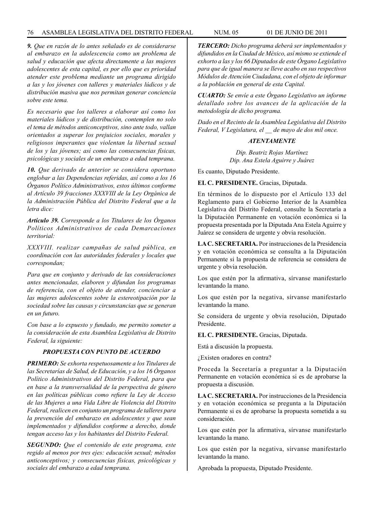### 76 ASAMBLEA LEGISLATIVA DEL DISTRITO FEDERAL NUM. 05 01 de JUNIO de 2011

*9. Que en razón de lo antes señalado es de considerarse al embarazo en la adolescencia como un problema de salud y educación que afecta directamente a las mujeres adolescentes de esta capital, es por ello que es prioridad atender este problema mediante un programa dirigido a las y los jóvenes con talleres y materiales lúdicos y de distribución masiva que nos permitan generar conciencia sobre este tema.* 

*Es necesario que los talleres a elaborar así como los materiales lúdicos y de distribución, contemplen no solo el tema de métodos anticonceptivos, sino ante todo, vallan orientados a superar los prejuicios sociales, morales y religiosos imperantes que violentan la libertad sexual de los y las jóvenes; así como las consecuencias físicas, psicológicas y sociales de un embarazo a edad temprana.* 

*10. Que derivado de anterior se considera oportuno englobar a las Dependencias referidas, así como a los 16 Órganos Político Administrativos, estos últimos conforme al Artículo 39 fracciones XXXVIII de la Ley Orgánica de la Administración Pública del Distrito Federal que a la letra dice:*

*Artículo 39. Corresponde a los Titulares de los Órganos Políticos Administrativos de cada Demarcaciones territorial:*

*XXXVIII. realizar campañas de salud pública, en coordinación con las autoridades federales y locales que correspondan;*

*Para que en conjunto y derivado de las consideraciones antes mencionadas, elaboren y difundan los programas de referencia, con el objeto de atender, concienciar a las mujeres adolescentes sobre la estereotipación por la sociedad sobre las causas y circunstancias que se generan en un futuro.*

*Con base a lo expuesto y fundado, me permito someter a la consideración de esta Asamblea Legislativa de Distrito Federal, la siguiente:*

# *PROPUESTA CON PUNTO DE ACUERDO*

*PRIMERO: Se exhorta respetuosamente a los Titulares de las Secretarías de Salud, de Educación, y a los 16 Órganos Político Administrativos del Distrito Federal, para que en base a la transversalidad de la perspectiva de género en las políticas públicas como refiere la Ley de Acceso de las Mujeres a una Vida Libre de Violencia del Distrito Federal, realicen en conjunto un programa de talleres para la prevención del embarazo en adolescentes y que sean implementados y difundidos conforme a derecho, donde tengan acceso las y los habitantes del Distrito Federal.* 

*SEGUNDO: Que el contenido de este programa, este regido al menos por tres ejes: educación sexual; métodos anticonceptivos; y consecuencias físicas, psicológicas y sociales del embarazo a edad temprana.* 

*TERCERO: Dicho programa deberá ser implementados y difundidos en la Ciudad de México, así mismo se extiende el exhorto a las y los 66 Diputados de este Órgano Legislativo para que de igual manera se lleve acabo en sus respectivos Módulos de Atención Ciudadana, con el objeto de informar a la población en general de esta Capital.*

*CUARTO: Se envíe a este Órgano Legislativo un informe detallado sobre los avances de la aplicación de la metodología de dicho programa.*

*Dado en el Recinto de la Asamblea Legislativa del Distrito Federal, V Legislatura, el \_\_ de mayo de dos mil once.*

### *ATENTAMENTE*

*Dip. Beatriz Rojas Martínez Dip. Ana Estela Aguirre y Juárez*

Es cuanto, Diputado Presidente.

**EL C. PRESIDENTE.** Gracias, Diputada.

En términos de lo dispuesto por el Artículo 133 del Reglamento para el Gobierno Interior de la Asamblea Legislativa del Distrito Federal, consulte la Secretaría a la Diputación Permanente en votación económica si la propuesta presentada por la Diputada Ana Estela Aguirre y Juárez se considera de urgente y obvia resolución.

**LA C. SECRETARIA.** Por instrucciones de la Presidencia y en votación económica se consulta a la Diputación Permanente si la propuesta de referencia se considera de urgente y obvia resolución.

Los que estén por la afirmativa, sírvanse manifestarlo levantando la mano.

Los que estén por la negativa, sírvanse manifestarlo levantando la mano.

Se considera de urgente y obvia resolución, Diputado Presidente.

**EL C. PRESIDENTE.** Gracias, Diputada.

Está a discusión la propuesta.

¿Existen oradores en contra?

Proceda la Secretaría a preguntar a la Diputación Permanente en votación económica si es de aprobarse la propuesta a discusión.

**LA C. SECRETARIA.** Por instrucciones de la Presidencia y en votación económica se pregunta a la Diputación Permanente si es de aprobarse la propuesta sometida a su consideración.

Los que estén por la afirmativa, sírvanse manifestarlo levantando la mano.

Los que estén por la negativa, sírvanse manifestarlo levantando la mano.

Aprobada la propuesta, Diputado Presidente.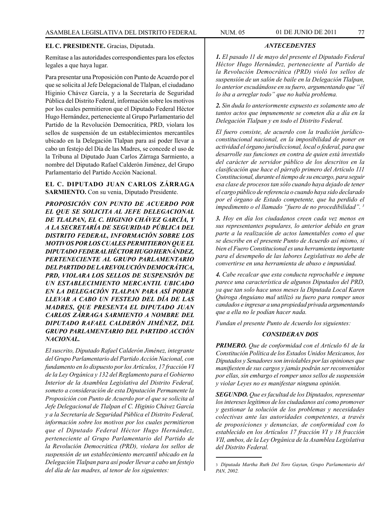### **EL C. PRESIDENTE.** Gracias, Diputada.

Remítase a las autoridades correspondientes para los efectos legales a que haya lugar.

Para presentar una Proposición con Punto de Acuerdo por el que se solicita al Jefe Delegacional de Tlalpan, el ciudadano Higinio Chávez García, y a la Secretaría de Seguridad Pública del Distrito Federal, información sobre los motivos por los cuales permitieron que el Diputado Federal Héctor Hugo Hernández, perteneciente al Grupo Parlamentario del Partido de la Revolución Democrática, PRD, violara los sellos de suspensión de un establecimientos mercantiles ubicado en la Delegación Tlalpan para así poder llevar a cabo un festejo del Día de las Madres, se concede el uso de la Tribuna al Diputado Juan Carlos Zárraga Sarmiento, a nombre del Diputado Rafael Calderón Jiménez, del Grupo Parlamentario del Partido Acción Nacional.

## **EL C. DIPUTADO JUAN CARLOS ZÁRRAGA SARMIENTO.** Con su venia, Diputado Presidente.

*PROPOSICIÓN CON PUNTO DE ACUERDO POR EL QUE SE SOLICITA AL JEFE DELEGACIONAL DE TLALPAN, EL C. HIGINIO CHÁVEZ GARCÍA, Y A LA SECRETARÍA DE SEGURIDAD PÚBLICA DEL DISTRITO FEDERAL, INFORMACIÓN SOBRE LOS MOTIVOS POR LOS CUALES PERMITIERON QUE EL DIPUTADO FEDERAL HÉCTOR HUGO HERNÁNDEZ, PERTENECIENTE AL GRUPO PARLAMENTARIO DEL PARTIDO DE LA REVOLUCIÓN DEMOCRÁTICA, PRD, VIOLARA LOS SELLOS DE SUSPENSIÓN DE UN ESTABLECIMIENTO MERCANTIL UBICADO EN LA DELEGACIÓN TLALPAN PARA ASÍ PODER LLEVAR A CABO UN FESTEJO DEL DÍA DE LAS MADRES, QUE PRESENTA EL DIPUTADO JUAN CARLOS ZÁRRAGA SARMIENTO A NOMBRE DEL DIPUTADO RAFAEL CALDERÓN JIMÉNEZ, DEL GRUPO PARLAMENTARIO DEL PARTIDO ACCIÓN NACIONAL.*

*El suscrito, Diputado Rafael Calderón Jiménez, integrante del Grupo Parlamentario del Partido Acción Nacional, con fundamento en lo dispuesto por los Artículos, 17 fracción VI de la Ley Orgánica y 132 del Reglamento para el Gobierno Interior de la Asamblea Legislativa del Distrito Federal, someto a consideración de esta Diputación Permanente la Proposición con Punto de Acuerdo por el que se solicita al Jefe Delegacional de Tlalpan el C. Higinio Chávez García y a la Secretaría de Seguridad Pública el Distrito Federal, información sobre los motivos por los cuales permitieron que el Diputado Federal Héctor Hugo Hernández, perteneciente al Grupo Parlamentario del Partido de la Revolución Democrática (PRD), violara los sellos de suspensión de un establecimiento mercantil ubicado en la Delegación Tlalpan para así poder llevar a cabo un festejo del día de las madres, al tenor de los siguientes:*

*1. El pasado 11 de mayo del presente el Diputado Federal Héctor Hugo Hernández, perteneciente al Partido de la Revolución Democrática (PRD) violó los sellos de suspensión de un salón de baile en la Delegación Tlalpan, lo anterior escudándose en su fuero, argumentando que "él lo iba a arreglar todo" que no había problema.* 

*ANTECEDENTES*

*2. Sin duda lo anteriormente expuesto es solamente uno de tantos actos que impunemente se cometen día a día en la Delegación Tlalpan y en todo el Distrito Federal.*

*El fuero consiste, de acuerdo con la tradición jurídicoconstitucional nacional, en la imposibilidad de poner en actividad el órgano jurisdiccional, local o federal, para que desarrolle sus funciones en contra de quien está investido del carácter de servidor público de los descritos en la clasificación que hace el párrafo primero del Artículo 111 Constitucional, durante el tiempo de su encargo, para seguir esa clase de procesos tan sólo cuando haya dejado de tener el cargo público de referencia o cuando haya sido declarado por el órgano de Estado competente, que ha perdido el impedimento o el llamado "fuero de no procedibilidad". 3*

*3. Hoy en día los ciudadanos creen cada vez menos en sus representantes populares, lo anterior debido en gran parte a la realización de actos lamentables como el que se describe en el presente Punto de Acuerdo así mismo, si bien el Fuero Constitucional es una herramienta importante para el desempeño de las labores Legislativas no debe de convertirse en una herramienta de abuso e impunidad.*

*4. Cabe recalcar que esta conducta reprochable e impune parece una característica de algunos Diputados del PRD, ya que tan solo hace unos meses la Diputada Local Karen Quiroga Anguiano mal utilizó su fuero para romper unos candados e ingresar a una propiedad privada argumentando que a ella no le podían hacer nada.* 

*Fundan el presente Punto de Acuerdo los siguientes:*

## *CONSIDERAN DOS*

*PRIMERO. Que de conformidad con el Artículo 61 de la Constitución Política de los Estados Unidos Mexicanos, los Diputados y Senadores son inviolables por las opiniones que manifiesten de sus cargos y jamás podrán ser reconvenidos por ellas, sin embargo el romper unos sellos de suspensión y violar Leyes no es manifestar ninguna opinión.*

*SEGUNDO. Que es facultad de los Diputados, representar los intereses legítimos de los ciudadanos así como promover y gestionar la solución de los problemas y necesidades colectivas ante las autoridades competentes, a través de proposiciones y denuncias, de conformidad con lo establecido en los Artículos 17 fracción VI y 18 fracción VII, ambos, de la Ley Orgánica de la Asamblea Legislativa del Distrito Federal.*

<sup>3</sup> *Diputada Martha Ruth Del Toro Gaytan, Grupo Parlamentario del PAN, 2002.*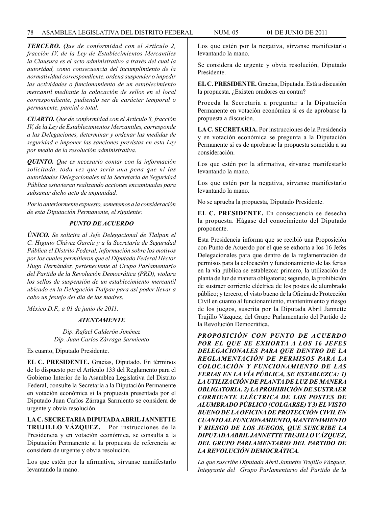### 78 ASAMBLEA LEGISLATIVA DEL DISTRITO FEDERAL NUM. 05 01 de JUNIO de 2011

*TERCERO. Que de conformidad con el Artículo 2, fracción IV, de la Ley de Establecimientos Mercantiles la Clausura es el acto administrativo a través del cual la autoridad, como consecuencia del incumplimiento de la normatividad correspondiente, ordena suspender o impedir las actividades o funcionamiento de un establecimiento mercantil mediante la colocación de sellos en el local correspondiente, pudiendo ser de carácter temporal o permanente, parcial o total.*

*CUARTO. Que de conformidad con el Artículo 8, fracción IV, de la Ley de Establecimientos Mercantiles, corresponde a las Delegaciones, determinar y ordenar las medidas de seguridad e imponer las sanciones previstas en esta Ley por medio de la resolución administrativa.*

*QUINTO. Que es necesario contar con la información solicitada, toda vez que sería una pena que ni las autoridades Delegacionales ni la Secretaría de Seguridad Pública estuvieran realizando acciones encaminadas para subsanar dicho acto de impunidad.*

*Por lo anteriormente expuesto, sometemos a la consideración de esta Diputación Permanente, el siguiente:*

## *PUNTO DE ACUERDO*

*ÚNICO. Se solicita al Jefe Delegacional de Tlalpan el C. Higinio Chávez García y a la Secretaría de Seguridad Pública el Distrito Federal, información sobre los motivos por los cuales permitieron que el Diputado Federal Héctor Hugo Hernández, perteneciente al Grupo Parlamentario del Partido de la Revolución Democrática (PRD), violara los sellos de suspensión de un establecimiento mercantil ubicado en la Delegación Tlalpan para así poder llevar a cabo un festejo del día de las madres.*

*México D.F., a 01 de junio de 2011.*

### *ATENTAMENTE*

*Dip. Rafael Calderón Jiménez Dip. Juan Carlos Zárraga Sarmiento*

Es cuanto, Diputado Presidente.

**EL C. PRESIDENTE.** Gracias, Diputado. En términos de lo dispuesto por el Artículo 133 del Reglamento para el Gobierno Interior de la Asamblea Legislativa del Distrito Federal, consulte la Secretaría a la Diputación Permanente en votación económica si la propuesta presentada por el Diputado Juan Carlos Zárraga Sarmiento se considera de urgente y obvia resolución.

**LA C. SECRETARIA DIPUTADA ABRIL JANNETTE TRUJILLO VÁZQUEZ.** Por instrucciones de la Presidencia y en votación económica, se consulta a la Diputación Permanente si la propuesta de referencia se considera de urgente y obvia resolución.

Los que estén por la afirmativa, sírvanse manifestarlo levantando la mano.

Los que estén por la negativa, sírvanse manifestarlo levantando la mano.

Se considera de urgente y obvia resolución, Diputado Presidente.

**EL C. PRESIDENTE.** Gracias, Diputada. Está a discusión la propuesta. ¿Existen oradores en contra?

Proceda la Secretaría a preguntar a la Diputación Permanente en votación económica si es de aprobarse la propuesta a discusión.

**LA C. SECRETARIA.** Por instrucciones de la Presidencia y en votación económica se pregunta a la Diputación Permanente si es de aprobarse la propuesta sometida a su consideración.

Los que estén por la afirmativa, sírvanse manifestarlo levantando la mano.

Los que estén por la negativa, sírvanse manifestarlo levantando la mano.

No se aprueba la propuesta, Diputado Presidente.

**EL C. PRESIDENTE.** En consecuencia se desecha la propuesta. Hágase del conocimiento del Diputado proponente.

Esta Presidencia informa que se recibió una Proposición con Punto de Acuerdo por el que se exhorta a los 16 Jefes Delegacionales para que dentro de la reglamentación de permisos para la colocación y funcionamiento de las ferias en la vía pública se establezca: primero, la utilización de planta de luz de manera obligatoria; segundo, la prohibición de sustraer corriente eléctrica de los postes de alumbrado público; y tercero, el visto bueno de la Oficina de Protección Civil en cuanto al funcionamiento, mantenimiento y riesgo de los juegos, suscrita por la Diputada Abril Jannette Trujillo Vázquez, del Grupo Parlamentario del Partido de la Revolución Democrática.

*PROPOSICIÓN CON PUNTO DE ACUERDO POR EL QUE SE EXHORTA A LOS 16 JEFES DELEGACIONALES PARA QUE DENTRO DE LA REGLAMENTACIÓN DE PERMISOS PARA LA COLOCACIÓN Y FUNCIONAMIENTO DE LAS FERIAS EN LA VÍA PÚBLICA, SE ESTABLEZCA: 1) LA UTILIZACIÓN DE PLANTA DE LUZ DE MANERA OBLIGATORIA. 2) LA PROHIBICIÓN DE SUSTRAER CORRIENTE ELÉCTRICA DE LOS POSTES DE ALUMBRADO PÚBLICO (COLGARSE) Y 3) EL VISTO BUENO DE LA OFICINA DE PROTECCIÓN CIVIL EN CUANTO AL FUNCIONAMIENTO, MANTENIMIENTO Y RIESGO DE LOS JUEGOS, QUE SUSCRIBE LA DIPUTADA ABRIL JANNETTE TRUJILLO VÁZQUEZ, DEL GRUPO PARLAMENTARIO DEL PARTIDO DE LA REVOLUCIÓN DEMOCRÁTICA.*

*La que suscribe Diputada Abril Jannette Trujillo Vázquez, Integrante del Grupo Parlamentario del Partido de la*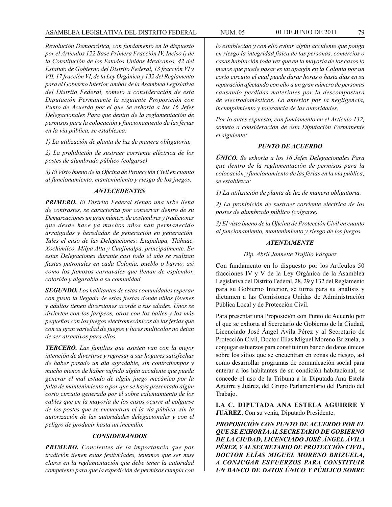## ASAMBLEA LEGISLATIVA DEL DISTRITO FEDERAL NUM. 05 01 de JUNIO de 2011 79

*Revolución Democrática, con fundamento en lo dispuesto por el Artículos 122 Base Primera Fracción IV, Inciso i) de la Constitución de los Estados Unidos Mexicanos, 42 del Estatuto de Gobierno del Distrito Federal, 13 fracción VI y VII, 17 fracción VI, de la Ley Orgánica y 132 del Reglamento para el Gobierno Interior, ambos de la Asamblea Legislativa del Distrito Federal, someto a consideración de esta Diputación Permanente la siguiente Proposición con Punto de Acuerdo por el que Se exhorta a los 16 Jefes Delegacionales Para que dentro de la reglamentación de permisos para la colocación y funcionamiento de las ferias en la vía pública, se establezca:*

*1) La utilización de planta de luz de manera obligatoria.*

*2) La prohibición de sustraer corriente eléctrica de los postes de alumbrado público (colgarse)*

*3) El Visto bueno de la Oficina de Protección Civil en cuanto al funcionamiento, mantenimiento y riesgo de los juegos.*

### *ANTECEDENTES*

*PRIMERO. El Distrito Federal siendo una urbe llena de contrastes, se caracteriza por conservar dentro de su Demarcaciones un gran número de costumbres y tradiciones que desde hace ya muchos años han permanecido arraigadas y heredadas de generación en generación. Tales el caso de las Delegaciones: Iztapalapa, Tláhuac, Xochimilco, Milpa Alta y Cuajimalpa, principalmente. En estas Delegaciones durante casi todo el año se realizan fiestas patronales en cada Colonia, pueblo o barrio, así como los famosos carnavales que llenan de esplendor, colorido y algarabía a su comunidad.*

*SEGUNDO. Los habitantes de estas comunidades esperan con gusto la llegada de estas fiestas donde niños jóvenes y adultos tienen diversiones acorde a sus edades. Unos se divierten con los jaripeos, otros con los bailes y los más pequeños con los juegos electromecánicos de las ferias que con su gran variedad de juegos y luces multicolor no dejan de ser atractivos para ellos.*

*TERCERO. Las familias que asisten van con la mejor intención de divertirse y regresar a sus hogares satisfechas de haber pasado un día agradable, sin contratiempos y mucho menos de haber sufrido algún accidente que pueda generar el mal estado de algún juego mecánico por la falta de mantenimiento o por que se haya presentado algún corto circuito generado por el sobre calentamiento de los cables que en la mayoría de los casos ocurre al colgarse de los postes que se encuentran el la vía pública, sin la autorización de las autoridades delegacionales y con el peligro de producir hasta un incendio.*

#### *CONSIDERANDOS*

*PRIMERO. Concientes de la importancia que por tradición tienen estas festividades, tenemos que ser muy claros en la reglamentación que debe tener la autoridad competente para que la expedición de permisos cumpla con* 

*lo establecido y con ello evitar algún accidente que ponga en riesgo la integridad física de las personas, comercios o casas habitación toda vez que en la mayoría de los casos lo menos que puede pasar es un apagón en la Colonia por un corto circuito el cual puede durar horas o hasta días en su reparación afectando con ello a un gran número de personas causando perdidas materiales por la descompostura de electrodomésticos. Lo anterior por la negligencia, incumplimiento y tolerancia de las autoridades.*

*Por lo antes expuesto, con fundamento en el Artículo 132, someto a consideración de esta Diputación Permanente el siguiente:*

#### *PUNTO DE ACUERDO*

*ÚNICO. Se exhorta a los 16 Jefes Delegacionales Para que dentro de la reglamentación de permisos para la colocación y funcionamiento de las ferias en la vía pública, se establezca:*

*1) La utilización de planta de luz de manera obligatoria.*

*2) La prohibición de sustraer corriente eléctrica de los postes de alumbrado público (colgarse)*

*3) El visto bueno de la Oficina de Protección Civil en cuanto al funcionamiento, mantenimiento y riesgo de los juegos.*

### *ATENTAMENTE*

#### *Dip. Abril Jannette Trujillo Vázquez*

Con fundamento en lo dispuesto por los Artículos 50 fracciones IV y V de la Ley Orgánica de la Asamblea Legislativa del Distrito Federal, 28, 29 y 132 del Reglamento para su Gobierno Interior, se turna para su análisis y dictamen a las Comisiones Unidas de Administración Pública Local y de Protección Civil.

Para presentar una Proposición con Punto de Acuerdo por el que se exhorta al Secretario de Gobierno de la Ciudad, Licenciado José Ángel Ávila Pérez y al Secretario de Protección Civil, Doctor Elías Miguel Moreno Brizuela, a conjugar esfuerzos para constituir un banco de datos únicos sobre los sitios que se encuentran en zonas de riesgo, así como desarrollar programas de comunicación social para enterar a los habitantes de su condición habitacional, se concede el uso de la Tribuna a la Diputada Ana Estela Aguirre y Juárez, del Grupo Parlamentario del Partido del Trabajo.

**LA C. DIPUTADA ANA ESTELA AGUIRRE Y JUÁREZ.** Con su venia, Diputado Presidente.

*PROPOSICIÓN CON PUNTO DE ACUERDO POR EL QUE SE EXHORTA AL SECRETARIO DE GOBIERNO DE LA CIUDAD, LICENCIADO JOSÉ ÁNGEL ÁVILA PÉREZ, Y AL SECRETARIO DE PROTECCIÓN CIVIL, DOCTOR ELÍAS MIGUEL MORENO BRIZUELA, A CONJUGAR ESFUERZOS PARA CONSTITUIR UN BANCO DE DATOS ÚNICO Y PÚBLICO SOBRE*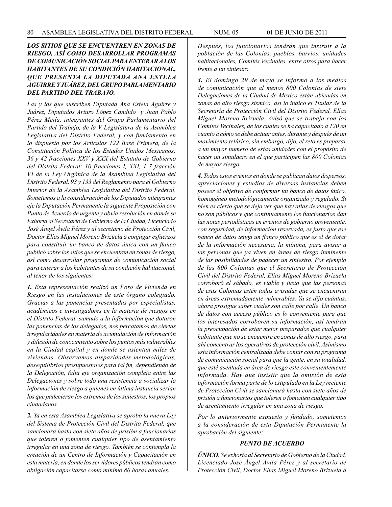## *LOS SITIOS QUE SE ENCUENTREN EN ZONAS DE RIESGO, ASÍ COMO DESARROLLAR PROGRAMAS DE COMUNICACIÓN SOCIAL PARA ENTERAR A LOS HABITANTES DE SU CONDICIÓN HABITACIONAL, QUE PRESENTA LA DIPUTADA ANA ESTELA AGUIRRE Y JUÁREZ, DEL GRUPO PARLAMENTARIO DEL PARTIDO DEL TRABAJO.*

*Las y los que suscriben Diputada Ana Estela Aguirre y Juárez, Diputados Arturo López Candido y Juan Pablo Pérez Mejía, integrantes del Grupo Parlamentario del Partido del Trabajo, de la V Legislatura de la Asamblea Legislativa del Distrito Federal, y con fundamento en lo dispuesto por los Artículos 122 Base Primera, de la Constitución Política de los Estados Unidos Mexicanos: 36 y 42 fracciones XXV y XXX del Estatuto de Gobierno del Distrito Federal; 10 fracciones I, XXI, 1 7 fracción VI de la Ley Orgánica de la Asamblea Legislativa del Distrito Federal. 93 y 133 del Reglamento para el Gobierno Interior de la Asamblea Legislativa del Distrito Federal. Sometemos a la consideración de los Diputados integrantes eje la Diputación Permanente la siguiente Proposición con Punto de Acuerdo de urgente y obvia resolución en donde se Exhorta al Secretario de Gobierno de la Ciudad, Licenciado José Ángel Ávila Pérez y al secretario de Protección Civil, Doctor Elías Miguel Moreno Brizuela a conjugar esfuerzos para constituir un banco de datos única con un flanco publicó sobre los sitios que se encuentren en zonas de riesgo, así como desarrollar programas de comunicación social para enterar a los habitantes de su condición habitacional, al tenor de los siguientes:*

*1. Esta representación realizó un Foro de Vivienda en Riesgo en las instalaciones de este órgano colegiado. Gracias a las ponencias presentadas por especialistas, académicos e investigadores en la materia de riesgos en el Distrito Federal, sumado a la información que dotaron las ponencias de los delegados, nos percatamos de ciertas irregularidades en materia de acumulación de información y difusión de conocimiento sobre los puntos más vulnerables en la Ciudad capital y en donde se asientan miles de viviendas. Observamos disparidades metodológicas, desequilibrios presupuestales para tal fin, dependiendo de la Delegación, falta eje organización compleja entre las Delegaciones y sobre todo una resistencia a socializar la información de riesgo a quienes en última instancia serían los que padecieran los extremos de los siniestros, los propios ciudadanos.*

*2. Ya en esta Asamblea Legislativa se aprobó la nueva Ley del Sistema de Protección Civil del Distrito Federal, que sancionará hasta con siete años de prisión a funcionarios que toleren o fomenten cualquier tipo de asentamiento irregular en una zona de riesgo. También se contempla la creación de un Centro de Información y Capacitación en esta materia, en donde los servidores públicos tendrán como obligación capacitarse como mínimo 80 horas anuales.* 

*Después, los funcionarios tendrán que instruir a la población de las Colonias, pueblos, barrios, unidades habitacionales, Comités Vecinales, entre otros para hacer frente a un siniestro.*

*3. El domingo 29 de mayo se informó a los medios de comunicación que al menos 800 Colonias de siete Delegaciones de la Ciudad de México están ubicadas en zonas de alto riesgo sísmico, así lo indicó el Titular de la Secretaría de Protección Civil del Distrito Federal, Elías Miguel Moreno Brizuela. Avisó que se trabaja con los Comités Vecinales, de los cuales se ha capacitado a 120 en cuanto a cómo se debe actuar antes, durante y después de un movimiento telúrico, sin embargo, dijo, el reto es preparar a un mayor número de estas unidades con el propósito de hacer un simulacro en el que participen las 800 Colonias de mayor riesgo.*

*4. Todos estos eventos en donde se publican datos dispersos, apreciaciones y estudios de diversas instancias deben poseer el objetivo de conformar un banco de datos único, homogéneo metodológicamente organizado y regulado. Si bien es cierto que se deja ver que hay atlas de riesgos que no son públicos y que continuamente los funcionarios dan las notas periodísticas en eventos de gobierno proveniente, con seguridad, de información reservada, es justo que ese banco de datos tenga un flanco público que es el de dotar de la información necesaria, la mínima, para avisar a las personas que ya viven en áreas de riesgo inminente de las posibilidades de padecer un siniestro. Por ejemplo de las 800 Colonias que el Secretario de Protección Civil del Distrito Federal, Elías Miguel Moreno Brizuela corroboró el sábado, es viable y justo que las personas de esas Colonias estén todas avisadas que se encuentran en áreas extremadamente vulnerables. Ya se dijo cuántas, ahora prosigue saber cuales son calle por calle. Un banco de datos con acceso público es lo conveniente para que los interesados corroboren su información, así tendrán la preocupación de estar mejor preparados que cualquier habitante que no se encuentre en zonas de alto riesgo, para ahí concentrar los operativos de protección civil. Asimismo esta información centralizada debe contar con su programa de comunicación social para que la gente, en su totalidad, que esté asentada en área de riesgo este convenientemente informada. Hay que insistir que la omisión de esta información forma parte de lo estipulado en la Ley reciente de Protección Civil se sancionará hasta con siete años de prisión a funcionarios que toleren o fomenten cualquier tipo de asentamiento irregular en una zona de riesgo.*

*Por lo anteriormente expuesto y fundado, sometemos a la consideración de esta Diputación Permanente la aprobación del siguiente:*

### *PUNTO DE ACUERDO*

*ÚNICO. Se exhorta al Secretario de Gobierno de la Ciudad, Licenciado José Ángel Ávila Pérez y al secretario de Protección Civil, Doctor Elías Miguel Moreno Brizuela a*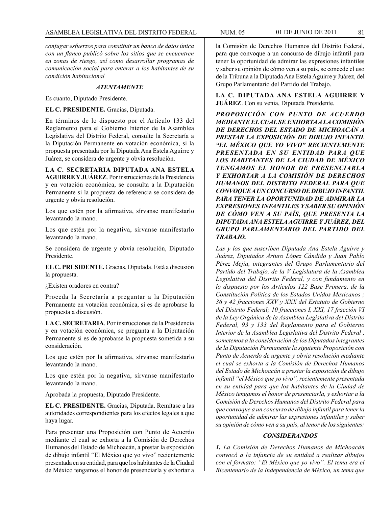*conjugar esfuerzos para constituir un banco de datos única con un flanco publicó sobre los sitios que se encuentren en zonas de riesgo, así como desarrollar programas de comunicación social para enterar a los habitantes de su condición habitacional*

#### *ATENTAMENTE*

Es cuanto, Diputado Presidente.

#### **EL C. PRESIDENTE.** Gracias, Diputada.

En términos de lo dispuesto por el Artículo 133 del Reglamento para el Gobierno Interior de la Asamblea Legislativa del Distrito Federal, consulte la Secretaría a la Diputación Permanente en votación económica, si la propuesta presentada por la Diputada Ana Estela Aguirre y Juárez, se considera de urgente y obvia resolución.

**LA C. SECRETARIA DIPUTADA ANA ESTELA AGUIRRE Y JUÁREZ**. Por instrucciones de la Presidencia y en votación económica, se consulta a la Diputación Permanente si la propuesta de referencia se considera de urgente y obvia resolución.

Los que estén por la afirmativa, sírvanse manifestarlo levantando la mano.

Los que estén por la negativa, sírvanse manifestarlo levantando la mano.

Se considera de urgente y obvia resolución, Diputado Presidente.

**EL C. PRESIDENTE.** Gracias, Diputada. Está a discusión la propuesta.

¿Existen oradores en contra?

Proceda la Secretaría a preguntar a la Diputación Permanente en votación económica, si es de aprobarse la propuesta a discusión.

**LA C. SECRETARIA**. Por instrucciones de la Presidencia y en votación económica, se pregunta a la Diputación Permanente si es de aprobarse la propuesta sometida a su consideración.

Los que estén por la afirmativa, sírvanse manifestarlo levantando la mano.

Los que estén por la negativa, sírvanse manifestarlo levantando la mano.

Aprobada la propuesta, Diputado Presidente.

**EL C. PRESIDENTE.** Gracias, Diputada. Remítase a las autoridades correspondientes para los efectos legales a que haya lugar.

Para presentar una Proposición con Punto de Acuerdo mediante el cual se exhorta a la Comisión de Derechos Humanos del Estado de Michoacán, a prestar la exposición de dibujo infantil "El México que yo vivo" recientemente presentada en su entidad, para que los habitantes de la Ciudad de México tengamos el honor de presenciarla y exhortar a

la Comisión de Derechos Humanos del Distrito Federal, para que convoque a un concurso de dibujo infantil para tener la oportunidad de admirar las expresiones infantiles y saber su opinión de cómo ven a su país, se concede el uso de la Tribuna a la Diputada Ana Estela Aguirre y Juárez, del Grupo Parlamentario del Partido del Trabajo.

**LA C. DIPUTADA ANA ESTELA AGUIRRE Y JUÁREZ**. Con su venia, Diputada Presidente.

*PROPOSICIÓN CON PUNTO DE ACUERDO MEDIANTE EL CUAL SE EXHORTA A LA COMISIÓN DE DERECHOS DEL ESTADO DE MICHOACÁN A PRESTAR LA EXPOSICIÓN DE DIBUJO INFANTIL "EL MÉXICO QUE YO VIVO" RECIENTEMENTE PRESENTADA EN SU ENTIDAD PARA QUE LOS HABITANTES DE LA CIUDAD DE MÉXICO TENGAMOS EL HONOR DE PRESENCIARLA Y EXHORTAR A LA COMISIÓN DE DERECHOS HUMANOS DEL DISTRITO FEDERAL PARA QUE CONVOQUE A UN CONCURSO DE DIBUJO INFANTIL PARA TENER LA OPORTUNIDAD DE ADMIRAR LA EXPRESIONES INFANTILES Y SABER SU OPINIÓN DE CÓMO VEN A SU PAÍS, QUE PRESENTA LA DIPUTADA ANA ESTELA AGUIRRE Y JUÁREZ, DEL GRUPO PARLAMENTARIO DEL PARTIDO DEL TRABAJO.*

*Las y los que suscriben Diputada Ana Estela Aguirre y Juárez, Diputados Arturo López Cándido y Juan Pablo Pérez Mejía, integrantes del Grupo Parlamentario del Partido del Trabajo, de la V Legislatura de la Asamblea Legislativa del Distrito Federal, y con fundamento en lo dispuesto por los Artículos 122 Base Primera, de la Constitución Política de los Estados Unidos Mexicanos ; 36 y 42 fracciones XXV y XXX del Estatuto de Gobierno del Distrito Federal; 10 fracciones I, XXI, 17 fracción VI de la Ley Orgánica de la Asamblea Legislativa del Distrito Federal, 93 y 133 del Reglamento para el Gobierno Interior de la Asamblea Legislativa del Distrito Federal , sometemos a la consideración de los Diputados integrantes de la Diputación Permanente la siguiente Proposición con Punto de Acuerdo de urgente y obvia resolución mediante el cual se exhorta a la Comisión de Derechos Humanos del Estado de Michoacán a prestar la exposición de dibujo infantil "el México que yo vivo", recientemente presentada en su entidad para que los habitantes de la Ciudad de México tengamos el honor de presenciarla, y exhortar a la Comisión de Derechos Humanos del Distrito Federal para que convoque a un concurso de dibujo infantil para tener la oportunidad de admirar las expresiones infantiles y saber su opinión de cómo ven a su país, al tenor de los siguientes:*

#### *CONSIDERANDOS*

*1. La Comisión de Derechos Humanos de Michoacán convocó a la infancia de su entidad a realizar dibujos con el formato: "El México que yo vivo". El tema era el Bicentenario de la Independencia de México, un tema que*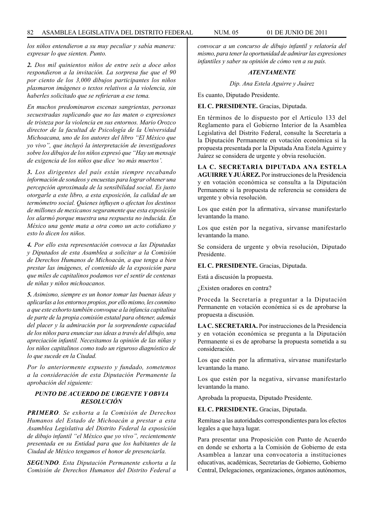*los niños entendieron a su muy peculiar y sabía manera: expresar lo que sienten. Punto.*

*2. Dos mil quinientos niños de entre seis a doce años respondieron a la invitación. La sorpresa fue que el 90 por ciento de los 3,000 dibujos participantes los niños plasmaron imágenes o textos relativos a la violencia, sin haberles solicitado que se refirieran a ese tema.*

*En muchos predominaron escenas sangrientas, personas secuestradas suplicando que no las maten o expresiones de tristeza por la violencia en sus entornos. Mario Orozco director de la facultad de Psicología de la Universidad Michoacana, uno de los autores del libro "El México que yo vivo", que incluyó la interpretación de investigadores sobre los dibujos de los niños expresó que "Hay un mensaje de exigencia de los niños que dice 'no más muertos'.*

*3. Los dirigentes del país están siempre recabando información de sondeos y encuestas para lograr obtener una percepción aproximada de la sensibilidad social. Es justo otorgarle a este libro, a esta exposición, la calidad de un termómetro social. Quienes influyen o afectan los destinos de millones de mexicanos seguramente que esta exposición los alarmó porque muestra una respuesta no inducida. En México una gente mata a otra como un acto cotidiano y esto lo dicen los niños.*

*4. Por ello esta representación convoca a las Diputadas y Diputados de esta Asamblea a solicitar a la Comisión de Derechos Humanos de Michoacán, a que tenga a bien prestar las imágenes, el contenido de la exposición para que miles de capitalinos podamos ver el sentir de centenas de niñas y niños michoacanos.*

*5. Asimismo, siempre es un honor tomar las buenas ideas y aplicarlas a los entornos propios, por ello mismo, les conmino a que este exhorto también convoque a la infancia capitalina de parte de la propia comisión estatal para obtener, además del placer y la admiración por la sorprendente capacidad de los niños para enunciar sus ideas a través del dibujo, una apreciación infantil. Necesitamos la opinión de las niñas y los niños capitalinos como todo un riguroso diagnóstico de lo que sucede en la Ciudad.*

*Por lo anteriormente expuesto y fundado, sometemos a la consideración de esta Diputación Permanente la aprobación del siguiente:* 

## *PUNTO DE ACUERDO DE URGENTE Y OBVIA RESOLUCIÓN*

*PRIMERO. Se exhorta a la Comisión de Derechos Humanos del Estado de Michoacán a prestar a esta Asamblea Legislativa del Distrito Federal la exposición de dibujo infantil "el México que yo vivo", recientemente presentada en su Entidad para que los habitantes de la Ciudad de México tengamos el honor de presenciarla.*

*SEGUNDO. Esta Diputación Permanente exhorta a la Comisión de Derechos Humanos del Distrito Federal a*  *convocar a un concurso de dibujo infantil y relatoría del mismo, para tener la oportunidad de admirar las expresiones infantiles y saber su opinión de cómo ven a su país.*

### *ATENTAMENTE*

*Dip. Ana Estela Aguirre y Juárez*

Es cuanto, Diputado Presidente.

**EL C. PRESIDENTE.** Gracias, Diputada.

En términos de lo dispuesto por el Artículo 133 del Reglamento para el Gobierno Interior de la Asamblea Legislativa del Distrito Federal, consulte la Secretaría a la Diputación Permanente en votación económica si la propuesta presentada por la Diputada Ana Estela Aguirre y Juárez se considera de urgente y obvia resolución.

**LA C. SECRETARIA DIPUTADA ANA ESTELA AGUIRRE Y JUÁREZ.** Por instrucciones de la Presidencia y en votación económica se consulta a la Diputación Permanente si la propuesta de referencia se considera de urgente y obvia resolución.

Los que estén por la afirmativa, sírvanse manifestarlo levantando la mano.

Los que estén por la negativa, sírvanse manifestarlo levantando la mano.

Se considera de urgente y obvia resolución, Diputado Presidente.

#### **EL C. PRESIDENTE.** Gracias, Diputada.

Está a discusión la propuesta.

¿Existen oradores en contra?

Proceda la Secretaría a preguntar a la Diputación Permanente en votación económica si es de aprobarse la propuesta a discusión.

**LA C. SECRETARIA.** Por instrucciones de la Presidencia y en votación económica se pregunta a la Diputación Permanente si es de aprobarse la propuesta sometida a su consideración.

Los que estén por la afirmativa, sírvanse manifestarlo levantando la mano.

Los que estén por la negativa, sírvanse manifestarlo levantando la mano.

Aprobada la propuesta, Diputado Presidente.

**EL C. PRESIDENTE.** Gracias, Diputada.

Remítase a las autoridades correspondientes para los efectos legales a que haya lugar.

Para presentar una Proposición con Punto de Acuerdo en donde se exhorta a la Comisión de Gobierno de esta Asamblea a lanzar una convocatoria a instituciones educativas, académicas, Secretarías de Gobierno, Gobierno Central, Delegaciones, organizaciones, órganos autónomos,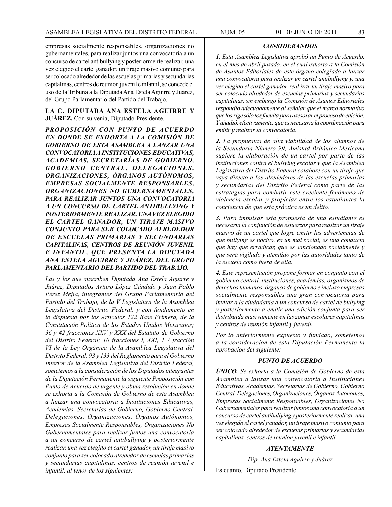empresas socialmente responsables, organizaciones no gubernamentales, para realizar juntos una convocatoria a un concurso de cartel antibullying y posteriormente realizar, una vez elegido el cartel ganador, un tiraje masivo conjunto para ser colocado alrededor de las escuelas primarias y secundarias capitalinas, centros de reunión juvenil e infantil, se concede el uso de la Tribuna a la Diputada Ana Estela Aguirre y Juárez, del Grupo Parlamentario del Partido del Trabajo.

### **LA C. DIPUTADA ANA ESTELA AGUIRRE Y JUÁREZ.** Con su venia, Diputado Presidente.

*PROPOSICIÓN CON PUNTO DE ACUERDO EN DONDE SE EXHORTA A LA COMISIÓN DE GOBIERNO DE ESTA ASAMBLEA A LANZAR UNA CONVOCATORIA A INSTITUCIONES EDUCATIVAS, ACADEMIAS, SECRETARÍAS DE GOBIERNO,*  GOBIERNO CENTRAL, DELEGACIONES, *ORGANIZACIONES, ÓRGANOS AUTÓNOMOS, EMPRESAS SOCIALMENTE RESPONSABLES, ORGANIZACIONES NO GUBERNAMENTALES, PARA REALIZAR JUNTOS UNA CONVOCATORIA A UN CONCURSO DE CARTEL ANTIBULLYING Y POSTERIORMENTE REALIZAR, UNA VEZ ELEGIDO EL CARTEL GANADOR, UN TIRAJE MASIVO CONJUNTO PARA SER COLOCADO ALREDEDOR DE ESCUELAS PRIMARIAS Y SECUNDARIAS CAPITALINAS, CENTROS DE REUNIÓN JUVENIL E INFANTIL, QUE PRESENTA LA DIPUTADA ANA ESTELA AGUIRRE Y JUÁREZ, DEL GRUPO PARLAMENTARIO DEL PARTIDO DEL TRABAJO.*

*Las y los que suscriben Diputada Ana Estela Aguirre y Juárez, Diputados Arturo López Cándido y Juan Pablo Pérez Mejía, integrantes del Grupo Parlamentario del Partido del Trabajo, de la V Legislatura de la Asamblea Legislativa del Distrito Federal, y con fundamento en lo dispuesto por los Artículos 122 Base Primera, de la Constitución Política de los Estados Unidos Mexicanos; 36 y 42 fracciones XXV y XXX del Estatuto de Gobierno del Distrito Federal; 10 fracciones I, XXI, 1 7 fracción VI de la Ley Orgánica de la Asamblea Legislativa del Distrito Federal, 93 y 133 del Reglamento para el Gobierno Interior de la Asamblea Legislativa del Distrito Federal, sometemos a la consideración de los Diputados integrantes de la Diputación Permanente la siguiente Proposición con Punto de Acuerdo de urgente y obvia resolución en donde se exhorta a la Comisión de Gobierno de esta Asamblea a lanzar una convocatoria a Instituciones Educativas, Academias, Secretarías de Gobierno, Gobierno Central, Delegaciones, Organizaciones, Órganos Autónomos, Empresas Socialmente Responsables, Organizaciones No Gubernamentales para realizar juntos una convocatoria a un concurso de cartel antibullying y posteriormente realizar, una vez elegido el cartel ganador, un tiraje masivo conjunto para ser colocado alrededor de escuelas primarias y secundarias capitalinas, centros de reunión juvenil e infantil, al tenor de los siguientes:*

### *CONSIDERANDOS*

*1. Esta Asamblea Legislativa aprobó un Punto de Acuerdo, en el mes de abril pasado, en el cual exhorto a la Comisión de Asuntos Editoriales de este órgano colegiado a lanzar una convocatoria para realizar un cartel antibullying y, una vez elegido el cartel ganador, real izar un tiraje masivo para ser colocado alrededor de escuelas primarias y secundarias capitalinas, sin embargo la Comisión de Asuntos Editoriales respondió adecuadamente al señalar que el marco normativo que los rige sólo los faculta para asesorar el proceso de edición. Y añadió, efectivamente, que es necesaria la coordinación para emitir y realizar la convocatoria.*

*2. La propuestas de alta viabilidad de los alumnos de la Secundaria Número 99, Amistad Británico-Mexicana sugiere la elaboración de un cartel por parte de las instituciones contra el bullying escolar y que la Asamblea Legislativa del Distrito Federal colabore con un tiraje que vaya directo a los alrededores de las escuelas primarias y secundarias del Distrito Federal como parte de las estrategias para combatir este creciente fenómeno de violencia escolar y propiciar entre los estudiantes la conciencia de que esta práctica es un delito.*

*3. Para impulsar esta propuesta de una estudiante es necesaria la conjunción de esfuerzos para realizar un tiraje masivo de un cartel que logre emitir las advertencias de que bullying es nocivo, es un mal social, es una conducta que hay que erradicar, que es sancionado socialmente y que será vigilado y atendido por las autoridades tanto de la escuela como fuera de ella.*

*4. Este representación propone formar en conjunto con el gobierno central, instituciones, academias, organismos de derechos humanos, órganos de gobierno e incluso empresas socialmente responsables una gran convocatoria para invitar a la ciudadanía a un concurso de cartel de bullying y posteriormente a emitir una edición conjunta para ser distribuida masivamente en las zonas escolares capitalinas y centros de reunión infantil y juvenil.*

*Por lo anteriormente expuesto y fundado, sometemos a la consideración de esta Diputación Permanente la aprobación del siguiente:*

## *PUNTO DE ACUERDO*

*ÚNICO. Se exhorta a la Comisión de Gobierno de esta Asamblea a lanzar una convocatoria a Instituciones Educativas, Academias, Secretarías de Gobierno, Gobierno Central, Delegaciones, Organizaciones, Órganos Autónomos, Empresas Socialmente Responsables, Organizaciones No Gubernamentales para realizar juntos una convocatoria a un concurso de cartel antibullying y posteriormente realizar, una vez elegido el cartel ganador, un tiraje masivo conjunto para ser colocado alrededor de escuelas primarias y secundarias capitalinas, centros de reunión juvenil e infantil.*

### *ATENTAMENTE*

*Dip. Ana Estela Aguirre y Juárez*

Es cuanto, Diputado Presidente.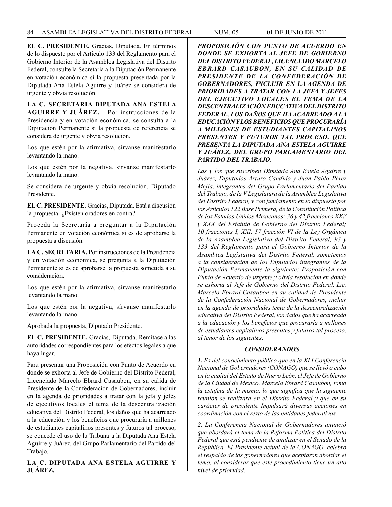**EL C. PRESIDENTE.** Gracias, Diputada. En términos de lo dispuesto por el Artículo 133 del Reglamento para el Gobierno Interior de la Asamblea Legislativa del Distrito Federal, consulte la Secretaría a la Diputación Permanente en votación económica si la propuesta presentada por la Diputada Ana Estela Aguirre y Juárez se considera de urgente y obvia resolución.

# **LA C. SECRETARIA DIPUTADA ANA ESTELA AGUIRRE Y JUÁREZ.** Por instrucciones de la Presidencia y en votación económica, se consulta a la Diputación Permanente si la propuesta de referencia se considera de urgente y obvia resolución.

Los que estén por la afirmativa, sírvanse manifestarlo levantando la mano.

Los que estén por la negativa, sírvanse manifestarlo levantando la mano.

Se considera de urgente y obvia resolución, Diputado Presidente.

**EL C. PRESIDENTE.** Gracias, Diputada. Está a discusión la propuesta. ¿Existen oradores en contra?

Proceda la Secretaría a preguntar a la Diputación Permanente en votación económica si es de aprobarse la propuesta a discusión.

**LA C. SECRETARIA.** Por instrucciones de la Presidencia y en votación económica, se pregunta a la Diputación Permanente si es de aprobarse la propuesta sometida a su consideración.

Los que estén por la afirmativa, sírvanse manifestarlo levantando la mano.

Los que estén por la negativa, sírvanse manifestarlo levantando la mano.

Aprobada la propuesta, Diputado Presidente.

**EL C. PRESIDENTE.** Gracias, Diputada. Remítase a las autoridades correspondientes para los efectos legales a que haya lugar.

Para presentar una Proposición con Punto de Acuerdo en donde se exhorta al Jefe de Gobierno del Distrito Federal, Licenciado Marcelo Ebrard Casaubon, en su calida de Presidente de la Confederación de Gobernadores, incluir en la agenda de prioridades a tratar con la jefa y jefes de ejecutivos locales el tema de la descentralización educativa del Distrito Federal, los daños que ha acarreado a la educación y los beneficios que procuraría a millones de estudiantes capitalinos presentes y futuros tal proceso, se concede el uso de la Tribuna a la Diputada Ana Estela Aguirre y Juárez, del Grupo Parlamentario del Partido del Trabajo.

# **LA C. DIPUTADA ANA ESTELA AGUIRRE Y JUÁREZ.**

*PROPOSICIÓN CON PUNTO DE ACUERDO EN DONDE SE EXHORTA AL JEFE DE GOBIERNO DEL DISTRITO FEDERAL, LICENCIADO MARCELO EBRARD CASAUBON, EN SU CALIDAD DE PRESIDENTE DE LA CONFEDERACIÓN DE GOBERNADORES, INCLUIR EN LA AGENDA DE PRIORIDADES A TRATAR CON LA JEFA Y JEFES DEL EJECUTIVO LOCALES EL TEMA DE LA DESCENTRALIZACIÓN EDUCATIVA DEL DISTRITO FEDERAL, LOS DAÑOS QUE HA ACARREADO A LA EDUCACIÓN Y LOS BENEFICIOS QUE PROCURARÍA A MILLONES DE ESTUDIANTES CAPITALINOS PRESENTES Y FUTUROS TAL PROCESO, QUE PRESENTA LA DIPUTADA ANA ESTELA AGUIRRE Y JUÁREZ, DEL GRUPO PARLAMENTARIO DEL PARTIDO DEL TRABAJO.*

*Las y los que suscriben Diputada Ana Estela Aguirre y Juárez, Diputados Arturo Candido y Juan Pablo Pérez Mejía, integrantes del Grupo Parlamentario del Partido del Trabajo, de la V Legislatura de la Asamblea Legislativa del Distrito Federal, y con fundamento en lo dispuesto por los Artículos 122 Base Primera, de la Constitución Política de los Estados Unidos Mexicanos: 36 y 42 fracciones XXV y XXX del Estatuto de Gobierno del Distrito Federal; 10 fracciones I, XXI, 17 fracción VI de la Ley Orgánica de la Asamblea Legislativa del Distrito Federal, 93 y 133 del Reglamento para el Gobierno Interior de la Asamblea Legislativa del Distrito Federal, sometemos a la consideración de los Diputados integrantes de la Diputación Permanente la siguiente: Proposición con Punto de Acuerdo de urgente y obvia resolución en donde se exhorta al Jefe de Gobierno del Distrito Federal, Lic. Marcelo Ebrard Casaubon en su calidad de Presidente de la Confederación Nacional de Gobernadores, incluir en la agenda de prioridades tema de la descentralización educativa del Distrito Federal, los daños que ha acarreado a la educación y los beneficios que procuraría a millones de estudiantes capitalinos presentes y futuros tal proceso, al tenor de los siguientes:*

## *CONSIDERANDOS*

*1. Es del conocimiento público que en la XLI Conferencia Nacional de Gobernadores (CONAGO) que se llevó a cabo en la capital del Estado de Nuevo León, el Jefe de Gobierno de la Ciudad de México, Marcelo Ebrard Casaubon, tomó la estafeta de la misma, lo que significa que la siguiente reunión se realizará en el Distrito Federal y que en su carácter de presidente Impulsará diversas acciones en coordinación con el resto de las entidades federativas.*

*2. La Conferencia Nacional de Gobernadores anunció que abordará el tema de la Reforma Política del Distrito Federal que está pendiente de analizar en el Senado de la República. El Presidente actual de la CONAGO, celebró el respaldo de los gobernadores que aceptaron abordar el tema, al considerar que este procedimiento tiene un alto nivel de prioridad.*